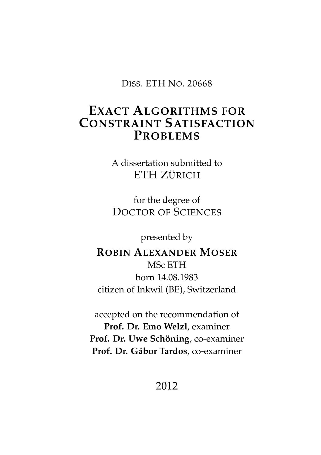DISS. ETH NO. 20668

#### **EXACT ALGORITHMS FOR CONSTRAINT SATISFACTION PROBLEMS**

A dissertation submitted to ETH ZÜRICH

for the degree of DOCTOR OF SCIENCES

presented by

**ROBIN ALEXANDER MOSER** MSc ETH born 14.08.1983 citizen of Inkwil (BE), Switzerland

accepted on the recommendation of **Prof. Dr. Emo Welzl**, examiner **Prof. Dr. Uwe Schöning**, co-examiner **Prof. Dr. G´abor Tardos**, co-examiner

2012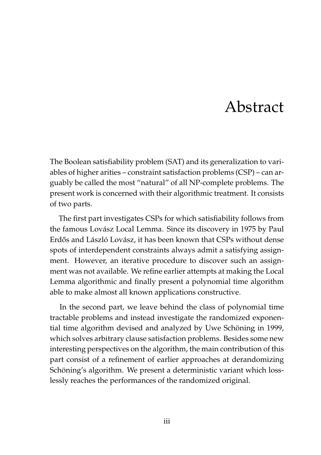## Abstract

<span id="page-2-0"></span>The Boolean satisfiability problem (SAT) and its generalization to variables of higher arities – constraint satisfaction problems (CSP) – can arguably be called the most "natural" of all NP-complete problems. The present work is concerned with their algorithmic treatment. It consists of two parts.

The first part investigates CSPs for which satisfiability follows from the famous Lovász Local Lemma. Since its discovery in 1975 by Paul Erdős and László Lovász, it has been known that CSPs without dense spots of interdependent constraints always admit a satisfying assignment. However, an iterative procedure to discover such an assignment was not available. We refine earlier attempts at making the Local Lemma algorithmic and finally present a polynomial time algorithm able to make almost all known applications constructive.

In the second part, we leave behind the class of polynomial time tractable problems and instead investigate the randomized exponential time algorithm devised and analyzed by Uwe Schöning in 1999, which solves arbitrary clause satisfaction problems. Besides some new interesting perspectives on the algorithm, the main contribution of this part consist of a refinement of earlier approaches at derandomizing Schöning's algorithm. We present a deterministic variant which losslessly reaches the performances of the randomized original.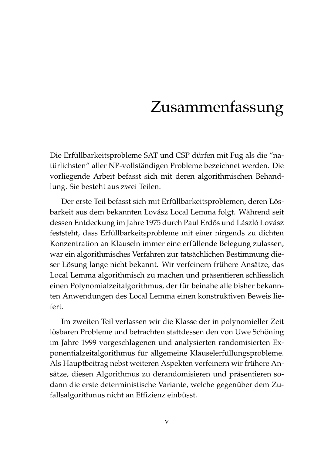## Zusammenfassung

<span id="page-4-0"></span>Die Erfüllbarkeitsprobleme SAT und CSP dürfen mit Fug als die "natürlichsten" aller NP-vollständigen Probleme bezeichnet werden. Die vorliegende Arbeit befasst sich mit deren algorithmischen Behandlung. Sie besteht aus zwei Teilen.

Der erste Teil befasst sich mit Erfüllbarkeitsproblemen, deren Lösbarkeit aus dem bekannten Lovász Local Lemma folgt. Während seit dessen Entdeckung im Jahre 1975 durch Paul Erdős und László Lovász feststeht, dass Erfüllbarkeitsprobleme mit einer nirgends zu dichten Konzentration an Klauseln immer eine erfüllende Belegung zulassen, war ein algorithmisches Verfahren zur tatsächlichen Bestimmung dieser Lösung lange nicht bekannt. Wir verfeinern frühere Ansätze, das Local Lemma algorithmisch zu machen und präsentieren schliesslich einen Polynomialzeitalgorithmus, der für beinahe alle bisher bekannten Anwendungen des Local Lemma einen konstruktiven Beweis liefert.

Im zweiten Teil verlassen wir die Klasse der in polynomieller Zeit lösbaren Probleme und betrachten stattdessen den von Uwe Schöning im Jahre 1999 vorgeschlagenen und analysierten randomisierten Exponentialzeitalgorithmus für allgemeine Klauselerfüllungsprobleme. Als Hauptbeitrag nebst weiteren Aspekten verfeinern wir frühere Ansätze, diesen Algorithmus zu derandomisieren und präsentieren sodann die erste deterministische Variante, welche gegenüber dem Zufallsalgorithmus nicht an Effizienz einbüsst.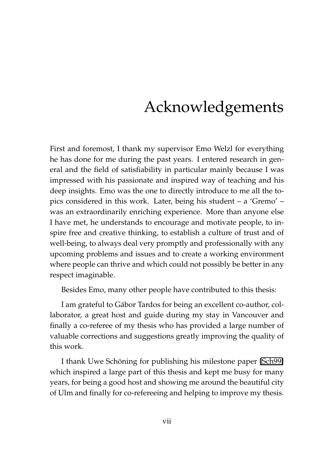## Acknowledgements

<span id="page-6-0"></span>First and foremost, I thank my supervisor Emo Welzl for everything he has done for me during the past years. I entered research in general and the field of satisfiability in particular mainly because I was impressed with his passionate and inspired way of teaching and his deep insights. Emo was the one to directly introduce to me all the topics considered in this work. Later, being his student – a 'Gremo' – was an extraordinarily enriching experience. More than anyone else I have met, he understands to encourage and motivate people, to inspire free and creative thinking, to establish a culture of trust and of well-being, to always deal very promptly and professionally with any upcoming problems and issues and to create a working environment where people can thrive and which could not possibly be better in any respect imaginable.

Besides Emo, many other people have contributed to this thesis:

I am grateful to Gabor Tardos for being an excellent co-author, col- ´ laborator, a great host and guide during my stay in Vancouver and finally a co-referee of my thesis who has provided a large number of valuable corrections and suggestions greatly improving the quality of this work.

I thank Uwe Schöning for publishing his milestone paper [\[Sch99\]](#page-211-0) which inspired a large part of this thesis and kept me busy for many years, for being a good host and showing me around the beautiful city of Ulm and finally for co-refereeing and helping to improve my thesis.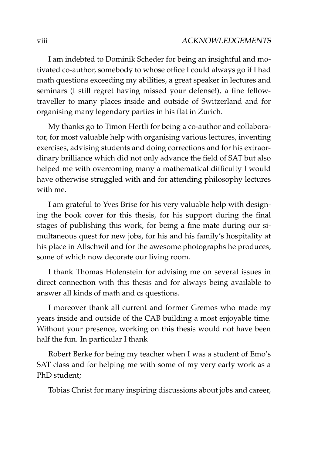I am indebted to Dominik Scheder for being an insightful and motivated co-author, somebody to whose office I could always go if I had math questions exceeding my abilities, a great speaker in lectures and seminars (I still regret having missed your defense!), a fine fellowtraveller to many places inside and outside of Switzerland and for organising many legendary parties in his flat in Zurich.

My thanks go to Timon Hertli for being a co-author and collaborator, for most valuable help with organising various lectures, inventing exercises, advising students and doing corrections and for his extraordinary brilliance which did not only advance the field of SAT but also helped me with overcoming many a mathematical difficulty I would have otherwise struggled with and for attending philosophy lectures with me.

I am grateful to Yves Brise for his very valuable help with designing the book cover for this thesis, for his support during the final stages of publishing this work, for being a fine mate during our simultaneous quest for new jobs, for his and his family's hospitality at his place in Allschwil and for the awesome photographs he produces, some of which now decorate our living room.

I thank Thomas Holenstein for advising me on several issues in direct connection with this thesis and for always being available to answer all kinds of math and cs questions.

I moreover thank all current and former Gremos who made my years inside and outside of the CAB building a most enjoyable time. Without your presence, working on this thesis would not have been half the fun. In particular I thank

Robert Berke for being my teacher when I was a student of Emo's SAT class and for helping me with some of my very early work as a PhD student;

Tobias Christ for many inspiring discussions about jobs and career,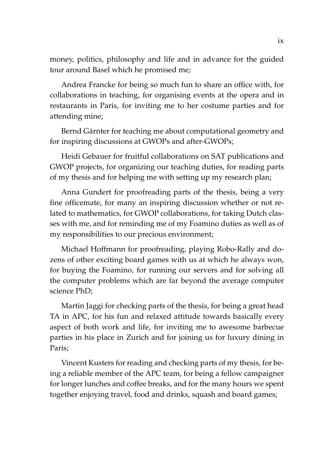money, politics, philosophy and life and in advance for the guided tour around Basel which he promised me;

Andrea Francke for being so much fun to share an office with, for collaborations in teaching, for organising events at the opera and in restaurants in Paris, for inviting me to her costume parties and for attending mine;

Bernd Gärnter for teaching me about computational geometry and for inspiring discussions at GWOPs and after-GWOPs;

Heidi Gebauer for fruitful collaborations on SAT publications and GWOP projects, for organizing our teaching duties, for reading parts of my thesis and for helping me with setting up my research plan;

Anna Gundert for proofreading parts of the thesis, being a very fine officemate, for many an inspiring discussion whether or not related to mathematics, for GWOP collaborations, for taking Dutch classes with me, and for reminding me of my Foamino duties as well as of my responsibilities to our precious environment;

Michael Hoffmann for proofreading, playing Robo-Rally and dozens of other exciting board games with us at which he always won, for buying the Foamino, for running our servers and for solving all the computer problems which are far beyond the average computer science PhD;

Martin Jaggi for checking parts of the thesis, for being a great head TA in APC, for his fun and relaxed attitude towards basically every aspect of both work and life, for inviting me to awesome barbecue parties in his place in Zurich and for joining us for luxury dining in Paris;

Vincent Kusters for reading and checking parts of my thesis, for being a reliable member of the APC team, for being a fellow campaigner for longer lunches and coffee breaks, and for the many hours we spent together enjoying travel, food and drinks, squash and board games;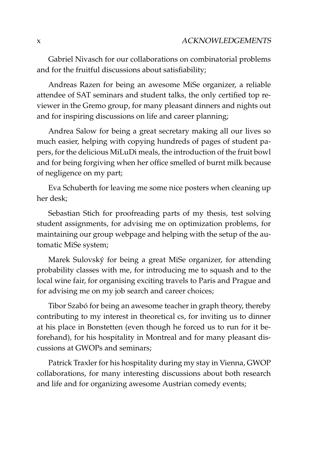Gabriel Nivasch for our collaborations on combinatorial problems and for the fruitful discussions about satisfiability;

Andreas Razen for being an awesome MiSe organizer, a reliable attendee of SAT seminars and student talks, the only certified top reviewer in the Gremo group, for many pleasant dinners and nights out and for inspiring discussions on life and career planning;

Andrea Salow for being a great secretary making all our lives so much easier, helping with copying hundreds of pages of student papers, for the delicious MiLuDi meals, the introduction of the fruit bowl and for being forgiving when her office smelled of burnt milk because of negligence on my part;

Eva Schuberth for leaving me some nice posters when cleaning up her desk;

Sebastian Stich for proofreading parts of my thesis, test solving student assignments, for advising me on optimization problems, for maintaining our group webpage and helping with the setup of the automatic MiSe system;

Marek Sulovsky for being a great MiSe organizer, for attending ´ probability classes with me, for introducing me to squash and to the local wine fair, for organising exciting travels to Paris and Prague and for advising me on my job search and career choices;

Tibor Szabó for being an awesome teacher in graph theory, thereby contributing to my interest in theoretical cs, for inviting us to dinner at his place in Bonstetten (even though he forced us to run for it beforehand), for his hospitality in Montreal and for many pleasant discussions at GWOPs and seminars;

Patrick Traxler for his hospitality during my stay in Vienna, GWOP collaborations, for many interesting discussions about both research and life and for organizing awesome Austrian comedy events;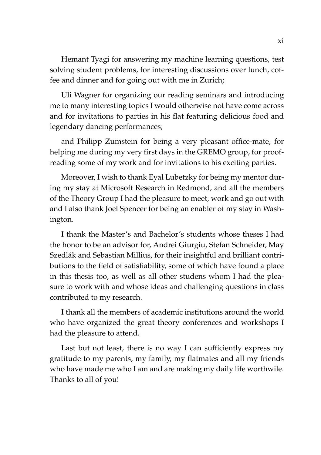Hemant Tyagi for answering my machine learning questions, test solving student problems, for interesting discussions over lunch, coffee and dinner and for going out with me in Zurich;

Uli Wagner for organizing our reading seminars and introducing me to many interesting topics I would otherwise not have come across and for invitations to parties in his flat featuring delicious food and legendary dancing performances;

and Philipp Zumstein for being a very pleasant office-mate, for helping me during my very first days in the GREMO group, for proofreading some of my work and for invitations to his exciting parties.

Moreover, I wish to thank Eyal Lubetzky for being my mentor during my stay at Microsoft Research in Redmond, and all the members of the Theory Group I had the pleasure to meet, work and go out with and I also thank Joel Spencer for being an enabler of my stay in Washington.

I thank the Master's and Bachelor's students whose theses I had the honor to be an advisor for, Andrei Giurgiu, Stefan Schneider, May Szedlák and Sebastian Millius, for their insightful and brilliant contributions to the field of satisfiability, some of which have found a place in this thesis too, as well as all other studens whom I had the pleasure to work with and whose ideas and challenging questions in class contributed to my research.

I thank all the members of academic institutions around the world who have organized the great theory conferences and workshops I had the pleasure to attend.

Last but not least, there is no way I can sufficiently express my gratitude to my parents, my family, my flatmates and all my friends who have made me who I am and are making my daily life worthwile. Thanks to all of you!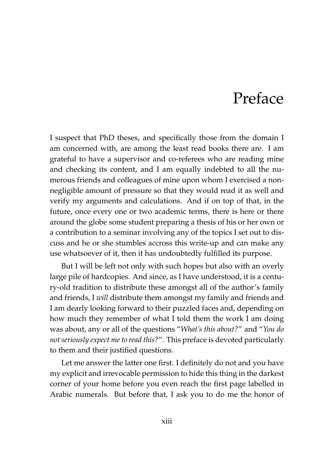### Preface

<span id="page-12-0"></span>I suspect that PhD theses, and specifically those from the domain I am concerned with, are among the least read books there are. I am grateful to have a supervisor and co-referees who are reading mine and checking its content, and I am equally indebted to all the numerous friends and colleagues of mine upon whom I exercised a nonnegligible amount of pressure so that they would read it as well and verify my arguments and calculations. And if on top of that, in the future, once every one or two academic terms, there is here or there around the globe some student preparing a thesis of his or her own or a contribution to a seminar involving any of the topics I set out to discuss and he or she stumbles accross this write-up and can make any use whatsoever of it, then it has undoubtedly fulfilled its purpose.

But I will be left not only with such hopes but also with an overly large pile of hardcopies. And since, as I have understood, it is a century-old tradition to distribute these amongst all of the author's family and friends, I *will* distribute them amongst my family and friends and I am dearly looking forward to their puzzled faces and, depending on how much they remember of what I told them the work I am doing was about, any or all of the questions "*What's this about?*" and "*You do not seriously expect me to read this?*". This preface is devoted particularly to them and their justified questions.

Let me answer the latter one first. I definitely do not and you have my explicit and irrevocable permission to hide this thing in the darkest corner of your home before you even reach the first page labelled in Arabic numerals. But before that, I ask you to do me the honor of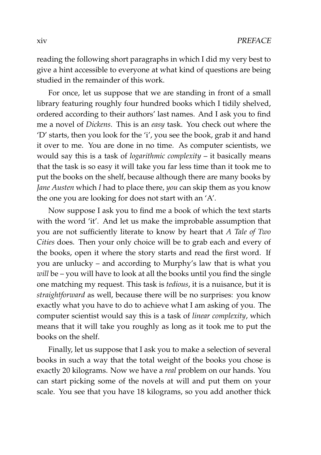reading the following short paragraphs in which I did my very best to give a hint accessible to everyone at what kind of questions are being studied in the remainder of this work.

For once, let us suppose that we are standing in front of a small library featuring roughly four hundred books which I tidily shelved, ordered according to their authors' last names. And I ask you to find me a novel of *Dickens*. This is an *easy* task. You check out where the 'D' starts, then you look for the 'i', you see the book, grab it and hand it over to me. You are done in no time. As computer scientists, we would say this is a task of *logarithmic complexity* – it basically means that the task is so easy it will take you far less time than it took me to put the books on the shelf, because although there are many books by *Jane Austen* which *I* had to place there, *you* can skip them as you know the one you are looking for does not start with an 'A'.

Now suppose I ask you to find me a book of which the text starts with the word 'it'. And let us make the improbable assumption that you are not sufficiently literate to know by heart that *A Tale of Two Cities* does. Then your only choice will be to grab each and every of the books, open it where the story starts and read the first word. If you are unlucky – and according to Murphy's law that is what you *will* be – you will have to look at all the books until you find the single one matching my request. This task is *tedious*, it is a nuisance, but it is *straightforward* as well, because there will be no surprises: you know exactly what you have to do to achieve what I am asking of you. The computer scientist would say this is a task of *linear complexity*, which means that it will take you roughly as long as it took me to put the books on the shelf.

Finally, let us suppose that I ask you to make a selection of several books in such a way that the total weight of the books you chose is exactly 20 kilograms. Now we have a *real* problem on our hands. You can start picking some of the novels at will and put them on your scale. You see that you have 18 kilograms, so you add another thick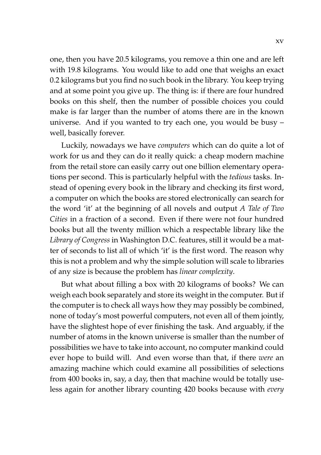one, then you have 20.5 kilograms, you remove a thin one and are left with 19.8 kilograms. You would like to add one that weighs an exact 0.2 kilograms but you find no such book in the library. You keep trying and at some point you give up. The thing is: if there are four hundred books on this shelf, then the number of possible choices you could make is far larger than the number of atoms there are in the known universe. And if you wanted to try each one, you would be busy – well, basically forever.

Luckily, nowadays we have *computers* which can do quite a lot of work for us and they can do it really quick: a cheap modern machine from the retail store can easily carry out one billion elementary operations per second. This is particularly helpful with the *tedious* tasks. Instead of opening every book in the library and checking its first word, a computer on which the books are stored electronically can search for the word 'it' at the beginning of all novels and output *A Tale of Two Cities* in a fraction of a second. Even if there were not four hundred books but all the twenty million which a respectable library like the *Library of Congress* in Washington D.C. features, still it would be a matter of seconds to list all of which 'it' is the first word. The reason why this is not a problem and why the simple solution will scale to libraries of any size is because the problem has *linear complexity*.

But what about filling a box with 20 kilograms of books? We can weigh each book separately and store its weight in the computer. But if the computer is to check all ways how they may possibly be combined, none of today's most powerful computers, not even all of them jointly, have the slightest hope of ever finishing the task. And arguably, if the number of atoms in the known universe is smaller than the number of possibilities we have to take into account, no computer mankind could ever hope to build will. And even worse than that, if there *were* an amazing machine which could examine all possibilities of selections from 400 books in, say, a day, then that machine would be totally useless again for another library counting 420 books because with *every*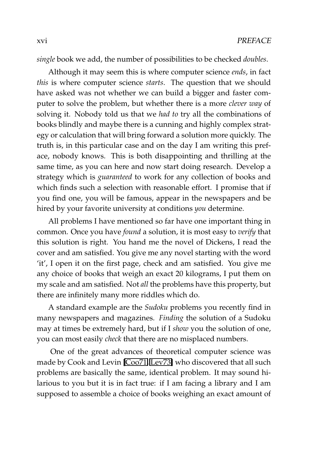*single* book we add, the number of possibilities to be checked *doubles*.

Although it may seem this is where computer science *ends*, in fact *this* is where computer science *starts*. The question that we should have asked was not whether we can build a bigger and faster computer to solve the problem, but whether there is a more *clever way* of solving it. Nobody told us that we *had to* try all the combinations of books blindly and maybe there is a cunning and highly complex strategy or calculation that will bring forward a solution more quickly. The truth is, in this particular case and on the day I am writing this preface, nobody knows. This is both disappointing and thrilling at the same time, as you can here and now start doing research. Develop a strategy which is *guaranteed* to work for any collection of books and which finds such a selection with reasonable effort. I promise that if you find one, you will be famous, appear in the newspapers and be hired by your favorite university at conditions *you* determine.

All problems I have mentioned so far have one important thing in common. Once you have *found* a solution, it is most easy to *verify* that this solution is right. You hand me the novel of Dickens, I read the cover and am satisfied. You give me any novel starting with the word 'it', I open it on the first page, check and am satisfied. You give me any choice of books that weigh an exact 20 kilograms, I put them on my scale and am satisfied. Not *all* the problems have this property, but there are infinitely many more riddles which do.

A standard example are the *Sudoku* problems you recently find in many newspapers and magazines. *Finding* the solution of a Sudoku may at times be extremely hard, but if I *show* you the solution of one, you can most easily *check* that there are no misplaced numbers.

One of the great advances of theoretical computer science was made by Cook and Levin [\[Coo71,](#page-205-0) [Lev73\]](#page-209-0) who discovered that all such problems are basically the same, identical problem. It may sound hilarious to you but it is in fact true: if I am facing a library and I am supposed to assemble a choice of books weighing an exact amount of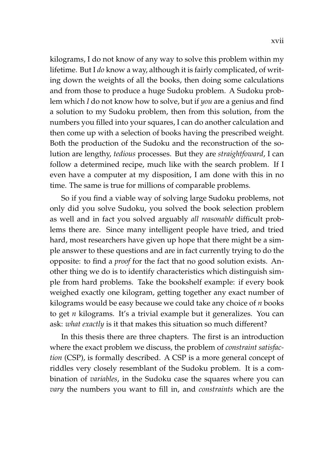kilograms, I do not know of any way to solve this problem within my lifetime. But I *do* know a way, although it is fairly complicated, of writing down the weights of all the books, then doing some calculations and from those to produce a huge Sudoku problem. A Sudoku problem which *I* do not know how to solve, but if *you* are a genius and find a solution to my Sudoku problem, then from this solution, from the numbers you filled into your squares, I can do another calculation and then come up with a selection of books having the prescribed weight. Both the production of the Sudoku and the reconstruction of the solution are lengthy, *tedious* processes. But they are *straightfoward*, I can follow a determined recipe, much like with the search problem. If I even have a computer at my disposition, I am done with this in no time. The same is true for millions of comparable problems.

So if you find a viable way of solving large Sudoku problems, not only did you solve Sudoku, you solved the book selection problem as well and in fact you solved arguably *all reasonable* difficult problems there are. Since many intelligent people have tried, and tried hard, most researchers have given up hope that there might be a simple answer to these questions and are in fact currently trying to do the opposite: to find a *proof* for the fact that no good solution exists. Another thing we do is to identify characteristics which distinguish simple from hard problems. Take the bookshelf example: if every book weighed exactly one kilogram, getting together any exact number of kilograms would be easy because we could take any choice of *n* books to get *n* kilograms. It's a trivial example but it generalizes. You can ask: *what exactly* is it that makes this situation so much different?

In this thesis there are three chapters. The first is an introduction where the exact problem we discuss, the problem of *constraint satisfaction* (CSP), is formally described. A CSP is a more general concept of riddles very closely resemblant of the Sudoku problem. It is a combination of *variables*, in the Sudoku case the squares where you can *vary* the numbers you want to fill in, and *constraints* which are the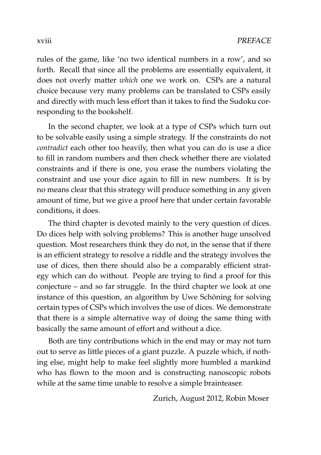rules of the game, like 'no two identical numbers in a row', and so forth. Recall that since all the problems are essentially equivalent, it does not overly matter *which* one we work on. CSPs are a natural choice because very many problems can be translated to CSPs easily and directly with much less effort than it takes to find the Sudoku corresponding to the bookshelf.

In the second chapter, we look at a type of CSPs which turn out to be solvable easily using a simple strategy. If the constraints do not *contradict* each other too heavily, then what you can do is use a dice to fill in random numbers and then check whether there are violated constraints and if there is one, you erase the numbers violating the constraint and use your dice again to fill in new numbers. It is by no means clear that this strategy will produce something in any given amount of time, but we give a proof here that under certain favorable conditions, it does.

The third chapter is devoted mainly to the very question of dices. Do dices help with solving problems? This is another huge unsolved question. Most researchers think they do not, in the sense that if there is an efficient strategy to resolve a riddle and the strategy involves the use of dices, then there should also be a comparably efficient strategy which can do without. People are trying to find a proof for this conjecture – and so far struggle. In the third chapter we look at one instance of this question, an algorithm by Uwe Schöning for solving certain types of CSPs which involves the use of dices. We demonstrate that there is a simple alternative way of doing the same thing with basically the same amount of effort and without a dice.

Both are tiny contributions which in the end may or may not turn out to serve as little pieces of a giant puzzle. A puzzle which, if nothing else, might help to make feel slightly more humbled a mankind who has flown to the moon and is constructing nanoscopic robots while at the same time unable to resolve a simple brainteaser.

Zurich, August 2012, Robin Moser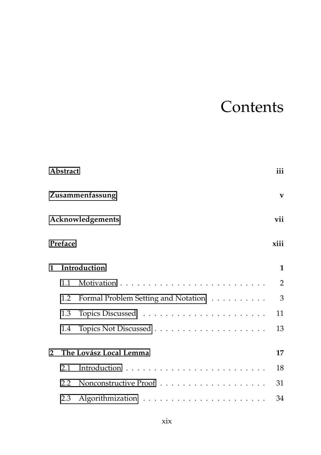# **Contents**

|               | <b>Abstract</b>                                |                                     | iii            |  |
|---------------|------------------------------------------------|-------------------------------------|----------------|--|
|               | Zusammenfassung<br>Acknowledgements<br>Preface |                                     |                |  |
|               |                                                |                                     |                |  |
|               |                                                |                                     |                |  |
| 1             | Introduction                                   |                                     | 1              |  |
|               | 1.1                                            |                                     | $\overline{2}$ |  |
|               | 1.2                                            | Formal Problem Setting and Notation | 3              |  |
|               | 1.3                                            |                                     | 11             |  |
|               | 1.4                                            |                                     | 13             |  |
| $\mathcal{P}$ |                                                | The Lovász Local Lemma              | 17             |  |
|               | 2.1                                            |                                     | 18             |  |
|               | 2.2                                            |                                     | 31             |  |
|               | 2.3                                            |                                     | 34             |  |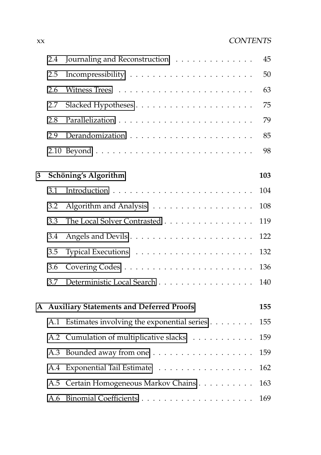#### xx CONTENTS

|   | 2.4 | Journaling and Reconstruction                   | 45  |
|---|-----|-------------------------------------------------|-----|
|   | 2.5 |                                                 | 50  |
|   | 2.6 |                                                 | 63  |
|   | 2.7 |                                                 | 75  |
|   | 2.8 |                                                 | 79  |
|   | 2.9 |                                                 | 85  |
|   |     |                                                 | 98  |
| 3 |     | Schöning's Algorithm                            | 103 |
|   | 3.1 |                                                 | 104 |
|   | 3.2 | Algorithm and Analysis                          | 108 |
|   | 3.3 | The Local Solver Contrasted                     | 119 |
|   | 3.4 |                                                 | 122 |
|   | 3.5 |                                                 | 132 |
|   | 3.6 |                                                 | 136 |
|   | 3.7 | Deterministic Local Search                      | 140 |
| A |     | <b>Auxiliary Statements and Deferred Proofs</b> | 155 |
|   | A.1 | Estimates involving the exponential series      | 155 |
|   | A.2 | Cumulation of multiplicative slacks             | 159 |
|   | A.3 |                                                 | 159 |
|   | A.4 | Exponential Tail Estimate                       | 162 |
|   | A.5 | Certain Homogeneous Markov Chains               | 163 |
|   | A.6 |                                                 | 169 |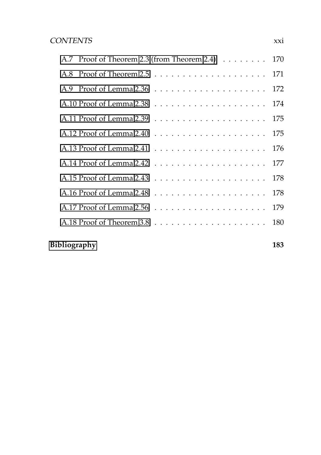| A.7 Proof of Theorem 2.3 (from Theorem 2.4) 170 |  |
|-------------------------------------------------|--|
|                                                 |  |
|                                                 |  |
|                                                 |  |
| 175                                             |  |
| 175                                             |  |
| 176                                             |  |
|                                                 |  |
| 178                                             |  |
| 178                                             |  |
| 179                                             |  |
|                                                 |  |
|                                                 |  |

#### **[Bibliography](#page-201-0) 183**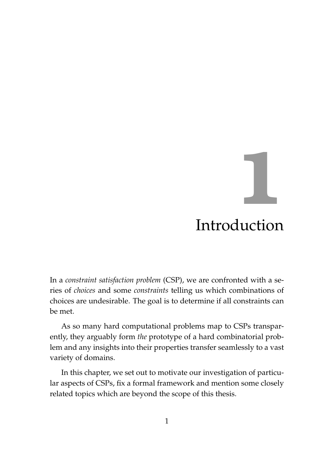# <span id="page-22-0"></span>**1** Introduction

In a *constraint satisfaction problem* (CSP), we are confronted with a series of *choices* and some *constraints* telling us which combinations of choices are undesirable. The goal is to determine if all constraints can be met.

As so many hard computational problems map to CSPs transparently, they arguably form *the* prototype of a hard combinatorial problem and any insights into their properties transfer seamlessly to a vast variety of domains.

In this chapter, we set out to motivate our investigation of particular aspects of CSPs, fix a formal framework and mention some closely related topics which are beyond the scope of this thesis.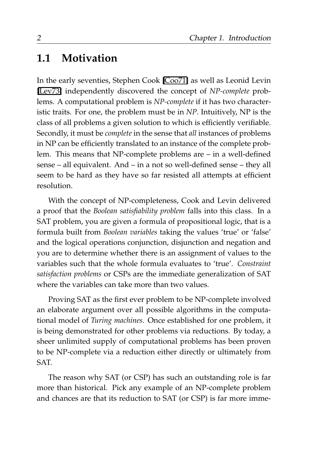#### <span id="page-23-0"></span>**1.1 Motivation**

In the early seventies, Stephen Cook [\[Coo71\]](#page-205-0) as well as Leonid Levin [\[Lev73\]](#page-209-0) independently discovered the concept of *NP-complete* problems. A computational problem is *NP-complete* if it has two characteristic traits. For one, the problem must be in *NP*. Intuitively, NP is the class of all problems a given solution to which is efficiently verifiable. Secondly, it must be *complete* in the sense that *all* instances of problems in NP can be efficiently translated to an instance of the complete problem. This means that NP-complete problems are – in a well-defined sense – all equivalent. And – in a not so well-defined sense – they all seem to be hard as they have so far resisted all attempts at efficient resolution.

With the concept of NP-completeness, Cook and Levin delivered a proof that the *Boolean satisfiability problem* falls into this class. In a SAT problem, you are given a formula of propositional logic, that is a formula built from *Boolean variables* taking the values 'true' or 'false' and the logical operations conjunction, disjunction and negation and you are to determine whether there is an assignment of values to the variables such that the whole formula evaluates to 'true'. *Constraint satisfaction problems* or CSPs are the immediate generalization of SAT where the variables can take more than two values.

Proving SAT as the first ever problem to be NP-complete involved an elaborate argument over all possible algorithms in the computational model of *Turing machines*. Once established for one problem, it is being demonstrated for other problems via reductions. By today, a sheer unlimited supply of computational problems has been proven to be NP-complete via a reduction either directly or ultimately from SAT.

The reason why SAT (or CSP) has such an outstanding role is far more than historical. Pick any example of an NP-complete problem and chances are that its reduction to SAT (or CSP) is far more imme-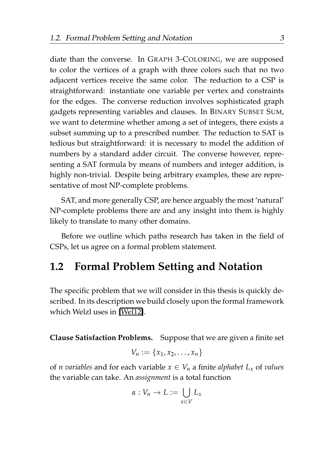diate than the converse. In GRAPH 3-COLORING, we are supposed to color the vertices of a graph with three colors such that no two adjacent vertices receive the same color. The reduction to a CSP is straightforward: instantiate one variable per vertex and constraints for the edges. The converse reduction involves sophisticated graph gadgets representing variables and clauses. In BINARY SUBSET SUM, we want to determine whether among a set of integers, there exists a subset summing up to a prescribed number. The reduction to SAT is tedious but straightforward: it is necessary to model the addition of numbers by a standard adder circuit. The converse however, representing a SAT formula by means of numbers and integer addition, is highly non-trivial. Despite being arbitrary examples, these are representative of most NP-complete problems.

SAT, and more generally CSP, are hence arguably the most 'natural' NP-complete problems there are and any insight into them is highly likely to translate to many other domains.

Before we outline which paths research has taken in the field of CSPs, let us agree on a formal problem statement.

#### <span id="page-24-0"></span>**1.2 Formal Problem Setting and Notation**

The specific problem that we will consider in this thesis is quickly described. In its description we build closely upon the formal framework which Welzl uses in [\[Wel12\]](#page-213-0).

**Clause Satisfaction Problems.** Suppose that we are given a finite set

$$
V_n:=\{x_1,x_2,\ldots,x_n\}
$$

of *n* variables and for each variable  $x \in V_n$  a finite *alphabet*  $L_x$  of *values* the variable can take. An *assignment* is a total function

$$
\alpha: V_n \to L := \bigcup_{x \in V} L_x
$$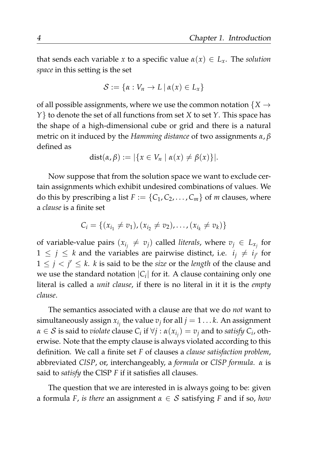that sends each variable *x* to a specific value  $\alpha(x) \in L_x$ . The *solution space* in this setting is the set

$$
\mathcal{S} := \{ \alpha : V_n \to L \, | \, \alpha(x) \in L_x \}
$$

of all possible assignments, where we use the common notation  ${X \rightarrow Y}$ *Y*} to denote the set of all functions from set *X* to set *Y*. This space has the shape of a high-dimensional cube or grid and there is a natural metric on it induced by the *Hamming distance* of two assignments *α*, *β* defined as

$$
dist(\alpha, \beta) := |\{x \in V_n \mid \alpha(x) \neq \beta(x)\}|.
$$

Now suppose that from the solution space we want to exclude certain assignments which exhibit undesired combinations of values. We do this by prescribing a list  $F := \{C_1, C_2, \ldots, C_m\}$  of *m* clauses, where a *clause* is a finite set

$$
C_i = \{(x_{i_1} \neq v_1), (x_{i_2} \neq v_2), \dots, (x_{i_k} \neq v_k)\}\
$$

of variable-value pairs  $(x_{i_j} \neq v_j)$  called *literals*, where  $v_j \in L_{x_j}$  for  $1 \leq j \leq k$  and the variables are pairwise distinct, i.e.  $i_j \neq i_{j'}$  for  $1 \leq j \leq j' \leq k$ . *k* is said to be the *size* or the *length* of the clause and we use the standard notation  $|C_i|$  for it. A clause containing only one literal is called a *unit clause*, if there is no literal in it it is the *empty clause*.

The semantics associated with a clause are that we do *not* want to simultaneously assign  $x_{i_j}$  the value  $v_j$  for all  $j = 1 \ldots k$ . An assignment  $\alpha \in \mathcal{S}$  is said to *violate* clause  $C_i$  if  $\forall j : \alpha(x_{i_j}) = v_j$  and to satisfy  $C_i$ , otherwise. Note that the empty clause is always violated according to this definition. We call a finite set *F* of clauses a *clause satisfaction problem*, abbreviated *ClSP*, or, interchangeably, a *formula* or *ClSP formula*. *α* is said to *satisfy* the ClSP *F* if it satisfies all clauses.

The question that we are interested in is always going to be: given a formula *F*, *is there* an assignment *α* ∈ S satisfying *F* and if so, *how*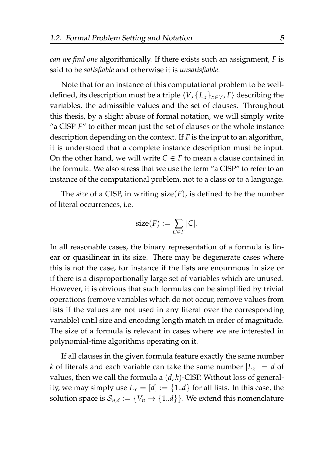*can we find one* algorithmically. If there exists such an assignment, *F* is said to be *satisfiable* and otherwise it is *unsatisfiable*.

Note that for an instance of this computational problem to be welldefined, its description must be a triple  $\langle V, \{L_x\}_{x \in V}, F \rangle$  describing the variables, the admissible values and the set of clauses. Throughout this thesis, by a slight abuse of formal notation, we will simply write "a ClSP *F*" to either mean just the set of clauses or the whole instance description depending on the context. If *F* is the input to an algorithm, it is understood that a complete instance description must be input. On the other hand, we will write  $C \in F$  to mean a clause contained in the formula. We also stress that we use the term "a ClSP" to refer to an instance of the computational problem, not to a class or to a language.

The *size* of a CISP, in writing  $size(F)$ , is defined to be the number of literal occurrences, i.e.

$$
size(F) := \sum_{C \in F} |C|.
$$

In all reasonable cases, the binary representation of a formula is linear or quasilinear in its size. There may be degenerate cases where this is not the case, for instance if the lists are enourmous in size or if there is a disproportionally large set of variables which are unused. However, it is obvious that such formulas can be simplified by trivial operations (remove variables which do not occur, remove values from lists if the values are not used in any literal over the corresponding variable) until size and encoding length match in order of magnitude. The size of a formula is relevant in cases where we are interested in polynomial-time algorithms operating on it.

If all clauses in the given formula feature exactly the same number *k* of literals and each variable can take the same number  $|L_x| = d$  of values, then we call the formula a (*d*, *k*)-ClSP. Without loss of generality, we may simply use  $L_x = [d] := \{1..d\}$  for all lists. In this case, the solution space is  $\mathcal{S}_{n,d} := \{V_n \rightarrow \{1..d\}\}.$  We extend this nomenclature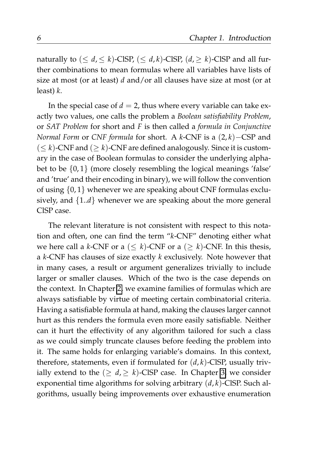naturally to  $(\leq d, \leq k)$ -ClSP,  $(\leq d, k)$ -ClSP,  $(d, \geq k)$ -ClSP and all further combinations to mean formulas where all variables have lists of size at most (or at least) *d* and/or all clauses have size at most (or at least) *k*.

In the special case of  $d = 2$ , thus where every variable can take exactly two values, one calls the problem a *Boolean satisfiability Problem*, or *SAT Problem* for short and *F* is then called a *formula in Conjunctive Normal Form* or *CNF formula* for short. A *k*-CNF is a (2, *k*)−CSP and  $( $k$ )-CNF and ( $\geq k$ )-CNF are defined analogously. Since it is custom$ ary in the case of Boolean formulas to consider the underlying alphabet to be  $\{0,1\}$  (more closely resembling the logical meanings 'false' and 'true' and their encoding in binary), we will follow the convention of using {0, 1} whenever we are speaking about CNF formulas exclusively, and {1..*d*} whenever we are speaking about the more general ClSP case.

The relevant literature is not consistent with respect to this notation and often, one can find the term "*k*-CNF" denoting either what we here call a *k*-CNF or a ( $\leq k$ )-CNF or a ( $\geq k$ )-CNF. In this thesis, a *k*-CNF has clauses of size exactly *k* exclusively. Note however that in many cases, a result or argument generalizes trivially to include larger or smaller clauses. Which of the two is the case depends on the context. In Chapter [2,](#page-38-0) we examine families of formulas which are always satisfiable by virtue of meeting certain combinatorial criteria. Having a satisfiable formula at hand, making the clauses larger cannot hurt as this renders the formula even more easily satisfiable. Neither can it hurt the effectivity of any algorithm tailored for such a class as we could simply truncate clauses before feeding the problem into it. The same holds for enlarging variable's domains. In this context, therefore, statements, even if formulated for  $(d, k)$ -ClSP, usually trivially extend to the  $(\geq d, \geq k)$ -ClSP case. In Chapter [3,](#page-124-0) we consider exponential time algorithms for solving arbitrary (*d*, *k*)-ClSP. Such algorithms, usually being improvements over exhaustive enumeration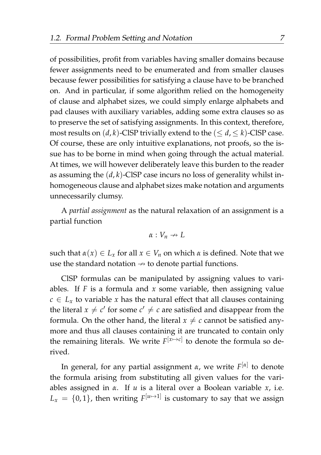of possibilities, profit from variables having smaller domains because fewer assignments need to be enumerated and from smaller clauses because fewer possibilities for satisfying a clause have to be branched on. And in particular, if some algorithm relied on the homogeneity of clause and alphabet sizes, we could simply enlarge alphabets and pad clauses with auxiliary variables, adding some extra clauses so as to preserve the set of satisfying assignments. In this context, therefore, most results on  $(d, k)$ -ClSP trivially extend to the  $(\leq d, \leq k)$ -ClSP case. Of course, these are only intuitive explanations, not proofs, so the issue has to be borne in mind when going through the actual material. At times, we will however deliberately leave this burden to the reader as assuming the (*d*, *k*)-ClSP case incurs no loss of generality whilst inhomogeneous clause and alphabet sizes make notation and arguments unnecessarily clumsy.

A *partial assignment* as the natural relaxation of an assignment is a partial function

$$
\alpha: V_n \nrightarrow L
$$

such that  $\alpha(x) \in L_x$  for all  $x \in V_n$  on which  $\alpha$  is defined. Note that we use the standard notation  $\rightarrow$  to denote partial functions.

ClSP formulas can be manipulated by assigning values to variables. If *F* is a formula and *x* some variable, then assigning value  $c \in L_x$  to variable *x* has the natural effect that all clauses containing the literal  $x \neq c'$  for some  $c' \neq c$  are satisfied and disappear from the formula. On the other hand, the literal  $x \neq c$  cannot be satisfied anymore and thus all clauses containing it are truncated to contain only the remaining literals. We write  $F^{[x \mapsto c]}$  to denote the formula so derived.

In general, for any partial assignment *α*, we write *F* [*α*] to denote the formula arising from substituting all given values for the variables assigned in *α*. If *u* is a literal over a Boolean variable *x*, i.e.  $L_x = \{0, 1\}$ , then writing  $F^{[\mu \rightarrow 1]}$  is customary to say that we assign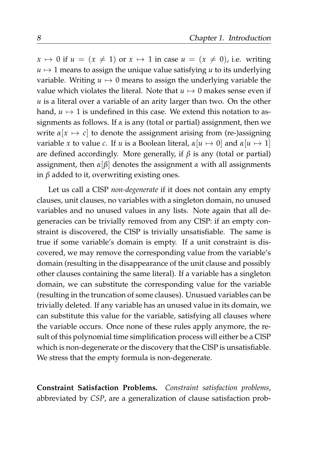$x \mapsto 0$  if  $u = (x \neq 1)$  or  $x \mapsto 1$  in case  $u = (x \neq 0)$ , i.e. writing  $u \mapsto 1$  means to assign the unique value satisfying *u* to its underlying variable. Writing  $u \mapsto 0$  means to assign the underlying variable the value which violates the literal. Note that  $u \mapsto 0$  makes sense even if *u* is a literal over a variable of an arity larger than two. On the other hand,  $u \mapsto 1$  is undefined in this case. We extend this notation to assignments as follows. If *α* is any (total or partial) assignment, then we write  $\alpha[x \mapsto c]$  to denote the assignment arising from (re-)assigning variable *x* to value *c*. If *u* is a Boolean literal,  $\alpha[u \mapsto 0]$  and  $\alpha[u \mapsto 1]$ are defined accordingly. More generally, if *β* is any (total or partial) assignment, then  $\alpha[\beta]$  denotes the assignment  $\alpha$  with all assignments in *β* added to it, overwriting existing ones.

Let us call a ClSP *non-degenerate* if it does not contain any empty clauses, unit clauses, no variables with a singleton domain, no unused variables and no unused values in any lists. Note again that all degeneracies can be trivially removed from any ClSP: if an empty constraint is discovered, the ClSP is trivially unsatisfiable. The same is true if some variable's domain is empty. If a unit constraint is discovered, we may remove the corresponding value from the variable's domain (resulting in the disappearance of the unit clause and possibly other clauses containing the same literal). If a variable has a singleton domain, we can substitute the corresponding value for the variable (resulting in the truncation of some clauses). Unusued variables can be trivially deleted. If any variable has an unused value in its domain, we can substitute this value for the variable, satisfying all clauses where the variable occurs. Once none of these rules apply anymore, the result of this polynomial time simplification process will either be a ClSP which is non-degenerate or the discovery that the ClSP is unsatisfiable. We stress that the empty formula is non-degenerate.

**Constraint Satisfaction Problems.** *Constraint satisfaction problems*, abbreviated by *CSP*, are a generalization of clause satisfaction prob-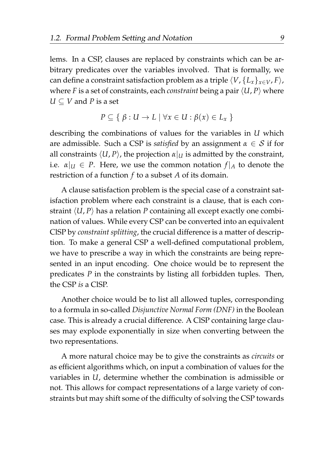lems. In a CSP, clauses are replaced by constraints which can be arbitrary predicates over the variables involved. That is formally, we can define a constraint satisfaction problem as a triple  $\langle V, \{L_x\}_{x \in V}$ ,  $F \rangle$ , where *F* is a set of constraints, each *constraint* being a pair  $\langle U, P \rangle$  where  $U \subseteq V$  and *P* is a set

$$
P \subseteq \{ \beta : U \to L \mid \forall x \in U : \beta(x) \in L_x \}
$$

describing the combinations of values for the variables in *U* which are admissible. Such a CSP is *satisfied* by an assignment  $\alpha \in S$  if for all constraints  $\langle U, P \rangle$ , the projection  $\alpha|_U$  is admitted by the constraint, i.e.  $\alpha|_U \in P$ . Here, we use the common notation  $f|_A$  to denote the restriction of a function *f* to a subset *A* of its domain.

A clause satisfaction problem is the special case of a constraint satisfaction problem where each constraint is a clause, that is each constraint  $\langle U, P \rangle$  has a relation *P* containing all except exactly one combination of values. While every CSP can be converted into an equivalent ClSP by *constraint splitting*, the crucial difference is a matter of description. To make a general CSP a well-defined computational problem, we have to prescribe a way in which the constraints are being represented in an input encoding. One choice would be to represent the predicates *P* in the constraints by listing all forbidden tuples. Then, the CSP *is* a ClSP.

Another choice would be to list all allowed tuples, corresponding to a formula in so-called *Disjunctive Normal Form (DNF)* in the Boolean case. This is already a crucial difference. A ClSP containing large clauses may explode exponentially in size when converting between the two representations.

A more natural choice may be to give the constraints as *circuits* or as efficient algorithms which, on input a combination of values for the variables in *U*, determine whether the combination is admissible or not. This allows for compact representations of a large variety of constraints but may shift some of the difficulty of solving the CSP towards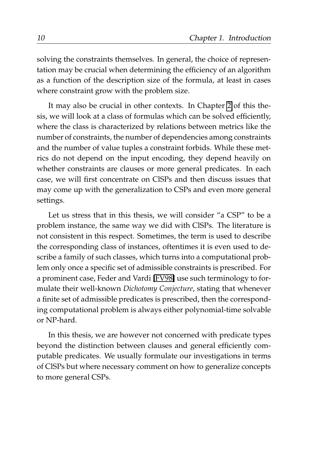solving the constraints themselves. In general, the choice of representation may be crucial when determining the efficiency of an algorithm as a function of the description size of the formula, at least in cases where constraint grow with the problem size.

It may also be crucial in other contexts. In Chapter [2](#page-38-0) of this thesis, we will look at a class of formulas which can be solved efficiently, where the class is characterized by relations between metrics like the number of constraints, the number of dependencies among constraints and the number of value tuples a constraint forbids. While these metrics do not depend on the input encoding, they depend heavily on whether constraints are clauses or more general predicates. In each case, we will first concentrate on ClSPs and then discuss issues that may come up with the generalization to CSPs and even more general settings.

Let us stress that in this thesis, we will consider "a CSP" to be a problem instance, the same way we did with ClSPs. The literature is not consistent in this respect. Sometimes, the term is used to describe the corresponding class of instances, oftentimes it is even used to describe a family of such classes, which turns into a computational problem only once a specific set of admissible constraints is prescribed. For a prominent case, Feder and Vardi [\[FV98\]](#page-207-0) use such terminology to formulate their well-known *Dichotomy Conjecture*, stating that whenever a finite set of admissible predicates is prescribed, then the corresponding computational problem is always either polynomial-time solvable or NP-hard.

In this thesis, we are however not concerned with predicate types beyond the distinction between clauses and general efficiently computable predicates. We usually formulate our investigations in terms of ClSPs but where necessary comment on how to generalize concepts to more general CSPs.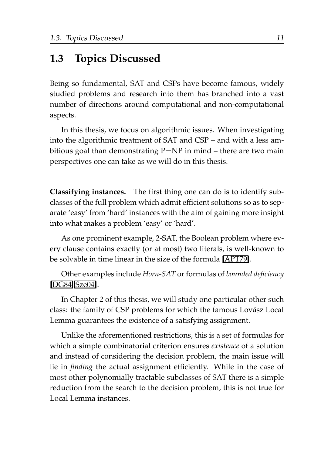#### <span id="page-32-0"></span>**1.3 Topics Discussed**

Being so fundamental, SAT and CSPs have become famous, widely studied problems and research into them has branched into a vast number of directions around computational and non-computational aspects.

In this thesis, we focus on algorithmic issues. When investigating into the algorithmic treatment of SAT and CSP – and with a less ambitious goal than demonstrating  $P=NP$  in mind – there are two main perspectives one can take as we will do in this thesis.

**Classifying instances.** The first thing one can do is to identify subclasses of the full problem which admit efficient solutions so as to separate 'easy' from 'hard' instances with the aim of gaining more insight into what makes a problem 'easy' or 'hard'.

As one prominent example, 2-SAT, the Boolean problem where every clause contains exactly (or at most) two literals, is well-known to be solvable in time linear in the size of the formula [\[APT79\]](#page-204-0).

Other examples include *Horn-SAT* or formulas of *bounded deficiency* [\[DG84,](#page-206-0) [Sze04\]](#page-212-0).

In Chapter 2 of this thesis, we will study one particular other such class: the family of CSP problems for which the famous Lovász Local Lemma guarantees the existence of a satisfying assignment.

Unlike the aforementioned restrictions, this is a set of formulas for which a simple combinatorial criterion ensures *existence* of a solution and instead of considering the decision problem, the main issue will lie in *finding* the actual assignment efficiently. While in the case of most other polynomially tractable subclasses of SAT there is a simple reduction from the search to the decision problem, this is not true for Local Lemma instances.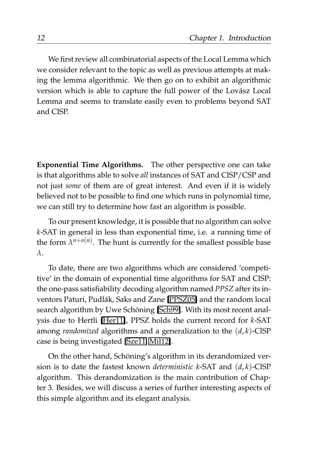We first review all combinatorial aspects of the Local Lemma which we consider relevant to the topic as well as previous attempts at making the lemma algorithmic. We then go on to exhibit an algorithmic version which is able to capture the full power of the Lovász Local Lemma and seems to translate easily even to problems beyond SAT and ClSP.

**Exponential Time Algorithms.** The other perspective one can take is that algorithms able to solve *all* instances of SAT and ClSP/CSP and not just *some* of them are of great interest. And even if it is widely believed not to be possible to find one which runs in polynomial time, we can still try to determine how fast an algorithm is possible.

To our present knowledge, it is possible that no algorithm can solve *k*-SAT in general in less than exponential time, i.e. a running time of the form  $\lambda^{n+o(n)}$ . The hunt is currently for the smallest possible base *λ*.

To date, there are two algorithms which are considered 'competitive' in the domain of exponential time algorithms for SAT and ClSP: the one-pass satisfiability decoding algorithm named *PPSZ* after its in-ventors Paturi, Pudlák, Saks and Zane [\[PPSZ05\]](#page-211-1) and the random local search algorithm by Uwe Schöning [\[Sch99\]](#page-211-0). With its most recent analysis due to Hertli [\[Her11\]](#page-207-1), PPSZ holds the current record for *k*-SAT among *randomized* algorithms and a generalization to the (*d*, *k*)-ClSP case is being investigated [\[Sze11,](#page-213-1) [Mil12\]](#page-209-1).

On the other hand, Schöning's algorithm in its derandomized version is to date the fastest known *deterministic k*-SAT and (*d*, *k*)-ClSP algorithm. This derandomization is the main contribution of Chapter 3. Besides, we will discuss a series of further interesting aspects of this simple algorithm and its elegant analysis.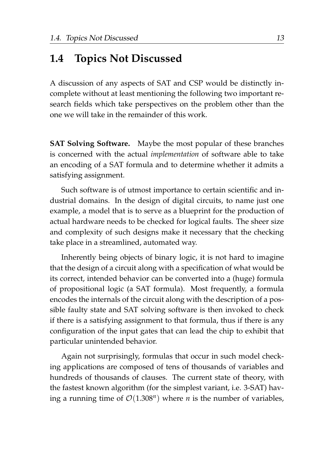#### <span id="page-34-0"></span>**1.4 Topics Not Discussed**

A discussion of any aspects of SAT and CSP would be distinctly incomplete without at least mentioning the following two important research fields which take perspectives on the problem other than the one we will take in the remainder of this work.

**SAT Solving Software.** Maybe the most popular of these branches is concerned with the actual *implementation* of software able to take an encoding of a SAT formula and to determine whether it admits a satisfying assignment.

Such software is of utmost importance to certain scientific and industrial domains. In the design of digital circuits, to name just one example, a model that is to serve as a blueprint for the production of actual hardware needs to be checked for logical faults. The sheer size and complexity of such designs make it necessary that the checking take place in a streamlined, automated way.

Inherently being objects of binary logic, it is not hard to imagine that the design of a circuit along with a specification of what would be its correct, intended behavior can be converted into a (huge) formula of propositional logic (a SAT formula). Most frequently, a formula encodes the internals of the circuit along with the description of a possible faulty state and SAT solving software is then invoked to check if there is a satisfying assignment to that formula, thus if there is any configuration of the input gates that can lead the chip to exhibit that particular unintended behavior.

Again not surprisingly, formulas that occur in such model checking applications are composed of tens of thousands of variables and hundreds of thousands of clauses. The current state of theory, with the fastest known algorithm (for the simplest variant, i.e. 3-SAT) having a running time of  $\mathcal{O}(1.308^n)$  where *n* is the number of variables,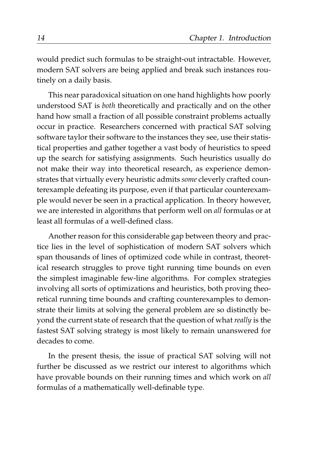would predict such formulas to be straight-out intractable. However, modern SAT solvers are being applied and break such instances routinely on a daily basis.

This near paradoxical situation on one hand highlights how poorly understood SAT is *both* theoretically and practically and on the other hand how small a fraction of all possible constraint problems actually occur in practice. Researchers concerned with practical SAT solving software taylor their software to the instances they see, use their statistical properties and gather together a vast body of heuristics to speed up the search for satisfying assignments. Such heuristics usually do not make their way into theoretical research, as experience demonstrates that virtually every heuristic admits *some* cleverly crafted counterexample defeating its purpose, even if that particular counterexample would never be seen in a practical application. In theory however, we are interested in algorithms that perform well on *all* formulas or at least all formulas of a well-defined class.

Another reason for this considerable gap between theory and practice lies in the level of sophistication of modern SAT solvers which span thousands of lines of optimized code while in contrast, theoretical research struggles to prove tight running time bounds on even the simplest imaginable few-line algorithms. For complex strategies involving all sorts of optimizations and heuristics, both proving theoretical running time bounds and crafting counterexamples to demonstrate their limits at solving the general problem are so distinctly beyond the current state of research that the question of what *really* is the fastest SAT solving strategy is most likely to remain unanswered for decades to come.

In the present thesis, the issue of practical SAT solving will not further be discussed as we restrict our interest to algorithms which have provable bounds on their running times and which work on *all* formulas of a mathematically well-definable type.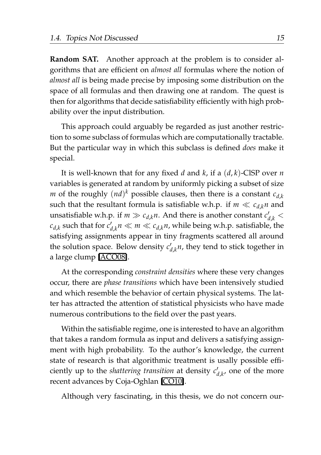**Random SAT.** Another approach at the problem is to consider algorithms that are efficient on *almost all* formulas where the notion of *almost all* is being made precise by imposing some distribution on the space of all formulas and then drawing one at random. The quest is then for algorithms that decide satisfiability efficiently with high probability over the input distribution.

This approach could arguably be regarded as just another restriction to some subclass of formulas which are computationally tractable. But the particular way in which this subclass is defined *does* make it special.

It is well-known that for any fixed *d* and *k*, if a (*d*, *k*)-ClSP over *n* variables is generated at random by uniformly picking a subset of size *m* of the roughly  $(nd)^k$  possible clauses, then there is a constant  $c_{d,k}$ such that the resultant formula is satisfiable w.h.p. if  $m \ll c_d \kappa n$  and unsatisfiable w.h.p. if  $m \gg c_{d,k}n$ . And there is another constant  $c'_{d,k}$  <  $c_{d,k}$  such that for  $c'_{d,k}n \ll m \ll c_{d,k}n$ , while being w.h.p. satisfiable, the satisfying assignments appear in tiny fragments scattered all around the solution space. Below density  $c'_{d,k}$ <sup>*n*</sup>, they tend to stick together in a large clump [\[ACO08\]](#page-204-0).

At the corresponding *constraint densities* where these very changes occur, there are *phase transitions* which have been intensively studied and which resemble the behavior of certain physical systems. The latter has attracted the attention of statistical physicists who have made numerous contributions to the field over the past years.

Within the satisfiable regime, one is interested to have an algorithm that takes a random formula as input and delivers a satisfying assignment with high probability. To the author's knowledge, the current state of research is that algorithmic treatment is usally possible efficiently up to the *shattering transition* at density  $c'_{d,k}$ , one of the more recent advances by Coja-Oghlan [\[CO10\]](#page-205-0).

Although very fascinating, in this thesis, we do not concern our-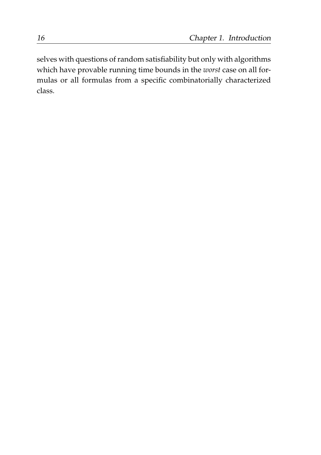selves with questions of random satisfiability but only with algorithms which have provable running time bounds in the *worst* case on all formulas or all formulas from a specific combinatorially characterized class.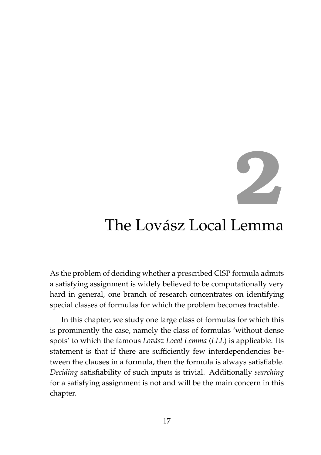**2**

# The Lovász Local Lemma

As the problem of deciding whether a prescribed ClSP formula admits a satisfying assignment is widely believed to be computationally very hard in general, one branch of research concentrates on identifying special classes of formulas for which the problem becomes tractable.

In this chapter, we study one large class of formulas for which this is prominently the case, namely the class of formulas 'without dense spots' to which the famous *Lovász Local Lemma* (*LLL*) is applicable. Its statement is that if there are sufficiently few interdependencies between the clauses in a formula, then the formula is always satisfiable. *Deciding* satisfiability of such inputs is trivial. Additionally *searching* for a satisfying assignment is not and will be the main concern in this chapter.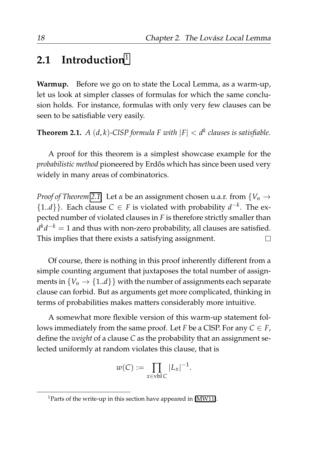# **2.1 Introduction**[1](#page-39-0)

**Warmup.** Before we go on to state the Local Lemma, as a warm-up, let us look at simpler classes of formulas for which the same conclusion holds. For instance, formulas with only very few clauses can be seen to be satisfiable very easily.

<span id="page-39-1"></span>**Theorem 2.1.**  $A(d, k)$ -ClSP formula F with  $|F| < d^k$  clauses is satisfiable.

A proof for this theorem is a simplest showcase example for the *probabilistic method pioneered by Erdős which has since been used very* widely in many areas of combinatorics.

*Proof of Theorem [2.1.](#page-39-1)* Let *α* be an assignment chosen u.a.r. from {*V<sup>n</sup>* → {1.*d*}}. Each clause *C* ∈ *F* is violated with probability  $d^{-k}$ . The expected number of violated clauses in *F* is therefore strictly smaller than *d kd* <sup>−</sup>*<sup>k</sup>* = 1 and thus with non-zero probability, all clauses are satisfied. This implies that there exists a satisfying assignment.  $\Box$ 

Of course, there is nothing in this proof inherently different from a simple counting argument that juxtaposes the total number of assignments in  ${V_n \to \{1..d\}}$  with the number of assignments each separate clause can forbid. But as arguments get more complicated, thinking in terms of probabilities makes matters considerably more intuitive.

A somewhat more flexible version of this warm-up statement follows immediately from the same proof. Let *F* be a CISP. For any  $C \in F$ , define the *weight* of a clause *C* as the probability that an assignment selected uniformly at random violates this clause, that is

$$
w(C) := \prod_{x \in \text{vbl } C} |L_x|^{-1}.
$$

<span id="page-39-0"></span><sup>&</sup>lt;sup>1</sup>Parts of the write-up in this section have appeared in [\[MW11\]](#page-210-0).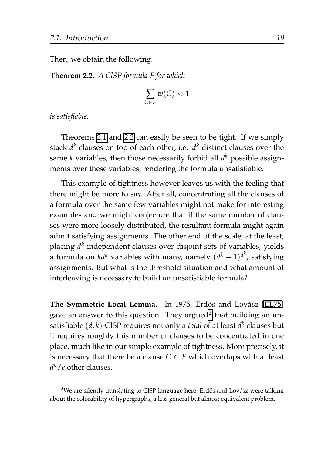Then, we obtain the following.

<span id="page-40-0"></span>**Theorem 2.2.** *A ClSP formula F for which*

$$
\sum_{C \in F} w(C) < 1
$$

*is satisfiable.*

Theorems [2.1](#page-39-1) and [2.2](#page-40-0) can easily be seen to be tight. If we simply stack *d k* clauses on top of each other, i.e. *d <sup>k</sup>* distinct clauses over the same *k* variables, then those necessarily forbid all *d <sup>k</sup>* possible assignments over these variables, rendering the formula unsatisfiable.

This example of tightness however leaves us with the feeling that there might be more to say. After all, concentrating all the clauses of a formula over the same few variables might not make for interesting examples and we might conjecture that if the same number of clauses were more loosely distributed, the resultant formula might again admit satisfying assignments. The other end of the scale, at the least, placing *d k* independent clauses over disjoint sets of variables, yields a formula on  $k d^k$  variables with many, namely  $(d^k - 1)^{d^k}$ , satisfying assignments. But what is the threshold situation and what amount of interleaving is necessary to build an unsatisfiable formula?

**The Symmetric Local Lemma.** In 1975, Erdős and Lovász [\[EL75\]](#page-206-0) gave an answer to this question. They argued<sup>[2](#page-40-1)</sup> that building an unsatisfiable (*d*, *k*)-ClSP requires not only a *total* of at least *d k* clauses but it requires roughly this number of clauses to be concentrated in one place, much like in our simple example of tightness. More precisely, it is necessary that there be a clause  $C \in F$  which overlaps with at least *d <sup>k</sup>*/*e* other clauses.

<span id="page-40-1"></span><sup>&</sup>lt;sup>2</sup>We are silently translating to CISP language here; Erdős and Lovász were talking about the colorability of hypergraphs, a less general but almost equivalent problem.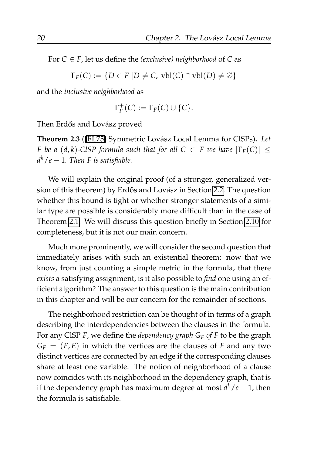For  $C \in F$ , let us define the *(exclusive)* neighborhood of  $C$  as

 $\Gamma_F(C) := \{ D \in F \mid D \neq C, \text{ vbl}(C) \cap \text{vbl}(D) \neq \emptyset \}$ 

and the *inclusive neighborhood* as

$$
\Gamma_F^+(C) := \Gamma_F(C) \cup \{C\}.
$$

Then Erdős and Lovász proved

<span id="page-41-0"></span>**Theorem 2.3** ([\[EL75\]](#page-206-0) Symmetric Lovász Local Lemma for ClSPs). Let *F* be a  $(d, k)$ -ClSP formula such that for all  $C \in F$  we have  $|\Gamma_F(C)| \le$ *d <sup>k</sup>*/*e* − 1*. Then F is satisfiable.*

We will explain the original proof (of a stronger, generalized ver-sion of this theorem) by Erdős and Lovász in Section [2.2.](#page-52-0) The question whether this bound is tight or whether stronger statements of a similar type are possible is considerably more difficult than in the case of Theorem [2.1.](#page-39-1) We will discuss this question briefly in Section [2.10](#page-119-0) for completeness, but it is not our main concern.

Much more prominently, we will consider the second question that immediately arises with such an existential theorem: now that we know, from just counting a simple metric in the formula, that there *exists* a satisfying assignment, is it also possible to *find* one using an efficient algorithm? The answer to this question is the main contribution in this chapter and will be our concern for the remainder of sections.

The neighborhood restriction can be thought of in terms of a graph describing the interdependencies between the clauses in the formula. For any ClSP *F*, we define the *dependency graph G<sup>F</sup> of F* to be the graph  $G_F = (F, E)$  in which the vertices are the clauses of *F* and any two distinct vertices are connected by an edge if the corresponding clauses share at least one variable. The notion of neighborhood of a clause now coincides with its neighborhood in the dependency graph, that is if the dependency graph has maximum degree at most *d <sup>k</sup>*/*e* − 1, then the formula is satisfiable.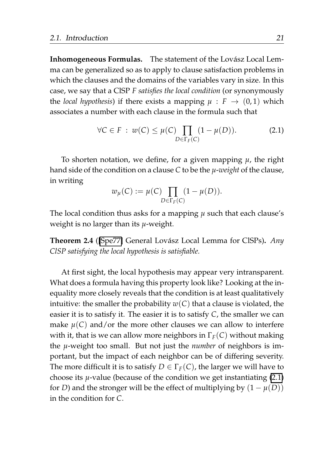Inhomogeneous Formulas. The statement of the Lovász Local Lemma can be generalized so as to apply to clause satisfaction problems in which the clauses and the domains of the variables vary in size. In this case, we say that a ClSP *F satisfies the local condition* (or synonymously the *local hypothesis*) if there exists a mapping  $\mu$  :  $F \rightarrow (0, 1)$  which associates a number with each clause in the formula such that

<span id="page-42-0"></span>
$$
\forall C \in F : w(C) \le \mu(C) \prod_{D \in \Gamma_F(C)} (1 - \mu(D)). \tag{2.1}
$$

To shorten notation, we define, for a given mapping *µ*, the right hand side of the condition on a clause *C* to be the *µ*-*weight* of the clause, in writing

$$
w_{\mu}(C) := \mu(C) \prod_{D \in \Gamma_F(C)} (1 - \mu(D)).
$$

The local condition thus asks for a mapping *µ* such that each clause's weight is no larger than its *µ*-weight.

<span id="page-42-1"></span>**Theorem 2.4** ([\[Spe77\]](#page-212-0) General Lovász Local Lemma for ClSPs). Any *ClSP satisfying the local hypothesis is satisfiable.*

At first sight, the local hypothesis may appear very intransparent. What does a formula having this property look like? Looking at the inequality more closely reveals that the condition is at least qualitatively intuitive: the smaller the probability  $w(C)$  that a clause is violated, the easier it is to satisfy it. The easier it is to satisfy *C*, the smaller we can make  $\mu(C)$  and/or the more other clauses we can allow to interfere with it, that is we can allow more neighbors in  $\Gamma_F(C)$  without making the *µ*-weight too small. But not just the *number* of neighbors is important, but the impact of each neighbor can be of differing severity. The more difficult it is to satisfy  $D \in \Gamma_F(C)$ , the larger we will have to choose its *µ*-value (because of the condition we get instantiating [\(2.1\)](#page-42-0) for *D*) and the stronger will be the effect of multiplying by  $(1 - \mu(D))$ in the condition for *C*.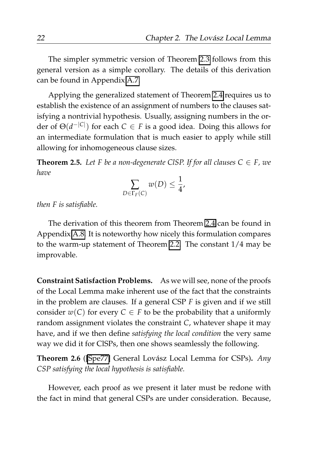The simpler symmetric version of Theorem [2.3](#page-41-0) follows from this general version as a simple corollary. The details of this derivation can be found in Appendix [A.7.](#page-191-0)

Applying the generalized statement of Theorem [2.4](#page-42-1) requires us to establish the existence of an assignment of numbers to the clauses satisfying a nontrivial hypothesis. Usually, assigning numbers in the order of Θ(*d* −|*C*| ) for each *C* ∈ *F* is a good idea. Doing this allows for an intermediate formulation that is much easier to apply while still allowing for inhomogeneous clause sizes.

<span id="page-43-0"></span>**Theorem 2.5.** *Let F be a non-degenerate CISP. If for all clauses*  $C \in F$ *, we have*

$$
\sum_{D \in \Gamma_F(C)} w(D) \leq \frac{1}{4},
$$

*then F is satisfiable.*

The derivation of this theorem from Theorem [2.4](#page-42-1) can be found in Appendix [A.8.](#page-192-0) It is noteworthy how nicely this formulation compares to the warm-up statement of Theorem [2.2.](#page-40-0) The constant 1/4 may be improvable.

**Constraint Satisfaction Problems.** As we will see, none of the proofs of the Local Lemma make inherent use of the fact that the constraints in the problem are clauses. If a general CSP *F* is given and if we still consider  $w(C)$  for every  $C \in F$  to be the probability that a uniformly random assignment violates the constraint *C*, whatever shape it may have, and if we then define *satisfying the local condition* the very same way we did it for ClSPs, then one shows seamlessly the following.

**Theorem 2.6** ([\[Spe77\]](#page-212-0) General Lovász Local Lemma for CSPs). *Any CSP satisfying the local hypothesis is satisfiable.*

However, each proof as we present it later must be redone with the fact in mind that general CSPs are under consideration. Because,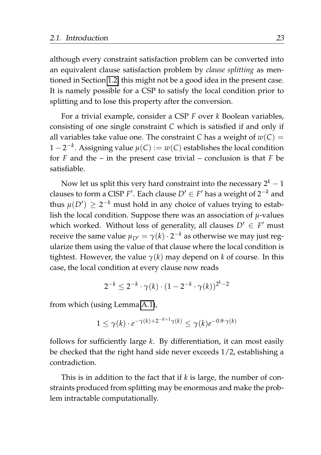although every constraint satisfaction problem can be converted into an equivalent clause satisfaction problem by *clause splitting* as mentioned in Section [1.2,](#page-24-0) this might not be a good idea in the present case. It is namely possible for a CSP to satisfy the local condition prior to splitting and to lose this property after the conversion.

For a trivial example, consider a CSP *F* over *k* Boolean variables, consisting of one single constraint *C* which is satisfied if and only if all variables take value one. The constraint *C* has a weight of  $w(C)$  = 1 − 2 −*k* . Assigning value *µ*(*C*) := *w*(*C*) establishes the local condition for *F* and the – in the present case trivial – conclusion is that *F* be satisfiable.

Now let us split this very hard constraint into the necessary  $2^k - 1$ clauses to form a CISP  $F'$ . Each clause  $D' \in F'$  has a weight of  $2^{-k}$  and thus  $\mu(D') \geq 2^{-k}$  must hold in any choice of values trying to establish the local condition. Suppose there was an association of *µ*-values which worked. Without loss of generality, all clauses  $D' \in F'$  must receive the same value  $\mu_{D'} = \gamma(k) \cdot 2^{-k}$  as otherwise we may just regularize them using the value of that clause where the local condition is tightest. However, the value  $\gamma(k)$  may depend on *k* of course. In this case, the local condition at every clause now reads

$$
2^{-k} \le 2^{-k} \cdot \gamma(k) \cdot (1 - 2^{-k} \cdot \gamma(k))^{2^k - 2}
$$

from which (using Lemma [A.1\)](#page-176-0),

$$
1 \le \gamma(k) \cdot e^{-\gamma(k) + 2^{-k+1}\gamma(k)} \le \gamma(k)e^{-0.9\cdot\gamma(k)}
$$

follows for sufficiently large *k*. By differentiation, it can most easily be checked that the right hand side never exceeds 1/2, establishing a contradiction.

This is in addition to the fact that if *k* is large, the number of constraints produced from splitting may be enormous and make the problem intractable computationally.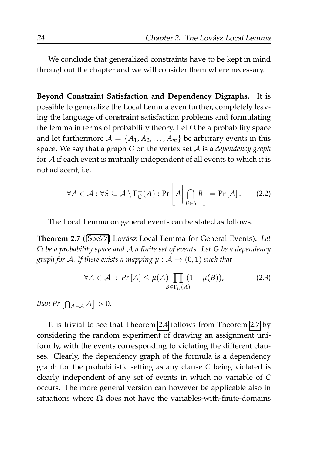We conclude that generalized constraints have to be kept in mind throughout the chapter and we will consider them where necessary.

**Beyond Constraint Satisfaction and Dependency Digraphs.** It is possible to generalize the Local Lemma even further, completely leaving the language of constraint satisfaction problems and formulating the lemma in terms of probability theory. Let  $\Omega$  be a probability space and let furthermore  $A = \{A_1, A_2, \dots, A_m\}$  be arbitrary events in this space. We say that a graph *G* on the vertex set A is a *dependency graph* for  $A$  if each event is mutually independent of all events to which it is not adjacent, i.e.

$$
\forall A \in \mathcal{A} : \forall S \subseteq \mathcal{A} \setminus \Gamma_G^+(A) : \Pr\left[A \middle| \bigcap_{B \in S} \overline{B}\right] = \Pr\left[A\right]. \tag{2.2}
$$

The Local Lemma on general events can be stated as follows.

<span id="page-45-0"></span>**Theorem 2.7** ([\[Spe77\]](#page-212-0) Lovász Local Lemma for General Events). Let Ω *be a probability space and* A *a finite set of events. Let G be a dependency graph for A. If there exists a mapping*  $\mu : A \rightarrow (0,1)$  *such that* 

$$
\forall A \in \mathcal{A} : Pr[A] \le \mu(A) \cdot \prod_{B \in \Gamma_G(A)} (1 - \mu(B)), \tag{2.3}
$$

*then Pr*  $\left[\bigcap_{A \in \mathcal{A}} \overline{A}\right] > 0$ *.* 

It is trivial to see that Theorem [2.4](#page-42-1) follows from Theorem [2.7](#page-45-0) by considering the random experiment of drawing an assignment uniformly, with the events corresponding to violating the different clauses. Clearly, the dependency graph of the formula is a dependency graph for the probabilistic setting as any clause *C* being violated is clearly independent of any set of events in which no variable of *C* occurs. The more general version can however be applicable also in situations where  $\Omega$  does not have the variables-with-finite-domains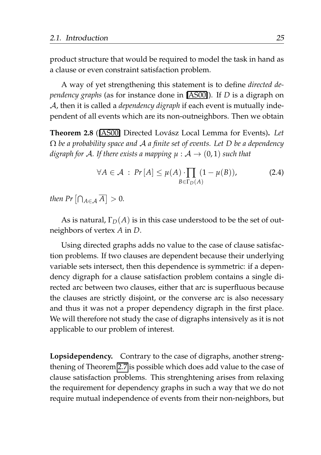product structure that would be required to model the task in hand as a clause or even constraint satisfaction problem.

A way of yet strengthening this statement is to define *directed dependency graphs* (as for instance done in [\[AS00\]](#page-204-1)). If *D* is a digraph on A, then it is called a *dependency digraph* if each event is mutually independent of all events which are its non-outneighbors. Then we obtain

Theorem 2.8 ([\[AS00\]](#page-204-1) Directed Lovász Local Lemma for Events). Let Ω *be a probability space and* A *a finite set of events. Let D be a dependency digraph for A. If there exists a mapping*  $\mu$  :  $\mathcal{A} \rightarrow (0, 1)$  *such that* 

$$
\forall A \in \mathcal{A} : Pr[A] \le \mu(A) \cdot \prod_{B \in \Gamma_D(A)} (1 - \mu(B)), \tag{2.4}
$$

*then Pr*  $\left[\bigcap_{A \in \mathcal{A}} \overline{A}\right] > 0$ *.* 

As is natural,  $\Gamma_D(A)$  is in this case understood to be the set of outneighbors of vertex *A* in *D*.

Using directed graphs adds no value to the case of clause satisfaction problems. If two clauses are dependent because their underlying variable sets intersect, then this dependence is symmetric: if a dependency digraph for a clause satisfaction problem contains a single directed arc between two clauses, either that arc is superfluous because the clauses are strictly disjoint, or the converse arc is also necessary and thus it was not a proper dependency digraph in the first place. We will therefore not study the case of digraphs intensively as it is not applicable to our problem of interest.

**Lopsidependency.** Contrary to the case of digraphs, another strengthening of Theorem [2.7](#page-45-0) is possible which does add value to the case of clause satisfaction problems. This strenghtening arises from relaxing the requirement for dependency graphs in such a way that we do not require mutual independence of events from their non-neighbors, but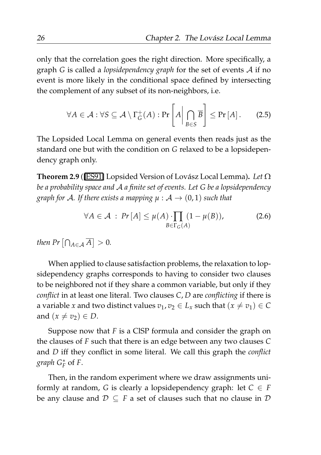only that the correlation goes the right direction. More specifically, a graph *G* is called a *lopsidependency graph* for the set of events A if no event is more likely in the conditional space defined by intersecting the complement of any subset of its non-neighbors, i.e.

$$
\forall A \in \mathcal{A} : \forall S \subseteq \mathcal{A} \setminus \Gamma_G^+(A) : \Pr\left[A \middle| \bigcap_{B \in S} \overline{B}\right] \leq \Pr\left[A\right]. \tag{2.5}
$$

The Lopsided Local Lemma on general events then reads just as the standard one but with the condition on *G* relaxed to be a lopsidependency graph only.

<span id="page-47-0"></span>**Theorem 2.9** ([\[ES91\]](#page-206-1) Lopsided Version of Lovász Local Lemma). Let Ω *be a probability space and* A *a finite set of events. Let G be a lopsidependency graph for A. If there exists a mapping*  $\mu$  :  $\mathcal{A} \rightarrow (0, 1)$  *such that* 

<span id="page-47-1"></span>
$$
\forall A \in \mathcal{A} : Pr[A] \leq \mu(A) \cdot \prod_{B \in \Gamma_G(A)} (1 - \mu(B)), \tag{2.6}
$$

*then Pr*  $\left[\bigcap_{A \in \mathcal{A}} \overline{A}\right] > 0$ *.* 

When applied to clause satisfaction problems, the relaxation to lopsidependency graphs corresponds to having to consider two clauses to be neighbored not if they share a common variable, but only if they *conflict* in at least one literal. Two clauses *C*, *D* are *conflicting* if there is a variable *x* and two distinct values  $v_1, v_2 \in L_x$  such that  $(x \neq v_1) \in C$ and  $(x \neq v_2) \in D$ .

Suppose now that *F* is a ClSP formula and consider the graph on the clauses of *F* such that there is an edge between any two clauses *C* and *D* iff they conflict in some literal. We call this graph the *conflict graph G*<sup>∗</sup> *F* of *F*.

Then, in the random experiment where we draw assignments uniformly at random, *G* is clearly a lopsidependency graph: let  $C \in F$ be any clause and  $\mathcal{D} \subseteq F$  a set of clauses such that no clause in  $\mathcal{D}$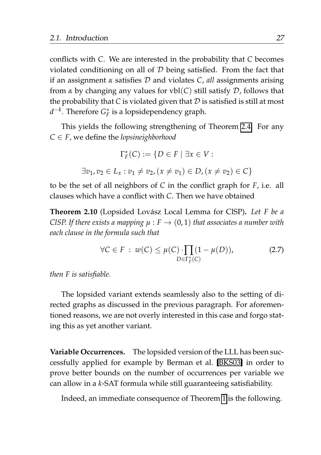conflicts with *C*. We are interested in the probability that *C* becomes violated conditioning on all of  $D$  being satisfied. From the fact that if an assignment *α* satisfies D and violates *C*, *all* assignments arising from  $\alpha$  by changing any values for vbl(*C*) still satisfy  $\mathcal D$ , follows that the probability that *C* is violated given that  $D$  is satisfied is still at most *d*<sup>−*k*</sup>. Therefore  $G_F^*$  is a lopsidependency graph.

This yields the following strengthening of Theorem [2.4.](#page-42-1) For any  $C \in F$ , we define the *lopsineighborhood* 

$$
\Gamma_F^*(C) := \{ D \in F \mid \exists x \in V :
$$
  

$$
\exists v_1, v_2 \in L_x : v_1 \neq v_2, (x \neq v_1) \in D, (x \neq v_2) \in C \}
$$

to be the set of all neighbors of *C* in the conflict graph for *F*, i.e. all clauses which have a conflict with *C*. Then we have obtained

**Theorem 2.10** (Lopsided Lovász Local Lemma for ClSP). Let F be a *CISP. If there exists a mapping*  $\mu$  :  $F \rightarrow (0, 1)$  *that associates a number with each clause in the formula such that*

$$
\forall C \in F : w(C) \le \mu(C) \cdot \prod_{D \in \Gamma_F^*(C)} (1 - \mu(D)), \tag{2.7}
$$

*then F is satisfiable.*

The lopsided variant extends seamlessly also to the setting of directed graphs as discussed in the previous paragraph. For aforementioned reasons, we are not overly interested in this case and forgo stating this as yet another variant.

**Variable Occurrences.** The lopsided version of the LLL has been successfully applied for example by Berman et al. [\[BKS03\]](#page-205-1) in order to prove better bounds on the number of occurrences per variable we can allow in a *k*-SAT formula while still guaranteeing satisfiability.

Indeed, an immediate consequence of Theorem [1](#page-64-0) is the following.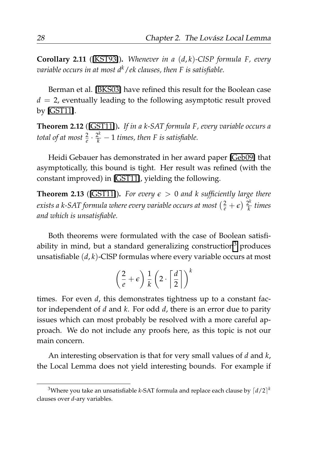<span id="page-49-1"></span>**Corollary 2.11** ([\[KST93\]](#page-209-0))**.** *Whenever in a* (*d*, *k*)*-ClSP formula F, every variable occurs in at most dk*/*ek clauses, then F is satisfiable.*

Berman et al. [\[BKS03\]](#page-205-1) have refined this result for the Boolean case  $d = 2$ , eventually leading to the following asymptotic result proved by [\[GST11\]](#page-207-0).

<span id="page-49-2"></span>**Theorem 2.12** ([\[GST11\]](#page-207-0))**.** *If in a k-SAT formula F, every variable occurs a total of at most*  $\frac{2}{e} \cdot \frac{2^k}{k} - 1$  *times, then* F *is satisfiable.* 

Heidi Gebauer has demonstrated in her award paper [\[Geb09\]](#page-207-1) that asymptotically, this bound is tight. Her result was refined (with the constant improved) in [\[GST11\]](#page-207-0), yielding the following.

**Theorem 2.13** ([\[GST11\]](#page-207-0)). For every  $\epsilon > 0$  and k sufficiently large there exists a k-SAT formula where every variable occurs at most  $(\frac{2}{e} + \epsilon) \frac{2^k}{k}$ *k times and which is unsatisfiable.*

Both theorems were formulated with the case of Boolean satisfi-ability in mind, but a standard generalizing construction<sup>[3](#page-49-0)</sup> produces unsatisfiable (*d*, *k*)-ClSP formulas where every variable occurs at most

$$
\left(\frac{2}{e}+\epsilon\right)\frac{1}{k}\left(2\cdot\left\lceil\frac{d}{2}\right\rceil\right)^k
$$

times. For even *d*, this demonstrates tightness up to a constant factor independent of *d* and *k*. For odd *d*, there is an error due to parity issues which can most probably be resolved with a more careful approach. We do not include any proofs here, as this topic is not our main concern.

An interesting observation is that for very small values of *d* and *k*, the Local Lemma does not yield interesting bounds. For example if

<span id="page-49-0"></span> $^3$ Where you take an unsatisfiable *k*-SAT formula and replace each clause by  $\lceil d/2 \rceil^k$ clauses over *d*-ary variables.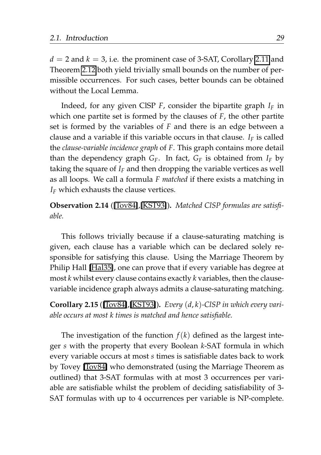$d = 2$  and  $k = 3$ , i.e. the prominent case of 3-SAT, Corollary [2.11](#page-49-1) and Theorem [2.12](#page-49-2) both yield trivially small bounds on the number of permissible occurrences. For such cases, better bounds can be obtained without the Local Lemma.

Indeed, for any given ClSP *F*, consider the bipartite graph *I<sup>F</sup>* in which one partite set is formed by the clauses of *F*, the other partite set is formed by the variables of *F* and there is an edge between a clause and a variable if this variable occurs in that clause.  $I_F$  is called the *clause-variable incidence graph* of *F*. This graph contains more detail than the dependency graph  $G_F$ . In fact,  $G_F$  is obtained from  $I_F$  by taking the square of *I<sup>F</sup>* and then dropping the variable vertices as well as all loops. We call a formula *F matched* if there exists a matching in *I<sup>F</sup>* which exhausts the clause vertices.

**Observation 2.14** ([\[Tov84\]](#page-213-0),[\[KST93\]](#page-209-0))**.** *Matched ClSP formulas are satisfiable.*

This follows trivially because if a clause-saturating matching is given, each clause has a variable which can be declared solely responsible for satisfying this clause. Using the Marriage Theorem by Philip Hall [\[Hal35\]](#page-207-2), one can prove that if every variable has degree at most *k* whilst every clause contains exactly *k* variables, then the clausevariable incidence graph always admits a clause-saturating matching.

**Corollary 2.15** ([\[Tov84\]](#page-213-0),[\[KST93\]](#page-209-0))**.** *Every* (*d*, *k*)*-ClSP in which every variable occurs at most k times is matched and hence satisfiable.*

The investigation of the function  $f(k)$  defined as the largest integer *s* with the property that every Boolean *k*-SAT formula in which every variable occurs at most *s* times is satisfiable dates back to work by Tovey [\[Tov84\]](#page-213-0) who demonstrated (using the Marriage Theorem as outlined) that 3-SAT formulas with at most 3 occurrences per variable are satisfiable whilst the problem of deciding satisfiability of 3- SAT formulas with up to 4 occurrences per variable is NP-complete.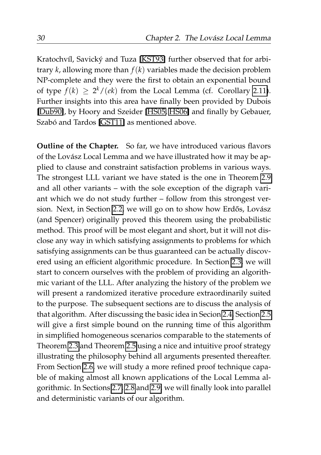Kratochvíl, Savický and Tuza [\[KST93\]](#page-209-0) further observed that for arbitrary *k*, allowing more than *f*(*k*) variables made the decision problem NP-complete and they were the first to obtain an exponential bound of type  $f(k) \geq 2^k/(ek)$  from the Local Lemma (cf. Corollary [2.11\)](#page-49-1). Further insights into this area have finally been provided by Dubois [\[Dub90\]](#page-206-2), by Hoory and Szeider [\[HS05,](#page-208-0) [HS06\]](#page-208-1) and finally by Gebauer, Szabó and Tardos [\[GST11\]](#page-207-0) as mentioned above.

**Outline of the Chapter.** So far, we have introduced various flavors of the Lovász Local Lemma and we have illustrated how it may be applied to clause and constraint satisfaction problems in various ways. The strongest LLL variant we have stated is the one in Theorem [2.9](#page-47-0) and all other variants – with the sole exception of the digraph variant which we do not study further – follow from this strongest ver-sion. Next, in Section [2.2,](#page-52-0) we will go on to show how Erdős, Lovász (and Spencer) originally proved this theorem using the probabilistic method. This proof will be most elegant and short, but it will not disclose any way in which satisfying assignments to problems for which satisfying assignments can be thus guaranteed can be actually discovered using an efficient algorithmic procedure. In Section [2.3,](#page-55-0) we will start to concern ourselves with the problem of providing an algorithmic variant of the LLL. After analyzing the history of the problem we will present a randomized iterative procedure extraordinarily suited to the purpose. The subsequent sections are to discuss the analysis of that algorithm. After discussing the basic idea in Secion [2.4,](#page-66-0) Section [2.5](#page-71-0) will give a first simple bound on the running time of this algorithm in simplified homogeneous scenarios comparable to the statements of Theorem [2.3](#page-41-0) and Theorem [2.5](#page-43-0) using a nice and intuitive proof strategy illustrating the philosophy behind all arguments presented thereafter. From Section [2.6,](#page-84-0) we will study a more refined proof technique capable of making almost all known applications of the Local Lemma algorithmic. In Sections [2.7,](#page-96-0) [2.8](#page-100-0) and [2.9,](#page-106-0) we will finally look into parallel and deterministic variants of our algorithm.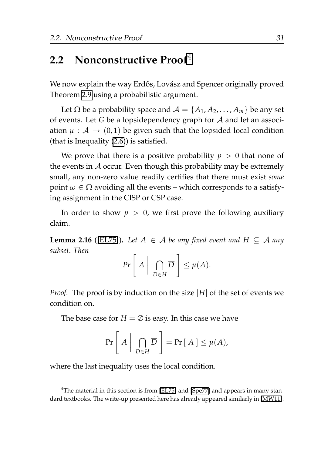## <span id="page-52-0"></span>**2.2 Nonconstructive Proof**[4](#page-52-1)

We now explain the way Erdős, Lovász and Spencer originally proved Theorem [2.9](#page-47-0) using a probabilistic argument.

Let  $\Omega$  be a probability space and  $\mathcal{A} = \{A_1, A_2, \dots, A_m\}$  be any set of events. Let *G* be a lopsidependency graph for A and let an association  $\mu : A \rightarrow (0,1)$  be given such that the lopsided local condition (that is Inequality [\(2.6\)](#page-47-1)) is satisfied.

We prove that there is a positive probability  $p > 0$  that none of the events in  $A$  occur. Even though this probability may be extremely small, any non-zero value readily certifies that there must exist *some* point  $\omega \in \Omega$  avoiding all the events – which corresponds to a satisfying assignment in the ClSP or CSP case.

In order to show  $p > 0$ , we first prove the following auxiliary claim.

<span id="page-52-2"></span>**Lemma 2.16** ([\[EL75\]](#page-206-0)). Let  $A \in \mathcal{A}$  be any fixed event and  $H \subseteq \mathcal{A}$  any *subset. Then*

$$
Pr\left[A \mid \bigcap_{D \in H} \overline{D}\right] \leq \mu(A).
$$

*Proof.* The proof is by induction on the size |*H*| of the set of events we condition on.

The base case for  $H = \emptyset$  is easy. In this case we have

$$
\Pr\left[A \mid \bigcap_{D \in H} \overline{D}\right] = \Pr[A] \leq \mu(A),
$$

where the last inequality uses the local condition.

<span id="page-52-1"></span><sup>&</sup>lt;sup>4</sup>The material in this section is from [\[EL75\]](#page-206-0) and [\[Spe77\]](#page-212-0) and appears in many standard textbooks. The write-up presented here has already appeared similarly in [\[MW11\]](#page-210-0).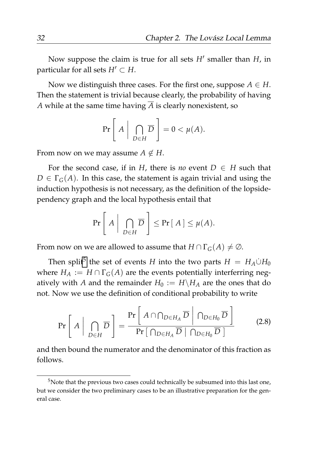Now suppose the claim is true for all sets *H*′ smaller than *H*, in particular for all sets  $H' \subset H$ .

Now we distinguish three cases. For the first one, suppose  $A \in H$ . Then the statement is trivial because clearly, the probability of having *A* while at the same time having  $\overline{A}$  is clearly nonexistent, so

$$
\Pr\left[A \mid \bigcap_{D \in H} \overline{D}\right] = 0 < \mu(A).
$$

From now on we may assume  $A \notin H$ .

For the second case, if in *H*, there is *no* event  $D \in H$  such that  $D \in \Gamma_G(A)$ . In this case, the statement is again trivial and using the induction hypothesis is not necessary, as the definition of the lopsidependency graph and the local hypothesis entail that

$$
\Pr\left[A \mid \bigcap_{D \in H} \overline{D}\right] \leq \Pr[A] \leq \mu(A).
$$

From now on we are allowed to assume that  $H \cap \Gamma_G(A) \neq \emptyset$ .

Then split<sup>[5](#page-53-0)</sup> the set of events *H* into the two parts  $H = H_A \dot{\cup} H_0$ where  $H_A := H \cap \Gamma_G(A)$  are the events potentially interferring negatively with *A* and the remainder  $H_0 := H \backslash H_A$  are the ones that do not. Now we use the definition of conditional probability to write

<span id="page-53-1"></span>
$$
\Pr\left[A \mid \bigcap_{D \in H} \overline{D}\right] = \frac{\Pr\left[A \cap \bigcap_{D \in H_A} \overline{D} \mid \bigcap_{D \in H_0} \overline{D}\right]}{\Pr\left[\bigcap_{D \in H_A} \overline{D} \mid \bigcap_{D \in H_0} \overline{D}\right]}
$$
(2.8)

and then bound the numerator and the denominator of this fraction as follows.

<span id="page-53-0"></span><sup>&</sup>lt;sup>5</sup>Note that the previous two cases could technically be subsumed into this last one, but we consider the two preliminary cases to be an illustrative preparation for the general case.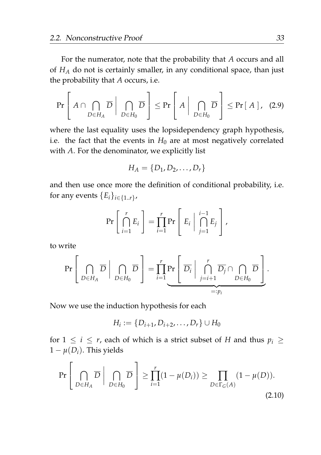For the numerator, note that the probability that *A* occurs and all of *H<sup>A</sup>* do not is certainly smaller, in any conditional space, than just the probability that *A* occurs, i.e.

$$
\Pr\left[A \cap \bigcap_{D \in H_A} \overline{D} \mid \bigcap_{D \in H_0} \overline{D}\right] \le \Pr\left[A \mid \bigcap_{D \in H_0} \overline{D}\right] \le \Pr[A], \quad (2.9)
$$

where the last equality uses the lopsidependency graph hypothesis, i.e. the fact that the events in  $H_0$  are at most negatively correlated with *A*. For the denominator, we explicitly list

<span id="page-54-0"></span>
$$
H_A = \{D_1, D_2, \ldots, D_r\}
$$

and then use once more the definition of conditional probability, i.e. for any events  ${E_i}_{i \in \{1..r\}}$ ,

$$
\Pr\left[\bigcap_{i=1}^r E_i\right] = \prod_{i=1}^r \Pr\left[E_i \mid \bigcap_{j=1}^{i-1} E_j\right],
$$

to write

$$
\Pr\left[\bigcap_{D\in H_A} \overline{D} \middle| \bigcap_{D\in H_0} \overline{D}\right] = \prod_{i=1}^r \Pr\left[\overline{D_i} \middle| \bigcap_{j=i+1}^r \overline{D_j} \cap \bigcap_{D\in H_0} \overline{D}\right].
$$

Now we use the induction hypothesis for each

<span id="page-54-1"></span>
$$
H_i := \{D_{i+1}, D_{i+2}, \ldots, D_r\} \cup H_0
$$

for  $1 \leq i \leq r$ , each of which is a strict subset of *H* and thus  $p_i \geq$  $1 - \mu(D_i)$ . This yields

$$
\Pr\left[\bigcap_{D\in H_A} \overline{D} \mid \bigcap_{D\in H_0} \overline{D}\right] \ge \prod_{i=1}^r (1 - \mu(D_i)) \ge \prod_{D\in\Gamma_G(A)} (1 - \mu(D)).
$$
\n(2.10)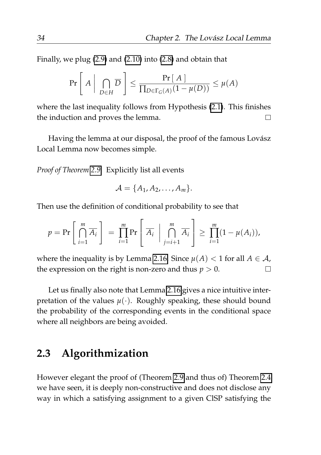Finally, we plug [\(2.9\)](#page-54-0) and [\(2.10\)](#page-54-1) into [\(2.8\)](#page-53-1) and obtain that

$$
\Pr\left[A \mid \bigcap_{D \in H} \overline{D}\right] \le \frac{\Pr[A]}{\prod_{D \in \Gamma_G(A)} (1 - \mu(D))} \le \mu(A)
$$

where the last inequality follows from Hypothesis [\(2.1\)](#page-42-0). This finishes the induction and proves the lemma.  $\Box$ 

Having the lemma at our disposal, the proof of the famous Lovász Local Lemma now becomes simple.

*Proof of Theorem [2.9.](#page-47-0)* Explicitly list all events

$$
\mathcal{A} = \{A_1, A_2, \ldots, A_m\}.
$$

Then use the definition of conditional probability to see that

$$
p = \Pr\left[\bigcap_{i=1}^m \overline{A_i}\right] = \prod_{i=1}^m \Pr\left[\overline{A_i} \mid \bigcap_{j=i+1}^m \overline{A_i}\right] \ge \prod_{i=1}^m (1 - \mu(A_i)),
$$

where the inequality is by Lemma [2.16.](#page-52-2) Since  $\mu(A) < 1$  for all  $A \in \mathcal{A}$ ,  $\Box$ the expression on the right is non-zero and thus  $p > 0$ .

Let us finally also note that Lemma [2.16](#page-52-2) gives a nice intuitive interpretation of the values  $\mu(\cdot)$ . Roughly speaking, these should bound the probability of the corresponding events in the conditional space where all neighbors are being avoided.

#### <span id="page-55-0"></span>**2.3 Algorithmization**

However elegant the proof of (Theorem [2.9](#page-47-0) and thus of) Theorem [2.4](#page-42-1) we have seen, it is deeply non-constructive and does not disclose any way in which a satisfying assignment to a given ClSP satisfying the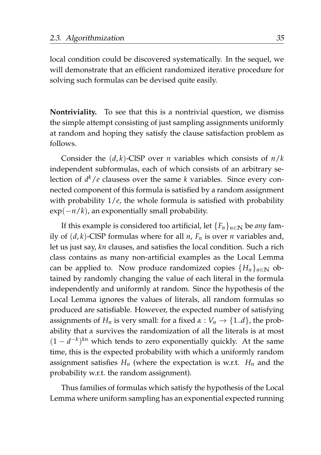local condition could be discovered systematically. In the sequel, we will demonstrate that an efficient randomized iterative procedure for solving such formulas can be devised quite easily.

**Nontriviality.** To see that this is a nontrivial question, we dismiss the simple attempt consisting of just sampling assignments uniformly at random and hoping they satisfy the clause satisfaction problem as follows.

Consider the  $(d, k)$ -ClSP over *n* variables which consists of  $n/k$ independent subformulas, each of which consists of an arbitrary selection of *d <sup>k</sup>*/*e* clausess over the same *k* variables. Since every connected component of this formula is satisfied by a random assignment with probability  $1/e$ , the whole formula is satisfied with probability exp(−*n*/*k*), an exponentially small probability.

If this example is considered too artificial, let  ${F_n}_{n \in \mathbb{N}}$  be *any* family of  $(d, k)$ -ClSP formulas where for all  $n$ ,  $F_n$  is over  $n$  variables and, let us just say, *kn* clauses, and satisfies the local condition. Such a rich class contains as many non-artificial examples as the Local Lemma can be applied to. Now produce randomized copies  ${H_n}_{n \in \mathbb{N}}$  obtained by randomly changing the value of each literal in the formula independently and uniformly at random. Since the hypothesis of the Local Lemma ignores the values of literals, all random formulas so produced are satisfiable. However, the expected number of satisfying assignments of  $H_n$  is very small: for a fixed  $\alpha : V_n \to \{1..d\}$ , the probability that *α* survives the randomization of all the literals is at most  $(1 - d^{-k})^{kn}$  which tends to zero exponentially quickly. At the same time, this is the expected probability with which a uniformly random assignment satisfies  $H_n$  (where the expectation is w.r.t.  $H_n$  and the probability w.r.t. the random assignment).

Thus families of formulas which satisfy the hypothesis of the Local Lemma where uniform sampling has an exponential expected running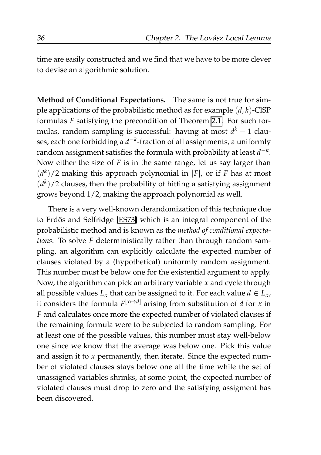time are easily constructed and we find that we have to be more clever to devise an algorithmic solution.

**Method of Conditional Expectations.** The same is not true for simple applications of the probabilistic method as for example  $(d, k)$ -ClSP formulas *F* satisfying the precondition of Theorem [2.1.](#page-39-1) For such formulas, random sampling is successful: having at most *d <sup>k</sup>* − 1 clauses, each one forbidding a *d* −*k* -fraction of all assignments, a uniformly random assignment satisfies the formula with probability at least  $d^{-k}$ . Now either the size of *F* is in the same range, let us say larger than  $(d<sup>k</sup>)/2$  making this approach polynomial in |*F*|, or if *F* has at most  $(d<sup>k</sup>)/2$  clauses, then the probability of hitting a satisfying assignment grows beyond 1/2, making the approach polynomial as well.

There is a very well-known derandomization of this technique due to Erdős and Selfridge [\[ES73\]](#page-206-3) which is an integral component of the probabilistic method and is known as the *method of conditional expectations*. To solve *F* deterministically rather than through random sampling, an algorithm can explicitly calculate the expected number of clauses violated by a (hypothetical) uniformly random assignment. This number must be below one for the existential argument to apply. Now, the algorithm can pick an arbitrary variable *x* and cycle through all possible values  $L_x$  that can be assigned to it. For each value  $d \in L_x$ , it considers the formula  $F^{[x \mapsto d]}$  arising from substitution of *d* for *x* in *F* and calculates once more the expected number of violated clauses if the remaining formula were to be subjected to random sampling. For at least one of the possible values, this number must stay well-below one since we know that the average was below one. Pick this value and assign it to *x* permanently, then iterate. Since the expected number of violated clauses stays below one all the time while the set of unassigned variables shrinks, at some point, the expected number of violated clauses must drop to zero and the satisfying assigment has been discovered.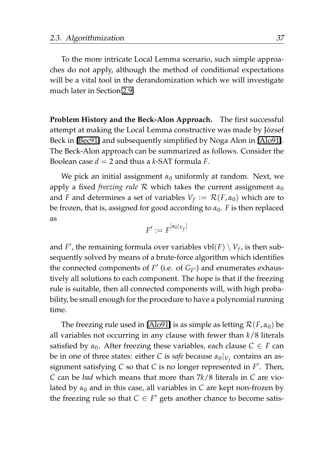To the more intricate Local Lemma scenario, such simple approaches do not apply, although the method of conditional expectations will be a vital tool in the derandomization which we will investigate much later in Section [2.9.](#page-106-0)

**Problem History and the Beck-Alon Approach.** The first successful attempt at making the Local Lemma constructive was made by Jozsef ´ Beck in [\[Bec91\]](#page-205-2) and subsequently simplified by Noga Alon in [\[Alo91\]](#page-204-2). The Beck-Alon approach can be summarized as follows. Consider the Boolean case  $d = 2$  and thus a  $k$ -SAT formula  $F$ .

We pick an initial assignment  $\alpha_0$  uniformly at random. Next, we apply a fixed *freezing rule* R which takes the current assignment *α*<sup>0</sup> and *F* and determines a set of variables  $V_f := \mathcal{R}(F, \alpha_0)$  which are to be frozen, that is, assigned for good according to  $\alpha_0$ . *F* is then replaced as

$$
F':=F^{[\alpha_0|_{V_f}]}
$$

and  $F'$ , the remaining formula over variables  $vbl(F) \setminus V_f$ , is then subsequently solved by means of a brute-force algorithm which identifies the connected components of  $F'$  (i.e. of  $G_{F'}$ ) and enumerates exhaustively all solutions to each component. The hope is that if the freezing rule is suitable, then all connected components will, with high probability, be small enough for the procedure to have a polynomial running time.

The freezing rule used in [\[Alo91\]](#page-204-2) is as simple as letting  $\mathcal{R}(F,\alpha_0)$  be all variables not occurring in any clause with fewer than *k*/8 literals satisfied by  $\alpha_0$ . After freezing these variables, each clause  $C \in F$  can be in one of three states: either *C* is *safe* because *α*0|*V<sup>f</sup>* contains an assignment satisfying *C* so that *C* is no longer represented in *F* ′ . Then, *C* can be *bad* which means that more than 7*k*/8 literals in *C* are violated by  $\alpha_0$  and in this case, all variables in *C* are kept non-frozen by the freezing rule so that  $C \in F'$  gets another chance to become satis-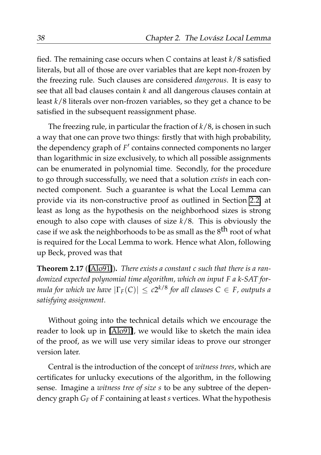fied. The remaining case occurs when *C* contains at least *k*/8 satisfied literals, but all of those are over variables that are kept non-frozen by the freezing rule. Such clauses are considered *dangerous*. It is easy to see that all bad clauses contain *k* and all dangerous clauses contain at least *k*/8 literals over non-frozen variables, so they get a chance to be satisfied in the subsequent reassignment phase.

The freezing rule, in particular the fraction of *k*/8, is chosen in such a way that one can prove two things: firstly that with high probability, the dependency graph of F' contains connected components no larger than logarithmic in size exclusively, to which all possible assignments can be enumerated in polynomial time. Secondly, for the procedure to go through successfully, we need that a solution *exists* in each connected component. Such a guarantee is what the Local Lemma can provide via its non-constructive proof as outlined in Section [2.2,](#page-52-0) at least as long as the hypothesis on the neighborhood sizes is strong enough to also cope with clauses of size *k*/8. This is obviously the case if we ask the neighborhoods to be as small as the 8<sup>th</sup> root of what is required for the Local Lemma to work. Hence what Alon, following up Beck, proved was that

**Theorem 2.17** ([\[Alo91\]](#page-204-2))**.** *There exists a constant c such that there is a randomized expected polynomial time algorithm, which on input F a k-SAT formula for which we have* |Γ*F*(*C*)| ≤ *c*2 *<sup>k</sup>*/8 *for all clauses C* ∈ *F, outputs a satisfying assignment.*

Without going into the technical details which we encourage the reader to look up in [\[Alo91\]](#page-204-2), we would like to sketch the main idea of the proof, as we will use very similar ideas to prove our stronger version later.

Central is the introduction of the concept of *witness trees*, which are certificates for unlucky executions of the algorithm, in the following sense. Imagine a *witness tree of size s* to be any subtree of the dependency graph *G<sup>F</sup>* of *F* containing at least *s* vertices. What the hypothesis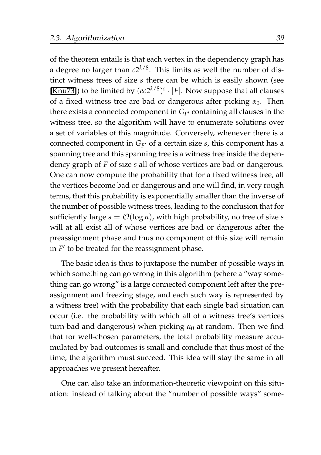of the theorem entails is that each vertex in the dependency graph has a degree no larger than *c*2 *<sup>k</sup>*/8. This limits as well the number of distinct witness trees of size *s* there can be which is easily shown (see [\[Knu73\]](#page-208-2)) to be limited by  $(ec2^{k/8})^s \cdot |F|$ . Now suppose that all clauses of a fixed witness tree are bad or dangerous after picking *α*0. Then there exists a connected component in  $G_{F'}$  containing all clauses in the witness tree, so the algorithm will have to enumerate solutions over a set of variables of this magnitude. Conversely, whenever there is a connected component in *G<sup>F</sup>* ′ of a certain size *s*, this component has a spanning tree and this spanning tree is a witness tree inside the dependency graph of *F* of size *s* all of whose vertices are bad or dangerous. One can now compute the probability that for a fixed witness tree, all the vertices become bad or dangerous and one will find, in very rough terms, that this probability is exponentially smaller than the inverse of the number of possible witness trees, leading to the conclusion that for sufficiently large  $s = \mathcal{O}(\log n)$ , with high probability, no tree of size *s* will at all exist all of whose vertices are bad or dangerous after the preassignment phase and thus no component of this size will remain in  $F'$  to be treated for the reassignment phase.

The basic idea is thus to juxtapose the number of possible ways in which something can go wrong in this algorithm (where a "way something can go wrong" is a large connected component left after the preassignment and freezing stage, and each such way is represented by a witness tree) with the probability that each single bad situation can occur (i.e. the probability with which all of a witness tree's vertices turn bad and dangerous) when picking  $\alpha_0$  at random. Then we find that for well-chosen parameters, the total probability measure accumulated by bad outcomes is small and conclude that thus most of the time, the algorithm must succeed. This idea will stay the same in all approaches we present hereafter.

One can also take an information-theoretic viewpoint on this situation: instead of talking about the "number of possible ways" some-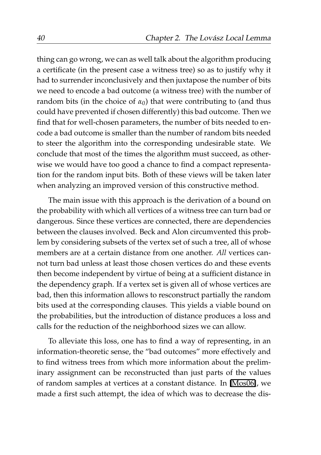thing can go wrong, we can as well talk about the algorithm producing a certificate (in the present case a witness tree) so as to justify why it had to surrender inconclusively and then juxtapose the number of bits we need to encode a bad outcome (a witness tree) with the number of random bits (in the choice of  $\alpha_0$ ) that were contributing to (and thus could have prevented if chosen differently) this bad outcome. Then we find that for well-chosen parameters, the number of bits needed to encode a bad outcome is smaller than the number of random bits needed to steer the algorithm into the corresponding undesirable state. We conclude that most of the times the algorithm must succeed, as otherwise we would have too good a chance to find a compact representation for the random input bits. Both of these views will be taken later when analyzing an improved version of this constructive method.

The main issue with this approach is the derivation of a bound on the probability with which all vertices of a witness tree can turn bad or dangerous. Since these vertices are connected, there are dependencies between the clauses involved. Beck and Alon circumvented this problem by considering subsets of the vertex set of such a tree, all of whose members are at a certain distance from one another. *All* vertices cannot turn bad unless at least those chosen vertices do and these events then become independent by virtue of being at a sufficient distance in the dependency graph. If a vertex set is given all of whose vertices are bad, then this information allows to resconstruct partially the random bits used at the corresponding clauses. This yields a viable bound on the probabilities, but the introduction of distance produces a loss and calls for the reduction of the neighborhood sizes we can allow.

To alleviate this loss, one has to find a way of representing, in an information-theoretic sense, the "bad outcomes" more effectively and to find witness trees from which more information about the preliminary assignment can be reconstructed than just parts of the values of random samples at vertices at a constant distance. In [\[Mos06\]](#page-209-1), we made a first such attempt, the idea of which was to decrease the dis-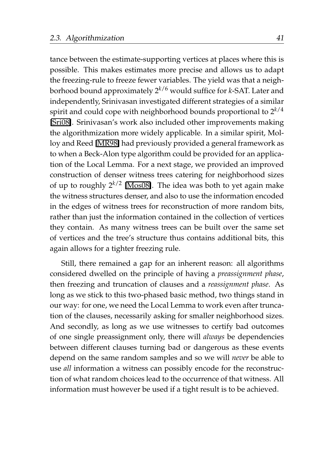tance between the estimate-supporting vertices at places where this is possible. This makes estimates more precise and allows us to adapt the freezing-rule to freeze fewer variables. The yield was that a neighborhood bound approximately 2*k*/6 would suffice for *k*-SAT. Later and independently, Srinivasan investigated different strategies of a similar spirit and could cope with neighborhood bounds proportional to 2*k*/4 [\[Sri08\]](#page-212-1). Srinivasan's work also included other improvements making the algorithmization more widely applicable. In a similar spirit, Molloy and Reed [\[MR98\]](#page-210-1) had previously provided a general framework as to when a Beck-Alon type algorithm could be provided for an application of the Local Lemma. For a next stage, we provided an improved construction of denser witness trees catering for neighborhood sizes of up to roughly  $2^{k/2}$  [\[Mos08\]](#page-209-2). The idea was both to yet again make the witness structures denser, and also to use the information encoded in the edges of witness trees for reconstruction of more random bits, rather than just the information contained in the collection of vertices they contain. As many witness trees can be built over the same set of vertices and the tree's structure thus contains additional bits, this again allows for a tighter freezing rule.

Still, there remained a gap for an inherent reason: all algorithms considered dwelled on the principle of having a *preassignment phase*, then freezing and truncation of clauses and a *reassignment phase*. As long as we stick to this two-phased basic method, two things stand in our way: for one, we need the Local Lemma to work even after truncation of the clauses, necessarily asking for smaller neighborhood sizes. And secondly, as long as we use witnesses to certify bad outcomes of one single preassignment only, there will *always* be dependencies between different clauses turning bad or dangerous as these events depend on the same random samples and so we will *never* be able to use *all* information a witness can possibly encode for the reconstruction of what random choices lead to the occurrence of that witness. All information must however be used if a tight result is to be achieved.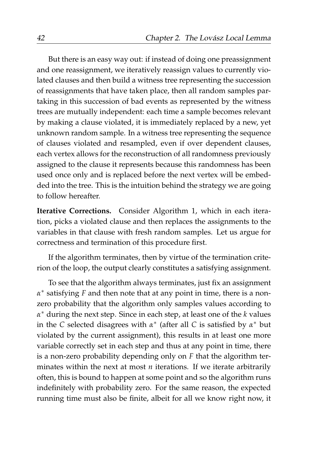But there is an easy way out: if instead of doing one preassignment and one reassignment, we iteratively reassign values to currently violated clauses and then build a witness tree representing the succession of reassignments that have taken place, then all random samples partaking in this succession of bad events as represented by the witness trees are mutually independent: each time a sample becomes relevant by making a clause violated, it is immediately replaced by a new, yet unknown random sample. In a witness tree representing the sequence of clauses violated and resampled, even if over dependent clauses, each vertex allows for the reconstruction of all randomness previously assigned to the clause it represents because this randomness has been used once only and is replaced before the next vertex will be embedded into the tree. This is the intuition behind the strategy we are going to follow hereafter.

**Iterative Corrections.** Consider Algorithm 1, which in each iteration, picks a violated clause and then replaces the assignments to the variables in that clause with fresh random samples. Let us argue for correctness and termination of this procedure first.

If the algorithm terminates, then by virtue of the termination criterion of the loop, the output clearly constitutes a satisfying assignment.

To see that the algorithm always terminates, just fix an assignment *α* ∗ satisfying *F* and then note that at any point in time, there is a nonzero probability that the algorithm only samples values according to *α* <sup>∗</sup> during the next step. Since in each step, at least one of the *k* values in the *C* selected disagrees with *α* ∗ (after all *C* is satisfied by *α* <sup>∗</sup> but violated by the current assignment), this results in at least one more variable correctly set in each step and thus at any point in time, there is a non-zero probability depending only on *F* that the algorithm terminates within the next at most *n* iterations. If we iterate arbitrarily often, this is bound to happen at some point and so the algorithm runs indefinitely with probability zero. For the same reason, the expected running time must also be finite, albeit for all we know right now, it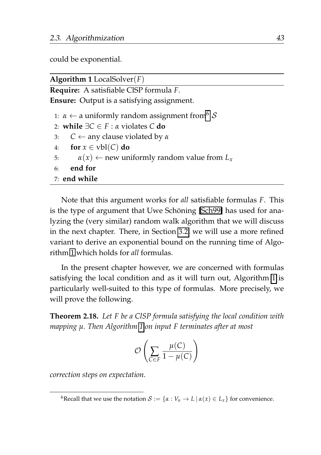could be exponential.

<span id="page-64-0"></span>

| Algorithm 1 LocalSolver $(F)$                                                                                                                                                                                                                                                                         |
|-------------------------------------------------------------------------------------------------------------------------------------------------------------------------------------------------------------------------------------------------------------------------------------------------------|
| <b>Require:</b> A satisfiable CISP formula F.                                                                                                                                                                                                                                                         |
| <b>Ensure:</b> Output is a satisfying assignment.                                                                                                                                                                                                                                                     |
| 1: $\alpha \leftarrow$ a uniformly random assignment from $\delta$<br>2: while $\exists C \in F : \alpha$ violates C do<br>$C \leftarrow$ any clause violated by $\alpha$<br>3:<br>for $x \in vbl(C)$ do<br>4:<br>$\alpha(x) \leftarrow$ new uniformly random value from $L_x$<br>5:<br>end for<br>6: |
| $7:$ end while                                                                                                                                                                                                                                                                                        |
|                                                                                                                                                                                                                                                                                                       |

Note that this argument works for *all* satisfiable formulas *F*. This is the type of argument that Uwe Schöning [\[Sch99\]](#page-211-0) has used for analyzing the (very similar) random walk algorithm that we will discuss in the next chapter. There, in Section [3.2,](#page-129-0) we will use a more refined variant to derive an exponential bound on the running time of Algorithm [1](#page-64-0) which holds for *all* formulas.

In the present chapter however, we are concerned with formulas satisfying the local condition and as it will turn out, Algorithm [1](#page-64-0) is particularly well-suited to this type of formulas. More precisely, we will prove the following.

<span id="page-64-2"></span>**Theorem 2.18.** *Let F be a ClSP formula satisfying the local condition with mapping µ. Then Algorithm [1](#page-64-0) on input F terminates after at most*

$$
\mathcal{O}\left(\sum_{C \in F} \frac{\mu(C)}{1 - \mu(C)}\right)
$$

*correction steps on expectation.*

<span id="page-64-1"></span><sup>&</sup>lt;sup>6</sup>Recall that we use the notation  $S := \{ \alpha : V_n \to L \mid \alpha(x) \in L_x \}$  for convenience.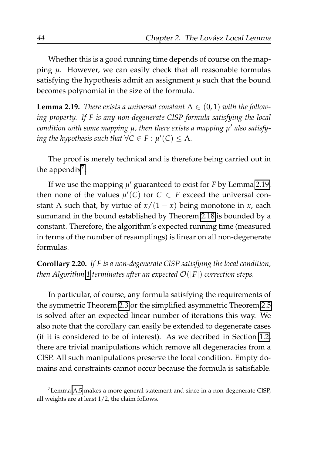Whether this is a good running time depends of course on the mapping *µ*. However, we can easily check that all reasonable formulas satisfying the hypothesis admit an assignment  $\mu$  such that the bound becomes polynomial in the size of the formula.

<span id="page-65-1"></span>**Lemma 2.19.** *There exists a universal constant*  $\Lambda \in (0,1)$  *with the following property. If F is any non-degenerate ClSP formula satisfying the local condition with some mapping µ, then there exists a mapping µ* ′ *also satisfying the hypothesis such that*  $\forall C \in F : \mu'(C) \leq \Lambda$ .

The proof is merely technical and is therefore being carried out in the appendix<sup>[7](#page-65-0)</sup>.

If we use the mapping *µ* ′ guaranteed to exist for *F* by Lemma [2.19,](#page-65-1) then none of the values  $\mu'(C)$  for  $C \in F$  exceed the universal constant  $\Lambda$  such that, by virtue of  $x/(1-x)$  being monotone in *x*, each summand in the bound established by Theorem [2.18](#page-64-2) is bounded by a constant. Therefore, the algorithm's expected running time (measured in terms of the number of resamplings) is linear on all non-degenerate formulas.

**Corollary 2.20.** *If F is a non-degenerate ClSP satisfying the local condition, then Algorithm* [1](#page-64-0) *terminates after an expected*  $\mathcal{O}(|F|)$  *correction steps.* 

In particular, of course, any formula satisfying the requirements of the symmetric Theorem [2.3](#page-41-0) or the simplified asymmetric Theorem [2.5](#page-43-0) is solved after an expected linear number of iterations this way. We also note that the corollary can easily be extended to degenerate cases (if it is considered to be of interest). As we decribed in Section [1.2,](#page-24-0) there are trivial manipulations which remove all degeneracies from a ClSP. All such manipulations preserve the local condition. Empty domains and constraints cannot occur because the formula is satisfiable.

<span id="page-65-0"></span><sup>7</sup>Lemma [A.5](#page-180-0) makes a more general statement and since in a non-degenerate ClSP, all weights are at least 1/2, the claim follows.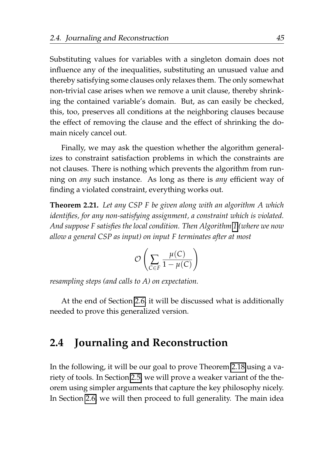Substituting values for variables with a singleton domain does not influence any of the inequalities, substituting an unusued value and thereby satisfying some clauses only relaxes them. The only somewhat non-trivial case arises when we remove a unit clause, thereby shrinking the contained variable's domain. But, as can easily be checked, this, too, preserves all conditions at the neighboring clauses because the effect of removing the clause and the effect of shrinking the domain nicely cancel out.

Finally, we may ask the question whether the algorithm generalizes to constraint satisfaction problems in which the constraints are not clauses. There is nothing which prevents the algorithm from running on *any* such instance. As long as there is *any* efficient way of finding a violated constraint, everything works out.

**Theorem 2.21.** *Let any CSP F be given along with an algorithm A which identifies, for any non-satisfying assignment, a constraint which is violated. And suppose F satisfies the local condition. Then Algorithm [1](#page-64-0) (where we now allow a general CSP as input) on input F terminates after at most*

$$
\mathcal{O}\left(\sum_{C \in F} \frac{\mu(C)}{1 - \mu(C)}\right)
$$

*resampling steps (and calls to A) on expectation.*

At the end of Section [2.6,](#page-84-0) it will be discussed what is additionally needed to prove this generalized version.

# <span id="page-66-0"></span>**2.4 Journaling and Reconstruction**

In the following, it will be our goal to prove Theorem [2.18](#page-64-2) using a variety of tools. In Section [2.5,](#page-71-0) we will prove a weaker variant of the theorem using simpler arguments that capture the key philosophy nicely. In Section [2.6,](#page-84-0) we will then proceed to full generality. The main idea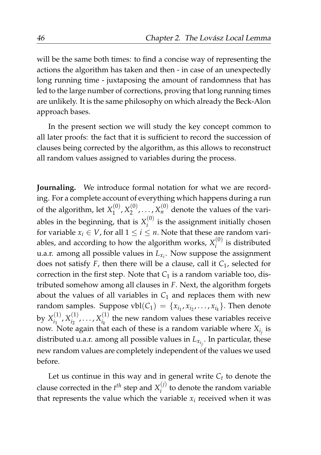will be the same both times: to find a concise way of representing the actions the algorithm has taken and then - in case of an unexpectedly long running time - juxtaposing the amount of randomness that has led to the large number of corrections, proving that long running times are unlikely. It is the same philosophy on which already the Beck-Alon approach bases.

In the present section we will study the key concept common to all later proofs: the fact that it is sufficient to record the succession of clauses being corrected by the algorithm, as this allows to reconstruct all random values assigned to variables during the process.

**Journaling.** We introduce formal notation for what we are recording. For a complete account of everything which happens during a run of the algorithm, let  $X_1^{(0)}$  $X_1^{(0)}, X_2^{(0)}$  $\chi_2^{(0)}, \ldots, \chi_n^{(0)}$  denote the values of the variables in the beginning, that is  $X_i^{(0)}$  $i$ <sup>( $i$ )</sup> is the assignment initially chosen for variable  $x_i \in V$ , for all  $1 \leq i \leq n$ . Note that these are random variables, and according to how the algorithm works,  $X_i^{(0)}$  $\int_i^{(0)}$  is distributed u.a.r. among all possible values in *Lx<sup>i</sup>* . Now suppose the assignment does not satisfy *F*, then there will be a clause, call it *C*1, selected for correction in the first step. Note that  $C_1$  is a random variable too, distributed somehow among all clauses in *F*. Next, the algorithm forgets about the values of all variables in  $C_1$  and replaces them with new random samples. Suppose  $vbl(C_1) = \{x_{i_1}, x_{i_2}, \ldots, x_{i_k}\}\.$  Then denote by  $X_{i_1}^{(1)}$  $X_{i_1}^{(1)}, X_{i_2}^{(1)}$  $x_{i_2}^{(1)}, \ldots, x_{i_k}^{(1)}$  $\frac{d}{dt}$  the new random values these variables receive now. Note again that each of these is a random variable where  $X_{i_j}$  is distributed u.a.r. among all possible values in *Lx<sup>i</sup> j* . In particular, these new random values are completely independent of the values we used before.

Let us continue in this way and in general write  $C_t$  to denote the clause corrected in the  $t^{th}$  step and  $X_i^{(j)}$  $i$ <sup>U</sup> to denote the random variable that represents the value which the variable  $x_i$  received when it was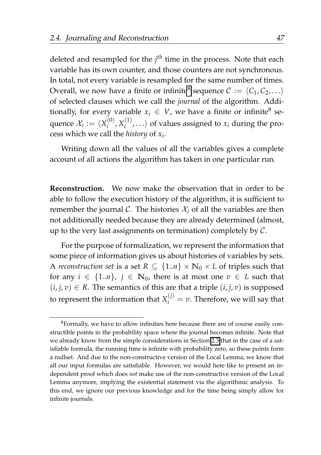deleted and resampled for the *j th* time in the process. Note that each variable has its own counter, and those counters are not synchronous. In total, not every variable is resampled for the same number of times. Overall, we now have a finite or infinite<sup>[8](#page-68-0)</sup> sequence  $C := \langle C_1, C_2, \ldots \rangle$ of selected clauses which we call the *journal* of the algorithm. Additionally, for every variable  $x_i \in V$ , we have a finite or infinite<sup>8</sup> sequence  $\mathcal{X}_i := \langle X_i^{(0)} \rangle$  $X_i^{(0)}, X_i^{(1)}$  $\langle i_1^{(1)}, \ldots \rangle$  of values assigned to  $x_i$  during the process which we call the *history* of *x<sup>i</sup>* .

Writing down all the values of all the variables gives a complete account of all actions the algorithm has taken in one particular run.

**Reconstruction.** We now make the observation that in order to be able to follow the execution history of the algorithm, it is sufficient to remember the journal C. The histories  $\mathcal{X}_i$  of all the variables are then not additionally needed because they are already determined (almost, up to the very last assignments on termination) completely by  $C$ .

For the purpose of formalization, we represent the information that some piece of information gives us about histories of variables by sets. A *reconstruction set* is a set  $R \subseteq \{1..n\} \times \mathbb{N}_0 \times L$  of triples such that for any  $i \in \{1..n\}$ ,  $j \in \mathbb{N}_0$ , there is at most one  $v \in L$  such that  $(i, j, v) \in R$ . The semantics of this are that a triple  $(i, j, v)$  is supposed to represent the information that  $X_i^{(j)} = v$ . Therefore, we will say that

<span id="page-68-0"></span> ${}^{8}$ Formally, we have to allow infinities here because there are of course easily constructible points in the probability space where the journal becomes infinite. Note that we already know from the simple considerations in Section [2.3](#page-55-0) that in the case of a satisfiable formula, the running time is infinite with probability zero, so these points form a nullset. And due to the non-constructive version of the Local Lemma, we know that all our input formulas are satisfiable. However, we would here like to present an independent proof which does *not* make use of the non-constructive version of the Local Lemma anymore, implying the existential statement via the algorithmic analysis. To this end, we ignore our previous knowledge and for the time being simply allow for infinite journals.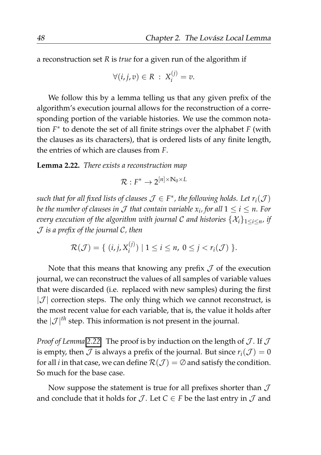a reconstruction set *R* is *true* for a given run of the algorithm if

$$
\forall (i,j,v) \in R \; : \; X_i^{(j)} = v.
$$

We follow this by a lemma telling us that any given prefix of the algorithm's execution journal allows for the reconstruction of a corresponding portion of the variable histories. We use the common notation *F* ∗ to denote the set of all finite strings over the alphabet *F* (with the clauses as its characters), that is ordered lists of any finite length, the entries of which are clauses from *F*.

<span id="page-69-0"></span>**Lemma 2.22.** *There exists a reconstruction map*

$$
\mathcal{R}: F^* \to 2^{[n] \times N_0 \times L}
$$

*such that for all fixed lists of clauses*  $\mathcal{J} \in F^*$ , *the following holds. Let*  $r_i(\mathcal{J})$ *be the number of clauses in*  $\cal J$  *that contain variable*  $x_i$ *, for all*  $1\leq i\leq n.$  *For every execution of the algorithm with journal C and histories*  $\{\mathcal{X}_i\}_{1 \leq i \leq n}$  *if* J *is a prefix of the journal* C*, then*

$$
\mathcal{R}(\mathcal{J}) = \{ (i, j, X_i^{(j)}) \mid 1 \leq i \leq n, 0 \leq j < r_i(\mathcal{J}) \}.
$$

Note that this means that knowing any prefix  $J$  of the execution journal, we can reconstruct the values of all samples of variable values that were discarded (i.e. replaced with new samples) during the first  $|\mathcal{J}|$  correction steps. The only thing which we cannot reconstruct, is the most recent value for each variable, that is, the value it holds after the  $|\mathcal{J}|^{th}$  step. This information is not present in the journal.

*Proof of Lemma* [2.22.](#page-69-0) The proof is by induction on the length of  $J$ . If  $J$ is empty, then  $\mathcal J$  is always a prefix of the journal. But since  $r_i(\mathcal J) = 0$ for all *i* in that case, we can define  $\mathcal{R}(\mathcal{J}) = \emptyset$  and satisfy the condition. So much for the base case.

Now suppose the statement is true for all prefixes shorter than  $\mathcal J$ and conclude that it holds for  $\mathcal{J}$ . Let  $C \in F$  be the last entry in  $\mathcal{J}$  and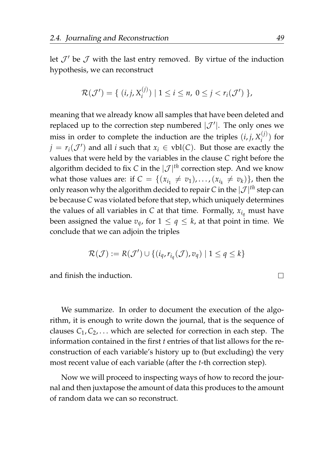let  $\mathcal{J}'$  be  $\mathcal J$  with the last entry removed. By virtue of the induction hypothesis, we can reconstruct

$$
\mathcal{R}(\mathcal{J}') = \{ (i, j, X_i^{(j)}) \mid 1 \leq i \leq n, 0 \leq j < r_i(\mathcal{J}') \},
$$

meaning that we already know all samples that have been deleted and replaced up to the correction step numbered  $|\mathcal{J}'|$ . The only ones we miss in order to complete the induction are the triples  $(i, j, X_i^{(j)})$  $\binom{(1)}{i}$  for *j* =  $r_i(\mathcal{J}')$  and all *i* such that  $x_i \in \text{vbl}(C)$ . But those are exactly the values that were held by the variables in the clause *C* right before the algorithm decided to fix *C* in the  $|\mathcal{J}|^{th}$  correction step. And we know what those values are: if  $C = \{(x_{i_1} \neq v_1), \ldots, (x_{i_k} \neq v_k)\}\)$ , then the only reason why the algorithm decided to repair *C* in the  $|\mathcal{J}|^{th}$  step can be because *C* was violated before that step, which uniquely determines the values of all variables in  $C$  at that time. Formally,  $x_{i_q}$  must have been assigned the value  $v_q$ , for  $1 \le q \le k$ , at that point in time. We conclude that we can adjoin the triples

$$
\mathcal{R}(\mathcal{J}) := R(\mathcal{J}') \cup \{ (i_q, r_{i_q}(\mathcal{J}), v_q) \mid 1 \le q \le k \}
$$

and finish the induction.

We summarize. In order to document the execution of the algorithm, it is enough to write down the journal, that is the sequence of clauses  $C_1, C_2, \ldots$  which are selected for correction in each step. The information contained in the first *t* entries of that list allows for the reconstruction of each variable's history up to (but excluding) the very most recent value of each variable (after the *t*-th correction step).

Now we will proceed to inspecting ways of how to record the journal and then juxtapose the amount of data this produces to the amount of random data we can so reconstruct.

 $\Box$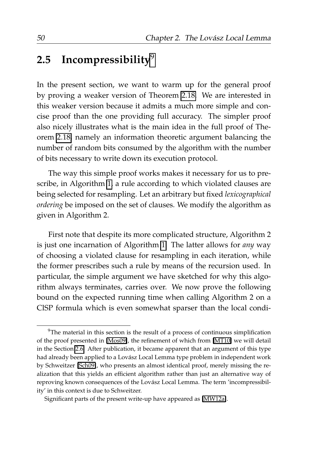### <span id="page-71-0"></span>**2.5 Incompressibility**[9](#page-71-1)

In the present section, we want to warm up for the general proof by proving a weaker version of Theorem [2.18.](#page-64-2) We are interested in this weaker version because it admits a much more simple and concise proof than the one providing full accuracy. The simpler proof also nicely illustrates what is the main idea in the full proof of Theorem [2.18,](#page-64-2) namely an information theoretic argument balancing the number of random bits consumed by the algorithm with the number of bits necessary to write down its execution protocol.

The way this simple proof works makes it necessary for us to prescribe, in Algorithm [1,](#page-64-0) a rule according to which violated clauses are being selected for resampling. Let an arbitrary but fixed *lexicographical ordering* be imposed on the set of clauses. We modify the algorithm as given in Algorithm 2.

First note that despite its more complicated structure, Algorithm 2 is just one incarnation of Algorithm [1.](#page-64-0) The latter allows for *any* way of choosing a violated clause for resampling in each iteration, while the former prescribes such a rule by means of the recursion used. In particular, the simple argument we have sketched for why this algorithm always terminates, carries over. We now prove the following bound on the expected running time when calling Algorithm 2 on a ClSP formula which is even somewhat sparser than the local condi-

<span id="page-71-1"></span> $9$ The material in this section is the result of a process of continuous simplification of the proof presented in [\[Mos09\]](#page-209-3), the refinement of which from [\[MT10\]](#page-210-2) we will detail in the Section [2.6.](#page-84-0) After publication, it became apparent that an argument of this type had already been applied to a Lovász Local Lemma type problem in independent work by Schweitzer [\[Sch09\]](#page-212-2), who presents an almost identical proof, merely missing the realization that this yields an efficient algorithm rather than just an alternative way of reproving known consequences of the Lovász Local Lemma. The term 'incompressibility' in this context is due to Schweitzer.

Significant parts of the present write-up have appeared as [\[MW12a\]](#page-211-1).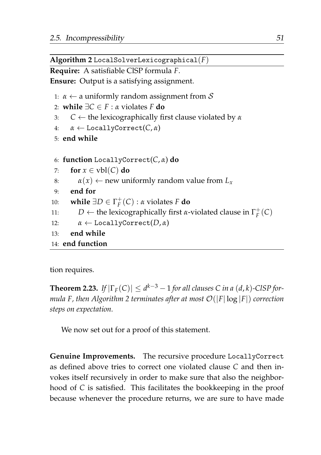**Algorithm 2** LocalSolverLexicographical(*F*)

**Require:** A satisfiable ClSP formula *F*.

**Ensure:** Output is a satisfying assignment.

1:  $\alpha \leftarrow$  a uniformly random assignment from S

```
2: while ∃C ∈ F : α violates F do
```
3: *C* ← the lexicographically first clause violated by *α*

```
4: α ← LocallyCorrect(C, α)
```
5: **end while**

6: **function** LocallyCorrect(*C*, *α*) **do**

```
7: for x \in \text{vbl}(C) do
```

```
8: \alpha(x) \leftarrow new uniformly random value from L_x
```

```
9: end for
```

```
10: while \exists D \in \Gamma_F^+(C) : \alpha violates F do
```

```
11: D ← the lexicographically first α-violated clause in \Gamma_F^+(C)
```

```
12: α \leftarrow LocallyCorrect(D, α)
```

```
13: end while
```

```
14: end function
```
tion requires.

<span id="page-72-0"></span>**Theorem 2.23.** If  $|\Gamma_F(C)| \le d^{k-3} - 1$  for all clauses C in a (d, k)-CISP for*mula F, then Algorithm 2 terminates after at most* O(|*F*| log |*F*|) *correction steps on expectation.*

We now set out for a proof of this statement.

**Genuine Improvements.** The recursive procedure LocallyCorrect as defined above tries to correct one violated clause *C* and then invokes itself recursively in order to make sure that also the neighborhood of *C* is satisfied. This facilitates the bookkeeping in the proof because whenever the procedure returns, we are sure to have made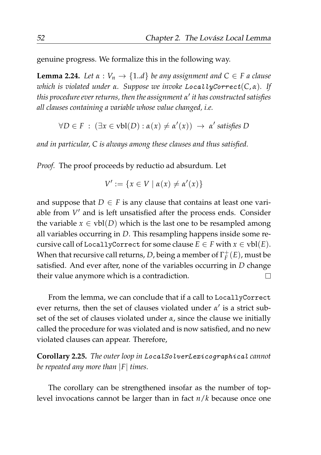genuine progress. We formalize this in the following way.

<span id="page-73-0"></span>**Lemma 2.24.** *Let*  $\alpha : V_n \to \{1..d\}$  *be any assignment and*  $C \in F$  *a clause which is violated under α. Suppose we invoke* LocallyCorrect(*C*, *α*)*. If this procedure ever returns, then the assignment α* ′ *it has constructed satisfies all clauses containing a variable whose value changed, i.e.*

 $∀D ∈ F : (∃x ∈ vbl(D) : α(x) ≠ α'(x)) → α' satisfies D$ 

*and in particular, C is always among these clauses and thus satisfied.*

*Proof.* The proof proceeds by reductio ad absurdum. Let

$$
V' := \{ x \in V \mid \alpha(x) \neq \alpha'(x) \}
$$

and suppose that  $D \in F$  is any clause that contains at least one variable from  $V'$  and is left unsatisfied after the process ends. Consider the variable  $x \in vbl(D)$  which is the last one to be resampled among all variables occurring in *D*. This resampling happens inside some recursive call of LocallyCorrect for some clause  $E \in F$  with  $x \in vbl(E)$ . When that recursive call returns, D, being a member of  $\Gamma_{F}^{+}(E)$ , must be satisfied. And ever after, none of the variables occurring in *D* change  $\Box$ their value anymore which is a contradiction.

From the lemma, we can conclude that if a call to LocallyCorrect ever returns, then the set of clauses violated under *α'* is a strict subset of the set of clauses violated under  $\alpha$ , since the clause we initially called the procedure for was violated and is now satisfied, and no new violated clauses can appear. Therefore,

**Corollary 2.25.** *The outer loop in* LocalSolverLexicographical *cannot be repeated any more than* |*F*| *times.*

The corollary can be strengthened insofar as the number of toplevel invocations cannot be larger than in fact *n*/*k* because once one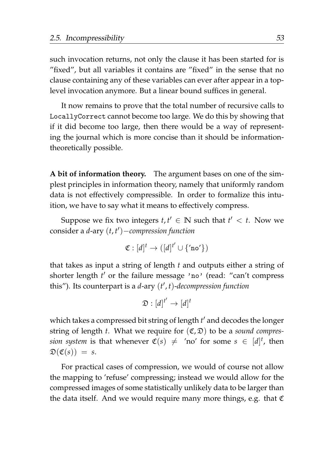such invocation returns, not only the clause it has been started for is "fixed", but all variables it contains are "fixed" in the sense that no clause containing any of these variables can ever after appear in a toplevel invocation anymore. But a linear bound suffices in general.

It now remains to prove that the total number of recursive calls to LocallyCorrect cannot become too large. We do this by showing that if it did become too large, then there would be a way of representing the journal which is more concise than it should be informationtheoretically possible.

**A bit of information theory.** The argument bases on one of the simplest principles in information theory, namely that uniformly random data is not effectively compressible. In order to formalize this intuition, we have to say what it means to effectively compress.

Suppose we fix two integers  $t, t' \in \mathbb{N}$  such that  $t' < t$ . Now we consider a *d*-ary (*t*, *t* ′ )−*compression function*

$$
\mathfrak{C}: [d]^t \to ([d]^{t'} \cup \{ \text{`no'} \})
$$

that takes as input a string of length *t* and outputs either a string of shorter length *t'* or the failure message 'no' (read: "can't compress this"). Its counterpart is a *d*-ary (*t* ′ , *t*)-*decompression function*

$$
\mathfrak{D}:[d]^{t'}\to [d]^t
$$

which takes a compressed bit string of length *t* ′ and decodes the longer string of length *t*. What we require for (C, D) to be a *sound compression system* is that whenever  $\mathfrak{C}(s) \neq \text{'}no'$  for some  $s \in [d]^t$ , then  $\mathfrak{D}(\mathfrak{C}(s)) = s.$ 

For practical cases of compression, we would of course not allow the mapping to 'refuse' compressing; instead we would allow for the compressed images of some statistically unlikely data to be larger than the data itself. And we would require many more things, e.g. that  $C$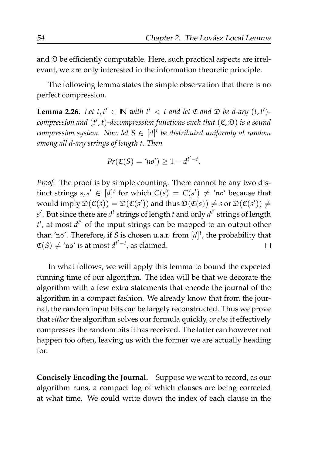and  $\mathfrak D$  be efficiently computable. Here, such practical aspects are irrelevant, we are only interested in the information theoretic principle.

The following lemma states the simple observation that there is no perfect compression.

<span id="page-75-0"></span>**Lemma 2.26.** Let  $t, t' \in \mathbb{N}$  with  $t' < t$  and let  $\mathfrak{C}$  and  $\mathfrak{D}$  be d-ary  $(t, t')$ *compression and* (*t* ′ , *t*)*-decompression functions such that* (C, D) *is a sound compression system. Now let S* ∈ [*d*] *t be distributed uniformly at random among all d-ary strings of length t. Then*

$$
Pr(\mathfrak{C}(S) = 'no') \ge 1 - d^{t'-t}.
$$

*Proof.* The proof is by simple counting. There cannot be any two distinct strings  $s, s' \in [d]^t$  for which  $C(s) = C(s') \neq \text{'no'}$  because that would imply  $\mathfrak{D}(\mathfrak{C}(s)) = \mathfrak{D}(\mathfrak{C}(s'))$  and thus  $\mathfrak{D}(\mathfrak{C}(s)) \neq s$  or  $\mathfrak{D}(\mathfrak{C}(s')) \neq s$ *s* ′ . But since there are *d t* strings of length *t* and only *d t* ′ strings of length *t'*, at most  $d^{t'}$  of the input strings can be mapped to an output other than 'no'. Therefore, if *S* is chosen u.a.r. from [*d*] *t* , the probability that  $\mathfrak{C}(S) \neq \text{'}$ no $\text{'}$  is at most  $d^{t'-t}$ , as claimed.  $\Box$ 

In what follows, we will apply this lemma to bound the expected running time of our algorithm. The idea will be that we decorate the algorithm with a few extra statements that encode the journal of the algorithm in a compact fashion. We already know that from the journal, the random input bits can be largely reconstructed. Thus we prove that *either* the algorithm solves our formula quickly, *or else* it effectively compresses the random bits it has received. The latter can however not happen too often, leaving us with the former we are actually heading for.

**Concisely Encoding the Journal.** Suppose we want to record, as our algorithm runs, a compact log of which clauses are being corrected at what time. We could write down the index of each clause in the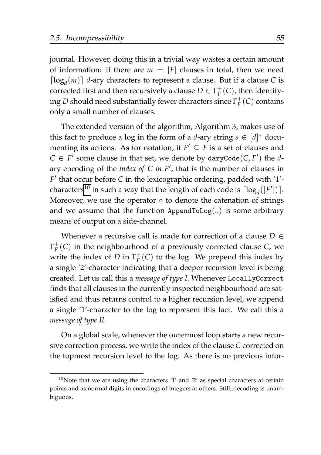journal. However, doing this in a trivial way wastes a certain amount of information: if there are  $m = |F|$  clauses in total, then we need  $\lceil \log_d(m) \rceil$  *d*-ary characters to represent a clause. But if a clause *C* is corrected first and then recursively a clause  $D \in \Gamma_F^+(C)$ , then identify- $\operatorname{diag} D$  should need substantially fewer characters since  $\Gamma^+_F(C)$  contains only a small number of clauses.

The extended version of the algorithm, Algorithm 3, makes use of this fact to produce a log in the form of a *d*-ary string  $s \in [d]^*$  documenting its actions. As for notation, if  $F' \subseteq F$  is a set of clauses and  $C \in F'$  some clause in that set, we denote by daryCode(*C*, *F'*) the *d*ary encoding of the *index of C in F*′ , that is the number of clauses in *F* ′ that occur before *C* in the lexicographic ordering, padded with '1'- characters<sup>[10](#page-76-0)</sup> in such a way that the length of each code is  $\lceil \log_d(|F'|) \rceil$ . Moreover, we use the operator  $\circ$  to denote the catenation of strings and we assume that the function  $AppendToLog(.)$  is some arbitrary means of output on a side-channel.

Whenever a recursive call is made for correction of a clause *D* ∈ Γ + *F* (*C*) in the neighbourhood of a previously corrected clause *C*, we write the index of *D* in  $\Gamma_F^+(C)$  to the log. We prepend this index by a single '2'-character indicating that a deeper recursion level is being created. Let us call this a *message of type I*. Whenever LocallyCorrect finds that all clauses in the currently inspected neighbourhood are satisfied and thus returns control to a higher recursion level, we append a single '1'-character to the log to represent this fact. We call this a *message of type II*.

On a global scale, whenever the outermost loop starts a new recursive correction process, we write the index of the clause *C* corrected on the topmost recursion level to the log. As there is no previous infor-

<span id="page-76-0"></span> $10$ Note that we are using the characters '1' and '2' as special characters at certain points and as normal digits in encodings of integers at others. Still, decoding is unambiguous.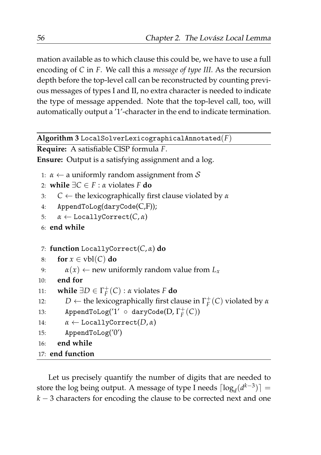mation available as to which clause this could be, we have to use a full encoding of *C* in *F*. We call this a *message of type III*. As the recursion depth before the top-level call can be reconstructed by counting previous messages of types I and II, no extra character is needed to indicate the type of message appended. Note that the top-level call, too, will automatically output a '1'-character in the end to indicate termination.

```
Algorithm 3 LocalSolverLexicographicalAnnotated(F)
```

```
Require: A satisfiable ClSP formula F.
```
**Ensure:** Output is a satisfying assignment and a log.

1:  $\alpha \leftarrow$  a uniformly random assignment from S

```
2: while ∃C ∈ F : α violates F do
```
3: *C* ← the lexicographically first clause violated by *α*

```
4: AppendToLog(daryCode(C,F));
```

```
5: α ← LocallyCorrect(C, α)
```
6: **end while**

```
7: function LocallyCorrect(C, α) do
```

```
8: for x \in \text{vbl}(C) do
```

```
9: \alpha(x) \leftarrow new uniformly random value from L_x
```

```
10: end for
```

```
11: while \exists D \in \Gamma_F^+(C) : α violates F do
```

```
12: D ← the lexicographically first clause in \Gamma_F^+(C) violated by α
```

```
13: AppendToLog('1' ◦ daryCode(D, Γ
+
F
(C))
```

```
14: \alpha \leftarrow \text{LocallyCorrect}(D, \alpha)
```

```
15: AppendToLog('0')
```

```
16: end while
```
17: **end function**

Let us precisely quantify the number of digits that are needed to store the log being output. A message of type I needs  $\lceil log_d(d^{k-3}) \rceil$  = *k* − 3 characters for encoding the clause to be corrected next and one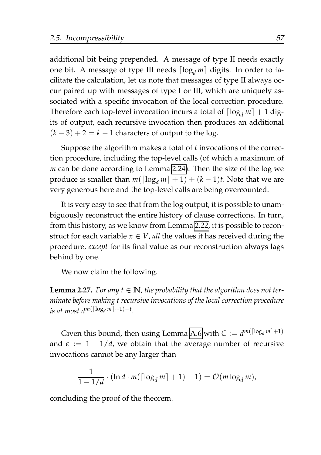additional bit being prepended. A message of type II needs exactly one bit. A message of type III needs  $\lceil \log_d m \rceil$  digits. In order to facilitate the calculation, let us note that messages of type II always occur paired up with messages of type I or III, which are uniquely associated with a specific invocation of the local correction procedure. Therefore each top-level invocation incurs a total of  $\lceil \log_d m \rceil + 1$  digits of output, each recursive invocation then produces an additional  $(k-3) + 2 = k - 1$  characters of output to the log.

Suppose the algorithm makes a total of *t* invocations of the correction procedure, including the top-level calls (of which a maximum of *m* can be done according to Lemma [2.24\)](#page-73-0). Then the size of the log we produce is smaller than  $m(\lceil \log_d m \rceil + 1) + (k-1)t$ . Note that we are very generous here and the top-level calls are being overcounted.

It is very easy to see that from the log output, it is possible to unambiguously reconstruct the entire history of clause corrections. In turn, from this history, as we know from Lemma [2.22,](#page-69-0) it is possible to reconstruct for each variable  $x \in V$ , *all* the values it has received during the procedure, *except* for its final value as our reconstruction always lags behind by one.

We now claim the following.

<span id="page-78-0"></span>**Lemma 2.27.** For any  $t \in \mathbb{N}$ , the probability that the algorithm does not ter*minate before making t recursive invocations of the local correction procedure is at most d<sup>m([log<sub>d</sub> m]+1)−t*.</sup>

Given this bound, then using Lemma [A.6](#page-183-0) with  $C := d^{m(\lceil \log_d m \rceil + 1)}$ and  $\epsilon := 1 - 1/d$ , we obtain that the average number of recursive invocations cannot be any larger than

$$
\frac{1}{1-1/d} \cdot (\ln d \cdot m(\lceil \log_d m \rceil + 1) + 1) = \mathcal{O}(m \log_d m),
$$

concluding the proof of the theorem.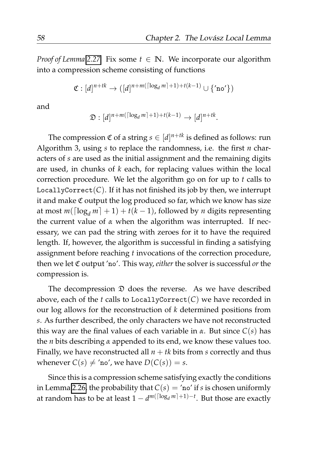*Proof of Lemma* [2.27.](#page-78-0) Fix some  $t \in \mathbb{N}$ . We incorporate our algorithm into a compression scheme consisting of functions

$$
\mathfrak{C}: [d]^{n+tk} \rightarrow ([d]^{n+m(\lceil \log_d m \rceil+1)+t(k-1)} \cup \{ \texttt{'no'} \})
$$

and

$$
\mathfrak{D}:[d]^{n+m(\lceil\log_d m\rceil+1)+t(k-1)}\to [d]^{n+tk}.
$$

The compression  $\mathfrak C$  of a string  $s\in [d]^{n+tk}$  is defined as follows: run Algorithm 3, using *s* to replace the randomness, i.e. the first *n* characters of *s* are used as the initial assignment and the remaining digits are used, in chunks of *k* each, for replacing values within the local correction procedure. We let the algorithm go on for up to *t* calls to LocallyCorrect $(C)$ . If it has not finished its job by then, we interrupt it and make  $\mathfrak C$  output the log produced so far, which we know has size at most  $m(\lceil \log_d m \rceil + 1) + t(k - 1)$ , followed by *n* digits representing the current value of *α* when the algorithm was interrupted. If necessary, we can pad the string with zeroes for it to have the required length. If, however, the algorithm is successful in finding a satisfying assignment before reaching *t* invocations of the correction procedure, then we let C output 'no'. This way, *either* the solver is successful *or* the compression is.

The decompression  $\mathfrak D$  does the reverse. As we have described above, each of the  $t$  calls to LocallyCorrect $(C)$  we have recorded in our log allows for the reconstruction of *k* determined positions from *s*. As further described, the only characters we have not reconstructed this way are the final values of each variable in *α*. But since *C*(*s*) has the *n* bits describing *α* appended to its end, we know these values too. Finally, we have reconstructed all  $n + tk$  bits from *s* correctly and thus whenever  $C(s) \neq \text{'no'}$ , we have  $D(C(s)) = s$ .

Since this is a compression scheme satisfying exactly the conditions in Lemma [2.26,](#page-75-0) the probability that  $C(s) = \text{'no'}$  if *s* is chosen uniformly at random has to be at least 1 −  $d^{m(\lceil \log_d m \rceil + 1) - t}$ . But those are exactly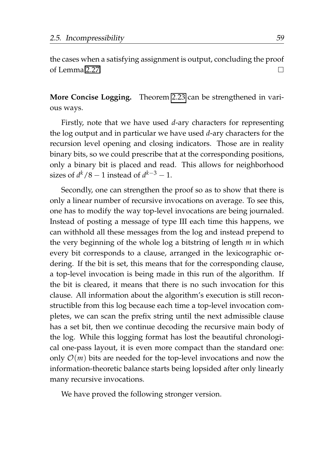the cases when a satisfying assignment is output, concluding the proof of Lemma [2.27.](#page-78-0) П

**More Concise Logging.** Theorem [2.23](#page-72-0) can be strengthened in various ways.

Firstly, note that we have used *d*-ary characters for representing the log output and in particular we have used *d*-ary characters for the recursion level opening and closing indicators. Those are in reality binary bits, so we could prescribe that at the corresponding positions, only a binary bit is placed and read. This allows for neighborhood sizes of  $d^k/8 - 1$  instead of  $d^{k-3} - 1$ .

Secondly, one can strengthen the proof so as to show that there is only a linear number of recursive invocations on average. To see this, one has to modify the way top-level invocations are being journaled. Instead of posting a message of type III each time this happens, we can withhold all these messages from the log and instead prepend to the very beginning of the whole log a bitstring of length *m* in which every bit corresponds to a clause, arranged in the lexicographic ordering. If the bit is set, this means that for the corresponding clause, a top-level invocation is being made in this run of the algorithm. If the bit is cleared, it means that there is no such invocation for this clause. All information about the algorithm's execution is still reconstructible from this log because each time a top-level invocation completes, we can scan the prefix string until the next admissible clause has a set bit, then we continue decoding the recursive main body of the log. While this logging format has lost the beautiful chronological one-pass layout, it is even more compact than the standard one: only  $\mathcal{O}(m)$  bits are needed for the top-level invocations and now the information-theoretic balance starts being lopsided after only linearly many recursive invocations.

We have proved the following stronger version.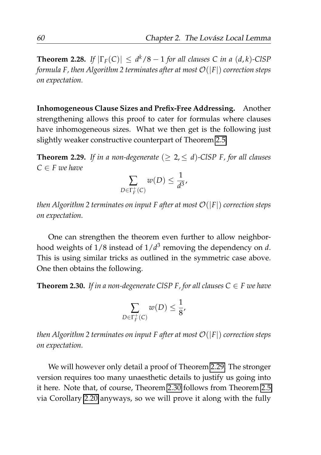**Theorem 2.28.** *If*  $|\Gamma_F(C)| \leq d^k/8 - 1$  *for all clauses C in a (d, k)*-ClSP *formula F, then Algorithm 2 terminates after at most* O(|*F*|) *correction steps on expectation.*

**Inhomogeneous Clause Sizes and Prefix-Free Addressing.** Another strengthening allows this proof to cater for formulas where clauses have inhomogeneous sizes. What we then get is the following just slightly weaker constructive counterpart of Theorem [2.5.](#page-43-0)

<span id="page-81-0"></span>**Theorem 2.29.** If in a non-degenerate  $(\geq 2, \leq d)$ -CISP F, for all clauses  $C \in F$  *we have* 

$$
\sum_{D \in \Gamma_F^+(C)} w(D) \leq \frac{1}{d^3},
$$

*then Algorithm 2 terminates on input F after at most*  $O(|F|)$  *correction steps on expectation.*

One can strengthen the theorem even further to allow neighborhood weights of 1/8 instead of 1/*d* 3 removing the dependency on *d*. This is using similar tricks as outlined in the symmetric case above. One then obtains the following.

<span id="page-81-1"></span>**Theorem 2.30.** If in a non-degenerate CISP F, for all clauses  $C \in F$  we have

$$
\sum_{D \in \Gamma_F^+(C)} w(D) \leq \frac{1}{8},
$$

*then Algorithm 2 terminates on input F after at most* O(|*F*|) *correction steps on expectation.*

We will however only detail a proof of Theorem [2.29.](#page-81-0) The stronger version requires too many unaesthetic details to justify us going into it here. Note that, of course, Theorem [2.30](#page-81-1) follows from Theorem [2.5](#page-43-0) via Corollary [2.20](#page-65-0) anyways, so we will prove it along with the fully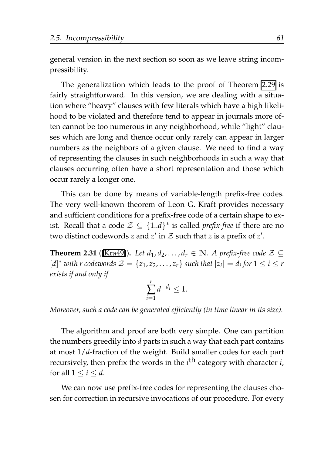general version in the next section so soon as we leave string incompressibility.

The generalization which leads to the proof of Theorem [2.29](#page-81-0) is fairly straightforward. In this version, we are dealing with a situation where "heavy" clauses with few literals which have a high likelihood to be violated and therefore tend to appear in journals more often cannot be too numerous in any neighborhood, while "light" clauses which are long and thence occur only rarely can appear in larger numbers as the neighbors of a given clause. We need to find a way of representing the clauses in such neighborhoods in such a way that clauses occurring often have a short representation and those which occur rarely a longer one.

This can be done by means of variable-length prefix-free codes. The very well-known theorem of Leon G. Kraft provides necessary and sufficient conditions for a prefix-free code of a certain shape to exist. Recall that a code  $\mathcal{Z} \subseteq \{1..d\}^*$  is called *prefix-free* if there are no two distinct codewords *z* and  $z'$  in  $\mathcal Z$  such that *z* is a prefix of  $z'$ .

<span id="page-82-0"></span>**Theorem 2.31** ([\[Kra49\]](#page-208-0)). Let  $d_1, d_2, \ldots, d_r \in \mathbb{N}$ . A prefix-free code  $\mathcal{Z} \subseteq$  $[d]^*$  *with r codewords*  $\mathcal{Z} = \{z_1, z_2, \ldots, z_r\}$  *such that*  $|z_i| = d_i$  *for*  $1 \le i \le r$ *exists if and only if*

$$
\sum_{i=1}^r d^{-d_i} \le 1.
$$

*Moreover, such a code can be generated efficiently (in time linear in its size).*

The algorithm and proof are both very simple. One can partition the numbers greedily into *d* parts in such a way that each part contains at most 1/*d*-fraction of the weight. Build smaller codes for each part recursively, then prefix the words in the *i* th category with character *i*, for all  $1 \leq i \leq d$ .

We can now use prefix-free codes for representing the clauses chosen for correction in recursive invocations of our procedure. For every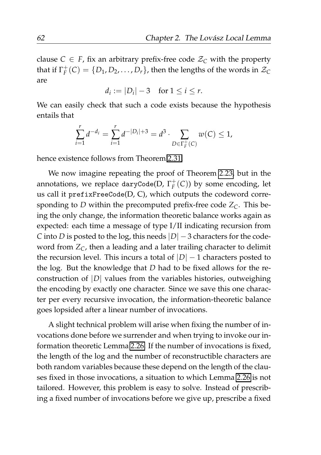clause *C*  $\in$  *F*, fix an arbitrary prefix-free code  $Z_C$  with the property that if  $\Gamma_F^+(C) = \{D_1, D_2, \ldots, D_r\}$ , then the lengths of the words in  $\mathcal{Z}_C$ are

$$
d_i := |D_i| - 3 \quad \text{for } 1 \leq i \leq r.
$$

We can easily check that such a code exists because the hypothesis entails that

$$
\sum_{i=1}^r d^{-d_i} = \sum_{i=1}^r d^{-|D_i|+3} = d^3 \cdot \sum_{D \in \Gamma_F^+(C)} w(C) \le 1,
$$

hence existence follows from Theorem [2.31.](#page-82-0)

We now imagine repeating the proof of Theorem [2.23,](#page-72-0) but in the annotations, we replace daryCode(D,  $\Gamma_F^+(C)$ ) by some encoding, let us call it prefixFreeCode(D, C), which outputs the codeword corresponding to *D* within the precomputed prefix-free code  $Z_C$ . This being the only change, the information theoretic balance works again as expected: each time a message of type I/II indicating recursion from *C* into *D* is posted to the log, this needs  $|D|$  − 3 characters for the codeword from *ZC*, then a leading and a later trailing character to delimit the recursion level. This incurs a total of  $|D| - 1$  characters posted to the log. But the knowledge that *D* had to be fixed allows for the reconstruction of |*D*| values from the variables histories, outweighing the encoding by exactly one character. Since we save this one character per every recursive invocation, the information-theoretic balance goes lopsided after a linear number of invocations.

A slight technical problem will arise when fixing the number of invocations done before we surrender and when trying to invoke our information theoretic Lemma [2.26.](#page-75-0) If the number of invocations is fixed, the length of the log and the number of reconstructible characters are both random variables because these depend on the length of the clauses fixed in those invocations, a situation to which Lemma [2.26](#page-75-0) is not tailored. However, this problem is easy to solve. Instead of prescribing a fixed number of invocations before we give up, prescribe a fixed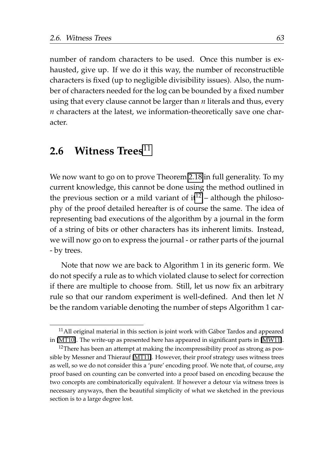number of random characters to be used. Once this number is exhausted, give up. If we do it this way, the number of reconstructible characters is fixed (up to negligible divisibility issues). Also, the number of characters needed for the log can be bounded by a fixed number using that every clause cannot be larger than *n* literals and thus, every *n* characters at the latest, we information-theoretically save one character.

## <span id="page-84-2"></span>**2.6 Witness Trees**[11](#page-84-0)

We now want to go on to prove Theorem [2.18](#page-64-0) in full generality. To my current knowledge, this cannot be done using the method outlined in the previous section or a mild variant of  $it^{12}$  $it^{12}$  $it^{12}$  – although the philosophy of the proof detailed hereafter is of course the same. The idea of representing bad executions of the algorithm by a journal in the form of a string of bits or other characters has its inherent limits. Instead, we will now go on to express the journal - or rather parts of the journal - by trees.

Note that now we are back to Algorithm 1 in its generic form. We do not specify a rule as to which violated clause to select for correction if there are multiple to choose from. Still, let us now fix an arbitrary rule so that our random experiment is well-defined. And then let *N* be the random variable denoting the number of steps Algorithm 1 car-

<span id="page-84-0"></span> $11$ All original material in this section is joint work with Gábor Tardos and appeared in [\[MT10\]](#page-210-0). The write-up as presented here has appeared in significant parts in [\[MW11\]](#page-210-1).

<span id="page-84-1"></span> $12$ There has been an attempt at making the incompressibility proof as strong as possible by Messner and Thierauf [\[MT11\]](#page-210-2). However, their proof strategy uses witness trees as well, so we do not consider this a 'pure' encoding proof. We note that, of course, *any* proof based on counting can be converted into a proof based on encoding because the two concepts are combinatorically equivalent. If however a detour via witness trees is necessary anyways, then the beautiful simplicity of what we sketched in the previous section is to a large degree lost.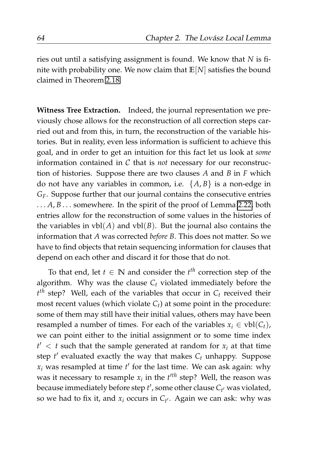ries out until a satisfying assignment is found. We know that *N* is finite with probability one. We now claim that **E**[*N*] satisfies the bound claimed in Theorem [2.18.](#page-64-0)

**Witness Tree Extraction.** Indeed, the journal representation we previously chose allows for the reconstruction of all correction steps carried out and from this, in turn, the reconstruction of the variable histories. But in reality, even less information is sufficient to achieve this goal, and in order to get an intuition for this fact let us look at *some* information contained in C that is *not* necessary for our reconstruction of histories. Suppose there are two clauses *A* and *B* in *F* which do not have any variables in common, i.e.  $\{A, B\}$  is a non-edge in *GF*. Suppose further that our journal contains the consecutive entries ... *A*, *B* ... somewhere. In the spirit of the proof of Lemma [2.22,](#page-69-0) both entries allow for the reconstruction of some values in the histories of the variables in  $vbl(A)$  and  $vbl(B)$ . But the journal also contains the information that *A* was corrected *before B*. This does not matter. So we have to find objects that retain sequencing information for clauses that depend on each other and discard it for those that do not.

To that end, let  $t \in \mathbb{N}$  and consider the  $t^{th}$  correction step of the algorithm. Why was the clause  $C_t$  violated immediately before the *t th* step? Well, each of the variables that occur in *C<sup>t</sup>* received their most recent values (which violate  $C_t$ ) at some point in the procedure: some of them may still have their initial values, others may have been resampled a number of times. For each of the variables  $x_i \in vbl(C_t)$ , we can point either to the initial assignment or to some time index  $t' < t$  such that the sample generated at random for  $x_i$  at that time step *t* ′ evaluated exactly the way that makes *C<sup>t</sup>* unhappy. Suppose  $x_i$  was resampled at time  $t'$  for the last time. We can ask again: why was it necessary to resample  $x_i$  in the  $t'^{th}$  step? Well, the reason was because immediately before step *t* ′ , some other clause *C<sup>t</sup>* ′ was violated, so we had to fix it, and *x<sup>i</sup>* occurs in *C<sup>t</sup>* ′ . Again we can ask: why was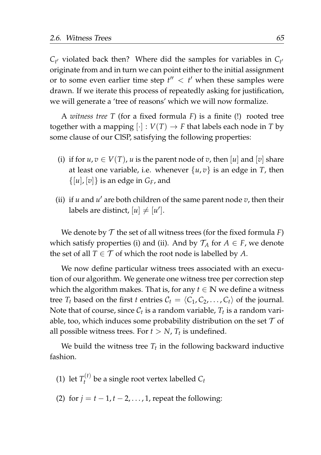$C_{t'}$  violated back then? Where did the samples for variables in  $C_{t'}$ originate from and in turn we can point either to the initial assignment or to some even earlier time step  $t'' < t'$  when these samples were drawn. If we iterate this process of repeatedly asking for justification, we will generate a 'tree of reasons' which we will now formalize.

A *witness tree T* (for a fixed formula *F*) is a finite (!) rooted tree together with a mapping  $[\cdot] : V(T) \to F$  that labels each node in *T* by some clause of our ClSP, satisfying the following properties:

- (i) if for  $u, v \in V(T)$ , *u* is the parent node of *v*, then [*u*] and [*v*] share at least one variable, i.e. whenever  $\{u, v\}$  is an edge in *T*, then  $\{[u], [v]\}$  is an edge in  $G_F$ , and
- (ii) if  $u$  and  $u'$  are both children of the same parent node  $v$ , then their labels are distinct,  $[u] \neq [u']$ .

We denote by  $T$  the set of all witness trees (for the fixed formula  $F$ ) which satisfy properties (i) and (ii). And by  $\mathcal{T}_A$  for  $A \in \mathcal{F}$ , we denote the set of all  $T \in \mathcal{T}$  of which the root node is labelled by *A*.

We now define particular witness trees associated with an execution of our algorithm. We generate one witness tree per correction step which the algorithm makes. That is, for any  $t \in \mathbb{N}$  we define a witness tree  $T_t$  based on the first *t* entries  $C_t = \langle C_1, C_2, \ldots, C_t \rangle$  of the journal. Note that of course, since  $\mathcal{C}_t$  is a random variable,  $T_t$  is a random variable, too, which induces some probability distribution on the set  $\mathcal T$  of all possible witness trees. For  $t > N$ ,  $T_t$  is undefined.

We build the witness tree  $T_t$  in the following backward inductive fashion.

- (1) let  $T_t^{(t)}$  $C_t^{(1)}$  be a single root vertex labelled  $C_t$
- (2) for  $j = t 1, t 2, \ldots, 1$ , repeat the following: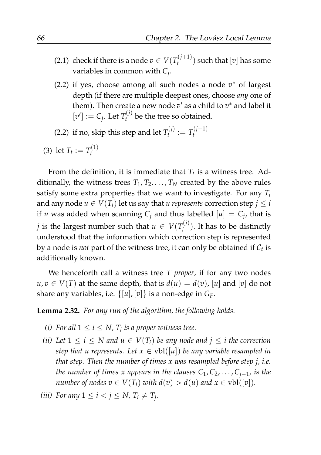- (2.1) check if there is a node  $v \in V(T_t^{(j+1)})$  $t^{(U+1)}$  such that  $[v]$  has some variables in common with *C<sup>j</sup>* .
- (2.2) if yes, choose among all such nodes a node *v* <sup>∗</sup> of largest depth (if there are multiple deepest ones, choose *any* one of them). Then create a new node  $v'$  as a child to  $v^*$  and label it  $[v'] := C_j$ . Let  $T_t^{(j)}$  $t_t^{\text{tot}}$  be the tree so obtained.

(2.2) if no, skip this step and let  $T_t^{(j)}$  $T_t^{(j)} := T_t^{(j+1)}$ *t*

(3) let 
$$
T_t := T_t^{(1)}
$$

From the definition, it is immediate that *T<sup>t</sup>* is a witness tree. Additionally, the witness trees  $T_1, T_2, \ldots, T_N$  created by the above rules satisfy some extra properties that we want to investigate. For any *T<sup>i</sup>* and any node  $u \in V(T_i)$  let us say that *u* represents correction step  $j \leq i$ if *u* was added when scanning  $C_j$  and thus labelled  $[u] = C_j$ , that is *j* is the largest number such that  $u \in V(T_i^{(j)})$  $i^{(1)}$ ). It has to be distinctly understood that the information which correction step is represented by a node is *not* part of the witness tree, it can only be obtained if  $\mathcal{C}_t$  is additionally known.

We henceforth call a witness tree *T proper*, if for any two nodes  $u, v \in V(T)$  at the same depth, that is  $d(u) = d(v)$ , [*u*] and [*v*] do not share any variables, i.e.  $\{[u], [v]\}$  is a non-edge in  $G_F$ .

<span id="page-87-0"></span>**Lemma 2.32.** *For any run of the algorithm, the following holds.*

- *(i)* For all  $1 \le i \le N$ ,  $T_i$  is a proper witness tree.
- *(ii) Let*  $1 \le i \le N$  *and*  $u \in V(T_i)$  *be any node and*  $i \le i$  *the correction step that u represents. Let*  $x \in \text{vbl}([u])$  *be any variable resampled in that step. Then the number of times x was resampled before step j, i.e. the number of times x appears in the clauses C*1, *C*2, . . . , *Cj*−<sup>1</sup> *, is the number of nodes*  $v \in V(T_i)$  *with*  $d(v) > d(u)$  *and*  $x \in vbl([v])$ *.*
- *(iii)* For any  $1 \leq i < j \leq N$ ,  $T_i \neq T_j$ .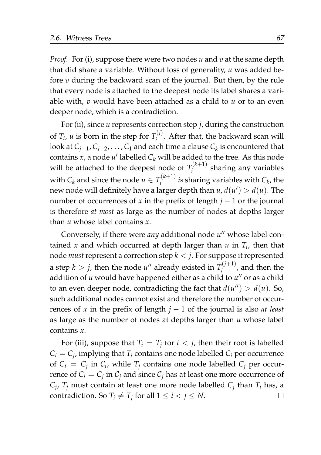*Proof.* For (i), suppose there were two nodes *u* and *v* at the same depth that did share a variable. Without loss of generality, *u* was added before *v* during the backward scan of the journal. But then, by the rule that every node is attached to the deepest node its label shares a variable with, *v* would have been attached as a child to *u* or to an even deeper node, which is a contradiction.

For (ii), since *u* represents correction step *j*, during the construction of  $T_i$ , *u* is born in the step for  $T_i^{(j)}$ *i* . After that, the backward scan will look at *Cj*−<sup>1</sup> , *Cj*−<sup>2</sup> , . . . , *C*<sup>1</sup> and each time a clause *C<sup>k</sup>* is encountered that contains *x*, a node  $u'$  labelled  $C_k$  will be added to the tree. As this node will be attached to the deepest node of  $T_i^{(k+1)}$ *i* sharing any variables with  $C_k$  and since the node  $u \in T_i^{(k+1)}$  $\int_i^{(k+1)}$  *is* sharing variables with  $C_k$ , the new node will definitely have a larger depth than  $u$ ,  $d(u') > d(u)$ . The number of occurrences of *x* in the prefix of length  $j - 1$  or the journal is therefore *at most* as large as the number of nodes at depths larger than *u* whose label contains *x*.

Conversely, if there were any additional node u'' whose label contained *x* and which occurred at depth larger than *u* in *T<sup>i</sup>* , then that node *must* represent a correction step *k* < *j*. For suppose it represented a step  $k > j$ , then the node  $u''$  already existed in  $T_i^{(j+1)}$  $\int_i^{(1)}$ , and then the addition of *u* would have happened either as a child to *u* ′′ or as a child to an even deeper node, contradicting the fact that  $d(u'') > d(u)$ . So, such additional nodes cannot exist and therefore the number of occurrences of *x* in the prefix of length *j* − 1 of the journal is also *at least* as large as the number of nodes at depths larger than *u* whose label contains *x*.

For (iii), suppose that  $T_i = T_j$  for  $i < j$ , then their root is labelled  $C_i = C_j$ , implying that  $T_i$  contains one node labelled  $C_i$  per occurrence of  $C_i = C_j$  in  $C_i$ , while  $T_j$  contains one node labelled  $C_j$  per occurrence of  $C_i = C_j$  in  $C_j$  and since  $C_j$  has at least one more occurrence of  $C_j$ ,  $T_j$  must contain at least one more node labelled  $C_j$  than  $T_i$  has, a contradiction. So  $T_i \neq T_j$  for all  $1 \leq i < j \leq N$ .  $\Box$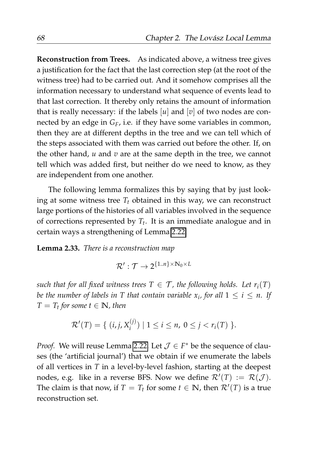**Reconstruction from Trees.** As indicated above, a witness tree gives a justification for the fact that the last correction step (at the root of the witness tree) had to be carried out. And it somehow comprises all the information necessary to understand what sequence of events lead to that last correction. It thereby only retains the amount of information that is really necessary: if the labels  $[u]$  and  $[v]$  of two nodes are connected by an edge in *GF*, i.e. if they have some variables in common, then they are at different depths in the tree and we can tell which of the steps associated with them was carried out before the other. If, on the other hand, *u* and *v* are at the same depth in the tree, we cannot tell which was added first, but neither do we need to know, as they are independent from one another.

The following lemma formalizes this by saying that by just looking at some witness tree  $T_t$  obtained in this way, we can reconstruct large portions of the histories of all variables involved in the sequence of corrections represented by *T<sup>t</sup>* . It is an immediate analogue and in certain ways a strengthening of Lemma [2.22.](#page-69-0)

<span id="page-89-0"></span>**Lemma 2.33.** *There is a reconstruction map*

$$
\mathcal{R}': \mathcal{T} \to 2^{\{1..n\} \times N_0 \times L}
$$

*such that for all fixed witness trees*  $T \in \mathcal{T}$ *, the following holds. Let*  $r_i(T)$ *be the number of labels in T that contain variable*  $x_i$ *, for all*  $1 \leq i \leq n$ *. If*  $T = T_t$  for some  $t \in \mathbb{N}$ , then

$$
\mathcal{R}'(T) = \{ (i, j, X_i^{(j)}) \mid 1 \leq i \leq n, \ 0 \leq j < r_i(T) \}.
$$

*Proof.* We will reuse Lemma [2.22.](#page-69-0) Let  $\mathcal{J} \in F^*$  be the sequence of clauses (the 'artificial journal') that we obtain if we enumerate the labels of all vertices in *T* in a level-by-level fashion, starting at the deepest nodes, e.g. like in a reverse BFS. Now we define  $\mathcal{R}'(T) := \mathcal{R}(\mathcal{J})$ . The claim is that now, if  $T = T_t$  for some  $t \in \mathbb{N}$ , then  $\mathcal{R}'(T)$  is a true reconstruction set.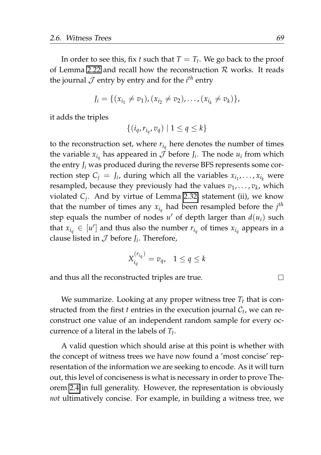In order to see this, fix *t* such that  $T = T_t$ . We go back to the proof of Lemma [2.22](#page-69-0) and recall how the reconstruction  $\mathcal R$  works. It reads the journal  $\cal J$  entry by entry and for the  $i^{th}$  entry

$$
J_i = \{ (x_{i_1} \neq v_1), (x_{i_2} \neq v_2), \ldots, (x_{i_k} \neq v_k) \},\
$$

it adds the triples

$$
\{(i_q, r_{i_q}, v_q) \mid 1 \le q \le k\}
$$

to the reconstruction set, where  $r_{i_q}$  here denotes the number of times the variable  $x_{i_q}$  has appeared in  $\mathcal J$  before  $J_i$ . The node  $u_i$  from which the entry *J<sup>i</sup>* was produced during the reverse BFS represents some correction step  $C_j = J_i$ , during which all the variables  $x_{i_1}, \ldots, x_{i_k}$  were resampled, because they previously had the values  $v_1, \ldots, v_k$ , which violated *C<sup>j</sup>* . And by virtue of Lemma [2.32,](#page-87-0) statement (ii), we know that the number of times any  $x_{i_q}$  had been resampled before the  $j^{th}$ step equals the number of nodes  $u'$  of depth larger than  $d(u_i)$  such that  $x_{i_q} \in [u']$  and thus also the number  $r_{i_q}$  of times  $x_{i_q}$  appears in a clause listed in  $\mathcal J$  before  $J_i$ . Therefore,

$$
X_{i_q}^{(r_{i_q})} = v_q, \quad 1 \le q \le k
$$

and thus all the reconstructed triples are true.

We summarize. Looking at any proper witness tree  $T_t$  that is constructed from the first  $t$  entries in the execution journal  $\mathcal{C}_t$ , we can reconstruct one value of an independent random sample for every occurrence of a literal in the labels of *T<sup>t</sup>* .

A valid question which should arise at this point is whether with the concept of witness trees we have now found a 'most concise' representation of the information we are seeking to encode. As it will turn out, this level of conciseness is what is necessary in order to prove Theorem [2.4](#page-42-0) in full generality. However, the representation is obviously *not* ultimatively concise. For example, in building a witness tree, we

 $\Box$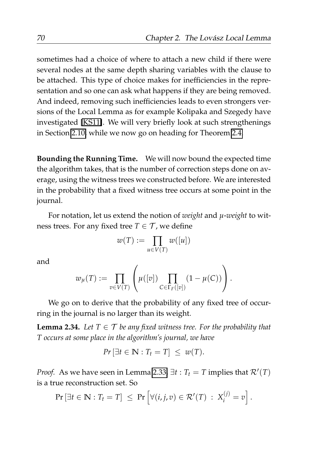sometimes had a choice of where to attach a new child if there were several nodes at the same depth sharing variables with the clause to be attached. This type of choice makes for inefficiencies in the representation and so one can ask what happens if they are being removed. And indeed, removing such inefficiencies leads to even strongers versions of the Local Lemma as for example Kolipaka and Szegedy have investigated [\[KS11\]](#page-209-0). We will very briefly look at such strengthenings in Section [2.10,](#page-119-0) while we now go on heading for Theorem [2.4.](#page-42-0)

**Bounding the Running Time.** We will now bound the expected time the algorithm takes, that is the number of correction steps done on average, using the witness trees we constructed before. We are interested in the probability that a fixed witness tree occurs at some point in the journal.

For notation, let us extend the notion of *weight* and *µ*-*weight* to witness trees. For any fixed tree  $T \in \mathcal{T}$ , we define

$$
w(T) := \prod_{u \in V(T)} w([u])
$$

and

$$
w_{\mu}(T) := \prod_{v \in V(T)} \left( \mu([v]) \prod_{C \in \Gamma_F([v])} (1 - \mu(C)) \right).
$$

We go on to derive that the probability of any fixed tree of occurring in the journal is no larger than its weight.

<span id="page-91-0"></span>**Lemma 2.34.** *Let*  $T \in \mathcal{T}$  *be any fixed witness tree. For the probability that T occurs at some place in the algorithm's journal, we have*

$$
Pr\left[\exists t \in \mathbb{N} : T_t = T\right] \leq w(T).
$$

*Proof.* As we have seen in Lemma [2.33,](#page-89-0)  $\exists t : T_t = T$  implies that  $\mathcal{R}'(T)$ is a true reconstruction set. So

$$
\Pr\left[\exists t \in \mathbb{N} : T_t = T\right] \leq \Pr\left[\forall (i, j, v) \in \mathcal{R}'(T) : X_i^{(j)} = v\right].
$$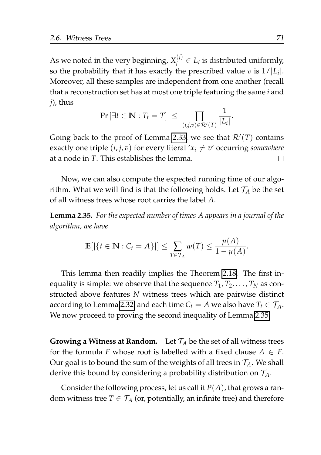As we noted in the very beginning,  $X_i^{(j)}$  $i_j^{(0)} \in L_i$  is distributed uniformly, so the probability that it has exactly the prescribed value  $v$  is  $1/|L_i|$ . Moreover, all these samples are independent from one another (recall that a reconstruction set has at most one triple featuring the same *i* and *j*), thus

$$
\Pr\left[\exists t\in\mathbb{N}:T_t=T\right]\ \leq\ \prod_{(i,j,v)\in\mathcal{R}'(T)}\frac{1}{|L_i|}.
$$

Going back to the proof of Lemma [2.33,](#page-89-0) we see that  $\mathcal{R}'(T)$  contains exactly one triple  $(i, j, v)$  for every literal  $x_i \neq v'$  occurring *somewhere* at a node in *T*. This establishes the lemma.  $\Box$ 

Now, we can also compute the expected running time of our algorithm. What we will find is that the following holds. Let  $\mathcal{T}_A$  be the set of all witness trees whose root carries the label *A*.

<span id="page-92-0"></span>**Lemma 2.35.** *For the expected number of times A appears in a journal of the algorithm, we have*

$$
\mathbb{E}[|\{t \in \mathbb{N} : C_t = A\}|] \leq \sum_{T \in \mathcal{T}_A} w(T) \leq \frac{\mu(A)}{1 - \mu(A)}.
$$

This lemma then readily implies the Theorem [2.18.](#page-64-0) The first inequality is simple: we observe that the sequence  $T_1, T_2, \ldots, T_N$  as constructed above features *N* witness trees which are pairwise distinct according to Lemma [2.32,](#page-87-0) and each time  $C_t = A$  we also have  $T_t \in \mathcal{T}_A$ . We now proceed to proving the second inequality of Lemma [2.35.](#page-92-0)

**Growing a Witness at Random.** Let  $T_A$  be the set of all witness trees for the formula *F* whose root is labelled with a fixed clause  $A \in F$ . Our goal is to bound the sum of the weights of all trees in  $\mathcal{T}_A$ . We shall derive this bound by considering a probability distribution on T*A*.

Consider the following process, let us call it  $P(A)$ , that grows a random witness tree  $T \in \mathcal{T}_A$  (or, potentially, an infinite tree) and therefore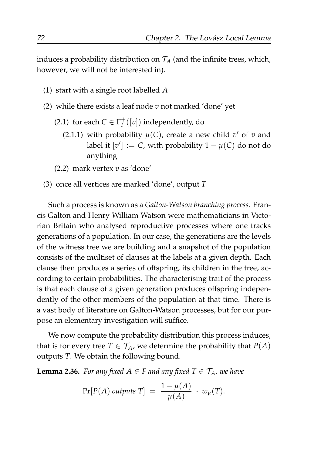induces a probability distribution on  $\mathcal{T}_A$  (and the infinite trees, which, however, we will not be interested in).

- (1) start with a single root labelled *A*
- (2) while there exists a leaf node *v* not marked 'done' yet
	- (2.1) for each  $C \in \Gamma_F^+([v])$  independently, do
		- (2.1.1) with probability  $\mu(C)$ , create a new child  $v'$  of  $v$  and label it  $[v'] := C$ , with probability  $1 - \mu(C)$  do not do anything
	- (2.2) mark vertex *v* as 'done'
- (3) once all vertices are marked 'done', output *T*

Such a process is known as a *Galton-Watson branching process*. Francis Galton and Henry William Watson were mathematicians in Victorian Britain who analysed reproductive processes where one tracks generations of a population. In our case, the generations are the levels of the witness tree we are building and a snapshot of the population consists of the multiset of clauses at the labels at a given depth. Each clause then produces a series of offspring, its children in the tree, according to certain probabilities. The characterising trait of the process is that each clause of a given generation produces offspring independently of the other members of the population at that time. There is a vast body of literature on Galton-Watson processes, but for our purpose an elementary investigation will suffice.

We now compute the probability distribution this process induces, that is for every tree  $T \in \mathcal{T}_A$ , we determine the probability that  $P(A)$ outputs *T*. We obtain the following bound.

**Lemma 2.36.** *For any fixed*  $A \in F$  *and any fixed*  $T \in T_A$ *, we have* 

$$
Pr[P(A) \text{ outputs } T] = \frac{1 - \mu(A)}{\mu(A)} \cdot w_{\mu}(T).
$$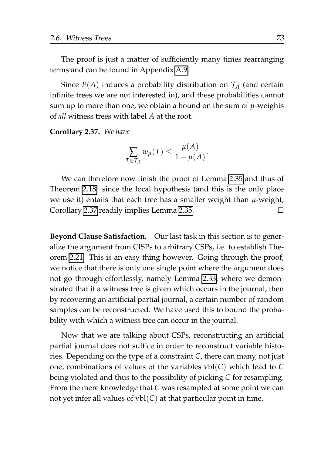The proof is just a matter of sufficiently many times rearranging terms and can be found in Appendix [A.9.](#page-193-0)

Since  $P(A)$  induces a probability distribution on  $\mathcal{T}_A$  (and certain infinite trees we are not interested in), and these probabilities cannot sum up to more than one, we obtain a bound on the sum of *µ*-weights of *all* witness trees with label *A* at the root.

<span id="page-94-0"></span>**Corollary 2.37.** *We have*

$$
\sum_{T \in \mathcal{T}_A} w_{\mu}(T) \leq \frac{\mu(A)}{1 - \mu(A)}.
$$

We can therefore now finish the proof of Lemma [2.35](#page-92-0) and thus of Theorem [2.18:](#page-64-0) since the local hypothesis (and this is the only place we use it) entails that each tree has a smaller weight than *µ*-weight, Corollary [2.37](#page-94-0) readily implies Lemma [2.35.](#page-92-0) П

**Beyond Clause Satisfaction.** Our last task in this section is to generalize the argument from ClSPs to arbitrary CSPs, i.e. to establish Theorem [2.21.](#page-66-0) This is an easy thing however. Going through the proof, we notice that there is only one single point where the argument does not go through effortlessly, namely Lemma [2.33,](#page-89-0) where we demonstrated that if a witness tree is given which occurs in the journal, then by recovering an artificial partial journal, a certain number of random samples can be reconstructed. We have used this to bound the probability with which a witness tree can occur in the journal.

Now that we are talking about CSPs, reconstructing an artificial partial journal does not suffice in order to reconstruct variable histories. Depending on the type of a constraint *C*, there can many, not just one, combinations of values of the variables vbl(*C*) which lead to *C* being violated and thus to the possibility of picking *C* for resampling. From the mere knowledge that *C* was resampled at some point we can not yet infer all values of  $vbl(C)$  at that particular point in time.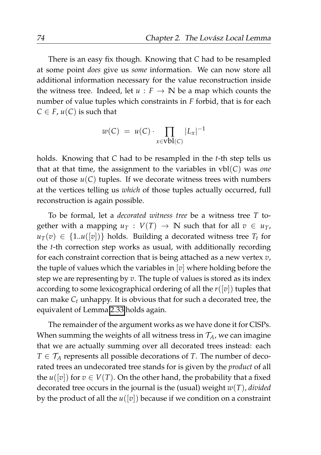There is an easy fix though. Knowing that *C* had to be resampled at some point *does* give us *some* information. We can now store all additional information necessary for the value reconstruction inside the witness tree. Indeed, let  $u : F \to \mathbb{N}$  be a map which counts the number of value tuples which constraints in *F* forbid, that is for each  $C \in F$ ,  $u(C)$  is such that

$$
w(C) = u(C) \cdot \prod_{x \in \text{vbl}(C)} |L_x|^{-1}
$$

holds. Knowing that *C* had to be resampled in the *t*-th step tells us that at that time, the assignment to the variables in vbl(*C*) was *one* out of those  $u(C)$  tuples. If we decorate witness trees with numbers at the vertices telling us *which* of those tuples actually occurred, full reconstruction is again possible.

To be formal, let a *decorated witness tree* be a witness tree *T* together with a mapping  $u_T : V(T) \to \mathbb{N}$  such that for all  $v \in u_T$ ,  $u_T(v) \in \{1..u([v])\}$  holds. Building a decorated witness tree  $T_t$  for the *t*-th correction step works as usual, with additionally recording for each constraint correction that is being attached as a new vertex *v*, the tuple of values which the variables in [*v*] where holding before the step we are representing by *v*. The tuple of values is stored as its index according to some lexicographical ordering of all the *r*([*v*]) tuples that can make *C<sup>t</sup>* unhappy. It is obvious that for such a decorated tree, the equivalent of Lemma [2.33](#page-89-0) holds again.

The remainder of the argument works as we have done it for ClSPs. When summing the weights of all witness tress in  $\mathcal{T}_A$ , we can imagine that we are actually summing over all decorated trees instead: each  $T \in \mathcal{T}_A$  represents all possible decorations of *T*. The number of decorated trees an undecorated tree stands for is given by the *product* of all the  $u([v])$  for  $v \in V(T)$ . On the other hand, the probability that a fixed decorated tree occurs in the journal is the (usual) weight *w*(*T*), *divided* by the product of all the  $u([v])$  because if we condition on a constraint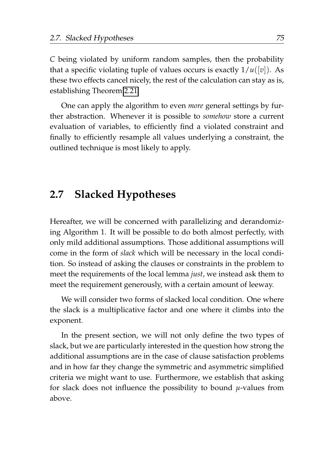*C* being violated by uniform random samples, then the probability that a specific violating tuple of values occurs is exactly  $1/u([v])$ . As these two effects cancel nicely, the rest of the calculation can stay as is, establishing Theorem [2.21.](#page-66-0)

One can apply the algorithm to even *more* general settings by further abstraction. Whenever it is possible to *somehow* store a current evaluation of variables, to efficiently find a violated constraint and finally to efficiently resample all values underlying a constraint, the outlined technique is most likely to apply.

## **2.7 Slacked Hypotheses**

Hereafter, we will be concerned with parallelizing and derandomizing Algorithm 1. It will be possible to do both almost perfectly, with only mild additional assumptions. Those additional assumptions will come in the form of *slack* which will be necessary in the local condition. So instead of asking the clauses or constraints in the problem to meet the requirements of the local lemma *just*, we instead ask them to meet the requirement generously, with a certain amount of leeway.

We will consider two forms of slacked local condition. One where the slack is a multiplicative factor and one where it climbs into the exponent.

In the present section, we will not only define the two types of slack, but we are particularly interested in the question how strong the additional assumptions are in the case of clause satisfaction problems and in how far they change the symmetric and asymmetric simplified criteria we might want to use. Furthermore, we establish that asking for slack does not influence the possibility to bound *µ*-values from above.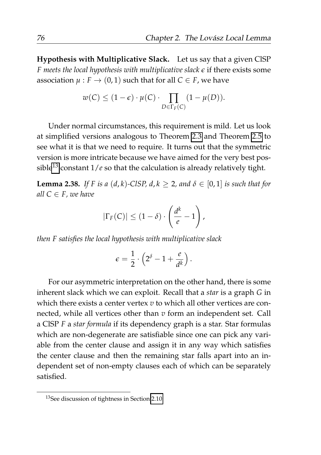**Hypothesis with Multiplicative Slack.** Let us say that a given ClSP *F meets the local hypothesis with multiplicative slack ϵ* if there exists some association  $\mu$ :  $F \to (0, 1)$  such that for all  $C \in F$ , we have

$$
w(C) \le (1 - \epsilon) \cdot \mu(C) \cdot \prod_{D \in \Gamma_F(C)} (1 - \mu(D)).
$$

Under normal circumstances, this requirement is mild. Let us look at simplified versions analogous to Theorem [2.3](#page-41-0) and Theorem [2.5](#page-43-0) to see what it is that we need to require. It turns out that the symmetric version is more intricate because we have aimed for the very best pos-sible<sup>[13](#page-97-0)</sup> constant  $1/e$  so that the calculation is already relatively tight.

<span id="page-97-1"></span>**Lemma 2.38.** *If F is a* (*d*, *k*)*-ClSP*, *d*,  $k \geq 2$ , and  $\delta \in [0, 1]$  *is such that for all*  $C \in F$ *, we have* 

$$
|\Gamma_F(C)| \leq (1-\delta) \cdot \left(\frac{d^k}{e} - 1\right),
$$

*then F satisfies the local hypothesis with multiplicative slack*

$$
\epsilon = \frac{1}{2} \cdot \left( 2^{\delta} - 1 + \frac{e}{d^k} \right).
$$

For our asymmetric interpretation on the other hand, there is some inherent slack which we can exploit. Recall that a *star* is a graph *G* in which there exists a center vertex *v* to which all other vertices are connected, while all vertices other than *v* form an independent set. Call a ClSP *F* a *star formula* if its dependency graph is a star. Star formulas which are non-degenerate are satisfiable since one can pick any variable from the center clause and assign it in any way which satisfies the center clause and then the remaining star falls apart into an independent set of non-empty clauses each of which can be separately satisfied.

<span id="page-97-0"></span><sup>&</sup>lt;sup>13</sup>See discussion of tightness in Section [2.10.](#page-119-0)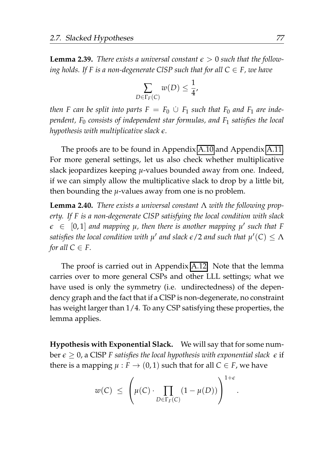<span id="page-98-0"></span>**Lemma 2.39.** *There exists a universal constant*  $\epsilon > 0$  *such that the following holds. If F is a non-degenerate CISP such that for all*  $C \in F$ *, we have* 

$$
\sum_{D \in \Gamma_F(C)} w(D) \leq \frac{1}{4},
$$

*then F* can be split into parts  $F = F_0 \cup F_1$  such that  $F_0$  and  $F_1$  are inde*pendent, F*<sup>0</sup> *consists of independent star formulas, and F*<sup>1</sup> *satisfies the local hypothesis with multiplicative slack ϵ.*

The proofs are to be found in Appendix [A.10](#page-195-0) and Appendix [A.11.](#page-196-0) For more general settings, let us also check whether multiplicative slack jeopardizes keeping *µ*-values bounded away from one. Indeed, if we can simply allow the multiplicative slack to drop by a little bit, then bounding the *µ*-values away from one is no problem.

<span id="page-98-1"></span>**Lemma 2.40.** *There exists a universal constant* Λ *with the following property. If F is a non-degenerate ClSP satisfying the local condition with slack*  $\epsilon \in [0,1]$  and mapping  $\mu$ , then there is another mapping  $\mu'$  such that F  $s$ atisfies the local condition with  $\mu'$  and slack  $\epsilon$  /2 and such that  $\mu'(C) \leq \Lambda$ *for all*  $C \in F$ *.* 

The proof is carried out in Appendix [A.12.](#page-196-1) Note that the lemma carries over to more general CSPs and other LLL settings; what we have used is only the symmetry (i.e. undirectedness) of the dependency graph and the fact that if a ClSP is non-degenerate, no constraint has weight larger than 1/4. To any CSP satisfying these properties, the lemma applies.

**Hypothesis with Exponential Slack.** We will say that for some number  $\epsilon \geq 0$ , a CISP *F* satisfies the local hypothesis with exponential slack  $\epsilon$  if there is a mapping  $\mu$  :  $F \to (0, 1)$  such that for all  $C \in F$ , we have

$$
w(C) \leq \left(\mu(C) \cdot \prod_{D \in \Gamma_F(C)} (1 - \mu(D))\right)^{1 + \epsilon}
$$

.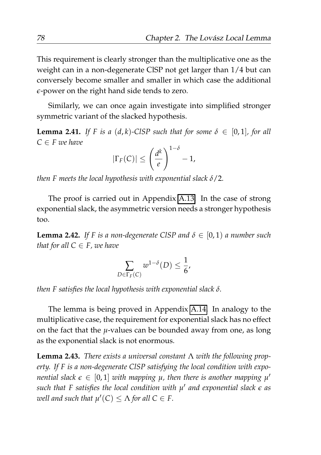This requirement is clearly stronger than the multiplicative one as the weight can in a non-degenerate ClSP not get larger than 1/4 but can conversely become smaller and smaller in which case the additional *ϵ*-power on the right hand side tends to zero.

Similarly, we can once again investigate into simplified stronger symmetric variant of the slacked hypothesis.

**Lemma 2.41.** *If F is a* (*d*, *k*)*-ClSP such that for some*  $\delta \in [0,1]$ *, for all*  $C \in F$  *we have* 

$$
|\Gamma_F(C)| \leq \left(\frac{d^k}{e}\right)^{1-\delta} - 1,
$$

*then F meets the local hypothesis with exponential slack δ*/2*.*

The proof is carried out in Appendix [A.13.](#page-197-0) In the case of strong exponential slack, the asymmetric version needs a stronger hypothesis too.

<span id="page-99-0"></span>**Lemma 2.42.** *If* F is a non-degenerate CISP and  $\delta \in [0,1)$  *a number such that for all*  $C \in F$ *, we have* 

$$
\sum_{D \in \Gamma_F(C)} w^{1-\delta}(D) \leq \frac{1}{6},
$$

*then F satisfies the local hypothesis with exponential slack δ.*

The lemma is being proved in Appendix [A.14.](#page-198-0) In analogy to the multiplicative case, the requirement for exponential slack has no effect on the fact that the *µ*-values can be bounded away from one, as long as the exponential slack is not enormous.

**Lemma 2.43.** *There exists a universal constant* Λ *with the following property. If F is a non-degenerate ClSP satisfying the local condition with exponential slack*  $\epsilon \in [0,1]$  with mapping  $\mu$ , then there is another mapping  $\mu'$ *such that F satisfies the local condition with µ* ′ *and exponential slack ϵ as well and such that*  $\mu'(C) \leq \Lambda$  for all  $C \in F$ .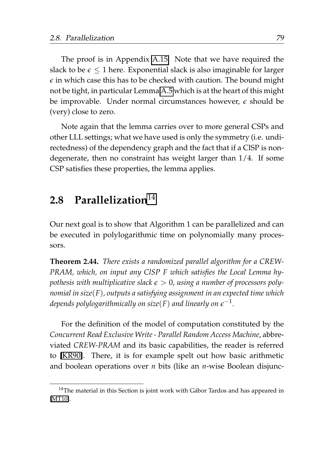The proof is in Appendix [A.15.](#page-199-0) Note that we have required the slack to be  $\epsilon \leq 1$  here. Exponential slack is also imaginable for larger  $\epsilon$  in which case this has to be checked with caution. The bound might not be tight, in particular Lemma [A.5](#page-180-0) which is at the heart of this might be improvable. Under normal circumstances however, *ϵ* should be (very) close to zero.

Note again that the lemma carries over to more general CSPs and other LLL settings; what we have used is only the symmetry (i.e. undirectedness) of the dependency graph and the fact that if a ClSP is nondegenerate, then no constraint has weight larger than 1/4. If some CSP satisfies these properties, the lemma applies.

## **2.8 Parallelization**[14](#page-100-0)

Our next goal is to show that Algorithm 1 can be parallelized and can be executed in polylogarithmic time on polynomially many processors.

<span id="page-100-1"></span>**Theorem 2.44.** *There exists a randomized parallel algorithm for a CREW-PRAM, which, on input any ClSP F which satisfies the Local Lemma hypothesis with multiplicative slack*  $\epsilon > 0$ , using a number of processors poly*nomial in size*(*F*)*, outputs a satisfying assignment in an expected time which* depends polylogarithmically on size(F) and linearly on  $\epsilon^{-1}.$ 

For the definition of the model of computation constituted by the *Concurrent Read Exclusive Write - Parallel Random Access Machine*, abbreviated *CREW-PRAM* and its basic capabilities, the reader is referred to [\[KR90\]](#page-208-1). There, it is for example spelt out how basic arithmetic and boolean operations over *n* bits (like an *n*-wise Boolean disjunc-

<span id="page-100-0"></span> $14$ The material in this Section is joint work with Gábor Tardos and has appeared in [\[MT10\]](#page-210-0).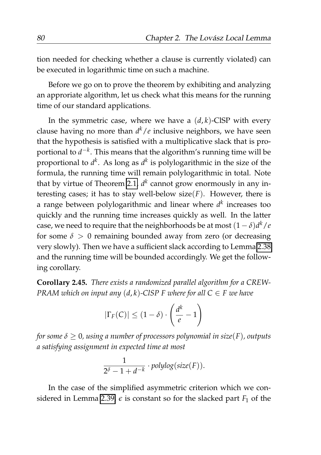tion needed for checking whether a clause is currently violated) can be executed in logarithmic time on such a machine.

Before we go on to prove the theorem by exhibiting and analyzing an approriate algorithm, let us check what this means for the running time of our standard applications.

In the symmetric case, where we have a  $(d, k)$ -ClSP with every clause having no more than *d <sup>k</sup>*/*e* inclusive neighbors, we have seen that the hypothesis is satisfied with a multiplicative slack that is proportional to *d* −*k* . This means that the algorithm's running time will be proportional to *d k* . As long as *d k* is polylogarithmic in the size of the formula, the running time will remain polylogarithmic in total. Note that by virtue of Theorem [2.1,](#page-39-0) *d k* cannot grow enormously in any interesting cases; it has to stay well-below size $(F)$ . However, there is a range between polylogarithmic and linear where *d k* increases too quickly and the running time increases quickly as well. In the latter case, we need to require that the neighborhoods be at most  $(1-\delta)d^k/e$ for some  $\delta > 0$  remaining bounded away from zero (or decreasing very slowly). Then we have a sufficient slack according to Lemma [2.38](#page-97-1) and the running time will be bounded accordingly. We get the following corollary.

**Corollary 2.45.** *There exists a randomized parallel algorithm for a CREW-PRAM which on input any*  $(d, k)$ *-ClSP F where for all*  $C \in F$  *we have* 

$$
|\Gamma_F(C)| \le (1-\delta) \cdot \left(\frac{d^k}{e} - 1\right)
$$

*for some*  $\delta \geq 0$ , using a number of processors polynomial in size(F), outputs *a satisfying assignment in expected time at most*

$$
\frac{1}{2^{\delta}-1+d^{-k}} \cdot polylog(size(F)).
$$

In the case of the simplified asymmetric criterion which we con-sidered in Lemma [2.39,](#page-98-0)  $\epsilon$  is constant so for the slacked part  $F_1$  of the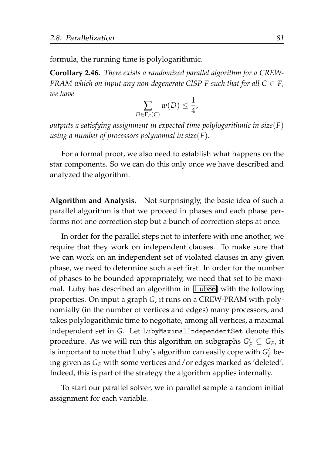formula, the running time is polylogarithmic.

<span id="page-102-0"></span>**Corollary 2.46.** *There exists a randomized parallel algorithm for a CREW-PRAM which on input any non-degenerate CISP F such that for all*  $C \in F$ *, we have*

$$
\sum_{D \in \Gamma_F(C)} w(D) \leq \frac{1}{4},
$$

*outputs a satisfying assignment in expected time polylogarithmic in size*(*F*) *using a number of processors polynomial in size*(*F*)*.*

For a formal proof, we also need to establish what happens on the star components. So we can do this only once we have described and analyzed the algorithm.

**Algorithm and Analysis.** Not surprisingly, the basic idea of such a parallel algorithm is that we proceed in phases and each phase performs not one correction step but a bunch of correction steps at once.

In order for the parallel steps not to interfere with one another, we require that they work on independent clauses. To make sure that we can work on an independent set of violated clauses in any given phase, we need to determine such a set first. In order for the number of phases to be bounded appropriately, we need that set to be maximal. Luby has described an algorithm in [\[Lub86\]](#page-209-1) with the following properties. On input a graph *G*, it runs on a CREW-PRAM with polynomially (in the number of vertices and edges) many processors, and takes polylogarithmic time to negotiate, among all vertices, a maximal independent set in *G*. Let LubyMaximalIndependentSet denote this procedure. As we will run this algorithm on subgraphs  $G_F' \subseteq G_F$ , it is important to note that Luby's algorithm can easily cope with  $G'_{F}$  being given as *G<sup>F</sup>* with some vertices and/or edges marked as 'deleted'. Indeed, this is part of the strategy the algorithm applies internally.

To start our parallel solver, we in parallel sample a random initial assignment for each variable.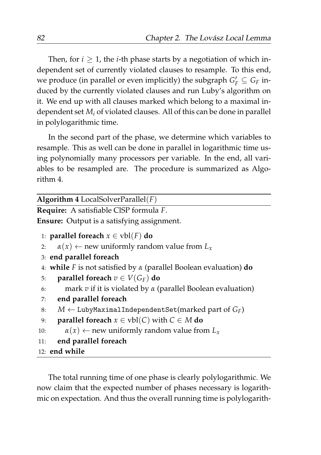Then, for  $i \geq 1$ , the *i*-th phase starts by a negotiation of which independent set of currently violated clauses to resample. To this end, we produce (in parallel or even implicitly) the subgraph  $G'_{F} \subseteq G_{F}$  induced by the currently violated clauses and run Luby's algorithm on it. We end up with all clauses marked which belong to a maximal independent set *M<sup>i</sup>* of violated clauses. All of this can be done in parallel in polylogarithmic time.

In the second part of the phase, we determine which variables to resample. This as well can be done in parallel in logarithmic time using polynomially many processors per variable. In the end, all variables to be resampled are. The procedure is summarized as Algorithm 4.

| Algorithm 4 LocalSolverParallel $(F)$                                      |
|----------------------------------------------------------------------------|
| Require: A satisfiable CISP formula F.                                     |
| <b>Ensure:</b> Output is a satisfying assignment.                          |
| 1: <b>parallel foreach</b> $x \in vbl(F)$ do                               |
| $\alpha(x) \leftarrow$ new uniformly random value from $L_x$<br>2:         |
| 3: end parallel foreach                                                    |
| 4: while F is not satisfied by $\alpha$ (parallel Boolean evaluation) do   |
| parallel foreach $v \in V(G_F)$ do<br>5:                                   |
| mark $v$ if it is violated by $\alpha$ (parallel Boolean evaluation)<br>6: |
| end parallel foreach<br>7:                                                 |
| $M \leftarrow$ LubyMaximalIndependentSet(marked part of $G_F$ )<br>8:      |
| <b>parallel foreach</b> $x \in vbl(C)$ with $C \in M$ do<br>9:             |
| $\alpha(x) \leftarrow$ new uniformly random value from $L_x$<br>10:        |
| end parallel foreach<br>11:                                                |
| $12:$ end while                                                            |
|                                                                            |

The total running time of one phase is clearly polylogarithmic. We now claim that the expected number of phases necessary is logarithmic on expectation. And thus the overall running time is polylogarith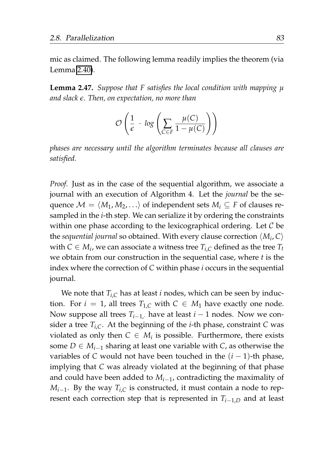mic as claimed. The following lemma readily implies the theorem (via Lemma [2.40\)](#page-98-1).

**Lemma 2.47.** *Suppose that F satisfies the local condition with mapping µ and slack ϵ. Then, on expectation, no more than*

$$
\mathcal{O}\left(\frac{1}{\epsilon} \cdot \log\left(\sum_{C \in F} \frac{\mu(C)}{1 - \mu(C)}\right)\right)
$$

*phases are necessary until the algorithm terminates because all clauses are satisfied.*

*Proof.* Just as in the case of the sequential algorithm, we associate a journal with an execution of Algorithm 4. Let the *journal* be the sequence  $\mathcal{M} = \langle M_1, M_2, \ldots \rangle$  of independent sets  $M_i \subseteq F$  of clauses resampled in the *i*-th step. We can serialize it by ordering the constraints within one phase according to the lexicographical ordering. Let  $C$  be the *sequential journal* so obtained. With every clause correction ⟨*M<sup>i</sup>* , *C*⟩ with  $C \in M_i$ , we can associate a witness tree  $T_{i,C}$  defined as the tree  $T_t$ we obtain from our construction in the sequential case, where *t* is the index where the correction of *C* within phase *i* occurs in the sequential journal.

We note that  $T_{i,C}$  has at least *i* nodes, which can be seen by induction. For  $i = 1$ , all trees  $T_{1,C}$  with  $C \in M_1$  have exactly one node. Now suppose all trees  $T_{i-1}$ , have at least  $i-1$  nodes. Now we consider a tree  $T_{i,C}$ . At the beginning of the *i*-th phase, constraint *C* was violated as only then  $C \in M_i$  is possible. Furthermore, there exists some *D* ∈  $M_{i-1}$  sharing at least one variable with *C*, as otherwise the variables of *C* would not have been touched in the (*i* − 1)-th phase, implying that *C* was already violated at the beginning of that phase and could have been added to *Mi*−<sup>1</sup> , contradicting the maximality of *Mi*−<sup>1</sup> . By the way *Ti*,*<sup>C</sup>* is constructed, it must contain a node to represent each correction step that is represented in  $T_{i-1,D}$  and at least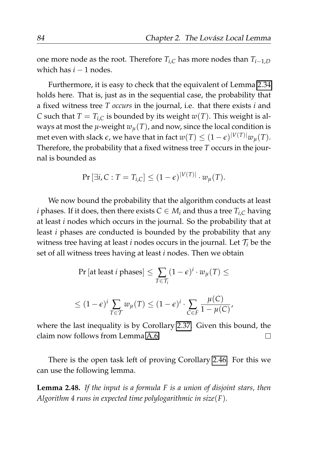one more node as the root. Therefore  $T_{i,C}$  has more nodes than  $T_{i-1,D}$ which has  $i - 1$  nodes.

Furthermore, it is easy to check that the equivalent of Lemma [2.34](#page-91-0) holds here. That is, just as in the sequential case, the probability that a fixed witness tree *T occurs* in the journal, i.e. that there exists *i* and *C* such that  $T = T_{i,C}$  is bounded by its weight  $w(T)$ . This weight is always at most the  $\mu$ -weight  $w_{\mu}(T)$ , and now, since the local condition is met even with slack  $\epsilon$ , we have that in fact  $w(T) \leq (1 - \epsilon)^{|V(T)|} w_{\mu}(T)$ . Therefore, the probability that a fixed witness tree *T* occurs in the journal is bounded as

$$
\Pr[\exists i, C : T = T_{i,C}] \le (1 - \epsilon)^{|V(T)|} \cdot w_{\mu}(T).
$$

We now bound the probability that the algorithm conducts at least *i* phases. If it does, then there exists  $C \in M_i$  and thus a tree  $T_{i,C}$  having at least *i* nodes which occurs in the journal. So the probability that at least *i* phases are conducted is bounded by the probability that any witness tree having at least *i* nodes occurs in the journal. Let  $\mathcal{T}_i$  be the set of all witness trees having at least *i* nodes. Then we obtain

$$
\begin{aligned} \Pr\left[\text{at least } i \text{ phases}\right] &\leq \sum_{T \in \mathcal{T}_i} (1 - \epsilon)^i \cdot w_{\mu}(T) \leq \\ &\leq (1 - \epsilon)^i \sum_{T \in \mathcal{T}} w_{\mu}(T) \leq (1 - \epsilon)^i \cdot \sum_{C \in F} \frac{\mu(C)}{1 - \mu(C)}, \end{aligned}
$$

where the last inequality is by Corollary [2.37.](#page-94-0) Given this bound, the claim now follows from Lemma [A.6.](#page-183-0)  $\Box$ 

There is the open task left of proving Corollary [2.46.](#page-102-0) For this we can use the following lemma.

<span id="page-105-0"></span>**Lemma 2.48.** *If the input is a formula F is a union of disjoint stars, then Algorithm 4 runs in expected time polylogarithmic in size*(*F*)*.*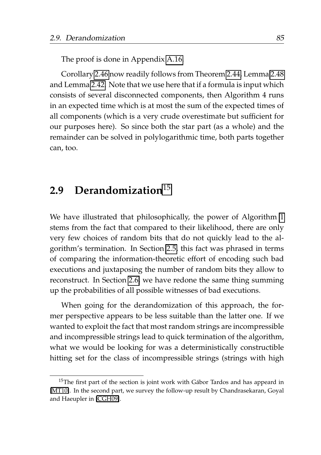The proof is done in Appendix [A.16.](#page-199-1)

Corollary [2.46](#page-102-0) now readily follows from Theorem [2.44,](#page-100-1) Lemma [2.48](#page-105-0) and Lemma [2.42.](#page-99-0) Note that we use here that if a formula is input which consists of several disconnected components, then Algorithm 4 runs in an expected time which is at most the sum of the expected times of all components (which is a very crude overestimate but sufficient for our purposes here). So since both the star part (as a whole) and the remainder can be solved in polylogarithmic time, both parts together can, too.

## **2.9 Derandomization**[15](#page-106-0)

We have illustrated that philosophically, the power of Algorithm [1](#page-64-1) stems from the fact that compared to their likelihood, there are only very few choices of random bits that do not quickly lead to the algorithm's termination. In Section [2.5,](#page-71-0) this fact was phrased in terms of comparing the information-theoretic effort of encoding such bad executions and juxtaposing the number of random bits they allow to reconstruct. In Section [2.6,](#page-84-2) we have redone the same thing summing up the probabilities of all possible witnesses of bad executions.

When going for the derandomization of this approach, the former perspective appears to be less suitable than the latter one. If we wanted to exploit the fact that most random strings are incompressible and incompressible strings lead to quick termination of the algorithm, what we would be looking for was a deterministically constructible hitting set for the class of incompressible strings (strings with high

<span id="page-106-0"></span><sup>&</sup>lt;sup>15</sup>The first part of the section is joint work with Gábor Tardos and has appeard in [\[MT10\]](#page-210-0). In the second part, we survey the follow-up result by Chandrasekaran, Goyal and Haeupler in [\[CGH09\]](#page-205-0).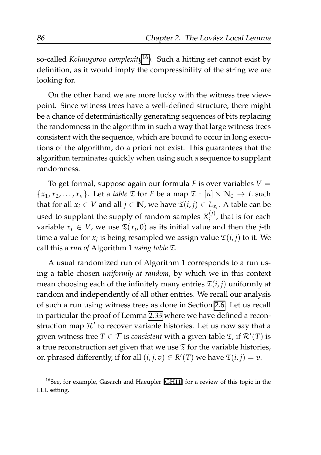so-called *Kolmogorov complexity*[16](#page-107-0)). Such a hitting set cannot exist by definition, as it would imply the compressibility of the string we are looking for.

On the other hand we are more lucky with the witness tree viewpoint. Since witness trees have a well-defined structure, there might be a chance of deterministically generating sequences of bits replacing the randomness in the algorithm in such a way that large witness trees consistent with the sequence, which are bound to occur in long executions of the algorithm, do a priori not exist. This guarantees that the algorithm terminates quickly when using such a sequence to supplant randomness.

To get formal, suppose again our formula  $F$  is over variables  $V =$  ${x_1, x_2, ..., x_n}$ . Let a *table*  $\mathfrak{T}$  for *F* be a map  $\mathfrak{T} : [n] \times \mathbb{N}_0 \to L$  such that for all  $x_i \in V$  and all  $j \in \mathbb{N}$ , we have  $\mathfrak{T}(i, j) \in L_{x_i}$ . A table can be used to supplant the supply of random samples  $X_i^{(j)}$  $i^{\prime\prime}$ , that is for each variable  $x_i \in V$ , we use  $\mathfrak{T}(x_i, 0)$  as its initial value and then the *j*-th time a value for  $x_i$  is being resampled we assign value  $\mathfrak{T}(i, j)$  to it. We call this a *run of* Algorithm 1 *using table* T.

A usual randomized run of Algorithm 1 corresponds to a run using a table chosen *uniformly at random*, by which we in this context mean choosing each of the infinitely many entries  $\mathfrak{T}(i, j)$  uniformly at random and independently of all other entries. We recall our analysis of such a run using witness trees as done in Section [2.6.](#page-84-2) Let us recall in particular the proof of Lemma [2.33](#page-89-0) where we have defined a reconstruction map  $\mathcal{R}'$  to recover variable histories. Let us now say that a given witness tree  $T \in \mathcal{T}$  is *consistent* with a given table  $\mathfrak{T}$ , if  $\mathcal{R}'(T)$  is a true reconstruction set given that we use  $\mathfrak T$  for the variable histories, or, phrased differently, if for all  $(i, j, v) \in R'(T)$  we have  $\mathfrak{T}(i, j) = v$ .

<span id="page-107-0"></span><sup>16</sup>See, for example, Gasarch and Haeupler [\[GH11\]](#page-207-0) for a review of this topic in the LLL setting.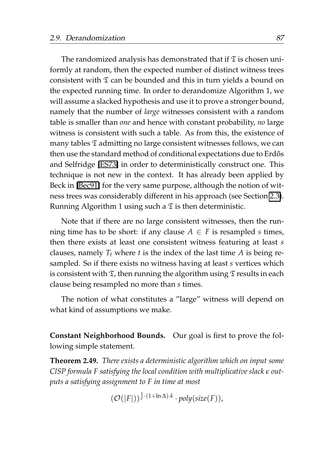The randomized analysis has demonstrated that if  $\mathfrak T$  is chosen uniformly at random, then the expected number of distinct witness trees consistent with  $\mathfrak T$  can be bounded and this in turn yields a bound on the expected running time. In order to derandomize Algorithm 1, we will assume a slacked hypothesis and use it to prove a stronger bound, namely that the number of *large* witnesses consistent with a random table is smaller than *one* and hence with constant probability, *no* large witness is consistent with such a table. As from this, the existence of many tables  $\mathfrak T$  admitting no large consistent witnesses follows, we can then use the standard method of conditional expectations due to Erdős and Selfridge [\[ES73\]](#page-206-0) in order to deterministically construct one. This technique is not new in the context. It has already been applied by Beck in [\[Bec91\]](#page-205-0) for the very same purpose, although the notion of witness trees was considerably different in his approach (see Section [2.3\)](#page-55-0). Running Algorithm 1 using such a  $\mathfrak T$  is then deterministic.

Note that if there are no large consistent witnesses, then the running time has to be short: if any clause  $A \in F$  is resampled *s* times, then there exists at least one consistent witness featuring at least *s* clauses, namely  $T_t$  where  $t$  is the index of the last time  $A$  is being resampled. So if there exists no witness having at least *s* vertices which is consistent with  $\mathfrak{T}$ , then running the algorithm using  $\mathfrak{T}$  results in each clause being resampled no more than *s* times.

The notion of what constitutes a "large" witness will depend on what kind of assumptions we make.

**Constant Neighborhood Bounds.** Our goal is first to prove the following simple statement.

<span id="page-108-0"></span>**Theorem 2.49.** *There exists a deterministic algorithm which on input some ClSP formula F satisfying the local condition with multiplicative slack ϵ outputs a satisfying assignment to F in time at most*

$$
(\mathcal{O}(|F|))^{\frac{1}{\epsilon} \cdot (1 + \ln \Delta) \cdot k} \cdot poly(size(F)),
$$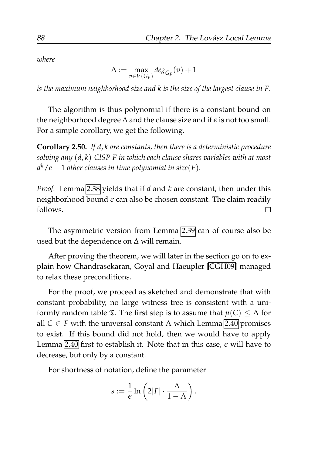*where*

 $\Delta := \max_{\mathbf{U} \in \mathcal{C}}$  $\max_{v \in V(G_F)} deg_{G_F}(v) + 1$ 

*is the maximum neighborhood size and k is the size of the largest clause in F.*

The algorithm is thus polynomial if there is a constant bound on the neighborhood degree ∆ and the clause size and if *ϵ* is not too small. For a simple corollary, we get the following.

<span id="page-109-0"></span>**Corollary 2.50.** *If d*, *k are constants, then there is a deterministic procedure solving any* (*d*, *k*)*-ClSP F in which each clause shares variables with at most d <sup>k</sup>*/*e* − 1 *other clauses in time polynomial in size*(*F*)*.*

*Proof.* Lemma [2.38](#page-97-0) yields that if *d* and *k* are constant, then under this neighborhood bound *ϵ* can also be chosen constant. The claim readily follows.  $\Box$ 

The asymmetric version from Lemma [2.39](#page-98-0) can of course also be used but the dependence on  $\Delta$  will remain.

After proving the theorem, we will later in the section go on to explain how Chandrasekaran, Goyal and Haeupler [\[CGH09\]](#page-205-1) managed to relax these preconditions.

For the proof, we proceed as sketched and demonstrate that with constant probability, no large witness tree is consistent with a uniformly random table  $\mathfrak{T}$ . The first step is to assume that  $\mu(C) \leq \Lambda$  for all  $C \in F$  with the universal constant  $\Lambda$  which Lemma [2.40](#page-98-1) promises to exist. If this bound did not hold, then we would have to apply Lemma [2.40](#page-98-1) first to establish it. Note that in this case,  $\epsilon$  will have to decrease, but only by a constant.

For shortness of notation, define the parameter

$$
s:=\frac{1}{\epsilon}\ln\left(2|F|\cdot\frac{\Lambda}{1-\Lambda}\right).
$$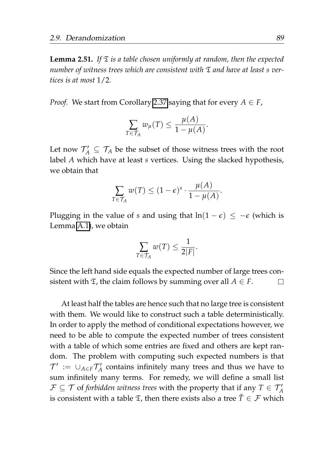<span id="page-110-0"></span>**Lemma 2.51.** If  $\mathfrak{T}$  *is a table chosen uniformly at random, then the expected number of witness trees which are consistent with* T *and have at least s vertices is at most* 1/2*.*

*Proof.* We start from Corollary [2.37](#page-94-0) saying that for every  $A \in F$ ,

$$
\sum_{T \in \mathcal{T}_A} w_{\mu}(T) \leq \frac{\mu(A)}{1 - \mu(A)}.
$$

Let now  $\mathcal{T}_A' \subseteq \mathcal{T}_A$  be the subset of those witness trees with the root label *A* which have at least *s* vertices. Using the slacked hypothesis, we obtain that

$$
\sum_{T \in \mathcal{T}_A} w(T) \le (1 - \epsilon)^s \cdot \frac{\mu(A)}{1 - \mu(A)}.
$$

Plugging in the value of *s* and using that  $ln(1 - \epsilon) \leq -\epsilon$  (which is Lemma [A.1\)](#page-176-0), we obtain

$$
\sum_{T \in \mathcal{T}_A} w(T) \leq \frac{1}{2|F|}.
$$

Since the left hand side equals the expected number of large trees consistent with  $\mathfrak{T}$ , the claim follows by summing over all  $A \in F$ .  $\Box$ 

At least half the tables are hence such that no large tree is consistent with them. We would like to construct such a table deterministically. In order to apply the method of conditional expectations however, we need to be able to compute the expected number of trees consistent with a table of which some entries are fixed and others are kept random. The problem with computing such expected numbers is that  $\mathcal{T}' := \cup_{A \in F} \mathcal{T}'_A$  contains infinitely many trees and thus we have to sum infinitely many terms. For remedy, we will define a small list  $\mathcal{F} \subseteq \mathcal{T}$  of *forbidden witness trees* with the property that if any  $T \in \mathcal{T}_A'$ is consistent with a table  $\mathfrak{T}$ , then there exists also a tree  $\tilde{T} \in \mathcal{F}$  which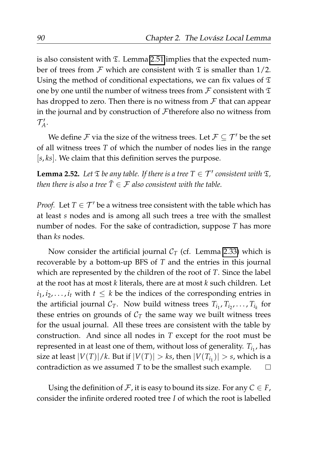is also consistent with  $\Sigma$ . Lemma [2.51](#page-110-0) implies that the expected number of trees from  $\mathcal F$  which are consistent with  $\mathfrak T$  is smaller than 1/2. Using the method of conditional expectations, we can fix values of  $\mathfrak T$ one by one until the number of witness trees from  $\mathcal F$  consistent with  $\mathfrak T$ has dropped to zero. Then there is no witness from  $\mathcal F$  that can appear in the journal and by construction of Ftherefore also no witness from  $\mathcal{T}'_A$ .

We define  $\mathcal F$  via the size of the witness trees. Let  $\mathcal F \subseteq \mathcal T'$  be the set of all witness trees *T* of which the number of nodes lies in the range [*s*, *ks*]. We claim that this definition serves the purpose.

<span id="page-111-0"></span>**Lemma 2.52.** Let  $\mathfrak T$  *be any table. If there is a tree*  $T \in \mathcal T'$  consistent with  $\mathfrak T$ *, then there is also a tree*  $\tilde{T} \in \mathcal{F}$  *also consistent with the table.* 

*Proof.* Let  $T \in \mathcal{T}'$  be a witness tree consistent with the table which has at least *s* nodes and is among all such trees a tree with the smallest number of nodes. For the sake of contradiction, suppose *T* has more than *ks* nodes.

Now consider the artificial journal  $C_T$  (cf. Lemma [2.33\)](#page-89-0) which is recoverable by a bottom-up BFS of *T* and the entries in this journal which are represented by the children of the root of *T*. Since the label at the root has at most *k* literals, there are at most *k* such children. Let  $i_1, i_2, \ldots, i_t$  with  $t \leq k$  be the indices of the corresponding entries in the artificial journal  $C_T$ . Now build witness trees  $T_{i_1}, T_{i_2}, \ldots, T_{i_k}$  for these entries on grounds of  $C_T$  the same way we built witness trees for the usual journal. All these trees are consistent with the table by construction. And since all nodes in *T* except for the root must be represented in at least one of them, without loss of generality.  $T_{i_1}$ , has size at least  $|V(T)|/k$ . But if  $|V(T)| > k$ s, then  $|V(T_{i_1})| > s$ , which is a contradiction as we assumed *T* to be the smallest such example.  $\Box$ 

Using the definition of  $\mathcal F$ , it is easy to bound its size. For any  $C \in F$ , consider the infinite ordered rooted tree *I* of which the root is labelled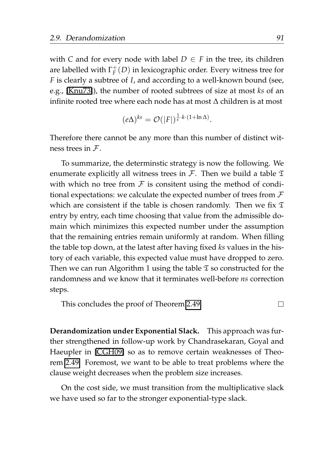with *C* and for every node with label  $D \in F$  in the tree, its children are labelled with  $\Gamma^+_F(D)$  in lexicographic order. Every witness tree for *F* is clearly a subtree of *I*, and according to a well-known bound (see, e.g., [\[Knu73\]](#page-208-0)), the number of rooted subtrees of size at most *ks* of an infinite rooted tree where each node has at most ∆ children is at most

$$
(e\Delta)^{ks} = \mathcal{O}(|F|)^{\frac{1}{\epsilon} \cdot k \cdot (1 + \ln \Delta)}.
$$

Therefore there cannot be any more than this number of distinct witness trees in F.

To summarize, the determinstic strategy is now the following. We enumerate explicitly all witness trees in  $\mathcal F$ . Then we build a table  $\mathfrak T$ with which no tree from  $F$  is consitent using the method of conditional expectations: we calculate the expected number of trees from  $\mathcal F$ which are consistent if the table is chosen randomly. Then we fix  $\mathfrak T$ entry by entry, each time choosing that value from the admissible domain which minimizes this expected number under the assumption that the remaining entries remain uniformly at random. When filling the table top down, at the latest after having fixed *ks* values in the history of each variable, this expected value must have dropped to zero. Then we can run Algorithm 1 using the table  $\mathfrak T$  so constructed for the randomness and we know that it terminates well-before *ns* correction steps.

This concludes the proof of Theorem [2.49.](#page-108-0) П

**Derandomization under Exponential Slack.** This approach was further strengthened in follow-up work by Chandrasekaran, Goyal and Haeupler in [\[CGH09\]](#page-205-1) so as to remove certain weaknesses of Theorem [2.49.](#page-108-0) Foremost, we want to be able to treat problems where the clause weight decreases when the problem size increases.

On the cost side, we must transition from the multiplicative slack we have used so far to the stronger exponential-type slack.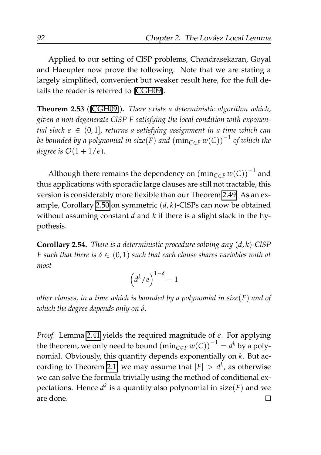Applied to our setting of ClSP problems, Chandrasekaran, Goyal and Haeupler now prove the following. Note that we are stating a largely simplified, convenient but weaker result here, for the full details the reader is referred to [\[CGH09\]](#page-205-1).

**Theorem 2.53** ([\[CGH09\]](#page-205-1))**.** *There exists a deterministic algorithm which, given a non-degenerate ClSP F satisfying the local condition with exponential slack ϵ* ∈ (0, 1]*, returns a satisfying assignment in a time which can be bounded by a polynomial in size*(*F*) *and* (min*C*∈*<sup>F</sup> w*(*C*)) −1 *of which the degree is*  $\mathcal{O}(1+1/\epsilon)$ *.* 

Although there remains the dependency on  $(\min_{C\in F} w(C))^{-1}$  and thus applications with sporadic large clauses are still not tractable, this version is considerably more flexible than our Theorem [2.49.](#page-108-0) As an example, Corollary [2.50](#page-109-0) on symmetric (*d*, *k*)-ClSPs can now be obtained without assuming constant *d* and *k* if there is a slight slack in the hypothesis.

**Corollary 2.54.** *There is a deterministic procedure solving any* (*d*, *k*)*-ClSP F* such that there is  $\delta \in (0,1)$  such that each clause shares variables with at *most*

$$
\left(d^k/e\right)^{1-\delta}-1
$$

*other clauses, in a time which is bounded by a polynomial in size*(*F*) *and of which the degree depends only on δ.*

*Proof.* Lemma [2.41](#page-99-0) yields the required magnitude of *ϵ*. For applying the theorem, we only need to bound  $(\min_{C \in F} w(C))^{-1} = d^k$  by a polynomial. Obviously, this quantity depends exponentially on *k*. But ac-cording to Theorem [2.1,](#page-39-0) we may assume that  $|F| > d^k$ , as otherwise we can solve the formula trivially using the method of conditional expectations. Hence *d k* is a quantity also polynomial in size(*F*) and we are done. $\Box$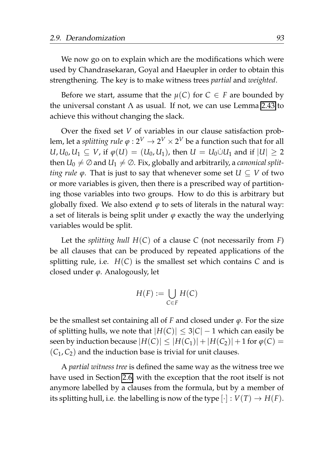We now go on to explain which are the modifications which were used by Chandrasekaran, Goyal and Haeupler in order to obtain this strengthening. The key is to make witness trees *partial* and *weighted*.

Before we start, assume that the  $\mu(C)$  for  $C \in F$  are bounded by the universal constant  $\Lambda$  as usual. If not, we can use Lemma [2.43](#page-99-1) to achieve this without changing the slack.

Over the fixed set *V* of variables in our clause satisfaction problem, let a  $\textit{splitting rule} \; \varphi: 2^V \rightarrow 2^V \times 2^V$  be a function such that for all *U*, *U*<sub>0</sub>, *U*<sub>1</sub> ⊆ *V*, if  $\varphi$ (*U*) = (*U*<sub>0</sub>, *U*<sub>1</sub>), then *U* = *U*<sub>0</sub>∪*U*<sub>1</sub> and if |*U*| > 2 then  $U_0 \neq \emptyset$  and  $U_1 \neq \emptyset$ . Fix, globally and arbitrarily, a *canonical splitting rule*  $\varphi$ . That is just to say that whenever some set  $U \subseteq V$  of two or more variables is given, then there is a prescribed way of partitioning those variables into two groups. How to do this is arbitrary but globally fixed. We also extend  $\varphi$  to sets of literals in the natural way: a set of literals is being split under  $\varphi$  exactly the way the underlying variables would be split.

Let the *splitting hull H*(*C*) of a clause *C* (not necessarily from *F*) be all clauses that can be produced by repeated applications of the splitting rule, i.e.  $H(C)$  is the smallest set which contains  $C$  and is closed under *ϕ*. Analogously, let

$$
H(F) := \bigcup_{C \in F} H(C)
$$

be the smallest set containing all of *F* and closed under *ϕ*. For the size of splitting hulls, we note that  $|H(C)| \leq 3|C| - 1$  which can easily be seen by induction because  $|H(C)| \leq |H(C_1)| + |H(C_2)| + 1$  for  $\varphi(C) =$  $(C_1, C_2)$  and the induction base is trivial for unit clauses.

A *partial witness tree* is defined the same way as the witness tree we have used in Section [2.6,](#page-84-0) with the exception that the root itself is not anymore labelled by a clauses from the formula, but by a member of its splitting hull, i.e. the labelling is now of the type  $[\cdot] : V(T) \to H(F)$ .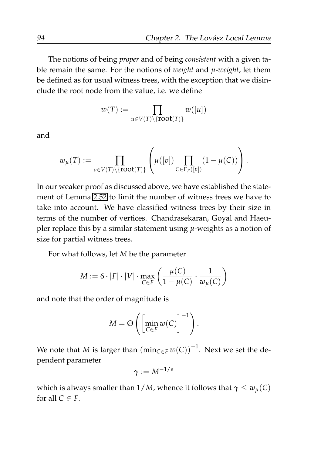The notions of being *proper* and of being *consistent* with a given table remain the same. For the notions of *weight* and *µ*-*weight*, let them be defined as for usual witness trees, with the exception that we disinclude the root node from the value, i.e. we define

$$
w(T) := \prod_{u \in V(T) \setminus \{\textbf{root}(T)\}} w([u])
$$

and

$$
w_{\mu}(T) := \prod_{v \in V(T) \setminus \{\text{root}(T)\}} \left(\mu([v]) \prod_{C \in \Gamma_F([v])} (1 - \mu(C))\right).
$$

In our weaker proof as discussed above, we have established the statement of Lemma [2.52](#page-111-0) to limit the number of witness trees we have to take into account. We have classified witness trees by their size in terms of the number of vertices. Chandrasekaran, Goyal and Haeupler replace this by a similar statement using *µ*-weights as a notion of size for partial witness trees.

For what follows, let *M* be the parameter

$$
M := 6 \cdot |F| \cdot |V| \cdot \max_{C \in F} \left( \frac{\mu(C)}{1 - \mu(C)} \cdot \frac{1}{w_{\mu}(C)} \right)
$$

and note that the order of magnitude is

$$
M = \Theta\left(\left[\min_{C \in F} w(C)\right]^{-1}\right).
$$

We note that  $M$  is larger than  $(\min_{C \in F} w(C))^{-1}$ . Next we set the dependent parameter

$$
\gamma:=M^{-1/\epsilon}
$$

which is always smaller than  $1/M$ , whence it follows that  $\gamma \leq w_{\mu}(C)$ for all  $C \in F$ .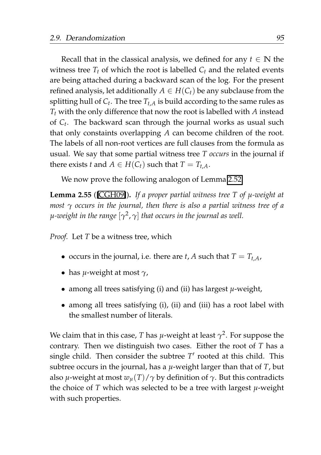Recall that in the classical analysis, we defined for any  $t \in \mathbb{N}$  the witness tree  $T_t$  of which the root is labelled  $C_t$  and the related events are being attached during a backward scan of the log. For the present refined analysis, let additionally  $A \in H(C_t)$  be any subclause from the splitting hull of  $C_t$ . The tree  $T_{t,A}$  is build according to the same rules as *T<sup>t</sup>* with the only difference that now the root is labelled with *A* instead of *C<sup>t</sup>* . The backward scan through the journal works as usual such that only constaints overlapping *A* can become children of the root. The labels of all non-root vertices are full clauses from the formula as usual. We say that some partial witness tree *T occurs* in the journal if there exists *t* and  $A \in H(C_t)$  such that  $T = T_{t,A}$ .

We now prove the following analogon of Lemma [2.52.](#page-111-0)

**Lemma 2.55** ([\[CGH09\]](#page-205-1))**.** *If a proper partial witness tree T of µ-weight at most γ occurs in the journal, then there is also a partial witness tree of a µ-weight in the range* [*γ* 2 , *γ*] *that occurs in the journal as well.*

*Proof.* Let *T* be a witness tree, which

- occurs in the journal, i.e. there are *t*, *A* such that  $T = T_{tA}$ ,
- has *µ*-weight at most *γ*,
- among all trees satisfying (i) and (ii) has largest *µ*-weight,
- among all trees satisfying (i), (ii) and (iii) has a root label with the smallest number of literals.

We claim that in this case, *T* has *µ*-weight at least *γ* 2 . For suppose the contrary. Then we distinguish two cases. Either the root of *T* has a single child. Then consider the subtree  $T'$  rooted at this child. This subtree occurs in the journal, has a *µ*-weight larger than that of *T*, but also *µ*-weight at most  $w_u(T)/\gamma$  by definition of  $\gamma$ . But this contradicts the choice of *T* which was selected to be a tree with largest *µ*-weight with such properties.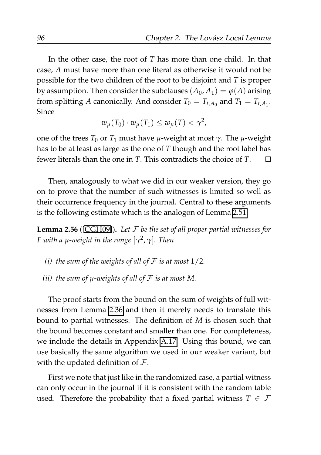In the other case, the root of *T* has more than one child. In that case, *A* must have more than one literal as otherwise it would not be possible for the two children of the root to be disjoint and *T* is proper by assumption. Then consider the subclauses  $(A_0, A_1) = \varphi(A)$  arising from splitting *A* canonically. And consider  $T_0 = T_{t,A_0}$  and  $T_1 = T_{t,A_1}$ . Since

$$
w_{\mu}(T_0)\cdot w_{\mu}(T_1)\leq w_{\mu}(T)<\gamma^2,
$$

one of the trees  $T_0$  or  $T_1$  must have *μ*-weight at most  $γ$ . The *μ*-weight has to be at least as large as the one of *T* though and the root label has fewer literals than the one in *T*. This contradicts the choice of *T*.  $\Box$ 

Then, analogously to what we did in our weaker version, they go on to prove that the number of such witnesses is limited so well as their occurrence frequency in the journal. Central to these arguments is the following estimate which is the analogon of Lemma [2.51.](#page-110-0)

<span id="page-117-0"></span>**Lemma 2.56** ([\[CGH09\]](#page-205-1))**.** *Let* F *be the set of all proper partial witnesses for F with a µ-weight in the range* [*γ* 2 , *γ*]*. Then*

- *(i) the sum of the weights of all of*  $F$  *is at most*  $1/2$ *.*
- *(ii) the sum of*  $\mu$ *-weights of all of*  $\mathcal F$  *is at most M.*

The proof starts from the bound on the sum of weights of full witnesses from Lemma [2.36](#page-93-0) and then it merely needs to translate this bound to partial witnesses. The definition of *M* is chosen such that the bound becomes constant and smaller than one. For completeness, we include the details in Appendix [A.17.](#page-200-0) Using this bound, we can use basically the same algorithm we used in our weaker variant, but with the updated definition of  $\mathcal{F}$ .

First we note that just like in the randomized case, a partial witness can only occur in the journal if it is consistent with the random table used. Therefore the probability that a fixed partial witness  $T \in \mathcal{F}$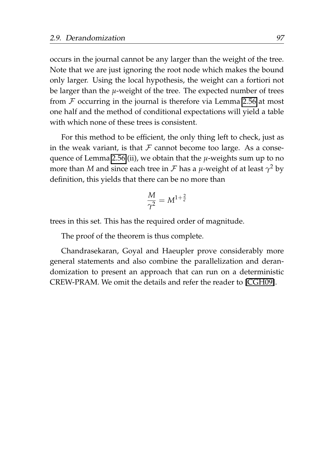occurs in the journal cannot be any larger than the weight of the tree. Note that we are just ignoring the root node which makes the bound only larger. Using the local hypothesis, the weight can a fortiori not be larger than the *µ*-weight of the tree. The expected number of trees from  $F$  occurring in the journal is therefore via Lemma [2.56](#page-117-0) at most one half and the method of conditional expectations will yield a table with which none of these trees is consistent.

For this method to be efficient, the only thing left to check, just as in the weak variant, is that  $\mathcal F$  cannot become too large. As a consequence of Lemma [2.56.](#page-117-0)(ii), we obtain that the *µ*-weights sum up to no more than *M* and since each tree in F has a *µ*-weight of at least *γ* <sup>2</sup> by definition, this yields that there can be no more than

$$
\frac{M}{\gamma^2}=M^{1+\frac{2}{\varepsilon}}
$$

trees in this set. This has the required order of magnitude.

The proof of the theorem is thus complete.

Chandrasekaran, Goyal and Haeupler prove considerably more general statements and also combine the parallelization and derandomization to present an approach that can run on a deterministic CREW-PRAM. We omit the details and refer the reader to [\[CGH09\]](#page-205-1).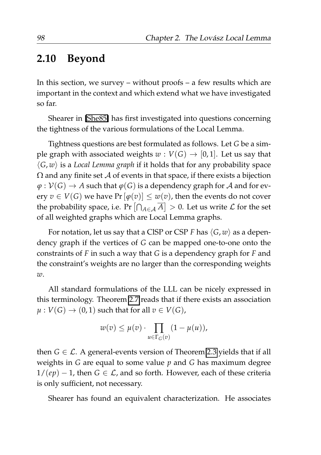#### **2.10 Beyond**

In this section, we survey – without proofs – a few results which are important in the context and which extend what we have investigated so far.

Shearer in [\[She85\]](#page-212-0) has first investigated into questions concerning the tightness of the various formulations of the Local Lemma.

Tightness questions are best formulated as follows. Let *G* be a simple graph with associated weights  $w: V(G) \rightarrow [0, 1]$ . Let us say that  $\langle G, w \rangle$  is a *Local Lemma graph* if it holds that for any probability space  $\Omega$  and any finite set  $\mathcal A$  of events in that space, if there exists a bijection  $\varphi : V(G) \to A$  such that  $\varphi(G)$  is a dependency graph for A and for every  $v \in V(G)$  we have  $Pr[\varphi(v)] \leq w(v)$ , then the events do not cover the probability space, i.e. Pr  $\left[\bigcap_{A\in\mathcal{A}}\overline{A}\right]>0$ . Let us write  $\mathcal L$  for the set of all weighted graphs which are Local Lemma graphs.

For notation, let us say that a CISP or CSP *F* has  $\langle G, w \rangle$  as a dependency graph if the vertices of *G* can be mapped one-to-one onto the constraints of *F* in such a way that *G* is a dependency graph for *F* and the constraint's weights are no larger than the corresponding weights *w*.

All standard formulations of the LLL can be nicely expressed in this terminology. Theorem [2.7](#page-45-0) reads that if there exists an association  $\mu: V(G) \to (0, 1)$  such that for all  $v \in V(G)$ ,

$$
w(v) \leq \mu(v) \cdot \prod_{u \in \Gamma_G(v)} (1 - \mu(u)),
$$

then  $G \in \mathcal{L}$ . A general-events version of Theorem [2.3](#page-41-0) yields that if all weights in *G* are equal to some value *p* and *G* has maximum degree  $1/(ep) - 1$ , then  $G \in \mathcal{L}$ , and so forth. However, each of these criteria is only sufficient, not necessary.

Shearer has found an equivalent characterization. He associates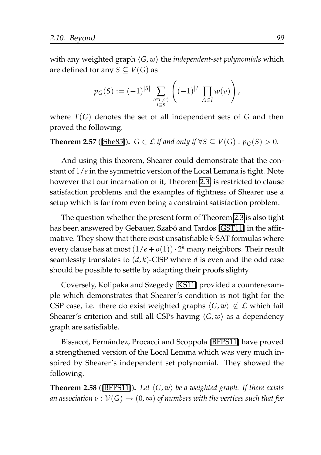with any weighted graph ⟨*G*, *w*⟩ the *independent-set polynomials* which are defined for any  $S \subseteq V(G)$  as

$$
p_G(S) := (-1)^{|S|} \sum_{\substack{I \in T(G) \\ I \supseteq S}} \left( (-1)^{|I|} \prod_{A \in I} w(v) \right),
$$

where *T*(*G*) denotes the set of all independent sets of *G* and then proved the following.

#### **Theorem 2.57** ([\[She85\]](#page-212-0)).  $G \in \mathcal{L}$  *if and only if*  $\forall S \subseteq V(G) : p_G(S) > 0$ *.*

And using this theorem, Shearer could demonstrate that the constant of 1/*e* in the symmetric version of the Local Lemma is tight. Note however that our incarnation of it, Theorem [2.3,](#page-41-0) is restricted to clause satisfaction problems and the examples of tightness of Shearer use a setup which is far from even being a constraint satisfaction problem.

The question whether the present form of Theorem [2.3](#page-41-0) is also tight has been answered by Gebauer, Szabó and Tardos [\[GST11\]](#page-207-0) in the affirmative. They show that there exist unsatisfiable *k*-SAT formulas where every clause has at most (1/*e* + *o*(1))· 2 *<sup>k</sup>* many neighbors. Their result seamlessly translates to (*d*, *k*)-ClSP where *d* is even and the odd case should be possible to settle by adapting their proofs slighty.

Coversely, Kolipaka and Szegedy [\[KS11\]](#page-209-0) provided a counterexample which demonstrates that Shearer's condition is not tight for the CSP case, i.e. there do exist weighted graphs  $\langle G, w \rangle \notin \mathcal{L}$  which fail Shearer's criterion and still all CSPs having  $\langle G, w \rangle$  as a dependency graph are satisfiable.

Bissacot, Fernández, Procacci and Scoppola [\[BFPS11\]](#page-205-2) have proved a strengthened version of the Local Lemma which was very much inspired by Shearer's independent set polynomial. They showed the following.

<span id="page-120-0"></span>**Theorem 2.58** ([\[BFPS11\]](#page-205-2)). Let  $\langle G, w \rangle$  be a weighted graph. If there exists *an association*  $v : V(G) \to (0, \infty)$  *of numbers with the vertices such that for*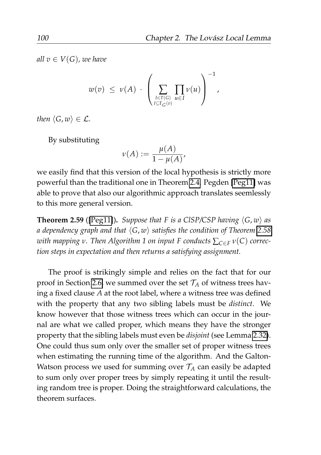*all*  $v \in V(G)$ *, we have* 

$$
w(v) \leq v(A) \cdot \left(\sum_{I \in T(G) \atop I \subseteq \Gamma_G(v)} \prod_{u \in I} v(u)\right)^{-1},
$$

*then*  $\langle G, w \rangle \in \mathcal{L}$ *.* 

By substituting

$$
\nu(A) := \frac{\mu(A)}{1 - \mu(A)},
$$

we easily find that this version of the local hypothesis is strictly more powerful than the traditional one in Theorem [2.4.](#page-42-0) Pegden [\[Peg11\]](#page-211-0) was able to prove that also our algorithmic approach translates seemlessly to this more general version.

**Theorem 2.59** ([\[Peg11\]](#page-211-0)). *Suppose that F is a CISP/CSP having*  $\langle G, w \rangle$  *as a dependency graph and that* ⟨*G*, *w*⟩ *satisfies the condition of Theorem [2.58](#page-120-0) with mapping ν. Then Algorithm 1 on input F conducts*  $\sum_{C \in F} v(C)$  *correction steps in expectation and then returns a satisfying assignment.*

The proof is strikingly simple and relies on the fact that for our proof in Section [2.6,](#page-84-0) we summed over the set  $\mathcal{T}_A$  of witness trees having a fixed clause *A* at the root label, where a witness tree was defined with the property that any two sibling labels must be *distinct*. We know however that those witness trees which can occur in the journal are what we called proper, which means they have the stronger property that the sibling labels must even be *disjoint* (see Lemma [2.32\)](#page-87-0). One could thus sum only over the smaller set of proper witness trees when estimating the running time of the algorithm. And the Galton-Watson process we used for summing over  $\mathcal{T}_A$  can easily be adapted to sum only over proper trees by simply repeating it until the resulting random tree is proper. Doing the straightforward calculations, the theorem surfaces.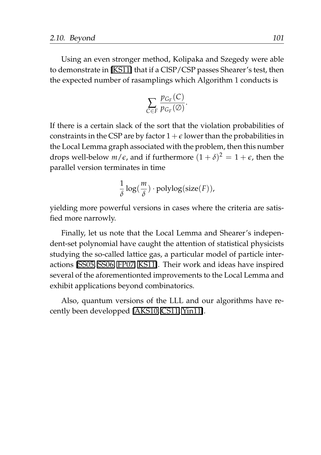Using an even stronger method, Kolipaka and Szegedy were able to demonstrate in [\[KS11\]](#page-209-0) that if a ClSP/CSP passes Shearer's test, then the expected number of rasamplings which Algorithm 1 conducts is

$$
\sum_{C\in F}\frac{p_{G_F}(C)}{p_{G_F}(\varnothing)}.
$$

If there is a certain slack of the sort that the violation probabilities of constraints in the CSP are by factor  $1+\epsilon$  lower than the probabilities in the Local Lemma graph associated with the problem, then this number drops well-below  $m/\epsilon$ , and if furthermore  $(1 + \delta)^2 = 1 + \epsilon$ , then the parallel version terminates in time

$$
\frac{1}{\delta}\log(\frac{m}{\delta})\cdot\operatorname{polylog}(\operatorname{size}(F)),
$$

yielding more powerful versions in cases where the criteria are satisfied more narrowly.

Finally, let us note that the Local Lemma and Shearer's independent-set polynomial have caught the attention of statistical physicists studying the so-called lattice gas, a particular model of particle interactions [\[SS05,](#page-212-1) [SS06,](#page-212-2) [FP07,](#page-207-1) [KS11\]](#page-209-0). Their work and ideas have inspired several of the aforementionted improvements to the Local Lemma and exhibit applications beyond combinatorics.

Also, quantum versions of the LLL and our algorithms have recently been developped [\[AKS10,](#page-204-0) [CS11,](#page-206-1) [Yin11\]](#page-213-0).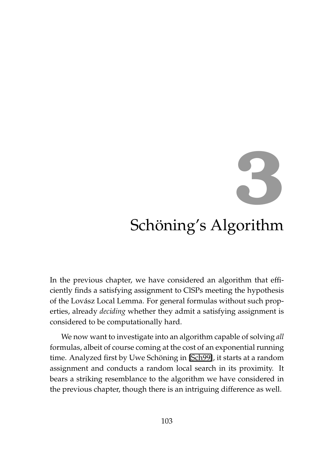# **3**

# Schöning's Algorithm

In the previous chapter, we have considered an algorithm that efficiently finds a satisfying assignment to ClSPs meeting the hypothesis of the Lovász Local Lemma. For general formulas without such properties, already *deciding* whether they admit a satisfying assignment is considered to be computationally hard.

We now want to investigate into an algorithm capable of solving *all* formulas, albeit of course coming at the cost of an exponential running time. Analyzed first by Uwe Schöning in [\[Sch99\]](#page-211-1), it starts at a random assignment and conducts a random local search in its proximity. It bears a striking resemblance to the algorithm we have considered in the previous chapter, though there is an intriguing difference as well.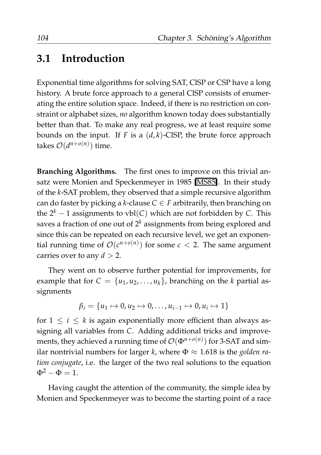#### **3.1 Introduction**

Exponential time algorithms for solving SAT, ClSP or CSP have a long history. A brute force approach to a general ClSP consists of enumerating the entire solution space. Indeed, if there is no restriction on constraint or alphabet sizes, *no* algorithm known today does substantially better than that. To make any real progress, we at least require some bounds on the input. If *F* is a (*d*, *k*)-ClSP, the brute force approach takes  $\mathcal{O}(d^{n+o(n)})$  time.

**Branching Algorithms.** The first ones to improve on this trivial ansatz were Monien and Speckenmeyer in 1985 [\[MS85\]](#page-210-0). In their study of the *k*-SAT problem, they observed that a simple recursive algorithm can do faster by picking a *k*-clause  $C \in F$  arbitrarily, then branching on the  $2^k - 1$  assignments to vbl(*C*) which are not forbidden by *C*. This saves a fraction of one out of  $2<sup>k</sup>$  assignments from being explored and since this can be repeated on each recursive level, we get an exponential running time of  $\mathcal{O}(c^{n+o(n)})$  for some  $c < 2$ . The same argument carries over to any  $d > 2$ .

They went on to observe further potential for improvements, for example that for  $C = \{u_1, u_2, \ldots, u_k\}$ , branching on the *k* partial assignments

$$
\beta_i = \{u_1 \mapsto 0, u_2 \mapsto 0, \dots, u_{i-1} \mapsto 0, u_i \mapsto 1\}
$$

for  $1 \leq i \leq k$  is again exponentially more efficient than always assigning all variables from *C*. Adding additional tricks and improvements, they achieved a running time of  $\mathcal{O}(\Phi^{n+o(n)})$  for 3-SAT and similar nontrivial numbers for larger *k*, where  $\Phi \approx 1.618$  is the *golden ration conjugate*, i.e. the larger of the two real solutions to the equation  $\Phi^2 - \Phi = 1.$ 

Having caught the attention of the community, the simple idea by Monien and Speckenmeyer was to become the starting point of a race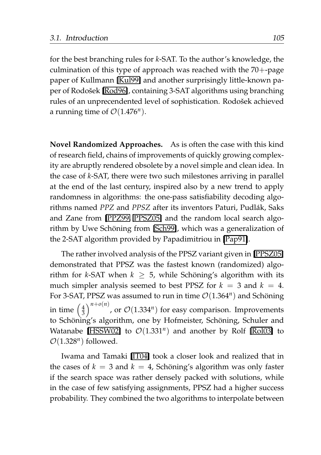for the best branching rules for *k*-SAT. To the author's knowledge, the culmination of this type of approach was reached with the 70+-page paper of Kullmann [\[Kul99\]](#page-209-1) and another surprisingly little-known pa-per of Rodošek [\[Rod96\]](#page-211-2), containing 3-SAT algorithms using branching rules of an unprecendented level of sophistication. Rodošek achieved a running time of  $\mathcal{O}(1.476^n)$ .

**Novel Randomized Approaches.** As is often the case with this kind of research field, chains of improvements of quickly growing complexity are abruptly rendered obsolete by a novel simple and clean idea. In the case of *k*-SAT, there were two such milestones arriving in parallel at the end of the last century, inspired also by a new trend to apply randomness in algorithms: the one-pass satisfiability decoding algorithms named *PPZ* and *PPSZ* after its inventors Paturi, Pudlak, Saks ´ and Zane from [\[PPZ99,](#page-211-3) [PPSZ05\]](#page-211-4) and the random local search algo-rithm by Uwe Schöning from [\[Sch99\]](#page-211-1), which was a generalization of the 2-SAT algorithm provided by Papadimitriou in [\[Pap91\]](#page-211-5).

The rather involved analysis of the PPSZ variant given in [\[PPSZ05\]](#page-211-4) demonstrated that PPSZ was the fastest known (randomized) algorithm for *k*-SAT when  $k \geq 5$ , while Schöning's algorithm with its much simpler analysis seemed to best PPSZ for  $k = 3$  and  $k = 4$ . For 3-SAT, PPSZ was assumed to run in time  $\mathcal{O}(1.364^n)$  and Schöning in time  $\left(\frac{4}{3}\right)^{n+o(n)}$ , or  $\mathcal{O}(1.334^n)$  for easy comparison. Improvements to Schöning's algorithm, one by Hofmeister, Schöning, Schuler and Watanabe [\[HSSW02\]](#page-208-1) to  $\mathcal{O}(1.331^n)$  and another by Rolf [\[Rol03\]](#page-211-6) to  $\mathcal{O}(1.328^n)$  followed.

Iwama and Tamaki [\[IT04\]](#page-208-2) took a closer look and realized that in the cases of  $k = 3$  and  $k = 4$ , Schöning's algorithm was only faster if the search space was rather densely packed with solutions, while in the case of few satisfying assignments, PPSZ had a higher success probability. They combined the two algorithms to interpolate between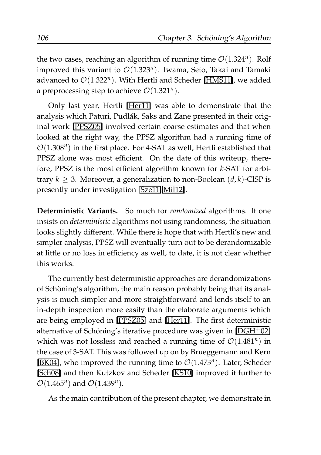the two cases, reaching an algorithm of running time  $\mathcal{O}(1.324^n)$ . Rolf improved this variant to O(1.323*<sup>n</sup>* ). Iwama, Seto, Takai and Tamaki advanced to  $\mathcal{O}(1.322^n)$ . With Hertli and Scheder [\[HMS11\]](#page-208-3), we added a preprocessing step to achieve  $\mathcal{O}(1.321^n)$ .

Only last year, Hertli [\[Her11\]](#page-207-2) was able to demonstrate that the analysis which Paturi, Pudlák, Saks and Zane presented in their original work [\[PPSZ05\]](#page-211-4) involved certain coarse estimates and that when looked at the right way, the PPSZ algorithm had a running time of  $\mathcal{O}(1.308^n)$  in the first place. For 4-SAT as well, Hertli established that PPSZ alone was most efficient. On the date of this writeup, therefore, PPSZ is the most efficient algorithm known for *k*-SAT for arbitrary  $k > 3$ . Moreover, a generalization to non-Boolean  $(d, k)$ -ClSP is presently under investigation [\[Sze11,](#page-213-1) [Mil12\]](#page-209-2).

**Deterministic Variants.** So much for *randomized* algorithms. If one insists on *deterministic* algorithms not using randomness, the situation looks slightly different. While there is hope that with Hertli's new and simpler analysis, PPSZ will eventually turn out to be derandomizable at little or no loss in efficiency as well, to date, it is not clear whether this works.

The currently best deterministic approaches are derandomizations of Schoning's algorithm, the main reason probably being that its anal- ¨ ysis is much simpler and more straightforward and lends itself to an in-depth inspection more easily than the elaborate arguments which are being employed in [\[PPSZ05\]](#page-211-4) and [\[Her11\]](#page-207-2). The first deterministic alternative of Schöning's iterative procedure was given in  $[{\rm DGH^+02}]$ which was not lossless and reached a running time of  $\mathcal{O}(1.481^n)$  in the case of 3-SAT. This was followed up on by Brueggemann and Kern [\[BK04\]](#page-205-3), who improved the running time to  $\mathcal{O}(1.473^n)$ . Later, Scheder [\[Sch08\]](#page-212-3) and then Kutzkov and Scheder [\[KS10\]](#page-209-3) improved it further to  $\mathcal{O}(1.465^n)$  and  $\mathcal{O}(1.439^n)$ .

As the main contribution of the present chapter, we demonstrate in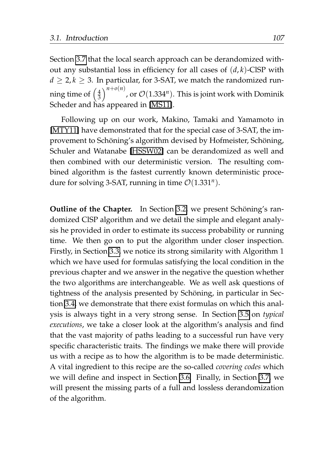Section [3.7](#page-161-0) that the local search approach can be derandomized without any substantial loss in efficiency for all cases of (*d*, *k*)-ClSP with  $d > 2, k > 3$ . In particular, for 3-SAT, we match the randomized running time of  $\left(\frac{4}{3}\right)^{n+o(n)}$ , or  $\mathcal{O}(1.334^n)$ . This is joint work with Dominik Scheder and has appeared in [\[MS11\]](#page-210-1).

Following up on our work, Makino, Tamaki and Yamamoto in [\[MTY11\]](#page-210-2) have demonstrated that for the special case of 3-SAT, the improvement to Schöning's algorithm devised by Hofmeister, Schöning, Schuler and Watanabe [\[HSSW02\]](#page-208-1) can be derandomized as well and then combined with our deterministic version. The resulting combined algorithm is the fastest currently known deterministic procedure for solving 3-SAT, running in time  $\mathcal{O}(1.331^n)$ .

**Outline of the Chapter.** In Section [3.2,](#page-129-0) we present Schöning's randomized ClSP algorithm and we detail the simple and elegant analysis he provided in order to estimate its success probability or running time. We then go on to put the algorithm under closer inspection. Firstly, in Section [3.3,](#page-140-0) we notice its strong similarity with Algorithm 1 which we have used for formulas satisfying the local condition in the previous chapter and we answer in the negative the question whether the two algorithms are interchangeable. We as well ask questions of tightness of the analysis presented by Schöning, in particular in Section [3.4,](#page-143-0) we demonstrate that there exist formulas on which this analysis is always tight in a very strong sense. In Section [3.5](#page-153-0) on *typical executions*, we take a closer look at the algorithm's analysis and find that the vast majority of paths leading to a successful run have very specific characteristic traits. The findings we make there will provide us with a recipe as to how the algorithm is to be made deterministic. A vital ingredient to this recipe are the so-called *covering codes* which we will define and inspect in Section [3.6.](#page-157-0) Finally, in Section [3.7,](#page-161-0) we will present the missing parts of a full and lossless derandomization of the algorithm.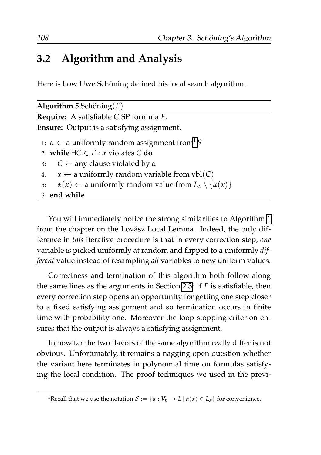#### <span id="page-129-0"></span>**3.2 Algorithm and Analysis**

Here is how Uwe Schöning defined his local search algorithm.

| <b>Algorithm 5</b> Schöning $(F)$                                                      |
|----------------------------------------------------------------------------------------|
| <b>Require:</b> A satisfiable CISP formula F.                                          |
| <b>Ensure:</b> Output is a satisfying assignment.                                      |
| 1: $\alpha \leftarrow$ a uniformly random assignment from $\beta$                      |
| 2: while $\exists C \in F : \alpha$ violates C do                                      |
| $C \leftarrow$ any clause violated by $\alpha$<br>3:                                   |
| $x \leftarrow$ a uniformly random variable from vbl(C)<br>4:                           |
| $\alpha(x) \leftarrow$ a uniformly random value from $L_x \setminus {\alpha(x)}$<br>5: |
| $6:$ end while                                                                         |
|                                                                                        |

You will immediately notice the strong similarities to Algorithm [1](#page-64-0) from the chapter on the Lovász Local Lemma. Indeed, the only difference in *this* iterative procedure is that in every correction step, *one* variable is picked uniformly at random and flipped to a uniformly *different* value instead of resampling *all* variables to new uniform values.

Correctness and termination of this algorithm both follow along the same lines as the arguments in Section [2.3:](#page-55-0) if *F* is satisfiable, then every correction step opens an opportunity for getting one step closer to a fixed satisfying assignment and so termination occurs in finite time with probability one. Moreover the loop stopping criterion ensures that the output is always a satisfying assignment.

In how far the two flavors of the same algorithm really differ is not obvious. Unfortunately, it remains a nagging open question whether the variant here terminates in polynomial time on formulas satisfying the local condition. The proof techniques we used in the previ-

<span id="page-129-1"></span><sup>&</sup>lt;sup>1</sup>Recall that we use the notation  $S := \{ \alpha : V_n \to L \mid \alpha(x) \in L_x \}$  for convenience.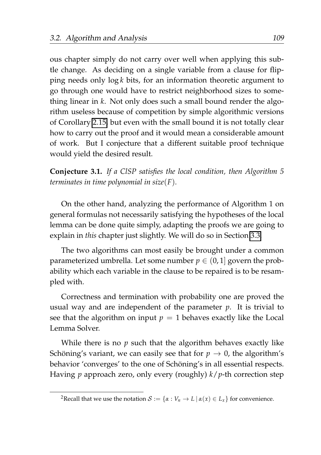ous chapter simply do not carry over well when applying this subtle change. As deciding on a single variable from a clause for flipping needs only log *k* bits, for an information theoretic argument to go through one would have to restrict neighborhood sizes to something linear in *k*. Not only does such a small bound render the algorithm useless because of competition by simple algorithmic versions of Corollary [2.15,](#page-50-0) but even with the small bound it is not totally clear how to carry out the proof and it would mean a considerable amount of work. But I conjecture that a different suitable proof technique would yield the desired result.

<span id="page-130-1"></span>**Conjecture 3.1.** *If a ClSP satisfies the local condition, then Algorithm 5 terminates in time polynomial in size*(*F*)*.*

On the other hand, analyzing the performance of Algorithm 1 on general formulas not necessarily satisfying the hypotheses of the local lemma can be done quite simply, adapting the proofs we are going to explain in *this* chapter just slightly. We will do so in Section [3.3.](#page-140-0)

The two algorithms can most easily be brought under a common parameterized umbrella. Let some number  $p \in (0,1]$  govern the probability which each variable in the clause to be repaired is to be resampled with.

Correctness and termination with probability one are proved the usual way and are independent of the parameter *p*. It is trivial to see that the algorithm on input  $p = 1$  behaves exactly like the Local Lemma Solver.

While there is no *p* such that the algorithm behaves exactly like Schöning's variant, we can easily see that for  $p \to 0$ , the algorithm's behavior 'converges' to the one of Schöning's in all essential respects. Having *p* approach zero, only every (roughly) *k*/*p*-th correction step

<span id="page-130-0"></span><sup>&</sup>lt;sup>2</sup>Recall that we use the notation  $S := \{ \alpha : V_n \to L \mid \alpha(x) \in L_x \}$  for convenience.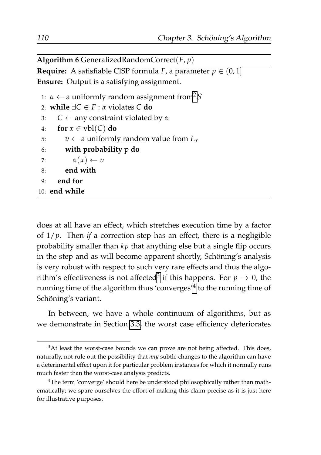**Algorithm 6** GeneralizedRandomCorrect(*F*, *p*)

**Require:** A satisfiable CISP formula *F*, a parameter  $p \in (0,1]$ **Ensure:** Output is a satisfying assignment.

```
1: \alpha \leftarrow2</sup>S
2: while ∃C ∈ F : α violates C do
3: C ← any constraint violated by α
4: for x \in \text{vbl}(C) do
5: v \leftarrow a uniformly random value from L<sub>x</sub>6: with probability p do
7: \alpha(x) \leftarrow v8: end with
9: end for
10: end while
```
does at all have an effect, which stretches execution time by a factor of 1/*p*. Then *if* a correction step has an effect, there is a negligible probability smaller than *kp* that anything else but a single flip occurs in the step and as will become apparent shortly, Schöning's analysis is very robust with respect to such very rare effects and thus the algo-rithm's effectiveness is not affected<sup>[3](#page-131-0)</sup> if this happens. For  $p\,\rightarrow\,0$ , the running time of the algorithm thus 'converges'<sup>[4](#page-131-1)</sup> to the running time of Schöning's variant.

In between, we have a whole continuum of algorithms, but as we demonstrate in Section [3.3,](#page-140-0) the worst case efficiency deteriorates

<span id="page-131-0"></span> $3$ At least the worst-case bounds we can prove are not being affected. This does, naturally, not rule out the possibility that *any* subtle changes to the algorithm can have a deterimental effect upon it for particular problem instances for which it normally runs much faster than the worst-case analysis predicts.

<span id="page-131-1"></span><sup>&</sup>lt;sup>4</sup>The term 'converge' should here be understood philosophically rather than mathematically; we spare ourselves the effort of making this claim precise as it is just here for illustrative purposes.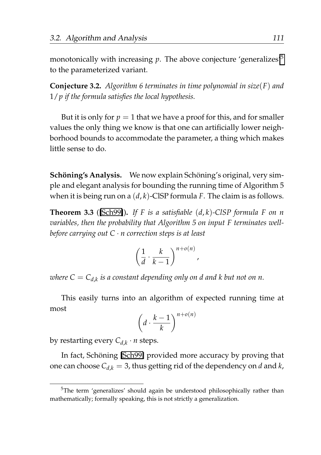monotonically with increasing  $p$ . The above conjecture 'generalizes'<sup>[5](#page-132-0)</sup> to the parameterized variant.

<span id="page-132-2"></span>**Conjecture 3.2.** *Algorithm 6 terminates in time polynomial in size*(*F*) *and* 1/*p if the formula satisfies the local hypothesis.*

But it is only for  $p = 1$  that we have a proof for this, and for smaller values the only thing we know is that one can artificially lower neighborhood bounds to accommodate the parameter, a thing which makes little sense to do.

**Schöning's Analysis.** We now explain Schöning's original, very simple and elegant analysis for bounding the running time of Algorithm 5 when it is being run on a (*d*, *k*)-ClSP formula *F*. The claim is as follows.

<span id="page-132-1"></span>**Theorem 3.3** ([\[Sch99\]](#page-211-1))**.** *If F is a satisfiable* (*d*, *k*)*-ClSP formula F on n variables, then the probability that Algorithm 5 on input F terminates wellbefore carrying out C* · *n correction steps is at least*

$$
\left(\frac{1}{d}\cdot\frac{k}{k-1}\right)^{n+o(n)},
$$

 $\omega$ here  $C=C_{d,k}$  is a constant depending only on d and k but not on n.

This easily turns into an algorithm of expected running time at most

$$
\left(d \cdot \frac{k-1}{k}\right)^{n+o(n)}
$$

by restarting every *Cd*,*<sup>k</sup>* · *n* steps.

In fact, Schöning [\[Sch99\]](#page-211-1) provided more accuracy by proving that one can choose  $C_{d,k} = 3$ , thus getting rid of the dependency on *d* and *k*,

<span id="page-132-0"></span><sup>&</sup>lt;sup>5</sup>The term 'generalizes' should again be understood philosophically rather than mathematically; formally speaking, this is not strictly a generalization.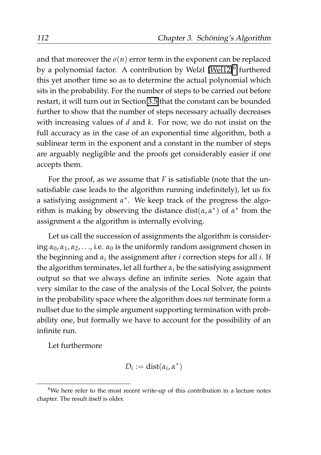and that moreover the  $o(n)$  error term in the exponent can be replaced by a polynomial factor. A contribution by Welzl [\[Wel12\]](#page-213-2)<sup>[6](#page-133-0)</sup> furthered this yet another time so as to determine the actual polynomial which sits in the probability. For the number of steps to be carried out before restart, it will turn out in Section [3.5](#page-153-0) that the constant can be bounded further to show that the number of steps necessary actually decreases with increasing values of *d* and *k*. For now, we do not insist on the full accuracy as in the case of an exponential time algorithm, both a sublinear term in the exponent and a constant in the number of steps are arguably negligible and the proofs get considerably easier if one accepts them.

For the proof, as we assume that *F* is satisfiable (note that the unsatisfiable case leads to the algorithm running indefinitely), let us fix a satisfying assignment *α* ∗ . We keep track of the progress the algorithm is making by observing the distance  $dist(\alpha, \alpha^*)$  of  $\alpha^*$  from the assignment *α* the algorithm is internally evolving.

Let us call the succession of assignments the algorithm is considering  $\alpha_0$ ,  $\alpha_1$ ,  $\alpha_2$ , ..., i.e.  $\alpha_0$  is the uniformly random assignment chosen in the beginning and  $\alpha_i$  the assignment after  $i$  correction steps for all  $i$ . If the algorithm terminates, let all further  $\alpha_i$  be the satisfying assignment output so that we always define an infinite series. Note again that very similar to the case of the analysis of the Local Solver, the points in the probability space where the algorithm does *not* terminate form a nullset due to the simple argument supporting termination with probability one, but formally we have to account for the possibility of an infinite run.

Let furthermore

$$
D_i := dist(\alpha_i, \alpha^*)
$$

<span id="page-133-0"></span> $6$ We here refer to the most recent write-up of this contribution in a lecture notes chapter. The result itself is older.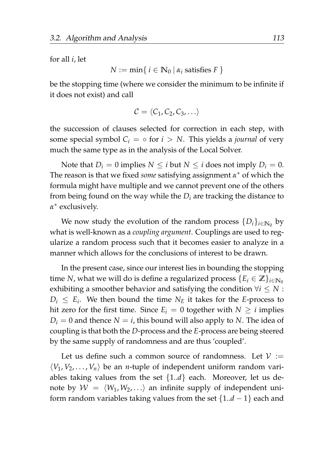for all *i*, let

$$
N := \min\{ i \in \mathbb{N}_0 \, | \, \alpha_i \text{ satisfies } F \}
$$

be the stopping time (where we consider the minimum to be infinite if it does not exist) and call

$$
\mathcal{C} = \langle C_1, C_2, C_3, \ldots \rangle
$$

the succession of clauses selected for correction in each step, with some special symbol  $C_i = \circ$  for  $i > N$ . This yields a *journal* of very much the same type as in the analysis of the Local Solver.

Note that  $D_i = 0$  implies  $N \leq i$  but  $N \leq i$  does not imply  $D_i = 0$ . The reason is that we fixed *some* satisfying assignment *α* <sup>∗</sup> of which the formula might have multiple and we cannot prevent one of the others from being found on the way while the  $D_i$  are tracking the distance to *α* ∗ exclusively.

We now study the evolution of the random process  $\{D_i\}_{i\in\mathbb{N}_0}$  by what is well-known as a *coupling argument*. Couplings are used to regularize a random process such that it becomes easier to analyze in a manner which allows for the conclusions of interest to be drawn.

In the present case, since our interest lies in bounding the stopping time *N*, what we will do is define a regularized process  $\{E_i \in \mathbb{Z}\}_{i \in \mathbb{N}_0}\$ exhibiting a smoother behavior and satisfying the condition  $\forall i \leq N$ :  $D_i \leq E_i$ . We then bound the time  $N_E$  it takes for the *E*-process to hit zero for the first time. Since  $E_i = 0$  together with  $N \geq i$  implies  $D_i = 0$  and thence  $N = i$ , this bound will also apply to *N*. The idea of coupling is that both the *D*-process and the *E*-process are being steered by the same supply of randomness and are thus 'coupled'.

Let us define such a common source of randomness. Let  $V :=$  $\langle V_1, V_2, \ldots, V_n \rangle$  be an *n*-tuple of independent uniform random variables taking values from the set  $\{1..d\}$  each. Moreover, let us denote by  $W = \langle W_1, W_2, \ldots \rangle$  an infinite supply of independent uniform random variables taking values from the set {1..*d* − 1} each and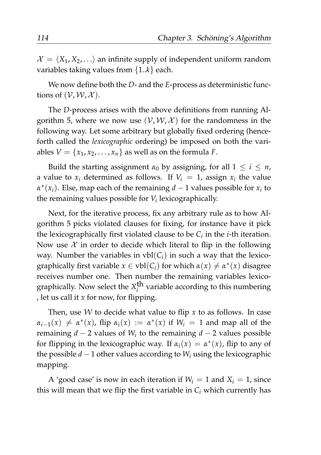$\mathcal{X} = \langle X_1, X_2, \ldots \rangle$  an infinite supply of independent uniform random variables taking values from {1..*k*} each.

We now define both the *D*- and the *E*-process as deterministic functions of  $(\mathcal{V}, \mathcal{W}, \mathcal{X})$ .

The *D*-process arises with the above definitions from running Algorithm 5, where we now use  $(V, W, X)$  for the randomness in the following way. Let some arbitrary but globally fixed ordering (henceforth called the *lexicographic* ordering) be imposed on both the variables  $V = \{x_1, x_2, \ldots, x_n\}$  as well as on the formula *F*.

Build the starting assignment  $\alpha_0$  by assigning, for all  $1 \leq i \leq n$ , a value to  $x_i$  determined as follows. If  $V_i = 1$ , assign  $x_i$  the value  $\alpha^*(x_i)$ . Else, map each of the remaining *d* − 1 values possible for *x<sub>i</sub>* to the remaining values possible for *V<sup>i</sup>* lexicographically.

Next, for the iterative process, fix any arbitrary rule as to how Algorithm 5 picks violated clauses for fixing, for instance have it pick the lexicographically first violated clause to be  $C_i$  in the *i*-th iteration. Now use  $\mathcal X$  in order to decide which literal to flip in the following way. Number the variables in  $vbl(C_i)$  in such a way that the lexicographically first variable  $x \in \text{vbl}(C_i)$  for which  $\alpha(x) \neq \alpha^*(x)$  disagree receives number one. Then number the remaining variables lexicographically. Now select the  $X_i^{\text{th}}$  variable according to this numbering , let us call it *x* for now, for flipping.

Then, use  $W$  to decide what value to flip  $x$  to as follows. In case  $\alpha_{i-1}(x) \neq \alpha^*(x)$ , flip  $\alpha_i(x) := \alpha^*(x)$  if  $W_i = 1$  and map all of the remaining *d* − 2 values of *W<sup>i</sup>* to the remaining *d* − 2 values possible for flipping in the lexicographic way. If  $\alpha_i(x) = \alpha^*(x)$ , flip to any of the possible *d* − 1 other values according to *W<sup>i</sup>* using the lexicographic mapping.

A 'good case' is now in each iteration if  $W_i = 1$  and  $X_i = 1$ , since this will mean that we flip the first variable in  $C_i$  which currently has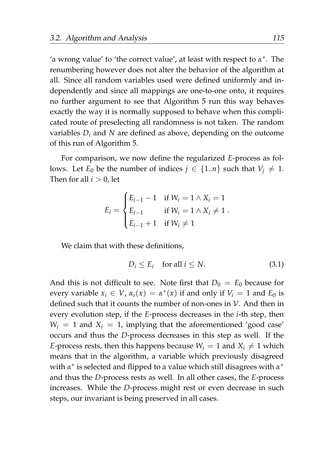'a wrong value' to 'the correct value', at least with respect to *α* ∗ . The renumbering however does not alter the behavior of the algorithm at all. Since all random variables used were defined uniformly and independently and since all mappings are one-to-one onto, it requires no further argument to see that Algorithm 5 run this way behaves exactly the way it is normally supposed to behave when this complicated route of preselecting all randomness is not taken. The random variables *D<sup>i</sup>* and *N* are defined as above, depending on the outcome of this run of Algorithm 5.

For comparison, we now define the regularized *E*-process as follows. Let  $E_0$  be the number of indices  $j \in \{1..n\}$  such that  $V_i \neq 1$ . Then for all  $i > 0$ , let

$$
E_i = \begin{cases} E_{i-1} - 1 & \text{if } W_i = 1 \wedge X_i = 1 \\ E_{i-1} & \text{if } W_i = 1 \wedge X_i \neq 1 \\ E_{i-1} + 1 & \text{if } W_i \neq 1 \end{cases}.
$$

We claim that with these definitions,

<span id="page-136-0"></span>
$$
D_i \le E_i \quad \text{for all } i \le N. \tag{3.1}
$$

And this is not difficult to see. Note first that  $D_0 = E_0$  because for every variable  $x_i \in V$ ,  $\alpha_i(x) = \alpha^*(x)$  if and only if  $V_i = 1$  and  $E_0$  is defined such that it counts the number of non-ones in  $\mathcal V$ . And then in every evolution step, if the *E*-process decreases in the *i*-th step, then  $W_i = 1$  and  $X_i = 1$ , implying that the aforementioned 'good case' occurs and thus the *D*-process decreases in this step as well. If the *E*-process rests, then this happens because  $W_i = 1$  and  $X_i \neq 1$  which means that in the algorithm, a variable which previously disagreed with *α*<sup>\*</sup> is selected and flipped to a value which still disagrees with *α*<sup>\*</sup> and thus the *D*-process rests as well. In all other cases, the *E*-process increases. While the *D*-process might rest or even decrease in such steps, our invariant is being preserved in all cases.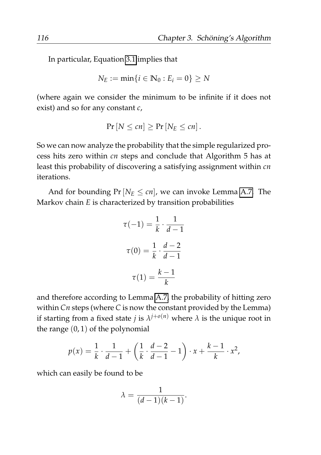In particular, Equation [3.1](#page-136-0) implies that

$$
N_E := \min\{i \in \mathbb{N}_0 : E_i = 0\} \ge N
$$

(where again we consider the minimum to be infinite if it does not exist) and so for any constant *c*,

$$
Pr[N \le cn] \ge Pr[N_E \le cn].
$$

So we can now analyze the probability that the simple regularized process hits zero within *cn* steps and conclude that Algorithm 5 has at least this probability of discovering a satisfying assignment within *cn* iterations.

And for bounding  $Pr[N_E \leq cn]$ , we can invoke Lemma [A.7.](#page-184-0) The Markov chain *E* is characterized by transition probabilities

$$
\tau(-1) = \frac{1}{k} \cdot \frac{1}{d-1}
$$

$$
\tau(0) = \frac{1}{k} \cdot \frac{d-2}{d-1}
$$

$$
\tau(1) = \frac{k-1}{k}
$$

and therefore according to Lemma [A.7,](#page-184-0) the probability of hitting zero within *Cn* steps (where *C* is now the constant provided by the Lemma) if starting from a fixed state *j* is  $\lambda^{j+o(n)}$  where  $\lambda$  is the unique root in the range  $(0, 1)$  of the polynomial

$$
p(x) = \frac{1}{k} \cdot \frac{1}{d-1} + \left(\frac{1}{k} \cdot \frac{d-2}{d-1} - 1\right) \cdot x + \frac{k-1}{k} \cdot x^2,
$$

which can easily be found to be

$$
\lambda = \frac{1}{(d-1)(k-1)}.
$$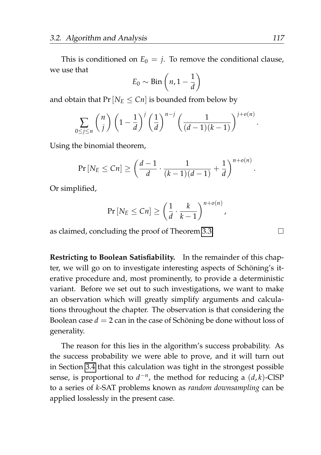This is conditioned on  $E_0 = j$ . To remove the conditional clause, we use that

$$
E_0 \sim \mathrm{Bin}\left(n, 1-\frac{1}{d}\right)
$$

and obtain that  $Pr[N_E \leq Cn]$  is bounded from below by

$$
\sum_{0 \le j \le n} {n \choose j} \left(1 - \frac{1}{d}\right)^j \left(\frac{1}{d}\right)^{n-j} \left(\frac{1}{(d-1)(k-1)}\right)^{j+o(n)}
$$

Using the binomial theorem,

$$
\Pr\left[N_E \leq Cn\right] \geq \left(\frac{d-1}{d} \cdot \frac{1}{(k-1)(d-1)} + \frac{1}{d}\right)^{n+o(n)}
$$

Or simplified,

$$
\Pr\left[N_E \leq Cn\right] \geq \left(\frac{1}{d} \cdot \frac{k}{k-1}\right)^{n+o(n)}
$$

as claimed, concluding the proof of Theorem [3.3.](#page-132-1)

**Restricting to Boolean Satisfiability.** In the remainder of this chapter, we will go on to investigate interesting aspects of Schöning's iterative procedure and, most prominently, to provide a deterministic variant. Before we set out to such investigations, we want to make an observation which will greatly simplify arguments and calculations throughout the chapter. The observation is that considering the Boolean case  $d = 2$  can in the case of Schöning be done without loss of generality.

The reason for this lies in the algorithm's success probability. As the success probability we were able to prove, and it will turn out in Section [3.4](#page-143-0) that this calculation was tight in the strongest possible sense, is proportional to  $d^{-n}$ , the method for reducing a  $(d, k)$ -ClSP to a series of *k*-SAT problems known as *random downsampling* can be applied losslessly in the present case.

.

.

,

 $\Box$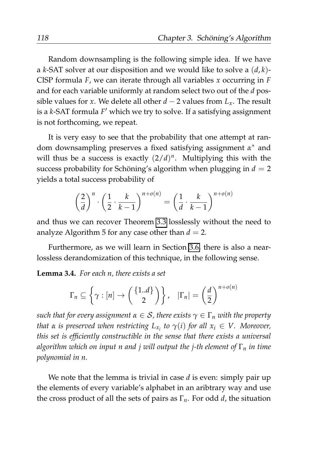Random downsampling is the following simple idea. If we have a *k*-SAT solver at our disposition and we would like to solve a (*d*, *k*)- ClSP formula *F*, we can iterate through all variables *x* occurring in *F* and for each variable uniformly at random select two out of the *d* possible values for *x*. We delete all other  $d - 2$  values from  $L_x$ . The result is a *k*-SAT formula *F* ′ which we try to solve. If a satisfying assignment is not forthcoming, we repeat.

It is very easy to see that the probability that one attempt at random downsampling preserves a fixed satisfying assignment *α* <sup>∗</sup> and will thus be a success is exactly  $(2/d)^n$ . Multiplying this with the success probability for Schöning's algorithm when plugging in  $d = 2$ yields a total success probability of

$$
\left(\frac{2}{d}\right)^n \cdot \left(\frac{1}{2} \cdot \frac{k}{k-1}\right)^{n+o(n)} = \left(\frac{1}{d} \cdot \frac{k}{k-1}\right)^{n+o(n)}
$$

and thus we can recover Theorem [3.3](#page-132-1) losslessly without the need to analyze Algorithm 5 for any case other than  $d = 2$ .

Furthermore, as we will learn in Section [3.6,](#page-157-0) there is also a nearlossless derandomization of this technique, in the following sense.

**Lemma 3.4.** *For each n, there exists a set*

$$
\Gamma_n \subseteq \left\{ \gamma : [n] \to \left( \begin{array}{c} \{1..d\} \\ 2 \end{array} \right) \right\}, \quad |\Gamma_n| = \left( \frac{d}{2} \right)^{n+o(n)}
$$

*such that for every assignment*  $\alpha \in S$ *, there exists*  $\gamma \in \Gamma_n$  *with the property that*  $\alpha$  *is preserved when restricting*  $L_{x_i}$  *to*  $\gamma(i)$  *for all*  $x_i \in V$ . Moreover, *this set is efficiently constructible in the sense that there exists a universal algorithm which on input n and j will output the j-th element of* Γ*<sup>n</sup> in time polynomial in n.*

We note that the lemma is trivial in case *d* is even: simply pair up the elements of every variable's alphabet in an aribtrary way and use the cross product of all the sets of pairs as Γ*n*. For odd *d*, the situation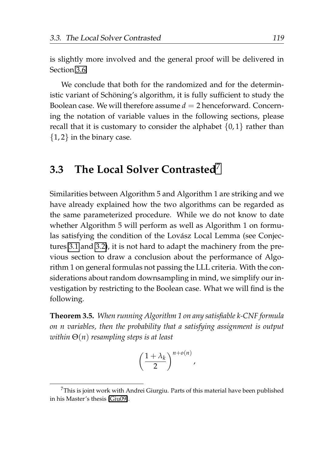is slightly more involved and the general proof will be delivered in Section [3.6.](#page-157-0)

We conclude that both for the randomized and for the deterministic variant of Schöning's algorithm, it is fully sufficient to study the Boolean case. We will therefore assume  $d = 2$  henceforward. Concerning the notation of variable values in the following sections, please recall that it is customary to consider the alphabet  $\{0,1\}$  rather than  $\{1, 2\}$  in the binary case.

## <span id="page-140-0"></span>**3.3 The Local Solver Contrasted**[7](#page-140-1)

Similarities between Algorithm 5 and Algorithm 1 are striking and we have already explained how the two algorithms can be regarded as the same parameterized procedure. While we do not know to date whether Algorithm 5 will perform as well as Algorithm 1 on formulas satisfying the condition of the Lovász Local Lemma (see Conjectures [3.1](#page-130-1) and [3.2\)](#page-132-2), it is not hard to adapt the machinery from the previous section to draw a conclusion about the performance of Algorithm 1 on general formulas not passing the LLL criteria. With the considerations about random downsampling in mind, we simplify our investigation by restricting to the Boolean case. What we will find is the following.

<span id="page-140-2"></span>**Theorem 3.5.** *When running Algorithm 1 on any satisfiable k-CNF formula on n variables, then the probability that a satisfying assignment is output within* Θ(*n*) *resampling steps is at least*

$$
\left(\frac{1+\lambda_k}{2}\right)^{n+o(n)},
$$

<span id="page-140-1"></span><sup>&</sup>lt;sup>7</sup>This is joint work with Andrei Giurgiu. Parts of this material have been published in his Master's thesis [\[Giu09\]](#page-207-3).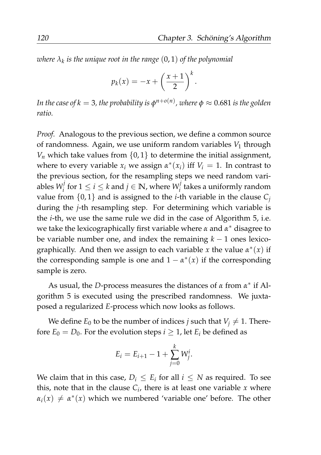*where λ<sup>k</sup> is the unique root in the range* (0, 1) *of the polynomial*

$$
p_k(x) = -x + \left(\frac{x+1}{2}\right)^k.
$$

*In the case of k*  $=$  *3, the probability is*  $\phi^{n+o(n)}$ *, where*  $\phi \approx 0.681$  *is the golden ratio.*

*Proof.* Analogous to the previous section, we define a common source of randomness. Again, we use uniform random variables  $V_1$  through  $V_n$  which take values from  $\{0, 1\}$  to determine the initial assignment, where to every variable  $x_i$  we assign  $\alpha^*(x_i)$  iff  $V_i = 1$ . In contrast to the previous section, for the resampling steps we need random variables  $W_i^j$  $\mathbf{y}_i^j$  for  $1 \leq i \leq k$  and  $j \in \mathbb{N}$ , where  $W_i^j$ *i* takes a uniformly random value from  $\{0, 1\}$  and is assigned to the *i*-th variable in the clause  $C_j$ during the *j*-th resampling step. For determining which variable is the *i*-th, we use the same rule we did in the case of Algorithm 5, i.e. we take the lexicographically first variable where *α* and *α* <sup>∗</sup> disagree to be variable number one, and index the remaining  $k - 1$  ones lexicographically. And then we assign to each variable *x* the value *α* ∗ (*x*) if the corresponding sample is one and  $1 - \alpha^*(x)$  if the corresponding sample is zero.

As usual, the *D*-process measures the distances of *α* from *α* ∗ if Algorithm 5 is executed using the prescribed randomness. We juxtaposed a regularized *E*-process which now looks as follows.

We define  $E_0$  to be the number of indices *j* such that  $V_i \neq 1$ . Therefore  $E_0 = D_0$ . For the evolution steps  $i \geq 1$ , let  $E_i$  be defined as

$$
E_i = E_{i+1} - 1 + \sum_{j=0}^{k} W_j^i.
$$

We claim that in this case,  $D_i \le E_i$  for all  $i \le N$  as required. To see this, note that in the clause  $C_i$ , there is at least one variable  $x$  where  $\alpha_i(x) \neq \alpha^*(x)$  which we numbered 'variable one' before. The other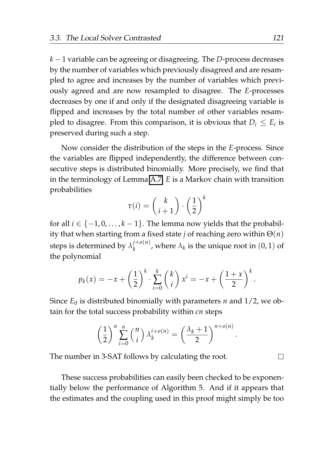*k* − 1 variable can be agreeing or disagreeing. The *D*-process decreases by the number of variables which previously disagreed and are resampled to agree and increases by the number of variables which previously agreed and are now resampled to disagree. The *E*-processes decreases by one if and only if the designated disagreeing variable is flipped and increases by the total number of other variables resampled to disagree. From this comparison, it is obvious that  $D_i \leq E_i$  is preserved during such a step.

Now consider the distribution of the steps in the *E*-process. Since the variables are flipped independently, the difference between consecutive steps is distributed binomially. More precisely, we find that in the terminology of Lemma [A.7,](#page-184-0) *E* is a Markov chain with transition probabilities

$$
\tau(i) = \binom{k}{i+1} \cdot \left(\frac{1}{2}\right)^k
$$

for all  $i \in \{-1, 0, \ldots, k-1\}$ . The lemma now yields that the probability that when starting from a fixed state *j* of reaching zero within Θ(*n*) steps is determined by  $\lambda_k^{j+o(n)}$  $\lambda_k^{(+0)(n)}$ , where  $\lambda_k$  is the unique root in  $(0,1)$  of the polynomial

$$
p_k(x) = -x + \left(\frac{1}{2}\right)^k \cdot \sum_{i=0}^k {k \choose i} x^i = -x + \left(\frac{1+x}{2}\right)^k.
$$

Since  $E_0$  is distributed binomially with parameters *n* and  $1/2$ , we obtain for the total success probability within *cn* steps

$$
\left(\frac{1}{2}\right)^n \sum_{i=0}^n {n \choose i} \lambda_k^{i+o(n)} = \left(\frac{\lambda_k+1}{2}\right)^{n+o(n)}
$$

.

 $\Box$ 

The number in 3-SAT follows by calculating the root.

These success probabilities can easily been checked to be exponentially below the performance of Algorithm 5. And if it appears that the estimates and the coupling used in this proof might simply be too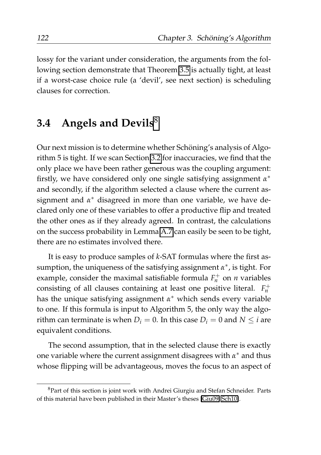lossy for the variant under consideration, the arguments from the following section demonstrate that Theorem [3.5](#page-140-2) is actually tight, at least if a worst-case choice rule (a 'devil', see next section) is scheduling clauses for correction.

### <span id="page-143-0"></span>**3.4 Angels and Devils**[8](#page-143-1)

Our next mission is to determine whether Schöning's analysis of Algorithm 5 is tight. If we scan Section [3.2](#page-129-0) for inaccuracies, we find that the only place we have been rather generous was the coupling argument: firstly, we have considered only one single satisfying assignment  $\alpha^*$ and secondly, if the algorithm selected a clause where the current assignment and *α* <sup>∗</sup> disagreed in more than one variable, we have declared only one of these variables to offer a productive flip and treated the other ones as if they already agreed. In contrast, the calculations on the success probability in Lemma [A.7](#page-184-0) can easily be seen to be tight, there are no estimates involved there.

It is easy to produce samples of *k*-SAT formulas where the first assumption, the uniqueness of the satisfying assignment *α* ∗ , is tight. For example, consider the maximal satisfiable formula  $F_n^+$  on *n* variables consisting of all clauses containing at least one positive literal.  $F_n^+$ has the unique satisfying assignment *α* <sup>∗</sup> which sends every variable to one. If this formula is input to Algorithm 5, the only way the algorithm can terminate is when  $D_i = 0$ . In this case  $D_i = 0$  and  $N \le i$  are equivalent conditions.

The second assumption, that in the selected clause there is exactly one variable where the current assignment disagrees with  $\alpha^*$  and thus whose flipping will be advantageous, moves the focus to an aspect of

<span id="page-143-1"></span><sup>8</sup>Part of this section is joint work with Andrei Giurgiu and Stefan Schneider. Parts of this material have been published in their Master's theses [\[Giu09,](#page-207-3) [Sch10\]](#page-212-4).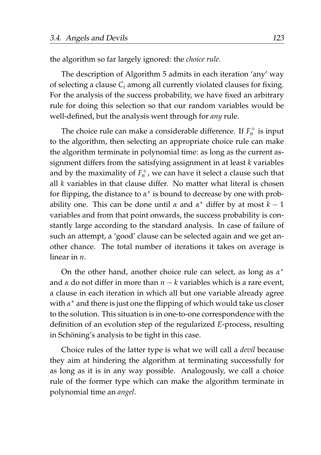the algorithm so far largely ignored: the *choice rule*.

The description of Algorithm 5 admits in each iteration 'any' way of selecting a clause *C<sup>i</sup>* among all currently violated clauses for fixing. For the analysis of the success probability, we have fixed an arbitrary rule for doing this selection so that our random variables would be well-defined, but the analysis went through for *any* rule.

The choice rule can make a considerable difference. If  $F_n^+$  is input to the algorithm, then selecting an appropriate choice rule can make the algorithm terminate in polynomial time: as long as the current assignment differs from the satisfying assignment in at least *k* variables and by the maximality of  $F_n^+$ , we can have it select a clause such that all *k* variables in that clause differ. No matter what literal is chosen for flipping, the distance to  $\alpha^*$  is bound to decrease by one with probability one. This can be done until  $\alpha$  and  $\alpha^*$  differ by at most  $k-1$ variables and from that point onwards, the success probability is constantly large according to the standard analysis. In case of failure of such an attempt, a 'good' clause can be selected again and we get another chance. The total number of iterations it takes on average is linear in *n*.

On the other hand, another choice rule can select, as long as  $α^*$ and *α* do not differ in more than *n* − *k* variables which is a rare event, a clause in each iteration in which all but one variable already agree with *α* <sup>∗</sup> and there is just one the flipping of which would take us closer to the solution. This situation is in one-to-one correspondence with the definition of an evolution step of the regularized *E*-process, resulting in Schöning's analysis to be tight in this case.

Choice rules of the latter type is what we will call a *devil* because they aim at hindering the algorithm at terminating successfully for as long as it is in any way possible. Analogously, we call a choice rule of the former type which can make the algorithm terminate in polynomial time an *angel*.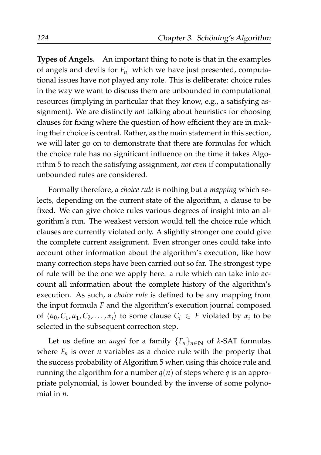**Types of Angels.** An important thing to note is that in the examples of angels and devils for  $F_n^+$  which we have just presented, computational issues have not played any role. This is deliberate: choice rules in the way we want to discuss them are unbounded in computational resources (implying in particular that they know, e.g., a satisfying assignment). We are distinctly *not* talking about heuristics for choosing clauses for fixing where the question of how efficient they are in making their choice is central. Rather, as the main statement in this section, we will later go on to demonstrate that there are formulas for which the choice rule has no significant influence on the time it takes Algorithm 5 to reach the satisfying assignment, *not even* if computationally unbounded rules are considered.

Formally therefore, a *choice rule* is nothing but a *mapping* which selects, depending on the current state of the algorithm, a clause to be fixed. We can give choice rules various degrees of insight into an algorithm's run. The weakest version would tell the choice rule which clauses are currently violated only. A slightly stronger one could give the complete current assignment. Even stronger ones could take into account other information about the algorithm's execution, like how many correction steps have been carried out so far. The strongest type of rule will be the one we apply here: a rule which can take into account all information about the complete history of the algorithm's execution. As such, a *choice rule* is defined to be any mapping from the input formula *F* and the algorithm's execution journal composed of  $\langle \alpha_0, C_1, \alpha_1, C_2, \ldots, \alpha_i \rangle$  to some clause  $C_i \in F$  violated by  $\alpha_i$  to be selected in the subsequent correction step.

Let us define an *angel* for a family  ${F_n}_{n \in \mathbb{N}}$  of *k*-SAT formulas where  $F_n$  is over *n* variables as a choice rule with the property that the success probability of Algorithm 5 when using this choice rule and running the algorithm for a number  $q(n)$  of steps where *q* is an appropriate polynomial, is lower bounded by the inverse of some polynomial in *n*.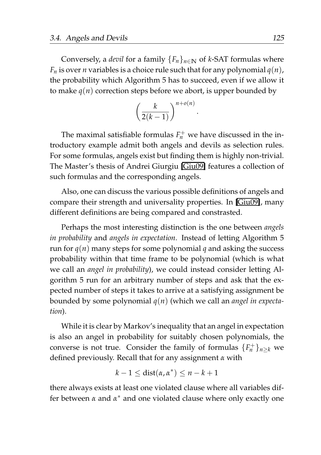Conversely, a *devil* for a family  ${F_n}_{n \in \mathbb{N}}$  of *k*-SAT formulas where  $F_n$  is over *n* variables is a choice rule such that for any polynomial  $q(n)$ , the probability which Algorithm 5 has to succeed, even if we allow it to make  $q(n)$  correction steps before we abort, is upper bounded by

$$
\left(\frac{k}{2(k-1)}\right)^{n+o(n)}
$$

.

The maximal satisfiable formulas  $F_n^+$  we have discussed in the introductory example admit both angels and devils as selection rules. For some formulas, angels exist but finding them is highly non-trivial. The Master's thesis of Andrei Giurgiu [\[Giu09\]](#page-207-0) features a collection of such formulas and the corresponding angels.

Also, one can discuss the various possible definitions of angels and compare their strength and universality properties. In [\[Giu09\]](#page-207-0), many different definitions are being compared and constrasted.

Perhaps the most interesting distinction is the one between *angels in probability* and *angels in expectation*. Instead of letting Algorithm 5 run for  $q(n)$  many steps for some polynomial *q* and asking the success probability within that time frame to be polynomial (which is what we call an *angel in probability*), we could instead consider letting Algorithm 5 run for an arbitrary number of steps and ask that the expected number of steps it takes to arrive at a satisfying assignment be bounded by some polynomial *q*(*n*) (which we call an *angel in expectation*).

While it is clear by Markov's inequality that an angel in expectation is also an angel in probability for suitably chosen polynomials, the converse is not true. Consider the family of formulas  $\{F_n^+\}_{n\geq k}$  we defined previously. Recall that for any assignment *α* with

$$
k-1 \leq dist(\alpha, \alpha^*) \leq n-k+1
$$

there always exists at least one violated clause where all variables differ between *α* and *α*<sup>\*</sup> and one violated clause where only exactly one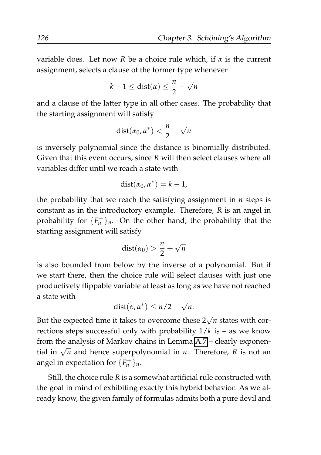variable does. Let now *R* be a choice rule which, if *α* is the current assignment, selects a clause of the former type whenever

$$
k-1 \leq \text{dist}(\alpha) \leq \frac{n}{2} - \sqrt{n}
$$

and a clause of the latter type in all other cases. The probability that the starting assignment will satisfy

$$
dist(\alpha_0,\alpha^*)<\frac{n}{2}-\sqrt{n}
$$

is inversely polynomial since the distance is binomially distributed. Given that this event occurs, since *R* will then select clauses where all variables differ until we reach a state with

$$
dist(\alpha_0, \alpha^*) = k - 1,
$$

the probability that we reach the satisfying assignment in *n* steps is constant as in the introductory example. Therefore, *R* is an angel in probability for  $\{F_n^+\}_n$ . On the other hand, the probability that the starting assignment will satisfy

$$
dist(\alpha_0) > \frac{n}{2} + \sqrt{n}
$$

is also bounded from below by the inverse of a polynomial. But if we start there, then the choice rule will select clauses with just one productively flippable variable at least as long as we have not reached a state with √

$$
dist(\alpha, \alpha^*) \leq n/2 - \sqrt{n}.
$$

But the expected time it takes to overcome these  $2\sqrt{n}$  states with corrections steps successful only with probability  $1/k$  is – as we know from the analysis of Markov chains in Lemma [A.7](#page-184-0) – clearly exponential in  $\sqrt{n}$  and hence superpolynomial in *n*. Therefore, *R* is not an angel in expectation for  $\{F_n^+\}_n$ .

Still, the choice rule *R* is a somewhat artificial rule constructed with the goal in mind of exhibiting exactly this hybrid behavior. As we already know, the given family of formulas admits both a pure devil and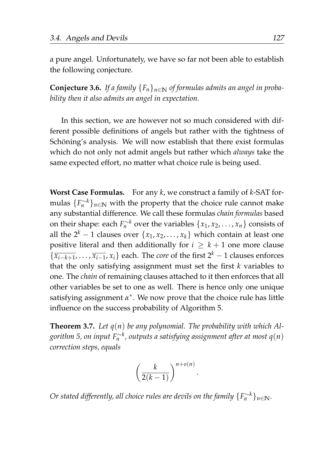a pure angel. Unfortunately, we have so far not been able to establish the following conjecture.

**Conjecture 3.6.** *If a family*  ${F_n}_{n \in \mathbb{N}}$  *of formulas admits an angel in probability then it also admits an angel in expectation.*

In this section, we are however not so much considered with different possible definitions of angels but rather with the tightness of Schöning's analysis. We will now establish that there exist formulas which do not only not admit angels but rather which *always* take the same expected effort, no matter what choice rule is being used.

**Worst Case Formulas.** For any *k*, we construct a family of *k*-SAT formulas  $\{F_n^{\sim k}\}_{n\in\mathbb{N}}$  with the property that the choice rule cannot make any substantial difference. We call these formulas *chain formulas* based on their shape: each  $F_n^{\sim k}$  over the variables  $\{x_1, x_2, \ldots, x_n\}$  consists of all the  $2^k - 1$  clauses over  $\{x_1, x_2, \ldots, x_k\}$  which contain at least one positive literal and then additionally for  $i \geq k+1$  one more clause  $\{\overline{x_{i-k+1}}, \ldots, \overline{x_{i-1}}, x_i\}$  each. The *core* of the first  $2^k - 1$  clauses enforces that the only satisfying assignment must set the first *k* variables to one. The *chain* of remaining clauses attached to it then enforces that all other variables be set to one as well. There is hence only one unique satisfying assignment *α* ∗ . We now prove that the choice rule has little influence on the success probability of Algorithm 5.

**Theorem 3.7.** *Let q*(*n*) *be any polynomial. The probability with which Al* $g$ orithm 5, on input F $_{n}^{\sim k}$ , outputs a satisfying assignment after at most q(n) *correction steps, equals*

$$
\left(\frac{k}{2(k-1)}\right)^{n+o(n)}
$$

.

 $O$ r stated differently, all choice rules are devils on the family  $\{F_n^{\sim k}\}_{n\in \mathbb{N}}.$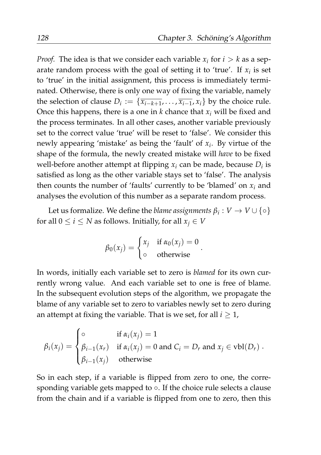*Proof.* The idea is that we consider each variable  $x_i$  for  $i > k$  as a separate random process with the goal of setting it to 'true'. If  $x_i$  is set to 'true' in the initial assignment, this process is immediately terminated. Otherwise, there is only one way of fixing the variable, namely the selection of clause  $D_i := \{ \overline{x_{i-k+1}}, \ldots, \overline{x_{i-1}}, x_i \}$  by the choice rule. Once this happens, there is a one in  $k$  chance that  $x_i$  will be fixed and the process terminates. In all other cases, another variable previously set to the correct value 'true' will be reset to 'false'. We consider this newly appearing 'mistake' as being the 'fault' of *x<sup>i</sup>* . By virtue of the shape of the formula, the newly created mistake will *have* to be fixed well-before another attempt at flipping  $x_i$  can be made, because  $D_i$  is satisfied as long as the other variable stays set to 'false'. The analysis then counts the number of 'faults' currently to be 'blamed' on *x<sup>i</sup>* and analyses the evolution of this number as a separate random process.

Let us formalize. We define the *blame assignments*  $\beta_i: V \to V \cup \{\circ\}$ for all  $0 \le i \le N$  as follows. Initially, for all  $x_i \in V$ 

$$
\beta_0(x_j) = \begin{cases} x_j & \text{if } \alpha_0(x_j) = 0 \\ \circ & \text{otherwise} \end{cases}
$$

.

In words, initially each variable set to zero is *blamed* for its own currently wrong value. And each variable set to one is free of blame. In the subsequent evolution steps of the algorithm, we propagate the blame of any variable set to zero to variables newly set to zero during an attempt at fixing the variable. That is we set, for all  $i \geq 1$ ,

$$
\beta_i(x_j) = \begin{cases}\n\circ & \text{if } \alpha_i(x_j) = 1 \\
\beta_{i-1}(x_r) & \text{if } \alpha_i(x_j) = 0 \text{ and } C_i = D_r \text{ and } x_j \in \text{vbl}(D_r) \\
\beta_{i-1}(x_j) & \text{otherwise}\n\end{cases}
$$

So in each step, if a variable is flipped from zero to one, the corresponding variable gets mapped to ○. If the choice rule selects a clause from the chain and if a variable is flipped from one to zero, then this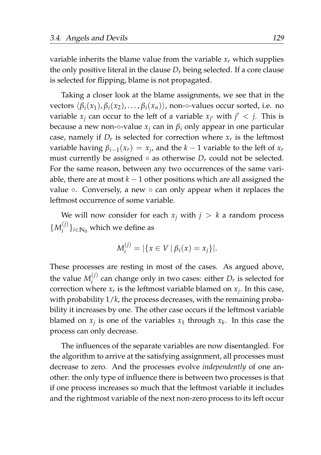variable inherits the blame value from the variable  $x<sub>r</sub>$  which supplies the only positive literal in the clause  $D<sub>r</sub>$  being selected. If a core clause is selected for flipping, blame is not propagated.

Taking a closer look at the blame assignments, we see that in the vectors  $\langle \beta_i(x_1), \beta_i(x_2), \dots, \beta_i(x_n) \rangle$ , non- $\circ$ -values occur sorted, i.e. no variable  $x_j$  can occur to the left of a variable  $x_{j'}$  with  $j' < j$ . This is because a new non-∘-value  $x_i$  can in  $\beta_i$  only appear in one particular case, namely if  $D_r$  is selected for correction where  $x_r$  is the leftmost variable having  $\beta_{i-1}(x_r) = x_j$ , and the  $k-1$  variable to the left of  $x_r$ must currently be assigned  $\circ$  as otherwise  $D_r$  could not be selected. For the same reason, between any two occurrences of the same variable, there are at most  $k - 1$  other positions which are all assigned the value ◦. Conversely, a new ◦ can only appear when it replaces the leftmost occurrence of some variable.

We will now consider for each  $x_j$  with  $j > k$  a random process  $\{M_i^{(j)}\}$  $\{U^{(j)}\}_{i \in \mathbb{N}_0}$  which we define as

$$
M_i^{(j)} = |\{x \in V \mid \beta_i(x) = x_j\}|.
$$

These processes are resting in most of the cases. As argued above, the value  $M_i^{(j)}$  $i^{\prime\prime}$  can change only in two cases: either  $D_r$  is selected for correction where  $x_r$  is the leftmost variable blamed on  $x_j$ . In this case, with probability 1/*k*, the process decreases, with the remaining probability it increases by one. The other case occurs if the leftmost variable blamed on  $x_j$  is one of the variables  $x_1$  through  $x_k$ . In this case the process can only decrease.

The influences of the separate variables are now disentangled. For the algorithm to arrive at the satisfying assignment, all processes must decrease to zero. And the processes evolve *independently* of one another: the only type of influence there is between two processes is that if one process increases so much that the leftmost variable it includes and the rightmost variable of the next non-zero process to its left occur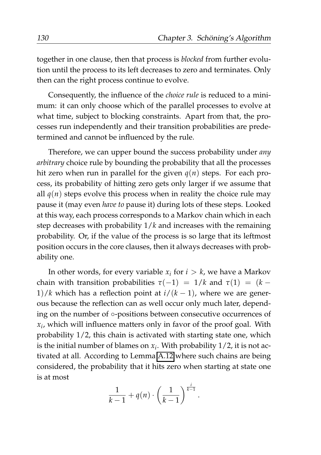together in one clause, then that process is *blocked* from further evolution until the process to its left decreases to zero and terminates. Only then can the right process continue to evolve.

Consequently, the influence of the *choice rule* is reduced to a minimum: it can only choose which of the parallel processes to evolve at what time, subject to blocking constraints. Apart from that, the processes run independently and their transition probabilities are predetermined and cannot be influenced by the rule.

Therefore, we can upper bound the success probability under *any arbitrary* choice rule by bounding the probability that all the processes hit zero when run in parallel for the given  $q(n)$  steps. For each process, its probability of hitting zero gets only larger if we assume that all  $q(n)$  steps evolve this process when in reality the choice rule may pause it (may even *have to* pause it) during lots of these steps. Looked at this way, each process corresponds to a Markov chain which in each step decreases with probability 1/*k* and increases with the remaining probability. Or, if the value of the process is so large that its leftmost position occurs in the core clauses, then it always decreases with probability one.

In other words, for every variable  $x_i$  for  $i > k$ , we have a Markov chain with transition probabilities  $\tau(-1) = 1/k$  and  $\tau(1) = (k - 1)$ 1)/*k* which has a reflection point at  $i/(k-1)$ , where we are generous because the reflection can as well occur only much later, depending on the number of ◦-positions between consecutive occurrences of *xi* , which will influence matters only in favor of the proof goal. With probability 1/2, this chain is activated with starting state one, which is the initial number of blames on *x<sup>i</sup>* . With probability 1/2, it is not activated at all. According to Lemma [A.12](#page-189-0) where such chains are being considered, the probability that it hits zero when starting at state one is at most

$$
\frac{1}{k-1}+q(n)\cdot\left(\frac{1}{k-1}\right)^{\frac{i}{k-1}}.
$$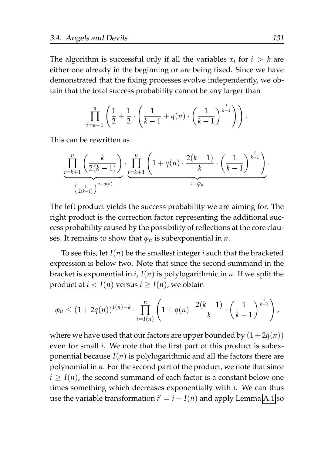The algorithm is successful only if all the variables  $x_i$  for  $i > k$  are either one already in the beginning or are being fixed. Since we have demonstrated that the fixing processes evolve independently, we obtain that the total success probability cannot be any larger than

$$
\prod_{i=k+1}^n \left( \frac{1}{2} + \frac{1}{2} \cdot \left( \frac{1}{k-1} + q(n) \cdot \left( \frac{1}{k-1} \right)^{\frac{1}{k-1}} \right) \right).
$$

This can be rewritten as

$$
\underbrace{\prod_{i=k+1}^n \left( \frac{k}{2(k-1)} \right)}_{\left(\frac{k}{2(k-1)}\right)^{n+o(n)}} \cdot \underbrace{\prod_{i=k+1}^n \left( 1 + q(n) \cdot \frac{2(k-1)}{k} \cdot \left( \frac{1}{k-1} \right)^{\frac{i}{k-1}} \right)}_{:=\varphi_n}.
$$

The left product yields the success probability we are aiming for. The right product is the correction factor representing the additional success probability caused by the possibility of reflections at the core clauses. It remains to show that  $\varphi_n$  is subexponential in *n*.

To see this, let *I*(*n*) be the smallest integer *i* such that the bracketed expression is below two. Note that since the second summand in the bracket is exponential in *i*, *I*(*n*) is polylogarithmic in *n*. If we split the product at  $i < I(n)$  versus  $i > I(n)$ , we obtain

$$
\varphi_n \leq (1+2q(n))^{I(n)-k} \cdot \prod_{i=I(n)}^{n} \left(1+q(n) \cdot \frac{2(k-1)}{k} \cdot \left(\frac{1}{k-1}\right)^{\frac{i}{k-1}}\right),
$$

where we have used that our factors are upper bounded by  $(1+2q(n))$ even for small *i*. We note that the first part of this product is subexponential because  $I(n)$  is polylogarithmic and all the factors there are polynomial in *n*. For the second part of the product, we note that since  $i \geq I(n)$ , the second summand of each factor is a constant below one times something which decreases exponentially with *i*. We can thus use the variable transformation  $i' = i - I(n)$  and apply Lemma [A.1](#page-176-0) so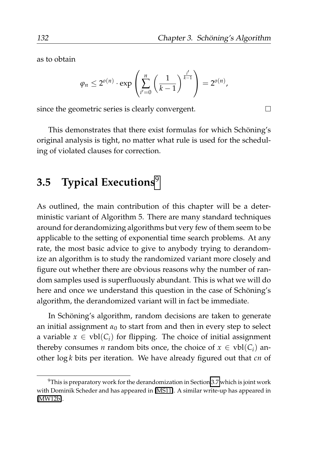as to obtain

$$
\varphi_n \leq 2^{o(n)} \cdot \exp\left(\sum_{i'=0}^n \left(\frac{1}{k-1}\right)^{\frac{i'}{k-1}}\right) = 2^{o(n)},
$$

since the geometric series is clearly convergent.

This demonstrates that there exist formulas for which Schöning's original analysis is tight, no matter what rule is used for the scheduling of violated clauses for correction.

## <span id="page-153-1"></span>**3.5 Typical Executions**[9](#page-153-0)

As outlined, the main contribution of this chapter will be a deterministic variant of Algorithm 5. There are many standard techniques around for derandomizing algorithms but very few of them seem to be applicable to the setting of exponential time search problems. At any rate, the most basic advice to give to anybody trying to derandomize an algorithm is to study the randomized variant more closely and figure out whether there are obvious reasons why the number of random samples used is superfluously abundant. This is what we will do here and once we understand this question in the case of Schöning's algorithm, the derandomized variant will in fact be immediate.

In Schöning's algorithm, random decisions are taken to generate an initial assignment  $\alpha_0$  to start from and then in every step to select a variable  $x \in vbl(C_i)$  for flipping. The choice of initial assignment thereby consumes *n* random bits once, the choice of  $x \in vbl(C_i)$  another log *k* bits per iteration. We have already figured out that *cn* of

 $\Box$ 

<span id="page-153-0"></span> $9$ This is preparatory work for the derandomization in Section [3.7](#page-161-0) which is joint work with Dominik Scheder and has appeared in [\[MS11\]](#page-210-0). A similar write-up has appeared in [\[MW12b\]](#page-211-0).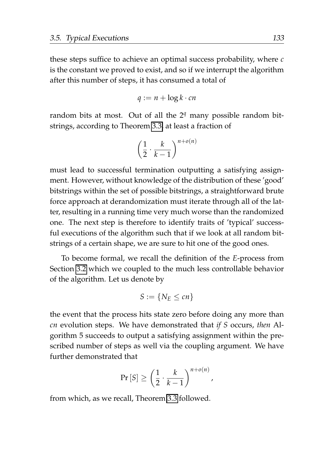these steps suffice to achieve an optimal success probability, where *c* is the constant we proved to exist, and so if we interrupt the algorithm after this number of steps, it has consumed a total of

$$
q := n + \log k \cdot cn
$$

random bits at most. Out of all the 2*<sup>q</sup>* many possible random bitstrings, according to Theorem [3.3,](#page-132-0) at least a fraction of

$$
\left(\frac{1}{2} \cdot \frac{k}{k-1}\right)^{n+o(n)}
$$

must lead to successful termination outputting a satisfying assignment. However, without knowledge of the distribution of these 'good' bitstrings within the set of possible bitstrings, a straightforward brute force approach at derandomization must iterate through all of the latter, resulting in a running time very much worse than the randomized one. The next step is therefore to identify traits of 'typical' successful executions of the algorithm such that if we look at all random bitstrings of a certain shape, we are sure to hit one of the good ones.

To become formal, we recall the definition of the *E*-process from Section [3.2](#page-129-0) which we coupled to the much less controllable behavior of the algorithm. Let us denote by

$$
S:=\{N_E\leq cn\}
$$

the event that the process hits state zero before doing any more than *cn* evolution steps. We have demonstrated that *if S* occurs, *then* Algorithm 5 succeeds to output a satisfying assignment within the prescribed number of steps as well via the coupling argument. We have further demonstrated that

$$
\Pr\left[S\right] \geq \left(\frac{1}{2} \cdot \frac{k}{k-1}\right)^{n+o(n)},
$$

from which, as we recall, Theorem [3.3](#page-132-0) followed.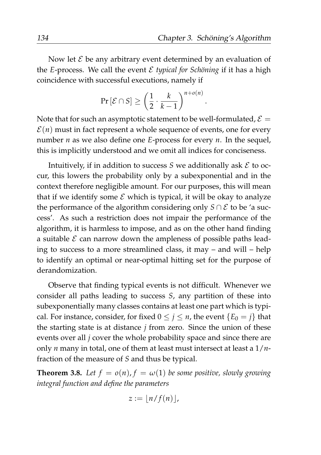Now let  $\mathcal E$  be any arbitrary event determined by an evaluation of the *E*-process. We call the event  $\mathcal E$  *typical for Schöning* if it has a high coincidence with successful executions, namely if

$$
\Pr\left[\mathcal{E}\cap S\right]\geq\left(\frac{1}{2}\cdot\frac{k}{k-1}\right)^{n+o(n)}.
$$

Note that for such an asymptotic statement to be well-formulated,  $\mathcal{E} =$  $\mathcal{E}(n)$  must in fact represent a whole sequence of events, one for every number *n* as we also define one *E*-process for every *n*. In the sequel, this is implicitly understood and we omit all indices for conciseness.

Intuitively, if in addition to success  $S$  we additionally ask  $\mathcal E$  to occur, this lowers the probability only by a subexponential and in the context therefore negligible amount. For our purposes, this will mean that if we identify some  $\mathcal E$  which is typical, it will be okay to analyze the performance of the algorithm considering only  $S \cap \mathcal{E}$  to be 'a success'. As such a restriction does not impair the performance of the algorithm, it is harmless to impose, and as on the other hand finding a suitable  $\mathcal E$  can narrow down the ampleness of possible paths leading to success to a more streamlined class, it may – and will – help to identify an optimal or near-optimal hitting set for the purpose of derandomization.

Observe that finding typical events is not difficult. Whenever we consider all paths leading to success *S*, any partition of these into subexponentially many classes contains at least one part which is typical. For instance, consider, for fixed  $0 \leq j \leq n$ , the event  $\{E_0 = j\}$  that the starting state is at distance *j* from zero. Since the union of these events over all *j* cover the whole probability space and since there are only *n* many in total, one of them at least must intersect at least a 1/*n*fraction of the measure of *S* and thus be typical.

<span id="page-155-0"></span>**Theorem 3.8.** Let  $f = o(n)$ ,  $f = \omega(1)$  be some positive, slowly growing *integral function and define the parameters*

$$
z := \lfloor n/f(n) \rfloor,
$$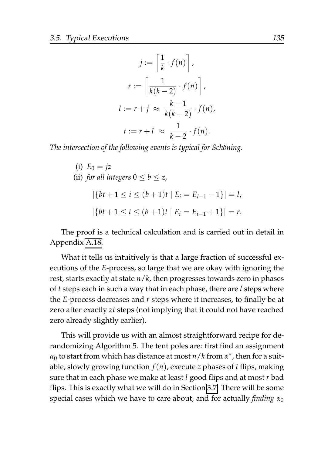$$
j := \left\lceil \frac{1}{k} \cdot f(n) \right\rceil,
$$
  

$$
r := \left\lceil \frac{1}{k(k-2)} \cdot f(n) \right\rceil,
$$
  

$$
l := r + j \approx \frac{k-1}{k(k-2)} \cdot f(n),
$$
  

$$
t := r + l \approx \frac{1}{k-2} \cdot f(n).
$$

*The intersection of the following events is typical for Schöning.* 

(i)  $E_0 = jz$ (ii) *for all integers*  $0 \le b \le z$ .  $|\{bt+1 \le i \le (b+1)t \mid E_i = E_{i-1} - 1\}| = l$ ,  $|\{bt+1 \leq i \leq (b+1)t \mid E_i = E_{i-1} + 1\}| = r.$ 

The proof is a technical calculation and is carried out in detail in Appendix [A.18.](#page-201-0)

What it tells us intuitively is that a large fraction of successful executions of the *E*-process, so large that we are okay with ignoring the rest, starts exactly at state *n*/*k*, then progresses towards zero in phases of *t* steps each in such a way that in each phase, there are *l* steps where the *E*-process decreases and *r* steps where it increases, to finally be at zero after exactly *zt* steps (not implying that it could not have reached zero already slightly earlier).

This will provide us with an almost straightforward recipe for derandomizing Algorithm 5. The tent poles are: first find an assignment *α*<sup>0</sup> to start from which has distance at most *n*/*k* from *α* ∗ , then for a suitable, slowly growing function  $f(n)$ , execute *z* phases of *t* flips, making sure that in each phase we make at least *l* good flips and at most *r* bad flips. This is exactly what we will do in Section [3.7.](#page-161-0) There will be some special cases which we have to care about, and for actually *finding*  $α_0$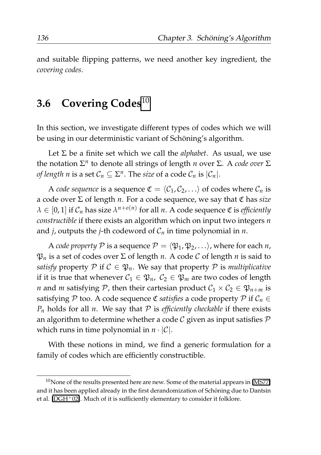and suitable flipping patterns, we need another key ingredient, the *covering codes*.

### <span id="page-157-1"></span>**3.6 Covering Codes**[10](#page-157-0)

In this section, we investigate different types of codes which we will be using in our deterministic variant of Schöning's algorithm.

Let  $\Sigma$  be a finite set which we call the *alphabet*. As usual, we use the notation  $\Sigma<sup>n</sup>$  to denote all strings of length *n* over Σ. A *code over* Σ *of length n* is a set  $C_n \subseteq \Sigma^n$ . The *size* of a code  $C_n$  is  $|C_n|$ .

A *code sequence* is a sequence  $\mathfrak{C} = \langle C_1, C_2, \ldots \rangle$  of codes where  $C_n$  is a code over Σ of length *n*. For a code sequence, we say that C has *size*  $\lambda \in [0,1]$  if  $\mathcal{C}_n$  has size  $\lambda^{n+o(n)}$  for all *n*. A code sequence  $\mathfrak C$  is *efficiently constructible* if there exists an algorithm which on input two integers *n* and *j*, outputs the *j*-th codeword of  $C_n$  in time polynomial in *n*.

A *code property*  $P$  is a sequence  $P = \langle \mathfrak{P}_1, \mathfrak{P}_2, \ldots \rangle$ , where for each *n*,  $\mathfrak{P}_n$  is a set of codes over  $\Sigma$  of length *n*. A code C of length *n* is said to *satisfy* property  $P$  if  $C \in \mathfrak{P}_n$ . We say that property  $P$  is *multiplicative* if it is true that whenever  $C_1 \in \mathfrak{P}_n$ ,  $C_2 \in \mathfrak{P}_m$  are two codes of length *n* and *m* satisfying P, then their cartesian product  $C_1 \times C_2 \in \mathfrak{P}_{n+m}$  is satisfying P too. A code sequence  $\mathfrak C$  *satisfies* a code property P if  $\mathcal C_n \in$  $P_n$  holds for all *n*. We say that  $P$  is *efficiently checkable* if there exists an algorithm to determine whether a code  $\mathcal C$  given as input satisfies  $\mathcal P$ which runs in time polynomial in  $n \cdot |\mathcal{C}|$ .

With these notions in mind, we find a generic formulation for a family of codes which are efficiently constructible.

<span id="page-157-0"></span> $10$ None of the results presented here are new. Some of the material appears in [\[MS77\]](#page-210-1) and it has been applied already in the first derandomization of Schoning due to Dantsin ¨ et al. [\[DGH](#page-206-0)+02]. Much of it is sufficiently elementary to consider it folklore.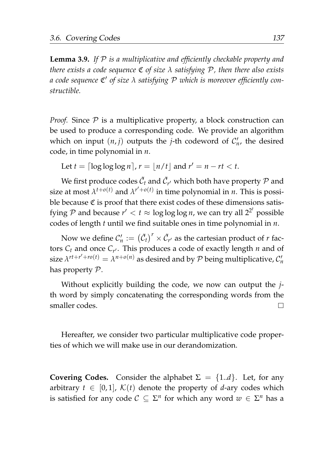<span id="page-158-0"></span>**Lemma 3.9.** *If* P *is a multiplicative and efficiently checkable property and there exists a code sequence* C *of size λ satisfying* P*, then there also exists a code sequence* C ′ *of size λ satisfying* P *which is moreover efficiently constructible.*

*Proof.* Since  $P$  is a multiplicative property, a block construction can be used to produce a corresponding code. We provide an algorithm which on input  $(n, j)$  outputs the *j*-th codeword of  $C'_n$ , the desired code, in time polynomial in *n*.

Let  $t = \lceil \log \log \log n \rceil$ ,  $r = \lfloor n/t \rfloor$  and  $r' = n - rt < t$ .

We first produce codes  $\tilde{C}_t$  and  $\tilde{C}_{r'}$  which both have property  ${\cal P}$  and size at most  $\lambda^{t+o(t)}$  and  $\lambda^{r'+o(t)}$  in time polynomial in *n*. This is possible because  $\mathfrak C$  is proof that there exist codes of these dimensions satisfying  ${\mathcal P}$  and because  $r' < t \approx \log \log \log n$ , we can try all  $2^{2^t}$  possible codes of length *t* until we find suitable ones in time polynomial in *n*.

Now we define  $\mathcal{C}'_n := \big(\tilde{\mathcal{C}}_t\big)^r \times \tilde{\mathcal{C}}_{r'}$  as the cartesian product of  $r$  factors *C<sup>t</sup>* and once *C<sup>r</sup>* ′ . This produces a code of exactly length *n* and of size  $\lambda^{rt+r'+\tau o(t)} = \lambda^{n+o(n)}$  as desired and by  $P$  being multiplicative,  $C'_n$ has property P.

Without explicitly building the code, we now can output the *j*th word by simply concatenating the corresponding words from the smaller codes.  $\Box$ 

Hereafter, we consider two particular multiplicative code properties of which we will make use in our derandomization.

**Covering Codes.** Consider the alphabet  $\Sigma = \{1..d\}$ . Let, for any arbitrary  $t \in [0, 1]$ ,  $\mathcal{K}(t)$  denote the property of *d*-ary codes which is satisfied for any code  $C \subseteq \Sigma^n$  for which any word  $w \in \Sigma^n$  has a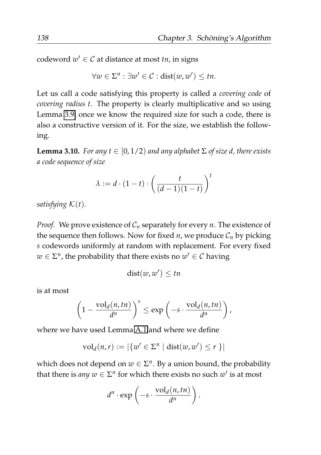$\text{codeword}\;w'\in\mathcal{C}$  at distance at most *tn*, in signs

$$
\forall w \in \Sigma^n : \exists w' \in \mathcal{C} : \text{dist}(w, w') \leq tn.
$$

Let us call a code satisfying this property is called a *covering code* of *covering radius t*. The property is clearly multiplicative and so using Lemma [3.9,](#page-158-0) once we know the required size for such a code, there is also a constructive version of it. For the size, we establish the following.

<span id="page-159-0"></span>**Lemma 3.10.** *For any t*  $\in$  [0, 1/2) *and any alphabet*  $\Sigma$  *of size d, there exists a code sequence of size*

$$
\lambda := d \cdot (1-t) \cdot \left(\frac{t}{(d-1)(1-t)}\right)^t
$$

*satisfying* K(*t*)*.*

*Proof.* We prove existence of  $C_n$  separately for every *n*. The existence of the sequence then follows. Now for fixed *n*, we produce  $C_n$  by picking *s* codewords uniformly at random with replacement. For every fixed  $w \in \Sigma^n$ , the probability that there exists no  $w' \in \mathcal{C}$  having

$$
dist(w, w') \leq tn
$$

is at most

$$
\left(1-\frac{\mathrm{vol}_d(n,tn)}{d^n}\right)^s\leq \exp\left(-s\cdot\frac{\mathrm{vol}_d(n,tn)}{d^n}\right),
$$

where we have used Lemma [A.1](#page-176-0) and where we define

$$
\mathrm{vol}_d(n,r) := |\{w' \in \Sigma^n \mid \mathrm{dist}(w,w') \le r\}|
$$

which does not depend on  $w \in \Sigma^n$ . By a union bound, the probability that there is *any*  $w \in \Sigma^n$  for which there exists no such  $w'$  is at most

$$
d^n \cdot \exp\left(-s \cdot \frac{\mathrm{vol}_d(n, tn)}{d^n}\right).
$$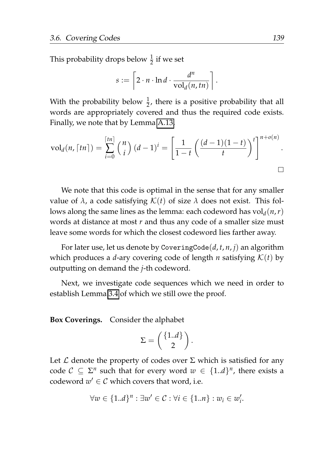This probability drops below  $\frac{1}{2}$  if we set

$$
s := \left[2 \cdot n \cdot \ln d \cdot \frac{d^n}{\mathrm{vol}_d(n, tn)}\right].
$$

With the probability below  $\frac{1}{2}$ , there is a positive probability that all words are appropriately covered and thus the required code exists. Finally, we note that by Lemma [A.13,](#page-190-0)

$$
\mathrm{vol}_d(n,\lceil tn\rceil)=\sum_{i=0}^{\lceil tn\rceil}{n \choose i}(d-1)^i=\left[\frac{1}{1-t}\left(\frac{(d-1)(1-t)}{t}\right)^t\right]^{n+o(n)}.
$$

We note that this code is optimal in the sense that for any smaller value of  $\lambda$ , a code satisfying  $\mathcal{K}(t)$  of size  $\lambda$  does not exist. This follows along the same lines as the lemma: each codeword has  $\mathrm{vol}_d(n,r)$ words at distance at most *r* and thus any code of a smaller size must leave some words for which the closest codeword lies farther away.

For later use, let us denote by CoveringCode(*d*, *t*, *n*, *j*) an algorithm which produces a *d*-ary covering code of length *n* satisfying  $K(t)$  by outputting on demand the *j*-th codeword.

Next, we investigate code sequences which we need in order to establish Lemma [3.4](#page-139-0) of which we still owe the proof.

**Box Coverings.** Consider the alphabet

$$
\Sigma = \left(\begin{array}{c} \{1..d\} \\ 2 \end{array}\right).
$$

Let  $\mathcal L$  denote the property of codes over  $\Sigma$  which is satisfied for any code  $C \subseteq \Sigma^n$  such that for every word  $w \in \{1..d\}^n$ , there exists a codeword  $w' \in \mathcal{C}$  which covers that word, i.e.

$$
\forall w \in \{1..d\}^n : \exists w' \in \mathcal{C} : \forall i \in \{1..n\} : w_i \in w'_i.
$$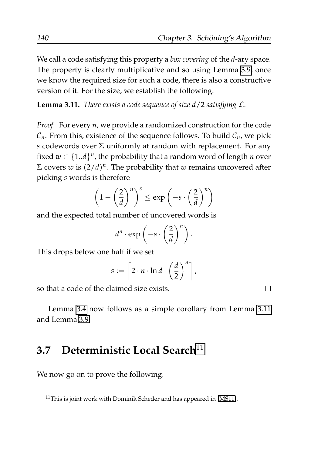We call a code satisfying this property a *box covering* of the *d*-ary space. The property is clearly multiplicative and so using Lemma [3.9,](#page-158-0) once we know the required size for such a code, there is also a constructive version of it. For the size, we establish the following.

<span id="page-161-1"></span>**Lemma 3.11.** *There exists a code sequence of size d*/2 *satisfying* L*.*

*Proof.* For every *n*, we provide a randomized construction for the code  $C_n$ . From this, existence of the sequence follows. To build  $C_n$ , we pick *s* codewords over  $\Sigma$  uniformly at random with replacement. For any fixed  $w \in \{1..d\}^n$ , the probability that a random word of length *n* over  $\Sigma$  covers *w* is  $(2/d)^n$ . The probability that *w* remains uncovered after picking *s* words is therefore

$$
\left(1-\left(\frac{2}{d}\right)^n\right)^s \leq \exp\left(-s\cdot\left(\frac{2}{d}\right)^n\right)
$$

and the expected total number of uncovered words is

$$
d^n \cdot \exp\left(-s \cdot \left(\frac{2}{d}\right)^n\right).
$$

This drops below one half if we set

$$
s := \left[2 \cdot n \cdot \ln d \cdot \left(\frac{d}{2}\right)^n\right],
$$

so that a code of the claimed size exists.

Lemma [3.4](#page-139-0) now follows as a simple corollary from Lemma [3.11](#page-161-1) and Lemma [3.9.](#page-158-0)

# <span id="page-161-0"></span>**3.7 Deterministic Local Search**[11](#page-161-2)

We now go on to prove the following.

 $\Box$ 

<span id="page-161-2"></span> $11$ This is joint work with Dominik Scheder and has appeared in [\[MS11\]](#page-210-0).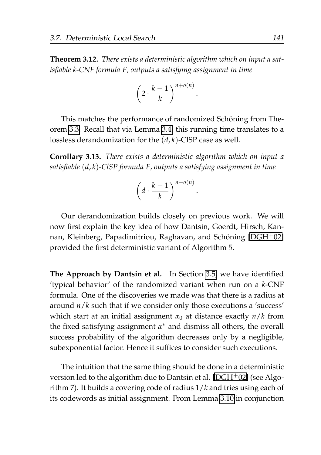<span id="page-162-0"></span>**Theorem 3.12.** *There exists a deterministic algorithm which on input a satisfiable k-CNF formula F, outputs a satisfying assignment in time*

$$
\left(2 \cdot \frac{k-1}{k}\right)^{n+o(n)}
$$

.

.

This matches the performance of randomized Schöning from Theorem [3.3.](#page-132-0) Recall that via Lemma [3.4,](#page-139-0) this running time translates to a lossless derandomization for the (*d*, *k*)-ClSP case as well.

**Corollary 3.13.** *There exists a deterministic algorithm which on input a satisfiable* (*d*, *k*)*-ClSP formula F, outputs a satisfying assignment in time*

$$
\left(d \cdot \frac{k-1}{k}\right)^{n+o(n)}
$$

Our derandomization builds closely on previous work. We will now first explain the key idea of how Dantsin, Goerdt, Hirsch, Kan-nan, Kleinberg, Papadimitriou, Raghavan, and Schöning [\[DGH](#page-206-0)<sup>+</sup>02] provided the first deterministic variant of Algorithm 5.

**The Approach by Dantsin et al.** In Section [3.5,](#page-153-1) we have identified 'typical behavior' of the randomized variant when run on a *k*-CNF formula. One of the discoveries we made was that there is a radius at around *n*/*k* such that if we consider only those executions a 'success' which start at an initial assignment *α*<sup>0</sup> at distance exactly *n*/*k* from the fixed satisfying assignment *α* <sup>∗</sup> and dismiss all others, the overall success probability of the algorithm decreases only by a negligible, subexponential factor. Hence it suffices to consider such executions.

The intuition that the same thing should be done in a deterministic version led to the algorithm due to Dantsin et al. [\[DGH](#page-206-0)+02] (see Algorithm 7). It builds a covering code of radius 1/*k* and tries using each of its codewords as initial assignment. From Lemma [3.10](#page-159-0) in conjunction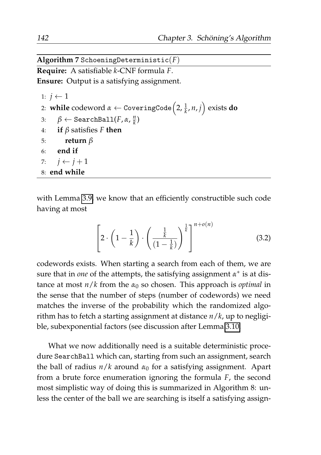**Algorithm 7** SchoeningDeterministic(*F*)

**Require:** A satisfiable *k*-CNF formula *F*.

**Ensure:** Output is a satisfying assignment.

1:  $j \leftarrow 1$ 2: **while** codeword *<sup>α</sup>* <sup>←</sup> CoveringCode 2, <sup>1</sup> *k* , *n*, *j* exists **do** 3:  $\beta \leftarrow \texttt{SearchBall}(F, \alpha, \frac{n}{k})$ 4: **if** *β* satisfies *F* **then** 5: **return** *β* 6: **end if** 7:  $j \leftarrow j+1$ 8: **end while**

with Lemma [3.9,](#page-158-0) we know that an efficiently constructible such code having at most

<span id="page-163-0"></span>
$$
\left[2 \cdot \left(1 - \frac{1}{k}\right) \cdot \left(\frac{\frac{1}{k}}{(1 - \frac{1}{k})}\right)^{\frac{1}{k}}\right]^{n + o(n)}
$$
\n(3.2)

codewords exists. When starting a search from each of them, we are sure that in *one* of the attempts, the satisfying assignment  $\alpha^*$  is at distance at most  $n/k$  from the  $\alpha_0$  so chosen. This approach is *optimal* in the sense that the number of steps (number of codewords) we need matches the inverse of the probability which the randomized algorithm has to fetch a starting assignment at distance *n*/*k*, up to negligible, subexponential factors (see discussion after Lemma [3.10.](#page-159-0)

What we now additionally need is a suitable deterministic procedure SearchBall which can, starting from such an assignment, search the ball of radius  $n/k$  around  $\alpha_0$  for a satisfying assignment. Apart from a brute force enumeration ignoring the formula *F*, the second most simplistic way of doing this is summarized in Algorithm 8: unless the center of the ball we are searching is itself a satisfying assign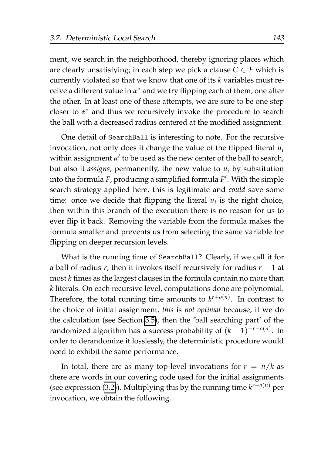ment, we search in the neighborhood, thereby ignoring places which are clearly unsatisfying; in each step we pick a clause  $C \in F$  which is currently violated so that we know that one of its *k* variables must receive a different value in *α* <sup>∗</sup> and we try flipping each of them, one after the other. In at least one of these attempts, we are sure to be one step closer to *α* <sup>∗</sup> and thus we recursively invoke the procedure to search the ball with a decreased radius centered at the modified assignment.

One detail of SearchBall is interesting to note. For the recursive invocation, not only does it change the value of the flipped literal *u<sup>i</sup>* within assignment *α* ′ to be used as the new center of the ball to search, but also it *assigns*, permanently, the new value to  $u_i$  by substitution into the formula *F*, producing a simplified formula *F* ′ . With the simple search strategy applied here, this is legitimate and *could* save some time: once we decide that flipping the literal  $u_i$  is the right choice, then within this branch of the execution there is no reason for us to ever flip it back. Removing the variable from the formula makes the formula smaller and prevents us from selecting the same variable for flipping on deeper recursion levels.

What is the running time of SearchBall? Clearly, if we call it for a ball of radius *r*, then it invokes itself recursively for radius *r* − 1 at most *k* times as the largest clauses in the formula contain no more than *k* literals. On each recursive level, computations done are polynomial. Therefore, the total running time amounts to  $k^{r+o(n)}$ . In contrast to the choice of initial assignment, *this* is *not optimal* because, if we do the calculation (see Section [3.5\)](#page-153-1), then the 'ball searching part' of the randomized algorithm has a success probability of (*k* − 1) −*r*−*o*(*n*) . In order to derandomize it losslessly, the deterministic procedure would need to exhibit the same performance.

In total, there are as many top-level invocations for  $r = n/k$  as there are words in our covering code used for the initial assignments (see expression [\(3.2\)](#page-163-0)). Multiplying this by the running time *k <sup>r</sup>*+*o*(*n*) per invocation, we obtain the following.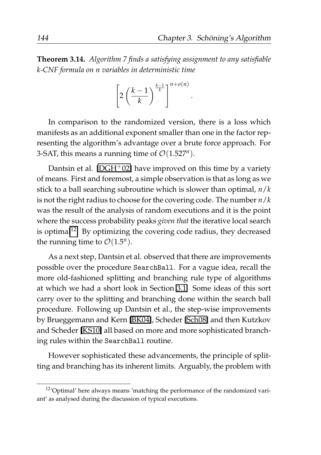.

**Theorem 3.14.** *Algorithm 7 finds a satisfying assignment to any satisfiable k-CNF formula on n variables in deterministic time*

$$
\left[2\left(\frac{k-1}{k}\right)^{\frac{k-1}{k}}\right]^{n+o(n)}
$$

In comparison to the randomized version, there is a loss which manifests as an additional exponent smaller than one in the factor representing the algorithm's advantage over a brute force approach. For 3-SAT, this means a running time of  $\mathcal{O}(1.527^n)$ .

Dantsin et al.  $[DGH<sup>+</sup>02]$  $[DGH<sup>+</sup>02]$  have improved on this time by a variety of means. First and foremost, a simple observation is that as long as we stick to a ball searching subroutine which is slower than optimal, *n*/*k* is not the right radius to choose for the covering code. The number *n*/*k* was the result of the analysis of random executions and it is the point where the success probability peaks *given that* the iterative local search is optimal<sup>[12](#page-165-0)</sup>. By optimizing the covering code radius, they decreased the running time to  $\mathcal{O}(1.5^n)$ .

As a next step, Dantsin et al. observed that there are improvements possible over the procedure SearchBall. For a vague idea, recall the more old-fashioned splitting and branching rule type of algorithms at which we had a short look in Section [3.1.](#page-125-0) Some ideas of this sort carry over to the splitting and branching done within the search ball procedure. Following up Dantsin et al., the step-wise improvements by Brueggemann and Kern [\[BK04\]](#page-205-0), Scheder [\[Sch08\]](#page-212-0) and then Kutzkov and Scheder [\[KS10\]](#page-209-0) all based on more and more sophisticated branching rules within the SearchBall routine.

However sophisticated these advancements, the principle of splitting and branching has its inherent limits. Arguably, the problem with

<span id="page-165-0"></span><sup>&</sup>lt;sup>12</sup>'Optimal' here always means 'matching the performance of the randomized variant' as analysed during the discussion of typical executions.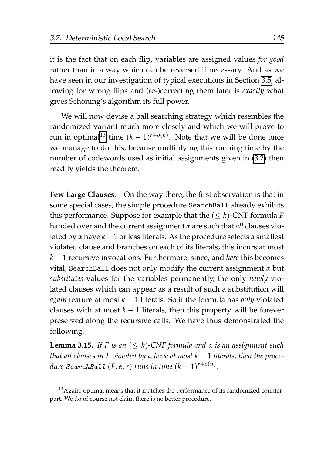it is the fact that on each flip, variables are assigned values *for good* rather than in a way which can be reversed if necessary. And as we have seen in our investigation of typical executions in Section [3.5,](#page-153-1) allowing for wrong flips and (re-)correcting them later is *exactly* what gives Schöning's algorithm its full power.

We will now devise a ball searching strategy which resembles the randomized variant much more closely and which we will prove to run in optimal<sup>[13](#page-166-0)</sup> time  $(k-1)^{r+o(n)}$ . Note that we will be done once we manage to do this, because multiplying this running time by the number of codewords used as initial assignments given in [\(3.2\)](#page-163-0) then readily yields the theorem.

**Few Large Clauses.** On the way there, the first observation is that in some special cases, the simple procedure SearchBall already exhibits this performance. Suppose for example that the  $(\leq k)$ -CNF formula *F* handed over and the current assignment *α* are such that *all* clauses violated by *α* have *k* − 1 or less literals. As the procedure selects a smallest violated clause and branches on each of its literals, this incurs at most *k* − 1 recursive invocations. Furthermore, since, and *here* this becomes vital, SearchBall does not only modify the current assignment *α* but *substitutes* values for the variables permanently, the only *newly* violated clauses which can appear as a result of such a substitution will *again* feature at most *k* − 1 literals. So if the formula has *only* violated clauses with at most  $k - 1$  literals, then this property will be forever preserved along the recursive calls. We have thus demonstrated the following.

<span id="page-166-1"></span>**Lemma 3.15.** *If* F is an  $(\leq k)$ -CNF formula and  $\alpha$  is an assignment such *that all clauses in F violated by α have at most k* − 1 *literals, then the proce* $d$ *ure*  $S$ earchBall  $(F, \alpha, r)$  *runs in time*  $(k-1)^{r+o(n)}$ *.* 

<span id="page-166-0"></span> $13$ Again, optimal means that it matches the performance of its randomized counterpart. We do of course not claim there is no better procedure.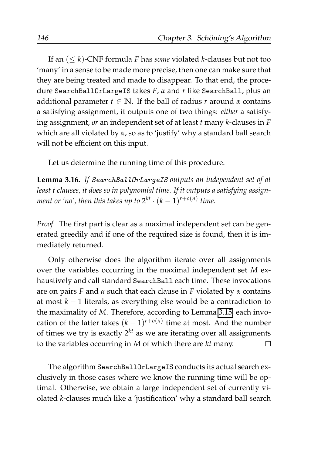If an (≤ *k*)-CNF formula *F* has *some* violated *k*-clauses but not too 'many' in a sense to be made more precise, then one can make sure that they are being treated and made to disappear. To that end, the procedure SearchBallOrLargeIS takes *F*, *α* and *r* like SearchBall, plus an additional parameter  $t \in \mathbb{N}$ . If the ball of radius *r* around  $\alpha$  contains a satisfying assignment, it outputs one of two things: *either* a satisfying assignment, *or* an independent set of at least *t* many *k*-clauses in *F* which are all violated by *α*, so as to 'justify' why a standard ball search will not be efficient on this input.

Let us determine the running time of this procedure.

<span id="page-167-0"></span>**Lemma 3.16.** *If* SearchBallOrLargeIS *outputs an independent set of at least t clauses, it does so in polynomial time. If it outputs a satisfying assignment or 'no', then this takes up to*  $2^{kt} \cdot (k-1)^{r+o(n)}$  *time.* 

*Proof.* The first part is clear as a maximal independent set can be generated greedily and if one of the required size is found, then it is immediately returned.

Only otherwise does the algorithm iterate over all assignments over the variables occurring in the maximal independent set *M* exhaustively and call standard SearchBall each time. These invocations are on pairs *F* and *α* such that each clause in *F* violated by *α* contains at most *k* − 1 literals, as everything else would be a contradiction to the maximality of *M*. Therefore, according to Lemma [3.15,](#page-166-1) each invocation of the latter takes  $(k-1)^{r+o(n)}$  time at most. And the number of times we try is exactly  $2^{kt}$  as we are iterating over all assignments to the variables occurring in *M* of which there are *kt* many.  $\Box$ 

The algorithm SearchBallOrLargeIS conducts its actual search exclusively in those cases where we know the running time will be optimal. Otherwise, we obtain a large independent set of currently violated *k*-clauses much like a 'justification' why a standard ball search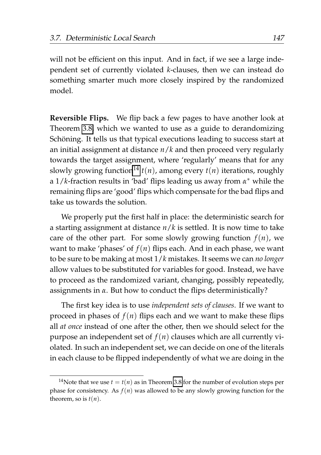will not be efficient on this input. And in fact, if we see a large independent set of currently violated *k*-clauses, then we can instead do something smarter much more closely inspired by the randomized model.

**Reversible Flips.** We flip back a few pages to have another look at Theorem [3.8,](#page-155-0) which we wanted to use as a guide to derandomizing Schöning. It tells us that typical executions leading to success start at an initial assignment at distance *n*/*k* and then proceed very regularly towards the target assignment, where 'regularly' means that for any slowly growing function<sup>[14](#page-168-0)</sup>  $t(n)$ , among every  $t(n)$  iterations, roughly a 1/*k*-fraction results in 'bad' flips leading us away from *α* <sup>∗</sup> while the remaining flips are 'good' flips which compensate for the bad flips and take us towards the solution.

We properly put the first half in place: the deterministic search for a starting assignment at distance *n*/*k* is settled. It is now time to take care of the other part. For some slowly growing function  $f(n)$ , we want to make 'phases' of  $f(n)$  flips each. And in each phase, we want to be sure to be making at most 1/*k* mistakes. It seems we can *no longer* allow values to be substituted for variables for good. Instead, we have to proceed as the randomized variant, changing, possibly repeatedly, assignments in *α*. But how to conduct the flips deterministically?

The first key idea is to use *independent sets of clauses*. If we want to proceed in phases of  $f(n)$  flips each and we want to make these flips all *at once* instead of one after the other, then we should select for the purpose an independent set of  $f(n)$  clauses which are all currently violated. In such an independent set, we can decide on one of the literals in each clause to be flipped independently of what we are doing in the

<span id="page-168-0"></span><sup>&</sup>lt;sup>14</sup>Note that we use  $t = t(n)$  as in Theorem [3.8](#page-155-0) for the number of evolution steps per phase for consistency. As *f*(*n*) was allowed to be any slowly growing function for the theorem, so is  $t(n)$ .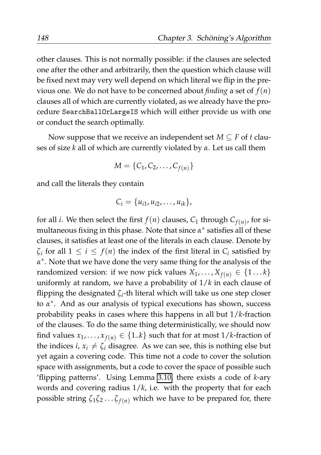other clauses. This is not normally possible: if the clauses are selected one after the other and arbitrarily, then the question which clause will be fixed next may very well depend on which literal we flip in the previous one. We do not have to be concerned about *finding* a set of *f*(*n*) clauses all of which are currently violated, as we already have the procedure SearchBallOrLargeIS which will either provide us with one or conduct the search optimally.

Now suppose that we receive an independent set  $M \subseteq F$  of *t* clauses of size *k* all of which are currently violated by *α*. Let us call them

$$
M = \{C_1, C_2, \ldots, C_{f(n)}\}
$$

and call the literals they contain

$$
C_i = \{u_{i1}, u_{i2}, \ldots, u_{ik}\},\
$$

for all *i*. We then select the first  $f(n)$  clauses,  $C_1$  through  $C_{f(n)}$ , for simultaneous fixing in this phase. Note that since *α* ∗ satisfies all of these clauses, it satisfies at least one of the literals in each clause. Denote by  $\zeta_i$  for all  $1 \leq i \leq f(n)$  the index of the first literal in  $C_i$  satisfied by *α* ∗ . Note that we have done the very same thing for the analysis of the randomized version: if we now pick values  $X_1, \ldots, X_{f(n)} \in \{1 \ldots k\}$ uniformly at random, we have a probability of 1/*k* in each clause of flipping the designated *ζ<sup>i</sup>* -th literal which will take us one step closer to *α* ∗ . And as our analysis of typical executions has shown, success probability peaks in cases where this happens in all but 1/*k*-fraction of the clauses. To do the same thing deterministically, we should now find values  $x_1, \ldots, x_{f(n)} \in \{1..k\}$  such that for at most  $1/k$ -fraction of the indices *i*,  $x_i \neq \zeta_i$  disagree. As we can see, this is nothing else but yet again a covering code. This time not a code to cover the solution space with assignments, but a code to cover the space of possible such 'flipping patterns'. Using Lemma [3.10,](#page-159-0) there exists a code of *k*-ary words and covering radius 1/*k*, i.e. with the property that for each possible string  $\zeta_1 \zeta_2 \dots \zeta_{f(n)}$  which we have to be prepared for, there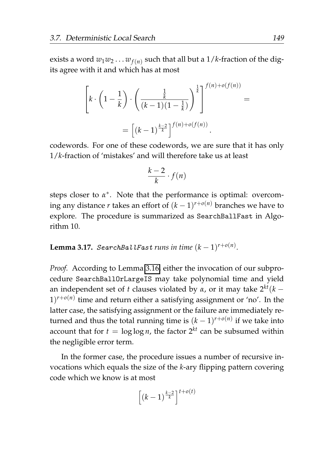exists a word  $w_1w_2\dots w_{f(n)}$  such that all but a 1/*k-*fraction of the digits agree with it and which has at most

$$
\left[k \cdot \left(1 - \frac{1}{k}\right) \cdot \left(\frac{\frac{1}{k}}{(k-1)(1-\frac{1}{k})}\right)^{\frac{1}{k}}\right]^{f(n)+o(f(n))} =
$$

$$
= \left[(k-1)^{\frac{k-2}{k}}\right]^{f(n)+o(f(n))}.
$$

codewords. For one of these codewords, we are sure that it has only 1/*k*-fraction of 'mistakes' and will therefore take us at least

$$
\frac{k-2}{k} \cdot f(n)
$$

steps closer to  $\alpha^*$ . Note that the performance is optimal: overcoming any distance *r* takes an effort of (*k* − 1) *<sup>r</sup>*+*o*(*n*) branches we have to explore. The procedure is summarized as SearchBallFast in Algorithm 10.

 $\bf{Lemma 3.17.}$   $SearchBallFast \ runs \ in \ time \ (k-1)^{r+o(n)}.$ 

*Proof.* According to Lemma [3.16,](#page-167-0) either the invocation of our subprocedure SearchBallOrLargeIS may take polynomial time and yield an independent set of *t* clauses violated by  $\alpha$ , or it may take  $2^{kt}(k 1)^{r+o(n)}$  time and return either a satisfying assignment or 'no'. In the latter case, the satisfying assignment or the failure are immediately returned and thus the total running time is  $(k-1)^{r+o(n)}$  if we take into account that for  $t = \log \log n$ , the factor  $2^{kt}$  can be subsumed within the negligible error term.

In the former case, the procedure issues a number of recursive invocations which equals the size of the *k*-ary flipping pattern covering code which we know is at most

$$
\left[ (k-1)^{\frac{k-2}{k}} \right]^{t+o(t)}
$$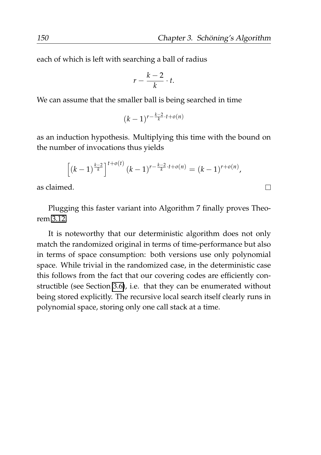$\Box$ 

each of which is left with searching a ball of radius

$$
r-\frac{k-2}{k}\cdot t.
$$

We can assume that the smaller ball is being searched in time

$$
(k-1)^{r-\frac{k-2}{k}\cdot t+o(n)}
$$

as an induction hypothesis. Multiplying this time with the bound on the number of invocations thus yields

$$
\left[ (k-1)^{\frac{k-2}{k}} \right]^{t+o(t)} (k-1)^{r-\frac{k-2}{k}\cdot t+o(n)} = (k-1)^{r+o(n)},
$$

as claimed.

Plugging this faster variant into Algorithm 7 finally proves Theorem [3.12.](#page-162-0)

It is noteworthy that our deterministic algorithm does not only match the randomized original in terms of time-performance but also in terms of space consumption: both versions use only polynomial space. While trivial in the randomized case, in the deterministic case this follows from the fact that our covering codes are efficiently constructible (see Section [3.6\)](#page-157-1), i.e. that they can be enumerated without being stored explicitly. The recursive local search itself clearly runs in polynomial space, storing only one call stack at a time.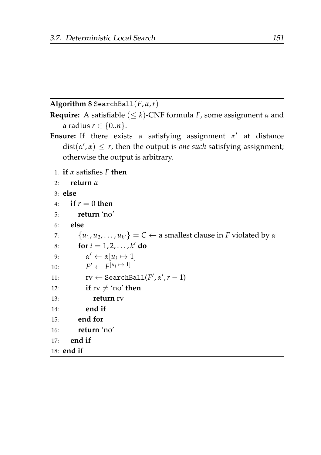#### **Algorithm 8** SearchBall(*F*, *α*,*r*)

```
Require: A satisfiable (\leq k)-CNF formula F, some assignment α and
    a radius r \in \{0..n\}.
```
- **Ensure:** If there exists a satisfying assignment  $\alpha'$  at distance  $dist(\alpha', \alpha) \leq r$ , then the output is *one such* satisfying assignment; otherwise the output is arbitrary.
	- 1: **if** *α* satisfies *F* **then**

```
2: return α
```
3: **else**

```
4. if r = 0 then
```

```
5: return 'no'
```
- 6: **else**
- 7:  $\{u_1, u_2, \ldots, u_{k'}\} = C \leftarrow \text{a smallest clause in } F \text{ violated by } \alpha$

```
8: for i = 1, 2, ..., k' do
```

```
9: \alpha' \leftarrow \alpha[u_i \mapsto 1]
```

```
10<sup>2</sup>\prime \leftarrow F^{[u_i \mapsto 1]}
```

```
11: \mathbf{rv} \leftarrow \texttt{SearchBall}(F', \alpha', r-1)
```

```
12: if rv \neq \text{'no'} then
```

```
13: return rv
```

```
14: end if
```

```
15: end for
```

```
16: return 'no'
```

```
17: end if
```

```
18: end if
```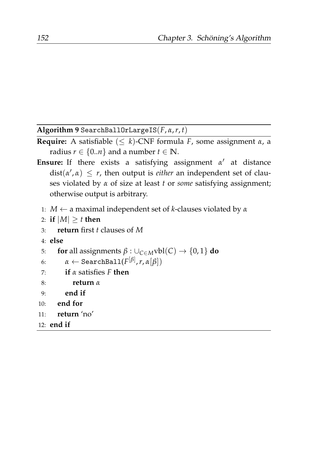**Algorithm 9** SearchBallOrLargeIS(*F*, *α*,*r*, *t*)

- **Require:** A satisfiable  $(\leq k)$ -CNF formula *F*, some assignment  $\alpha$ , a radius  $r \in \{0..n\}$  and a number  $t \in \mathbb{N}$ .
- **Ensure:** If there exists a satisfying assignment  $\alpha'$  at distance  $dist(\alpha', \alpha) \leq r$ , then output is *either* an independent set of clauses violated by *α* of size at least *t* or *some* satisfying assignment; otherwise output is arbitrary.
	- 1: *M* ← a maximal independent set of *k*-clauses violated by *α*
	- 2: **if**  $|M| \geq t$  **then**
	- 3: **return** first *t* clauses of *M*
	- 4: **else**

```
5: for all assignments \beta : \cup_{C \in M}vbl(C) \rightarrow \{0, 1\} do
```

```
\alpha \leftarrow \texttt{SearchBall}(F^{[\beta]}, r, \alpha[\beta])
```
7: **if** *α* satisfies *F* **then**

```
8: return α
```
- 9: **end if**
- 10: **end for**

```
11: return 'no'
```
12: **end if**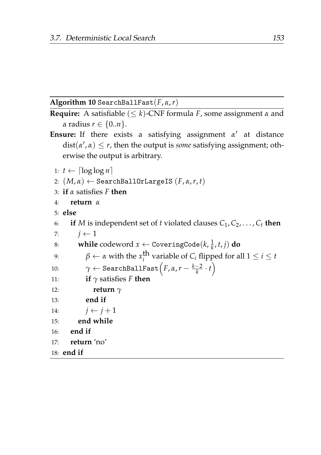#### **Algorithm 10** SearchBallFast(*F*, *α*,*r*)

```
Require: A satisfiable (≤ k)-CNF formula F, some assignment α and
   a radius r \in \{0..n\}.
```
- **Ensure:** If there exists a satisfying assignment  $\alpha'$  at distance  $dist(\alpha', \alpha) \leq r$ , then the output is *some* satisfying assignment; otherwise the output is arbitrary.
	- 1:  $t \leftarrow \lceil \log \log n \rceil$
	- 2:  $(M, \alpha) \leftarrow$  SearchBallOrLargeIS  $(F, \alpha, r, t)$
	- 3: **if** *α* satisfies *F* **then**

```
4: return α
```

```
5: else
```

```
6: if M is independent set of t violated clauses C_1, C_2, \ldots, C_t then
 7: j \leftarrow 18: while codeword x \leftarrow \text{CoveringCode}(k, \frac{1}{k}, t, j) do
 9: \beta \leftarrow \alpha with the x_i^{\text{th}} variable of C_i flipped for all 1 \leq i \leq t10: \gamma \leftarrow \texttt{SearchBallFast}\Big(F, \alpha, r - \frac{k-2}{k} \cdot t\Big)11: if γ satisfies F then
12: return γ
13: end if
14: j \leftarrow j+115: end while
16: end if
17: return 'no'
18: end if
```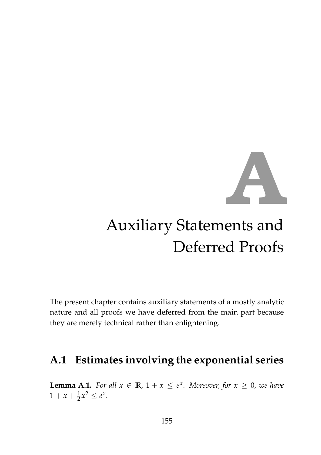

# Auxiliary Statements and Deferred Proofs

The present chapter contains auxiliary statements of a mostly analytic nature and all proofs we have deferred from the main part because they are merely technical rather than enlightening.

## **A.1 Estimates involving the exponential series**

<span id="page-176-0"></span>**Lemma A.1.** *For all*  $x \in \mathbb{R}$ ,  $1 + x \le e^x$ . *Moreover, for*  $x \ge 0$ *, we have*  $1 + x + \frac{1}{2}x^2 \le e^x$ .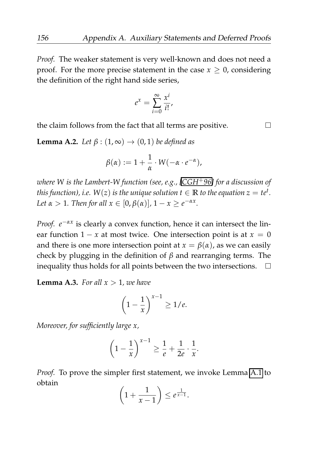*Proof.* The weaker statement is very well-known and does not need a proof. For the more precise statement in the case  $x \geq 0$ , considering the definition of the right hand side series,

$$
e^x = \sum_{i=0}^{\infty} \frac{x^i}{i!},
$$

the claim follows from the fact that all terms are positive.

**Lemma A.2.** *Let*  $\beta$  :  $(1, \infty) \rightarrow (0, 1)$  *be defined as* 

$$
\beta(\alpha) := 1 + \frac{1}{\alpha} \cdot W(-\alpha \cdot e^{-\alpha}),
$$

*where W is the Lambert-W function (see, e.g., [\[CGH](#page-205-1)*+*96] for a discussion of this function), i.e.*  $W(z)$  *is the unique solution*  $t \in \mathbb{R}$  *to the equation*  $z = t e^t.$ *Let*  $\alpha > 1$ *. Then for all*  $x \in [0, \beta(\alpha)]$ ,  $1 - x \ge e^{-\alpha x}$ *.* 

*Proof.*  $e^{-\alpha x}$  is clearly a convex function, hence it can intersect the linear function  $1 - x$  at most twice. One intersection point is at  $x = 0$ and there is one more intersection point at  $x = \beta(\alpha)$ , as we can easily check by plugging in the definition of *β* and rearranging terms. The inequality thus holds for all points between the two intersections.  $\Box$ 

**Lemma A.3.** *For all*  $x > 1$ *, we have* 

$$
\left(1-\frac{1}{x}\right)^{x-1} \ge 1/e.
$$

*Moreover, for sufficiently large x,*

$$
\left(1-\frac{1}{x}\right)^{x-1} \ge \frac{1}{e} + \frac{1}{2e} \cdot \frac{1}{x}.
$$

*Proof.* To prove the simpler first statement, we invoke Lemma [A.1](#page-176-0) to obtain

$$
\left(1+\frac{1}{x-1}\right)\leq e^{\frac{1}{x-1}}.
$$

 $\Box$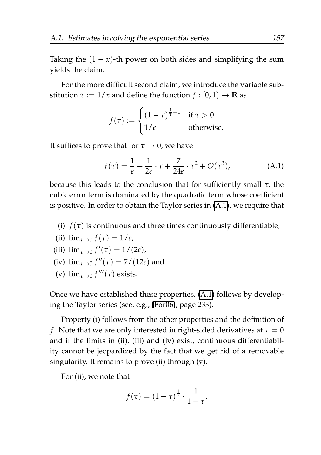For the more difficult second claim, we introduce the variable substitution  $\tau := 1/x$  and define the function  $f : [0, 1) \rightarrow \mathbb{R}$  as

$$
f(\tau) := \begin{cases} (1-\tau)^{\frac{1}{\tau}-1} & \text{if } \tau > 0\\ 1/e & \text{otherwise.} \end{cases}
$$

It suffices to prove that for  $\tau \to 0$ , we have

<span id="page-178-0"></span>
$$
f(\tau) = \frac{1}{e} + \frac{1}{2e} \cdot \tau + \frac{7}{24e} \cdot \tau^2 + \mathcal{O}(\tau^3),
$$
 (A.1)

because this leads to the conclusion that for sufficiently small *τ*, the cubic error term is dominated by the quadratic term whose coefficient is positive. In order to obtain the Taylor series in [\(A.1\)](#page-178-0), we require that

(i)  $f(\tau)$  is continuous and three times continuously differentiable,

(ii) 
$$
\lim_{\tau \to 0} f(\tau) = 1/e,
$$

(iii) 
$$
\lim_{\tau \to 0} f'(\tau) = 1/(2e),
$$

- (iv)  $\lim_{\tau \to 0} f''(\tau) = 7/(12e)$  and
- (v)  $\lim_{\tau \to 0} f'''(\tau)$  exists.

Once we have established these properties, [\(A.1\)](#page-178-0) follows by developing the Taylor series (see, e.g., [\[For06\]](#page-206-1), page 233).

Property (i) follows from the other properties and the definition of *f*. Note that we are only interested in right-sided derivatives at  $\tau = 0$ and if the limits in (ii), (iii) and (iv) exist, continuous differentiability cannot be jeopardized by the fact that we get rid of a removable singularity. It remains to prove (ii) through (v).

For (ii), we note that

$$
f(\tau) = (1-\tau)^{\frac{1}{\tau}} \cdot \frac{1}{1-\tau'}
$$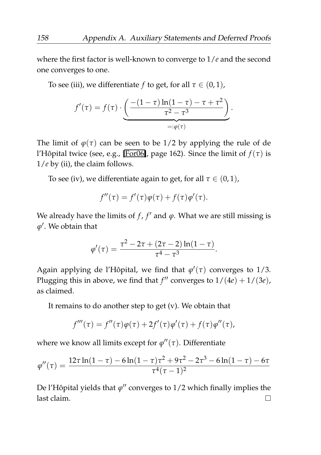where the first factor is well-known to converge to 1/*e* and the second one converges to one.

To see (iii), we differentiate *f* to get, for all  $\tau \in (0,1)$ ,

$$
f'(\tau) = f(\tau) \cdot \underbrace{\left(\frac{-(1-\tau)\ln(1-\tau)-\tau+\tau^2}{\tau^2-\tau^3}\right)}_{=: \varphi(\tau)}.
$$

The limit of  $\varphi(\tau)$  can be seen to be 1/2 by applying the rule of de l'Hôpital twice (see, e.g., [\[For06\]](#page-206-1), page 162). Since the limit of  $f(\tau)$  is 1/*e* by (ii), the claim follows.

To see (iv), we differentiate again to get, for all  $\tau \in (0,1)$ ,

$$
f''(\tau) = f'(\tau)\varphi(\tau) + f(\tau)\varphi'(\tau).
$$

We already have the limits of  $f$ ,  $f'$  and  $\varphi$ . What we are still missing is *ϕ* ′ . We obtain that

$$
\varphi'(\tau) = \frac{\tau^2 - 2\tau + (2\tau - 2)\ln(1 - \tau)}{\tau^4 - \tau^3}.
$$

Again applying de l'Hôpital, we find that  $\varphi'(\tau)$  converges to 1/3. Plugging this in above, we find that  $f''$  converges to  $1/(4e) + 1/(3e)$ , as claimed.

It remains to do another step to get (v). We obtain that

$$
f'''(\tau) = f''(\tau)\varphi(\tau) + 2f'(\tau)\varphi'(\tau) + f(\tau)\varphi''(\tau),
$$

where we know all limits except for *ϕ* ′′(*τ*). Differentiate

$$
\phi''(\tau) = \frac{12\tau\ln(1-\tau)-6\ln(1-\tau)\tau^2+9\tau^2-2\tau^3-6\ln(1-\tau)-6\tau}{\tau^4(\tau-1)^2}
$$

De l'Hôpital yields that  $\varphi''$  converges to 1/2 which finally implies the last claim. $\Box$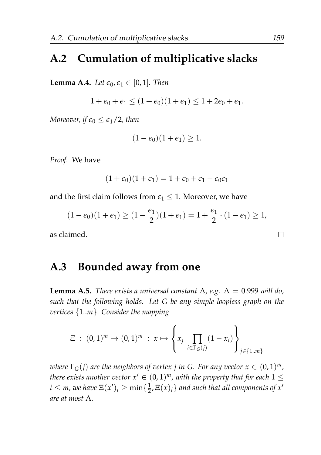# **A.2 Cumulation of multiplicative slacks**

<span id="page-180-0"></span>**Lemma A.4.** *Let*  $\epsilon_0$ ,  $\epsilon_1 \in [0,1]$ *. Then* 

$$
1+\epsilon_0+\epsilon_1\leq (1+\epsilon_0)(1+\epsilon_1)\leq 1+2\epsilon_0+\epsilon_1.
$$

*Moreover, if*  $\epsilon_0 \leq \epsilon_1/2$ *, then* 

$$
(1-\epsilon_0)(1+\epsilon_1)\geq 1.
$$

*Proof.* We have

$$
(1+\epsilon_0)(1+\epsilon_1)=1+\epsilon_0+\epsilon_1+\epsilon_0\epsilon_1
$$

and the first claim follows from  $\epsilon_1 \leq 1$ . Moreover, we have

$$
(1-\epsilon_0)(1+\epsilon_1) \geq (1-\frac{\epsilon_1}{2})(1+\epsilon_1) = 1+\frac{\epsilon_1}{2}\cdot(1-\epsilon_1) \geq 1,
$$

as claimed.

# **A.3 Bounded away from one**

<span id="page-180-1"></span>**Lemma A.5.** *There exists a universal constant*  $\Lambda$ , *e.g.*  $\Lambda = 0.999$  *will do*, *such that the following holds. Let G be any simple loopless graph on the vertices* {1..*m*}*. Consider the mapping*

$$
\Xi \; : \; (0,1)^m \to (0,1)^m \; : \; x \mapsto \left\{ x_j \prod_{i \in \Gamma_G(j)} (1-x_i) \right\}_{j \in \{1 \dots m\}}
$$

*where*  $\Gamma_G(j)$  are the neighbors of vertex  $j$  in G. For any vector  $x \in (0,1)^m$ , *there exists another vector*  $x' \in (0,1)^m$ *, with the property that for each*  $1 \leq$  $i \leq m$ , we have  $\Xi(x')_i \geq \min\{\frac{1}{2}, \Xi(x)_i\}$  and such that all components of  $x'$ *are at most* Λ*.*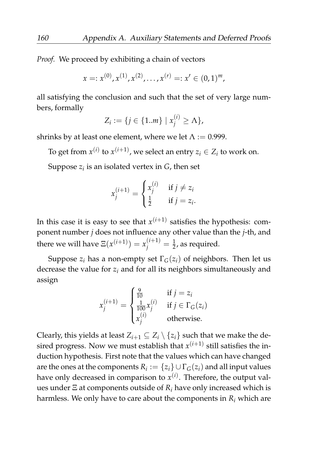*Proof.* We proceed by exhibiting a chain of vectors

$$
x =: x^{(0)}, x^{(1)}, x^{(2)}, \ldots, x^{(r)} =: x' \in (0,1)^m,
$$

all satisfying the conclusion and such that the set of very large numbers, formally

$$
Z_i := \{ j \in \{1..m\} \mid x_j^{(i)} \ge \Lambda \},
$$

shrinks by at least one element, where we let  $\Lambda$  := 0.999.

To get from  $x^{(i)}$  to  $x^{(i+1)}$ , we select an entry  $z_i \in Z_i$  to work on. Suppose  $z_i$  is an isolated vertex in  $G$ , then set

$$
x_j^{(i+1)} = \begin{cases} x_j^{(i)} & \text{if } j \neq z_i \\ \frac{1}{2} & \text{if } j = z_i. \end{cases}
$$

In this case it is easy to see that  $x^{(i+1)}$  satisfies the hypothesis: component number *j* does not influence any other value than the *j*-th, and there we will have  $\Xi(x^{(i+1)}) = x^{(i+1)}_j = \frac{1}{2}$ , as required.

Suppose  $z_i$  has a non-empty set  $\Gamma$ <sub>*G*</sub>( $z_i$ ) of neighbors. Then let us decrease the value for *z<sup>i</sup>* and for all its neighbors simultaneously and assign

$$
x_j^{(i+1)} = \begin{cases} \frac{9}{100} & \text{if } j = z_i\\ \frac{1}{100}x_j^{(i)} & \text{if } j \in \Gamma_G(z_i)\\ x_j^{(i)} & \text{otherwise.} \end{cases}
$$

Clearly, this yields at least  $Z_{i+1} \subset Z_i \setminus \{z_i\}$  such that we make the desired progress. Now we must establish that  $x^{(i+1)}$  still satisfies the induction hypothesis. First note that the values which can have changed are the ones at the components  $R_i := \{z_i\} \cup \Gamma_G(z_i)$  and all input values have only decreased in comparison to  $x^{(i)}$ . Therefore, the output values under Ξ at components outside of *R<sup>i</sup>* have only increased which is harmless. We only have to care about the components in  $R_i$  which are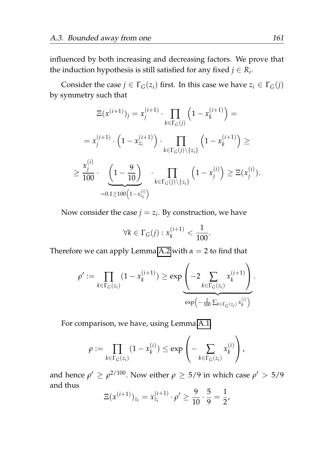influenced by both increasing and decreasing factors. We prove that the induction hypothesis is still satisfied for any fixed  $j \in R_i$ .

Consider the case  $j \in \Gamma_G(z_i)$  first. In this case we have  $z_i \in \Gamma_G(j)$ by symmetry such that

$$
\Xi(x^{(i+1)})_j = x_j^{(i+1)} \cdot \prod_{k \in \Gamma_G(j)} \left(1 - x_k^{(i+1)}\right) =
$$
\n
$$
= x_j^{(i+1)} \cdot \left(1 - x_{z_i}^{(i+1)}\right) \cdot \prod_{k \in \Gamma_G(j) \setminus \{z_i\}} \left(1 - x_k^{(i+1)}\right) \ge
$$
\n
$$
\ge \frac{x_j^{(i)}}{100} \cdot \underbrace{\left(1 - \frac{9}{10}\right)}_{=0.1 \ge 100} \cdot \prod_{k \in \Gamma_G(j) \setminus \{z_i\}} \left(1 - x_j^{(i)}\right) \ge \Xi(x_j^{(i)}).
$$

Now consider the case  $j = z_i$ . By construction, we have

$$
\forall k \in \Gamma_G(j) : x_k^{(i+1)} < \frac{1}{100}.
$$

Therefore we can apply Lemma [A.2](#page-177-0) with  $\alpha = 2$  to find that

$$
\rho' := \prod_{k \in \Gamma_G(z_i)} (1 - x_k^{(i+1)}) \ge \exp \left( -2 \sum_{k \in \Gamma_G(z_i)} x_k^{(i+1)} \right) \cdot \exp \left( -\frac{2}{100} \sum_{k \in \Gamma_G(z_i)} x_k^{(i)} \right).
$$

For comparison, we have, using Lemma [A.1,](#page-176-0)

$$
\rho := \prod_{k \in \Gamma_G(z_i)} (1 - x_k^{(i)}) \le \exp \left(-\sum_{k \in \Gamma_G(z_i)} x_k^{(i)}\right),
$$

and hence  $\rho' \ge \rho^{2/100}$ . Now either  $\rho \ge 5/9$  in which case  $\rho' > 5/9$ and thus

$$
\Xi(x^{(i+1)})_{z_i} = x_{z_i}^{(i+1)} \cdot \rho' \ge \frac{9}{10} \cdot \frac{5}{9} = \frac{1}{2},
$$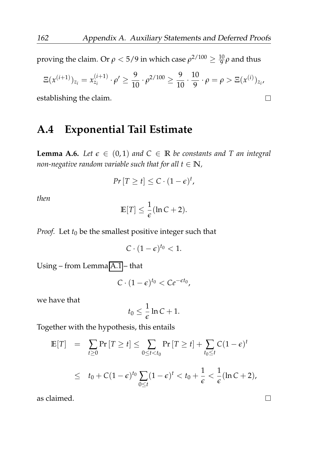proving the claim. Or  $\rho < 5/9$  in which case  $\rho^{2/100} \geq \frac{10}{9} \rho$  and thus

$$
\Xi(x^{(i+1)})_{z_i} = x_{z_i}^{(i+1)} \cdot \rho' \ge \frac{9}{10} \cdot \rho^{2/100} \ge \frac{9}{10} \cdot \frac{10}{9} \cdot \rho = \rho > \Xi(x^{(i)})_{z_i},
$$

establishing the claim.

## **A.4 Exponential Tail Estimate**

<span id="page-183-0"></span>**Lemma A.6.** *Let*  $\epsilon \in (0,1)$  *and*  $C \in \mathbb{R}$  *be constants and* T *an integral non-negative random variable such that for all*  $t \in \mathbb{N}$ *,* 

$$
Pr[T \geq t] \leq C \cdot (1 - \epsilon)^t,
$$

*then*

$$
\mathbb{E}[T] \leq \frac{1}{\epsilon}(\ln C + 2).
$$

*Proof.* Let  $t_0$  be the smallest positive integer such that

$$
C\cdot (1-\epsilon)^{t_0}<1.
$$

Using – from Lemma [A.1](#page-176-0) – that

$$
C\cdot (1-\epsilon)^{t_0} < Ce^{-\epsilon t_0},
$$

we have that

$$
t_0 \leq \frac{1}{\epsilon} \ln C + 1.
$$

Together with the hypothesis, this entails

$$
\mathbb{E}[T] = \sum_{t \ge 0} \Pr[T \ge t] \le \sum_{0 \le t < t_0} \Pr[T \ge t] + \sum_{t_0 \le t} C(1 - \epsilon)^t
$$
\n
$$
\le t_0 + C(1 - \epsilon)^{t_0} \sum_{0 \le t} (1 - \epsilon)^t < t_0 + \frac{1}{\epsilon} < \frac{1}{\epsilon} (\ln C + 2),
$$

as claimed.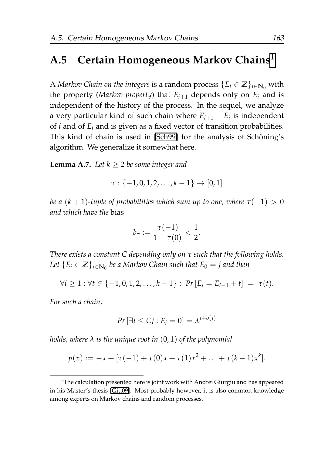#### **A.5 Certain Homogeneous Markov Chains**[1](#page-184-0)

A *Markov Chain on the integers* is a random process  ${E_i \in \mathbb{Z}}_{i \in \mathbb{N}_0}$  with the property (*Markov property*) that  $E_{i+1}$  depends only on  $E_i$  and is independent of the history of the process. In the sequel, we analyze a very particular kind of such chain where *Ei*+<sup>1</sup> − *E<sup>i</sup>* is independent of *i* and of *E<sup>i</sup>* and is given as a fixed vector of transition probabilities. This kind of chain is used in [\[Sch99\]](#page-211-0) for the analysis of Schöning's algorithm. We generalize it somewhat here.

<span id="page-184-1"></span>**Lemma A.7.** *Let*  $k \geq 2$  *be some integer and* 

 $\tau : \{-1, 0, 1, 2, \ldots, k-1\} \rightarrow [0, 1]$ 

*be a*  $(k + 1)$ *-tuple of probabilities which sum up to one, where*  $\tau(-1) > 0$ *and which have the* bias

$$
b_{\tau} := \frac{\tau(-1)}{1 - \tau(0)} < \frac{1}{2}.
$$

*There exists a constant C depending only on τ such that the following holds.* Let  $\{E_i \in \mathbb{Z}\}_{i \in \mathbb{N}_0}$  be a Markov Chain such that  $E_0 = j$  and then

$$
\forall i \geq 1: \forall t \in \{-1, 0, 1, 2, \ldots, k-1\}: \Pr\left[E_i = E_{i-1} + t\right] = \tau(t).
$$

*For such a chain,*

$$
Pr\left[\exists i \leq Cj : E_i = 0\right] = \lambda^{j+o(j)}
$$

*holds, where λ is the unique root in* (0, 1) *of the polynomial*

$$
p(x) := -x + [\tau(-1) + \tau(0)x + \tau(1)x^{2} + \ldots + \tau(k-1)x^{k}].
$$

<span id="page-184-0"></span> $1$ The calculation presented here is joint work with Andrei Giurgiu and has appeared in his Master's thesis [\[Giu09\]](#page-207-0). Most probably however, it is also common knowledge among experts on Markov chains and random processes.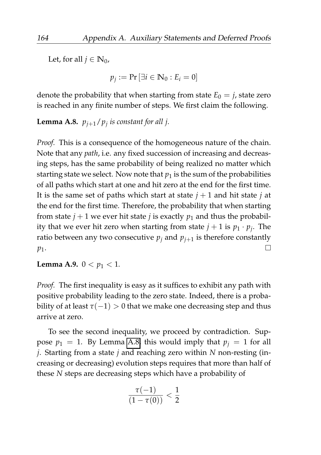Let, for all  $j \in \mathbb{N}_0$ ,

$$
p_j := \Pr\left[\exists i \in \mathbb{N}_0 : E_i = 0\right]
$$

denote the probability that when starting from state  $E_0 = j$ , state zero is reached in any finite number of steps. We first claim the following.

<span id="page-185-0"></span>**Lemma A.8.** *pj*+1/*p<sup>j</sup> is constant for all j.*

*Proof.* This is a consequence of the homogeneous nature of the chain. Note that any *path*, i.e. any fixed succession of increasing and decreasing steps, has the same probability of being realized no matter which starting state we select. Now note that  $p_1$  is the sum of the probabilities of all paths which start at one and hit zero at the end for the first time. It is the same set of paths which start at state  $j + 1$  and hit state  $j$  at the end for the first time. Therefore, the probability that when starting from state  $j + 1$  we ever hit state *j* is exactly  $p_1$  and thus the probability that we ever hit zero when starting from state  $j + 1$  is  $p_1 \cdot p_j$ . The ratio between any two consecutive  $p_j$  and  $p_{j+1}$  is therefore constantly  $\Box$ *p*1.

<span id="page-185-1"></span>**Lemma A.9.**  $0 < p_1 < 1$ *.* 

*Proof.* The first inequality is easy as it suffices to exhibit any path with positive probability leading to the zero state. Indeed, there is a probability of at least  $\tau(-1) > 0$  that we make one decreasing step and thus arrive at zero.

To see the second inequality, we proceed by contradiction. Suppose  $p_1 = 1$ . By Lemma [A.8,](#page-185-0) this would imply that  $p_i = 1$  for all *j*. Starting from a state *j* and reaching zero within *N* non-resting (increasing or decreasing) evolution steps requires that more than half of these *N* steps are decreasing steps which have a probability of

$$
\frac{\tau(-1)}{(1-\tau(0))} < \frac{1}{2}
$$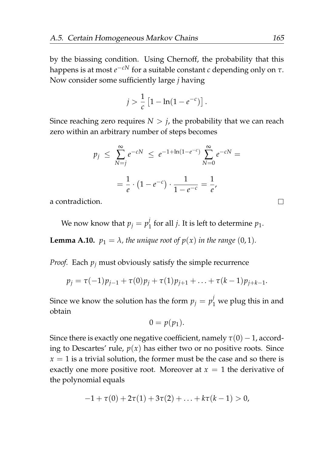by the biassing condition. Using Chernoff, the probability that this happens is at most *e* <sup>−</sup>*cN* for a suitable constant *c* depending only on *τ*. Now consider some sufficiently large *j* having

$$
j > \frac{1}{c} [1 - \ln(1 - e^{-c})].
$$

Since reaching zero requires  $N > j$ , the probability that we can reach zero within an arbitrary number of steps becomes

$$
p_j \le \sum_{N=j}^{\infty} e^{-cN} \le e^{-1 + \ln(1 - e^{-c})} \sum_{N=0}^{\infty} e^{-cN} =
$$
  
=  $\frac{1}{e} \cdot (1 - e^{-c}) \cdot \frac{1}{1 - e^{-c}} = \frac{1}{e},$ 

a contradiction.

We now know that  $p_j = p_j^j$  $j_1$  for all *j*. It is left to determine  $p_1$ .

**Lemma A.10.**  $p_1 = \lambda$ , the unique root of  $p(x)$  in the range (0, 1).

*Proof.* Each  $p_j$  must obviously satisfy the simple recurrence

$$
p_j = \tau(-1)p_{j-1} + \tau(0)p_j + \tau(1)p_{j+1} + \ldots + \tau(k-1)p_{j+k-1}.
$$

Since we know the solution has the form  $p_j = p_1^j$  we plug this in and obtain

$$
0=p(p_1).
$$

Since there is exactly one negative coefficient, namely  $\tau(0) - 1$ , according to Descartes' rule,  $p(x)$  has either two or no positive roots. Since  $x = 1$  is a trivial solution, the former must be the case and so there is exactly one more positive root. Moreover at  $x = 1$  the derivative of the polynomial equals

$$
-1 + \tau(0) + 2\tau(1) + 3\tau(2) + \ldots + k\tau(k-1) > 0,
$$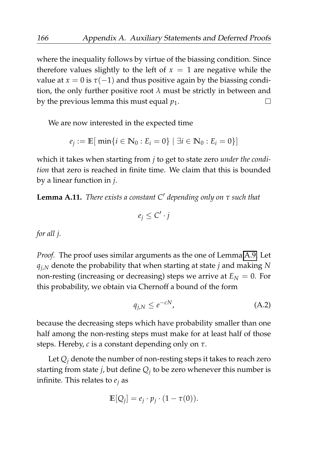where the inequality follows by virtue of the biassing condition. Since therefore values slightly to the left of  $x = 1$  are negative while the value at  $x = 0$  is  $\tau(-1)$  and thus positive again by the biassing condition, the only further positive root  $\lambda$  must be strictly in between and by the previous lemma this must equal  $p_1$ .  $\Box$ 

We are now interested in the expected time

$$
e_j := \mathbb{E}[\ \min\{i \in \mathbb{N}_0 : E_i = 0\} \ | \ \exists i \in \mathbb{N}_0 : E_i = 0\}]
$$

which it takes when starting from *j* to get to state zero *under the condition* that zero is reached in finite time. We claim that this is bounded by a linear function in *j*.

**Lemma A.11.** *There exists a constant C*′ *depending only on τ such that*

$$
e_j \leq C' \cdot j
$$

*for all j.*

*Proof.* The proof uses similar arguments as the one of Lemma [A.9.](#page-185-1) Let *qj*,*<sup>N</sup>* denote the probability that when starting at state *j* and making *N* non-resting (increasing or decreasing) steps we arrive at  $E<sub>N</sub> = 0$ . For this probability, we obtain via Chernoff a bound of the form

<span id="page-187-0"></span>
$$
q_{j,N} \leq e^{-cN},\tag{A.2}
$$

because the decreasing steps which have probability smaller than one half among the non-resting steps must make for at least half of those steps. Hereby, *c* is a constant depending only on *τ*.

Let  $Q_i$  denote the number of non-resting steps it takes to reach zero starting from state *j*, but define *Q<sup>j</sup>* to be zero whenever this number is infinite. This relates to  $e_i$  as

$$
\mathbb{E}[Q_j] = e_j \cdot p_j \cdot (1 - \tau(0)).
$$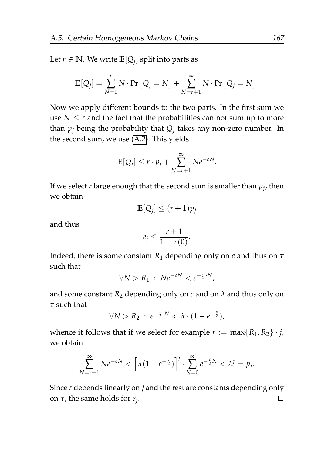Let  $r \in \mathbb{N}$ . We write  $\mathbb{E}[Q_j]$  split into parts as

$$
\mathbb{E}[Q_j] = \sum_{N=1}^r N \cdot \Pr [Q_j = N] + \sum_{N=r+1}^{\infty} N \cdot \Pr [Q_j = N].
$$

Now we apply different bounds to the two parts. In the first sum we use  $N \le r$  and the fact that the probabilities can not sum up to more than *p<sup>j</sup>* being the probability that *Q<sup>j</sup>* takes any non-zero number. In the second sum, we use [\(A.2\)](#page-187-0). This yields

$$
\mathbb{E}[Q_j] \le r \cdot p_j + \sum_{N=r+1}^{\infty} N e^{-cN}.
$$

If we select *r* large enough that the second sum is smaller than *p<sup>j</sup>* , then we obtain

$$
\mathbb{E}[Q_j] \le (r+1)p_j
$$

and thus

$$
e_j\leq \frac{r+1}{1-\tau(0)}.
$$

Indeed, there is some constant *R*<sup>1</sup> depending only on *c* and thus on *τ* such that

$$
\forall N > R_1 : N e^{-cN} < e^{-\frac{c}{2} \cdot N},
$$

and some constant  $R_2$  depending only on  $c$  and on  $\lambda$  and thus only on *τ* such that

$$
\forall N > R_2 \, : \, e^{-\frac{c}{2} \cdot N} < \lambda \cdot (1 - e^{-\frac{c}{2}}),
$$

whence it follows that if we select for example  $r := \max\{R_1, R_2\} \cdot j$ , we obtain

$$
\sum_{N=r+1}^{\infty} Ne^{-cN} < \left[\lambda(1-e^{-\frac{c}{2}})\right]^j \cdot \sum_{N=0}^{\infty} e^{-\frac{c}{2}N} < \lambda^j = p_j.
$$

Since *r* depends linearly on *j* and the rest are constants depending only on *τ*, the same holds for *e<sup>j</sup>* . $\Box$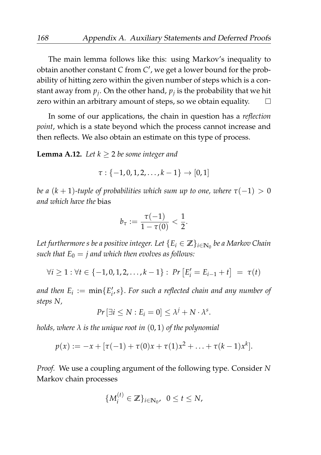The main lemma follows like this: using Markov's inequality to obtain another constant *C* from *C* ′ , we get a lower bound for the probability of hitting zero within the given number of steps which is a constant away from  $p_j$ . On the other hand,  $p_j$  is the probability that we hit zero within an arbitrary amount of steps, so we obtain equality.  $\Box$ 

In some of our applications, the chain in question has a *reflection point*, which is a state beyond which the process cannot increase and then reflects. We also obtain an estimate on this type of process.

**Lemma A.12.** *Let*  $k > 2$  *be some integer and* 

$$
\tau: \{-1,0,1,2,\ldots,k-1\} \to [0,1]
$$

*be a*  $(k + 1)$ -tuple of probabilities which sum up to one, where  $\tau(-1) > 0$ *and which have the* bias

$$
b_\tau := \frac{\tau(-1)}{1-\tau(0)} < \frac{1}{2}.
$$

*Let furthermore s be a positive integer. Let* {*E<sup>i</sup>* ∈ **Z**}*i*∈**N**<sup>0</sup> *be a Markov Chain such that*  $E_0 = j$  *and which then evolves as follows:* 

$$
\forall i \geq 1 : \forall t \in \{-1, 0, 1, 2, \ldots, k-1\} : \Pr\left[E'_i = E_{i-1} + t\right] = \tau(t)
$$

and then  $E_i := \min\{E'_i,s\}$ . For such a reflected chain and any number of *steps N,*

$$
Pr\left[\exists i\leq N : E_i = 0\right] \leq \lambda^j + N \cdot \lambda^s.
$$

*holds, where λ is the unique root in* (0, 1) *of the polynomial*

$$
p(x) := -x + [\tau(-1) + \tau(0)x + \tau(1)x^{2} + \ldots + \tau(k-1)x^{k}].
$$

*Proof.* We use a coupling argument of the following type. Consider *N* Markov chain processes

$$
\{M_i^{(t)} \in \mathbb{Z}\}_{i \in \mathbb{N}_0}, \ \ 0 \leq t \leq N,
$$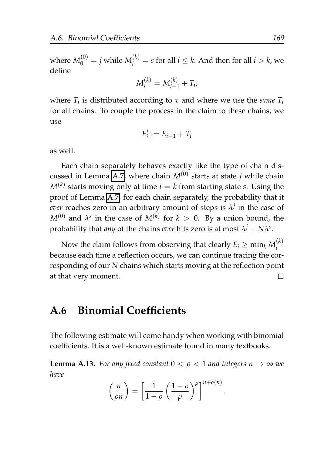where  $M_0^{(0)} = j$  while  $M_i^{(k)} = s$  for all  $i \leq k$ . And then for all  $i > k$ , we define

$$
M_i^{(k)} = M_{i-1}^{(k)} + T_i,
$$

where  $T_i$  is distributed according to  $\tau$  and where we use the *same*  $T_i$ for all chains. To couple the process in the claim to these chains, we use

$$
E_i':=E_{i-1}+T_i
$$

as well.

Each chain separately behaves exactly like the type of chain dis-cussed in Lemma [A.7,](#page-184-1) where chain  $M^{(0)}$  starts at state  $j$  while chain  $M^{(k)}$  starts moving only at time  $i = k$  from starting state *s*. Using the proof of Lemma [A.7,](#page-184-1) for each chain separately, the probability that it *ever* reaches zero in an arbitrary amount of steps is  $\lambda^j$  in the case of  $M^{(0)}$  and  $\lambda^s$  in the case of  $M^{(k)}$  for  $k > 0$ . By a union bound, the probability that *any* of the chains *ever* hits zero is at most  $\lambda^j + N\lambda^s.$ 

Now the claim follows from observing that clearly  $E_i \geq \min_k M_i^{(k)}$ *i* because each time a reflection occurs, we can continue tracing the corresponding of our *N* chains which starts moving at the reflection point at that very moment.  $\Box$ 

## **A.6 Binomial Coefficients**

The following estimate will come handy when working with binomial coefficients. It is a well-known estimate found in many textbooks.

<span id="page-190-0"></span>**Lemma A.13.** *For any fixed constant*  $0 < \rho < 1$  *and integers*  $n \to \infty$  *we have*

$$
\binom{n}{\rho n} = \left[\frac{1}{1-\rho} \left(\frac{1-\rho}{\rho}\right)^{\rho}\right]^{n+o(n)}
$$

.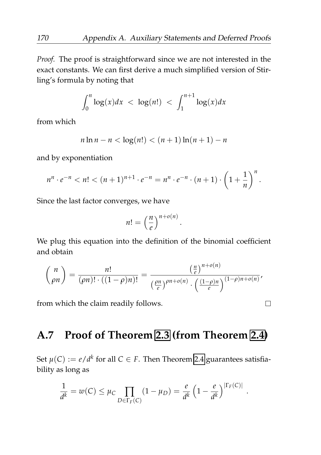*Proof.* The proof is straightforward since we are not interested in the exact constants. We can first derive a much simplified version of Stirling's formula by noting that

$$
\int_0^n \log(x) dx < \log(n!) < \int_1^{n+1} \log(x) dx
$$

from which

$$
n \ln n - n < \log(n!) < (n+1)\ln(n+1) - n
$$

and by exponentiation

$$
n^{n} \cdot e^{-n} < n! < (n+1)^{n+1} \cdot e^{-n} = n^{n} \cdot e^{-n} \cdot (n+1) \cdot \left(1 + \frac{1}{n}\right)^{n}.
$$

Since the last factor converges, we have

$$
n! = \left(\frac{n}{e}\right)^{n+o(n)}
$$

.

We plug this equation into the definition of the binomial coefficient and obtain

$$
\binom{n}{\rho n} = \frac{n!}{(\rho n)! \cdot ((1-\rho)n)!} = \frac{\left(\frac{n}{e}\right)^{n+o(n)}}{\left(\frac{\rho n}{e}\right)^{\rho n+o(n)} \cdot \left(\frac{(1-\rho)n}{e}\right)^{(1-\rho)n+o(n)}}.
$$

from which the claim readily follows.

# <span id="page-191-0"></span>**A.7 Proof of Theorem [2.3](#page-41-0) (from Theorem [2.4\)](#page-42-0)**

Set  $\mu(C) := e/d^k$  for all  $C \in F$ . Then Theorem [2.4](#page-42-0) guarantees satisfiability as long as

$$
\frac{1}{d^k} = w(C) \le \mu_C \prod_{D \in \Gamma_F(C)} (1 - \mu_D) = \frac{e}{d^k} \left( 1 - \frac{e}{d^k} \right)^{|\Gamma_F(C)|}
$$

 $\Box$ 

.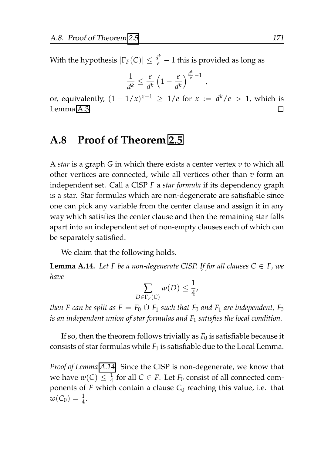With the hypothesis  $|\Gamma_F(C)| \leq \frac{d^k}{e} - 1$  this is provided as long as

$$
\frac{1}{d^k} \leq \frac{e}{d^k} \left(1 - \frac{e}{d^k}\right)^{\frac{d^k}{e} - 1},
$$

or, equivalently,  $(1 - 1/x)^{x-1} \geq 1/e$  for  $x := d^k/e > 1$ , which is Lemma [A.3.](#page-177-1)  $\Box$ 

## **A.8 Proof of Theorem [2.5](#page-43-0)**

A *star* is a graph *G* in which there exists a center vertex *v* to which all other vertices are connected, while all vertices other than *v* form an independent set. Call a ClSP *F* a *star formula* if its dependency graph is a star. Star formulas which are non-degenerate are satisfiable since one can pick any variable from the center clause and assign it in any way which satisfies the center clause and then the remaining star falls apart into an independent set of non-empty clauses each of which can be separately satisfied.

We claim that the following holds.

<span id="page-192-0"></span>**Lemma A.14.** *Let F be a non-degenerate CISP. If for all clauses*  $C \in F$ *, we have*

$$
\sum_{D \in \Gamma_F(\mathcal{C})} w(D) \leq \frac{1}{4},
$$

*then F* can be split as  $F = F_0 \cup F_1$  such that  $F_0$  and  $F_1$  are independent,  $F_0$ *is an independent union of star formulas and F*<sup>1</sup> *satisfies the local condition.*

If so, then the theorem follows trivially as  $F_0$  is satisfiable because it consists of star formulas while  $F_1$  is satisfiable due to the Local Lemma.

*Proof of Lemma [A.14.](#page-192-0)* Since the ClSP is non-degenerate, we know that we have  $w(C) \leq \frac{1}{4}$  for all  $C \in F$ . Let  $F_0$  consist of all connected components of  $F$  which contain a clause  $C_0$  reaching this value, i.e. that  $w(C_0) = \frac{1}{4}.$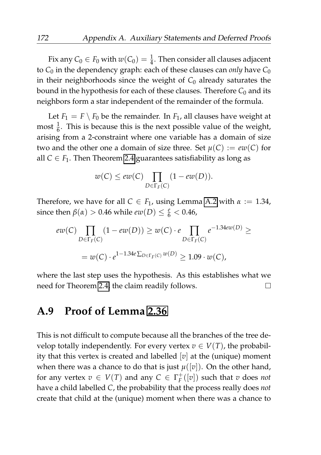Fix any  $C_0 \in F_0$  with  $w(C_0) = \frac{1}{4}$ . Then consider all clauses adjacent to  $C_0$  in the dependency graph: each of these clauses can *only* have  $C_0$ in their neighborhoods since the weight of  $C_0$  already saturates the bound in the hypothesis for each of these clauses. Therefore  $C_0$  and its neighbors form a star independent of the remainder of the formula.

Let  $F_1 = F \setminus F_0$  be the remainder. In  $F_1$ , all clauses have weight at most  $\frac{1}{6}$ . This is because this is the next possible value of the weight, arising from a 2-constraint where one variable has a domain of size two and the other one a domain of size three. Set  $\mu(C) := e w(C)$  for all  $C \in F_1$ . Then Theorem [2.4](#page-42-0) guarantees satisfiability as long as

$$
w(C) \le ew(C) \prod_{D \in \Gamma_F(C)} (1 - ew(D)).
$$

Therefore, we have for all  $C \in F_1$ , using Lemma [A.2](#page-177-0) with  $\alpha := 1.34$ , since then  $\beta(\alpha) > 0.46$  while  $ew(D) \leq \frac{e}{6} < 0.46$ ,

$$
ew(C) \prod_{D \in \Gamma_F(C)} (1 - ew(D)) \ge w(C) \cdot e \prod_{D \in \Gamma_F(C)} e^{-1.34ew(D)} \ge
$$
  
=  $w(C) \cdot e^{1-1.34e \sum_{D \in \Gamma_F(C)} w(D)} \ge 1.09 \cdot w(C),$ 

where the last step uses the hypothesis. As this establishes what we need for Theorem [2.4,](#page-42-0) the claim readily follows.  $\Box$ 

#### **A.9 Proof of Lemma [2.36](#page-93-0)**

This is not difficult to compute because all the branches of the tree develop totally independently. For every vertex  $v \in V(T)$ , the probability that this vertex is created and labelled [*v*] at the (unique) moment when there was a chance to do that is just  $\mu([v])$ . On the other hand, for any vertex  $v \in V(T)$  and any  $C \in \Gamma_F^+([v])$  such that  $v$  does *not* have a child labelled *C*, the probability that the process really does *not* create that child at the (unique) moment when there was a chance to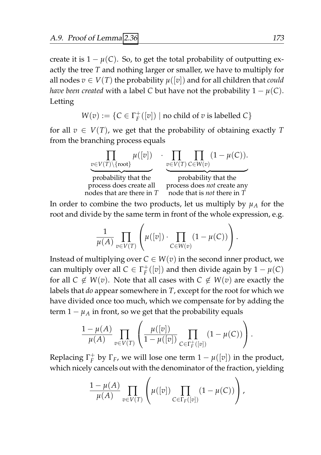create it is  $1 - \mu(C)$ . So, to get the total probability of outputting exactly the tree *T* and nothing larger or smaller, we have to multiply for all nodes  $v \in V(T)$  the probability  $\mu([v])$  and for all children that *could have been created* with a label *C* but have not the probability  $1 - \mu(C)$ . Letting

$$
W(v):=\{C\in\Gamma_F^+([v])\mid\text{no child of $v$ is labelled $C$}\}
$$

for all  $v \in V(T)$ , we get that the probability of obtaining exactly T from the branching process equals



In order to combine the two products, let us multiply by  $\mu_A$  for the root and divide by the same term in front of the whole expression, e.g.

$$
\frac{1}{\mu(A)} \prod_{v \in V(T)} \left( \mu([v]) \cdot \prod_{C \in W(v)} (1 - \mu(C)) \right).
$$

Instead of multiplying over  $C \in W(v)$  in the second inner product, we can multiply over all  $C \in \Gamma_F^+([v])$  and then divide again by  $1 - \mu(C)$ for all  $C \notin W(v)$ . Note that all cases with  $C \notin W(v)$  are exactly the labels that *do* appear somewhere in *T*, except for the root for which we have divided once too much, which we compensate for by adding the term  $1 - \mu_A$  in front, so we get that the probability equals

$$
\frac{1-\mu(A)}{\mu(A)} \prod_{v \in V(T)} \left( \frac{\mu([v])}{1-\mu([v])} \prod_{C \in \Gamma_F^+([v])} (1-\mu(C)) \right).
$$

Replacing  $\Gamma_F^+$  by  $\Gamma_F$ , we will lose one term  $1 - \mu([v])$  in the product, which nicely cancels out with the denominator of the fraction, yielding

$$
\frac{1-\mu(A)}{\mu(A)}\prod_{v\in V(T)}\left(\mu([v])\prod_{C\in\Gamma_F([v])}(1-\mu(C))\right),\,
$$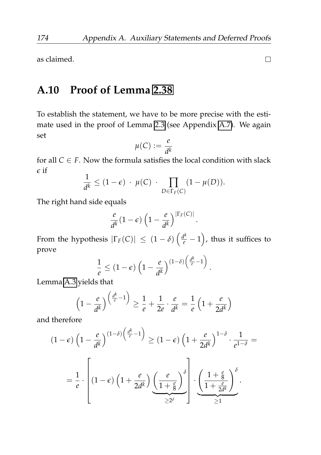as claimed.

# **A.10 Proof of Lemma [2.38](#page-97-0)**

To establish the statement, we have to be more precise with the estimate used in the proof of Lemma [2.3](#page-41-0) (see Appendix [A.7\)](#page-191-0). We again set

$$
\mu(C) := \frac{e}{d^k}
$$

for all *C* ∈ *F*. Now the formula satisfies the local condition with slack *ϵ* if

$$
\frac{1}{d^k} \le (1 - \epsilon) \cdot \mu(C) \cdot \prod_{D \in \Gamma_F(C)} (1 - \mu(D)).
$$

The right hand side equals

$$
\frac{e}{d^k}(1-\epsilon)\left(1-\frac{e}{d^k}\right)^{|\Gamma_F(C)|}
$$

.

From the hypothesis  $|\Gamma_F(C)| \leq (1-\delta) \left(\frac{d^k}{e} - 1\right)$ , thus it suffices to prove

$$
\frac{1}{e} \leq (1-\epsilon)\left(1-\frac{e}{d^k}\right)^{(1-\delta)\left(\frac{d^k}{e}-1\right)}.
$$

Lemma [A.3](#page-177-1) yields that

$$
\left(1 - \frac{e}{d^k}\right)^{\left(\frac{d^k}{e} - 1\right)} \ge \frac{1}{e} + \frac{1}{2e} \cdot \frac{e}{d^k} = \frac{1}{e} \left(1 + \frac{e}{2d^k}\right)
$$

and therefore

$$
(1 - \epsilon) \left(1 - \frac{e}{d^k}\right)^{(1 - \delta) \left(\frac{d^k}{e} - 1\right)} \ge (1 - \epsilon) \left(1 + \frac{e}{2d^k}\right)^{1 - \delta} \cdot \frac{1}{e^{1 - \delta}} =
$$

$$
= \frac{1}{e} \cdot \left[ (1 - \epsilon) \left(1 + \frac{e}{2d^k}\right) \underbrace{\left(\frac{e}{1 + \frac{e}{8}}\right)}_{\ge 2\delta} \right] \cdot \underbrace{\left(\frac{1 + \frac{e}{8}}{1 + \frac{e}{2d^k}}\right)}_{\ge 1}.
$$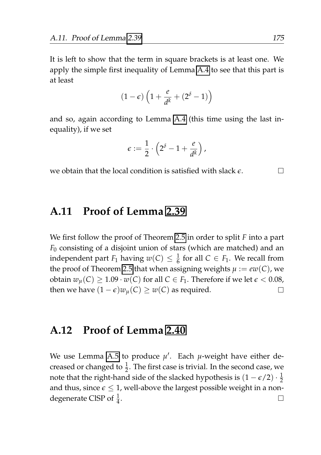It is left to show that the term in square brackets is at least one. We apply the simple first inequality of Lemma [A.4](#page-180-0) to see that this part is at least

$$
(1-\epsilon)\left(1+\frac{e}{d^k}+(2^{\delta}-1)\right)
$$

and so, again according to Lemma [A.4](#page-180-0) (this time using the last inequality), if we set

$$
\epsilon:=\frac{1}{2}\cdot\left(2^{\delta}-1+\frac{e}{d^k}\right),
$$

we obtain that the local condition is satisfied with slack *ϵ*.

**A.11 Proof of Lemma [2.39](#page-98-0)**

We first follow the proof of Theorem [2.5](#page-43-0) in order to split *F* into a part *F*<sup>0</sup> consisting of a disjoint union of stars (which are matched) and an independent part  $F_1$  having  $w(C) \leq \frac{1}{6}$  for all  $C \in F_1$ . We recall from the proof of Theorem [2.5](#page-43-0) that when assigning weights  $\mu := e w(C)$ , we obtain  $w_u(C) \geq 1.09 \cdot w(C)$  for all  $C \in F_1$ . Therefore if we let  $\epsilon < 0.08$ , then we have  $(1 - \epsilon)w_u(C) \geq w(C)$  as required.  $\Box$ 

#### **A.12 Proof of Lemma [2.40](#page-98-1)**

We use Lemma [A.5](#page-180-1) to produce  $\mu'$ . Each  $\mu$ -weight have either decreased or changed to  $\frac{1}{2}$ . The first case is trivial. In the second case, we note that the right-hand side of the slacked hypothesis is  $(1 - \epsilon/2) \cdot \frac{1}{2}$ and thus, since  $\epsilon \leq 1$ , well-above the largest possible weight in a nondegenerate CISP of  $\frac{1}{4}$ .  $\Box$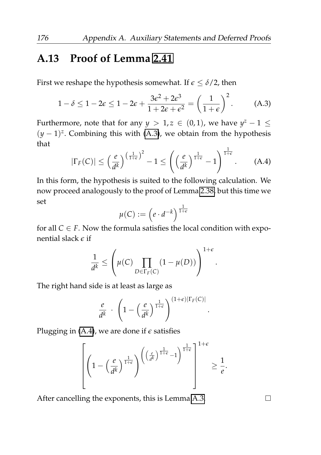# **A.13 Proof of Lemma [2.41](#page-99-0)**

First we reshape the hypothesis somewhat. If  $\epsilon \leq \delta/2$ , then

<span id="page-197-0"></span>
$$
1 - \delta \le 1 - 2\epsilon \le 1 - 2\epsilon + \frac{3\epsilon^2 + 2\epsilon^3}{1 + 2\epsilon + \epsilon^2} = \left(\frac{1}{1 + \epsilon}\right)^2.
$$
 (A.3)

Furthermore, note that for any  $y > 1$ ,  $z \in (0,1)$ , we have  $y^z - 1 \leq$  $(y - 1)^{z}$ . Combining this with [\(A.3\)](#page-197-0), we obtain from the hypothesis that

<span id="page-197-1"></span>
$$
|\Gamma_F(C)| \leq \left(\frac{e}{d^k}\right)^{\left(\frac{1}{1+\epsilon}\right)^2} - 1 \leq \left(\left(\frac{e}{d^k}\right)^{\frac{1}{1+\epsilon}} - 1\right)^{\frac{1}{1+\epsilon}}.\tag{A.4}
$$

In this form, the hypothesis is suited to the following calculation. We now proceed analogously to the proof of Lemma [2.38,](#page-97-0) but this time we set

$$
\mu(C) := \left(e \cdot d^{-k}\right)^{\frac{1}{1+\epsilon}}
$$

for all  $C \in F$ . Now the formula satisfies the local condition with exponential slack *ϵ* if

$$
\frac{1}{d^k} \le \left(\mu(C) \prod_{D \in \Gamma_F(C)} (1 - \mu(D))\right)^{1 + \epsilon}
$$

.

The right hand side is at least as large as

$$
\frac{e}{d^k} \cdot \left(1 - \left(\frac{e}{d^k}\right)^{\frac{1}{1+\epsilon}}\right)^{(1+\epsilon)|\Gamma_F(C)|}.
$$

Plugging in  $(A.4)$ , we are done if  $\epsilon$  satisfies

$$
\left[ \left( 1 - \left( \frac{e}{d^k} \right)^{\frac{1}{1+\epsilon}} \right)^{\left( \left( \frac{e}{d^k} \right)^{\frac{1}{1+\epsilon}} - 1 \right)^{\frac{1}{1+\epsilon}}} \right]^{1+\epsilon} \ge \frac{1}{e}.
$$

After cancelling the exponents, this is Lemma [A.3.](#page-177-1)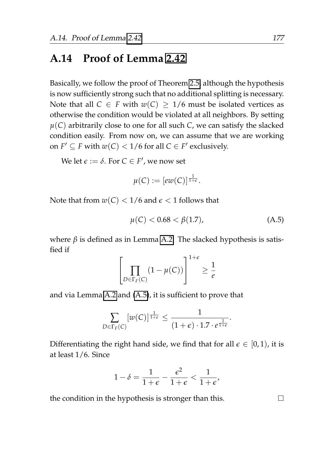# **A.14 Proof of Lemma [2.42](#page-99-1)**

Basically, we follow the proof of Theorem [2.5,](#page-43-0) although the hypothesis is now sufficiently strong such that no additional splitting is necessary. Note that all  $C \in F$  with  $w(C) > 1/6$  must be isolated vertices as otherwise the condition would be violated at all neighbors. By setting  $\mu(C)$  arbitrarily close to one for all such *C*, we can satisfy the slacked condition easily. From now on, we can assume that we are working on  $F' \subseteq F$  with  $w(C) < 1/6$  for all  $C \in F'$  exclusively.

We let  $\epsilon := \delta$ . For  $C \in F'$ , we now set

$$
\mu(C):=[ew(C)]^{\frac{1}{1+\epsilon}}.
$$

Note that from  $w(C) < 1/6$  and  $\epsilon < 1$  follows that

<span id="page-198-0"></span>
$$
\mu(C) < 0.68 < \beta(1.7),\tag{A.5}
$$

where *β* is defined as in Lemma [A.2.](#page-177-0) The slacked hypothesis is satisfied if

$$
\left[\prod_{D \in \Gamma_F(C)} (1 - \mu(C))\right]^{1 + \epsilon} \ge \frac{1}{e}
$$

and via Lemma [A.2](#page-177-0) and [\(A.5\)](#page-198-0), it is sufficient to prove that

$$
\sum_{D \in \Gamma_F(C)} [w(C)]^{\frac{1}{1+\epsilon}} \leq \frac{1}{(1+\epsilon) \cdot 1.7 \cdot e^{\frac{1}{1+\epsilon}}}.
$$

Differentiating the right hand side, we find that for all  $\epsilon \in [0,1)$ , it is at least 1/6. Since

$$
1 - \delta = \frac{1}{1 + \epsilon} - \frac{\epsilon^2}{1 + \epsilon} < \frac{1}{1 + \epsilon'}
$$

the condition in the hypothesis is stronger than this.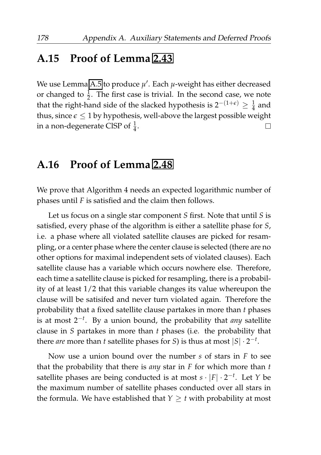## **A.15 Proof of Lemma [2.43](#page-99-2)**

We use Lemma [A.5](#page-180-1) to produce *µ* ′ . Each *µ*-weight has either decreased or changed to  $\frac{1}{2}$ . The first case is trivial. In the second case, we note that the right-hand side of the slacked hypothesis is  $2^{-(1+\epsilon)} \geq \frac{1}{4}$  and thus, since  $\epsilon \leq 1$  by hypothesis, well-above the largest possible weight in a non-degenerate CISP of  $\frac{1}{4}$ . П

#### **A.16 Proof of Lemma [2.48](#page-105-0)**

We prove that Algorithm 4 needs an expected logarithmic number of phases until *F* is satisfied and the claim then follows.

Let us focus on a single star component *S* first. Note that until *S* is satisfied, every phase of the algorithm is either a satellite phase for *S*, i.e. a phase where all violated satellite clauses are picked for resampling, or a center phase where the center clause is selected (there are no other options for maximal independent sets of violated clauses). Each satellite clause has a variable which occurs nowhere else. Therefore, each time a satellite clause is picked for resampling, there is a probability of at least 1/2 that this variable changes its value whereupon the clause will be satisifed and never turn violated again. Therefore the probability that a fixed satellite clause partakes in more than *t* phases is at most 2−*<sup>t</sup>* . By a union bound, the probability that *any* satellite clause in *S* partakes in more than *t* phases (i.e. the probability that there *are* more than *t* satellite phases for *S*) is thus at most  $|S| \cdot 2^{-t}$ .

Now use a union bound over the number *s* of stars in *F* to see that the probability that there is *any* star in *F* for which more than *t* satellite phases are being conducted is at most *s* · |*F*| · 2 −*t* . Let *Y* be the maximum number of satellite phases conducted over all stars in the formula. We have established that  $Y \geq t$  with probability at most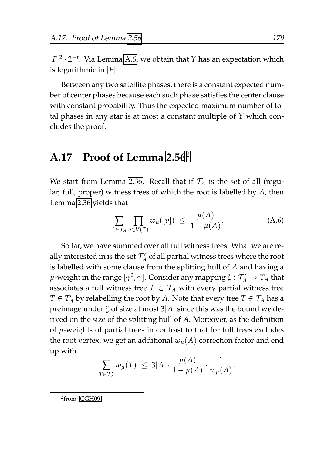$|F|^2 \cdot 2^{-t}$ . Via Lemma [A.6,](#page-183-0) we obtain that *Y* has an expectation which is logarithmic in |*F*|.

Between any two satellite phases, there is a constant expected number of center phases because each such phase satisfies the center clause with constant probability. Thus the expected maximum number of total phases in any star is at most a constant multiple of *Y* which concludes the proof.

# **A.17 Proof of Lemma [2.56](#page-117-0)**[2](#page-200-0)

We start from Lemma [2.36.](#page-93-0) Recall that if  $\mathcal{T}_A$  is the set of all (regular, full, proper) witness trees of which the root is labelled by *A*, then Lemma [2.36](#page-93-0) yields that

$$
\sum_{T \in \mathcal{T}_A} \prod_{v \in V(T)} w_{\mu}([v]) \leq \frac{\mu(A)}{1 - \mu(A)}.
$$
 (A.6)

So far, we have summed over all full witness trees. What we are really interested in is the set  $\mathcal{T}_A'$  of all partial witness trees where the root is labelled with some clause from the splitting hull of *A* and having a *µ*-weight in the range  $[\gamma^2, \gamma]$ . Consider any mapping  $\zeta : \mathcal{T}'_A \to T_A$  that associates a full witness tree  $T \in \mathcal{T}_A$  with every partial witness tree  $T \in T_A'$  by relabelling the root by *A*. Note that every tree  $T \in \mathcal{T}_A$  has a preimage under *ζ* of size at most 3|*A*| since this was the bound we derived on the size of the splitting hull of *A*. Moreover, as the definition of *µ*-weights of partial trees in contrast to that for full trees excludes the root vertex, we get an additional  $w_{\mu}(A)$  correction factor and end up with

$$
\sum_{T \in \mathcal{T}'_A} w_{\mu}(T) \ \leq \ 3|A| \cdot \frac{\mu(A)}{1 - \mu(A)} \cdot \frac{1}{w_{\mu}(A)}.
$$

<span id="page-200-0"></span><sup>&</sup>lt;sup>2</sup>from [\[CGH09\]](#page-205-0)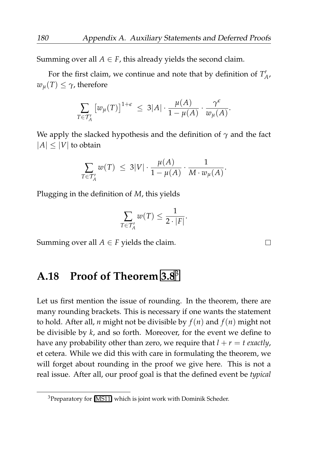Summing over all  $A \in F$ , this already yields the second claim.

For the first claim, we continue and note that by definition of  $T'_{A'}$  $w_u(T) \leq \gamma$ , therefore

$$
\sum_{T \in \mathcal{T}_A'} \left[ w_\mu(T) \right]^{1+\epsilon} \leq 3|A| \cdot \frac{\mu(A)}{1-\mu(A)} \cdot \frac{\gamma^{\epsilon}}{w_\mu(A)}.
$$

We apply the slacked hypothesis and the definition of *γ* and the fact  $|A| < |V|$  to obtain

$$
\sum_{T \in \mathcal{T}_A'} w(T) \leq 3|V| \cdot \frac{\mu(A)}{1 - \mu(A)} \cdot \frac{1}{M \cdot w_{\mu}(A)}.
$$

Plugging in the definition of *M*, this yields

$$
\sum_{T \in \mathcal{T}_A'} w(T) \leq \frac{1}{2 \cdot |F|}.
$$

Summing over all  $A \in F$  yields the claim.

# **A.18 Proof of Theorem [3.8](#page-155-0)**[3](#page-201-0)

Let us first mention the issue of rounding. In the theorem, there are many rounding brackets. This is necessary if one wants the statement to hold. After all, *n* might not be divisible by *f*(*n*) and *f*(*n*) might not be divisible by *k*, and so forth. Moreover, for the event we define to have any probability other than zero, we require that  $l + r = t$  exactly, et cetera. While we did this with care in formulating the theorem, we will forget about rounding in the proof we give here. This is not a real issue. After all, our proof goal is that the defined event be *typical*

<span id="page-201-0"></span><sup>3</sup>Preparatory for [\[MS11\]](#page-210-0) which is joint work with Dominik Scheder.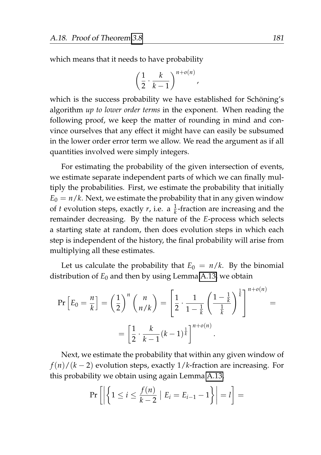which means that it needs to have probability

$$
\left(\frac{1}{2}\cdot\frac{k}{k-1}\right)^{n+o(n)},
$$

which is the success probability we have established for Schöning's algorithm *up to lower order terms* in the exponent. When reading the following proof, we keep the matter of rounding in mind and convince ourselves that any effect it might have can easily be subsumed in the lower order error term we allow. We read the argument as if all quantities involved were simply integers.

For estimating the probability of the given intersection of events, we estimate separate independent parts of which we can finally multiply the probabilities. First, we estimate the probability that initially  $E_0 = n/k$ . Next, we estimate the probability that in any given window of *t* evolution steps, exactly *r*, i.e. a  $\frac{1}{k}$ -fraction are increasing and the remainder decreasing. By the nature of the *E*-process which selects a starting state at random, then does evolution steps in which each step is independent of the history, the final probability will arise from multiplying all these estimates.

Let us calculate the probability that  $E_0 = n/k$ . By the binomial distribution of  $E_0$  and then by using Lemma [A.13,](#page-190-0) we obtain

$$
\Pr\left[E_0 = \frac{n}{k}\right] = \left(\frac{1}{2}\right)^n \binom{n}{n/k} = \left[\frac{1}{2} \cdot \frac{1}{1 - \frac{1}{k}} \left(\frac{1 - \frac{1}{k}}{\frac{1}{k}}\right)^{\frac{1}{k}}\right]^{n + o(n)} = \left[\frac{1}{2} \cdot \frac{k}{k - 1} (k - 1)^{\frac{1}{k}}\right]^{n + o(n)}.
$$

Next, we estimate the probability that within any given window of *f*(*n*)/(*k* − 2) evolution steps, exactly 1/*k*-fraction are increasing. For this probability we obtain using again Lemma [A.13,](#page-190-0)

$$
\Pr\left[\left|\left\{1\leq i\leq \frac{f(n)}{k-2} \mid E_i = E_{i-1}-1\right\}\right|=l\right]=
$$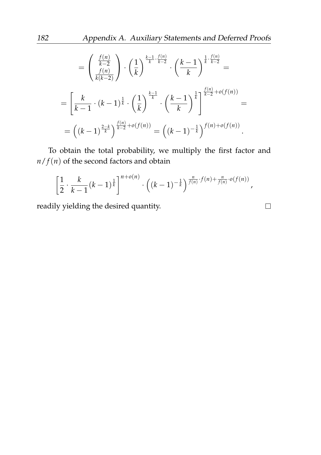$$
= \left(\frac{\frac{f(n)}{k-2}}{\frac{f(n)}{k(k-2)}}\right) \cdot \left(\frac{1}{k}\right)^{\frac{k-1}{k} \cdot \frac{f(n)}{k-2}} \cdot \left(\frac{k-1}{k}\right)^{\frac{1}{k} \cdot \frac{f(n)}{k-2}} =
$$
  

$$
= \left[\frac{k}{k-1} \cdot (k-1)^{\frac{1}{k}} \cdot \left(\frac{1}{k}\right)^{\frac{k-1}{k}} \cdot \left(\frac{k-1}{k}\right)^{\frac{1}{k}}\right]^{\frac{f(n)}{k-2} + o(f(n))} =
$$
  

$$
= \left((k-1)^{\frac{2-k}{k}}\right)^{\frac{f(n)}{k-2} + o(f(n))} = \left((k-1)^{-\frac{1}{k}}\right)^{f(n) + o(f(n))}.
$$

To obtain the total probability, we multiply the first factor and  $n/f(n)$  of the second factors and obtain

$$
\left[\frac{1}{2}\cdot\frac{k}{k-1}(k-1)^{\frac{1}{k}}\right]^{n+o(n)}\cdot\left((k-1)^{-\frac{1}{k}}\right)^{\frac{n}{f(n)}\cdot f(n)+\frac{n}{f(n)}\cdot o(f(n))},
$$

readily yielding the desired quantity.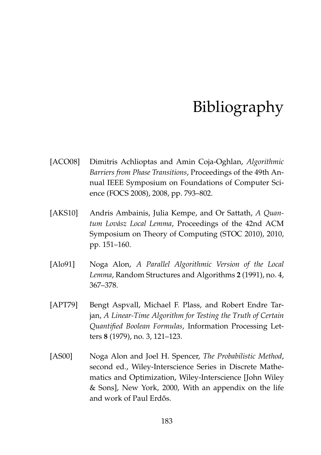# Bibliography

- [ACO08] Dimitris Achlioptas and Amin Coja-Oghlan, *Algorithmic Barriers from Phase Transitions*, Proceedings of the 49th Annual IEEE Symposium on Foundations of Computer Science (FOCS 2008), 2008, pp. 793–802.
- [AKS10] Andris Ambainis, Julia Kempe, and Or Sattath, *A Quantum Lov´asz Local Lemma*, Proceedings of the 42nd ACM Symposium on Theory of Computing (STOC 2010), 2010, pp. 151–160.
- [Alo91] Noga Alon, *A Parallel Algorithmic Version of the Local Lemma*, Random Structures and Algorithms **2** (1991), no. 4, 367–378.
- [APT79] Bengt Aspvall, Michael F. Plass, and Robert Endre Tarjan, *A Linear-Time Algorithm for Testing the Truth of Certain Quantified Boolean Formulas*, Information Processing Letters **8** (1979), no. 3, 121–123.
- [AS00] Noga Alon and Joel H. Spencer, *The Probabilistic Method*, second ed., Wiley-Interscience Series in Discrete Mathematics and Optimization, Wiley-Interscience [John Wiley & Sons], New York, 2000, With an appendix on the life and work of Paul Erdős.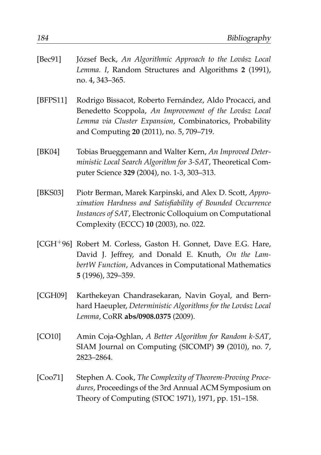<span id="page-205-0"></span>

| [Bec91]  | József Beck, An Algorithmic Approach to the Lovász Local<br>Lemma. I, Random Structures and Algorithms 2 (1991),<br>no. 4, 343-365.                                                                                         |
|----------|-----------------------------------------------------------------------------------------------------------------------------------------------------------------------------------------------------------------------------|
| [BFPS11] | Rodrigo Bissacot, Roberto Fernández, Aldo Procacci, and<br>Benedetto Scoppola, An Improvement of the Lovász Local<br>Lemma via Cluster Expansion, Combinatorics, Probability<br>and Computing 20 (2011), no. 5, 709-719.    |
| [BK04]   | Tobias Brueggemann and Walter Kern, An Improved Deter-<br>ministic Local Search Algorithm for 3-SAT, Theoretical Com-<br>puter Science 329 (2004), no. 1-3, 303-313.                                                        |
| [BKS03]  | Piotr Berman, Marek Karpinski, and Alex D. Scott, Appro-<br>ximation Hardness and Satisfiability of Bounded Occurrence<br>Instances of SAT, Electronic Colloquium on Computational<br>Complexity (ECCC) 10 (2003), no. 022. |
|          | [CGH <sup>+96</sup> ] Robert M. Corless, Gaston H. Gonnet, Dave E.G. Hare,<br>David J. Jeffrey, and Donald E. Knuth, On the Lam-<br>bertW Function, Advances in Computational Mathematics<br>5 (1996), 329-359.             |
| [CGH09]  | Karthekeyan Chandrasekaran, Navin Goyal, and Bern-<br>hard Haeupler, Deterministic Algorithms for the Lovász Local<br>Lemma, CoRR abs/0908.0375 (2009).                                                                     |
| [CO10]   | Amin Coja-Oghlan, A Better Algorithm for Random k-SAT,<br>SIAM Journal on Computing (SICOMP) 39 (2010), no. 7,<br>2823-2864.                                                                                                |
| [Coo71]  | Stephen A. Cook, The Complexity of Theorem-Proving Proce-<br>dures, Proceedings of the 3rd Annual ACM Symposium on<br>Theory of Computing (STOC 1971), 1971, pp. 151-158.                                                   |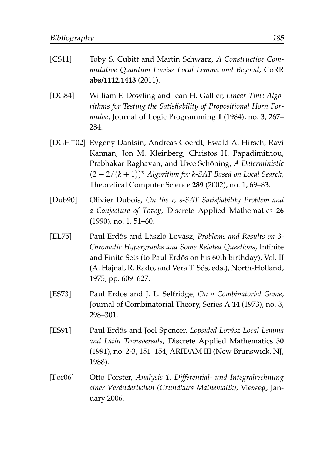- [CS11] Toby S. Cubitt and Martin Schwarz, *A Constructive Commutative Quantum Lov´asz Local Lemma and Beyond*, CoRR **abs/1112.1413** (2011).
- [DG84] William F. Dowling and Jean H. Gallier, *Linear-Time Algorithms for Testing the Satisfiability of Propositional Horn Formulae*, Journal of Logic Programming **1** (1984), no. 3, 267– 284.
- [DGH+02] Evgeny Dantsin, Andreas Goerdt, Ewald A. Hirsch, Ravi Kannan, Jon M. Kleinberg, Christos H. Papadimitriou, Prabhakar Raghavan, and Uwe Schöning, *A Deterministic* (2 − 2/(*k* + 1))*<sup>n</sup> Algorithm for k-SAT Based on Local Search*, Theoretical Computer Science **289** (2002), no. 1, 69–83.
- [Dub90] Olivier Dubois, *On the r, s-SAT Satisfiability Problem and a Conjecture of Tovey*, Discrete Applied Mathematics **26** (1990), no. 1, 51–60.
- [EL75] Paul Erdős and László Lovász, *Problems and Results on 3-Chromatic Hypergraphs and Some Related Questions*, Infinite and Finite Sets (to Paul Erdős on his 60th birthday), Vol. II (A. Hajnal, R. Rado, and Vera T. Sós, eds.), North-Holland, 1975, pp. 609–627.
- [ES73] Paul Erdös and J. L. Selfridge, On a Combinatorial Game, Journal of Combinatorial Theory, Series A **14** (1973), no. 3, 298–301.
- [ES91] Paul Erdős and Joel Spencer, Lopsided Lovász Local Lemma *and Latin Transversals*, Discrete Applied Mathematics **30** (1991), no. 2-3, 151–154, ARIDAM III (New Brunswick, NJ, 1988).
- [For06] Otto Forster, *Analysis 1. Differential- und Integralrechnung einer Ver¨anderlichen (Grundkurs Mathematik)*, Vieweg, January 2006.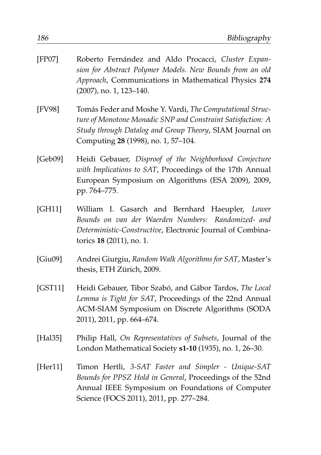<span id="page-207-0"></span>

| [FP07]  | Roberto Fernández and Aldo Procacci, Cluster Expan-<br>sion for Abstract Polymer Models. New Bounds from an old<br>Approach, Communications in Mathematical Physics 274<br>(2007), no. 1, 123-140.                        |
|---------|---------------------------------------------------------------------------------------------------------------------------------------------------------------------------------------------------------------------------|
| [FV98]  | Tomás Feder and Moshe Y. Vardi, The Computational Struc-<br>ture of Monotone Monadic SNP and Constraint Satisfaction: A<br>Study through Datalog and Group Theory, SIAM Journal on<br>Computing 28 (1998), no. 1, 57-104. |
| [Geb09] | Heidi Gebauer, Disproof of the Neighborhood Conjecture<br>with Implications to SAT, Proceedings of the 17th Annual<br>European Symposium on Algorithms (ESA 2009), 2009,<br>pp. 764-775.                                  |
| [GH11]  | William I. Gasarch and Bernhard Haeupler, Lower<br>Bounds on van der Waerden Numbers: Randomized- and<br>Deterministic-Constructive, Electronic Journal of Combina-<br>torics 18 (2011), no. 1.                           |
| [Giu09] | Andrei Giurgiu, Random Walk Algorithms for SAT, Master's<br>thesis, ETH Zürich, 2009.                                                                                                                                     |
| [GST11] | Heidi Gebauer, Tibor Szabó, and Gábor Tardos, The Local<br>Lemma is Tight for SAT, Proceedings of the 22nd Annual<br>ACM-SIAM Symposium on Discrete Algorithms (SODA<br>2011), 2011, pp. 664-674.                         |
| [Hal35] | Philip Hall, On Representatives of Subsets, Journal of the<br>London Mathematical Society s1-10 (1935), no. 1, 26-30.                                                                                                     |
| [Her11] | Timon Hertli, 3-SAT Faster and Simpler - Unique-SAT<br>Bounds for PPSZ Hold in General, Proceedings of the 52nd<br>Annual IEEE Symposium on Foundations of Computer<br>Science (FOCS 2011), 2011, pp. 277-284.            |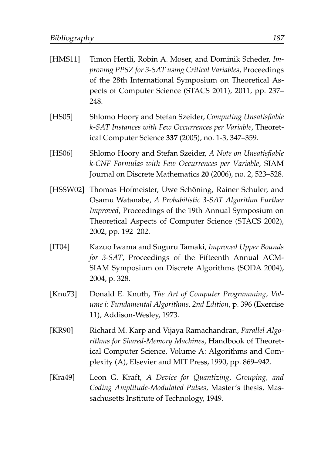| [HMS11]     | Timon Hertli, Robin A. Moser, and Dominik Scheder, Im-<br>proving PPSZ for 3-SAT using Critical Variables, Proceedings<br>of the 28th International Symposium on Theoretical As-<br>pects of Computer Science (STACS 2011), 2011, pp. 237-<br>248.      |
|-------------|---------------------------------------------------------------------------------------------------------------------------------------------------------------------------------------------------------------------------------------------------------|
| [HS05]      | Shlomo Hoory and Stefan Szeider, Computing Unsatisfiable<br>k-SAT Instances with Few Occurrences per Variable, Theoret-<br>ical Computer Science 337 (2005), no. 1-3, 347-359.                                                                          |
| [HS06]      | Shlomo Hoory and Stefan Szeider, A Note on Unsatisfiable<br>k-CNF Formulas with Few Occurrences per Variable, SIAM<br>Journal on Discrete Mathematics 20 (2006), no. 2, 523-528.                                                                        |
| [HSSW02]    | Thomas Hofmeister, Uwe Schöning, Rainer Schuler, and<br>Osamu Watanabe, A Probabilistic 3-SAT Algorithm Further<br>Improved, Proceedings of the 19th Annual Symposium on<br>Theoretical Aspects of Computer Science (STACS 2002),<br>2002, pp. 192-202. |
| [TT04]      | Kazuo Iwama and Suguru Tamaki, Improved Upper Bounds<br>for 3-SAT, Proceedings of the Fifteenth Annual ACM-<br>SIAM Symposium on Discrete Algorithms (SODA 2004),<br>2004, p. 328.                                                                      |
| [Knu73]     | Donald E. Knuth, The Art of Computer Programming, Vol-<br>ume i: Fundamental Algorithms, 2nd Edition, p. 396 (Exercise<br>11), Addison-Wesley, 1973.                                                                                                    |
| [KR90]      | Richard M. Karp and Vijaya Ramachandran, Parallel Algo-<br>rithms for Shared-Memory Machines, Handbook of Theoret-<br>ical Computer Science, Volume A: Algorithms and Com-<br>plexity (A), Elsevier and MIT Press, 1990, pp. 869-942.                   |
| [ $Kra49$ ] | Leon G. Kraft, A Device for Quantizing, Grouping, and                                                                                                                                                                                                   |

*Coding Amplitude-Modulated Pulses*, Master's thesis, Massachusetts Institute of Technology, 1949.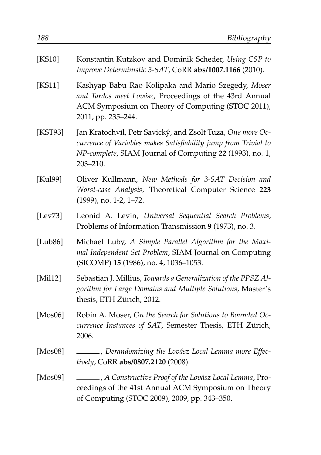| [KS10]      | Konstantin Kutzkov and Dominik Scheder, Using CSP to<br>Improve Deterministic 3-SAT, CoRR abs/1007.1166 (2010).                                                                                       |
|-------------|-------------------------------------------------------------------------------------------------------------------------------------------------------------------------------------------------------|
| [ $KS11$ ]  | Kashyap Babu Rao Kolipaka and Mario Szegedy, Moser<br>and Tardos meet Lovász, Proceedings of the 43rd Annual<br>ACM Symposium on Theory of Computing (STOC 2011),<br>2011, pp. 235-244.               |
| [KST93]     | Jan Kratochvíl, Petr Savický, and Zsolt Tuza, One more Oc-<br>currence of Variables makes Satisfiability jump from Trivial to<br>NP-complete, SIAM Journal of Computing 22 (1993), no. 1,<br>203-210. |
| [Kul99]     | Oliver Kullmann, New Methods for 3-SAT Decision and<br>Worst-case Analysis, Theoretical Computer Science 223<br>(1999), no. 1-2, 1-72.                                                                |
| [Lev73]     | Leonid A. Levin, Universal Sequential Search Problems,<br>Problems of Information Transmission 9 (1973), no. 3.                                                                                       |
| [ $Lub86$ ] | Michael Luby, A Simple Parallel Algorithm for the Maxi-<br>mal Independent Set Problem, SIAM Journal on Computing<br>(SICOMP) 15 (1986), no. 4, 1036-1053.                                            |
| [Mil12]     | Sebastian J. Millius, Towards a Generalization of the PPSZ Al-<br>gorithm for Large Domains and Multiple Solutions, Master's<br>thesis, ETH Zürich, 2012.                                             |
| [ $Mos06$ ] | Robin A. Moser, On the Search for Solutions to Bounded Oc-<br>currence Instances of SAT, Semester Thesis, ETH Zürich,<br>2006.                                                                        |
| [ $Mos08$ ] | __, Derandomizing the Lovász Local Lemma more Effec-<br>tively, CoRR abs/0807.2120 (2008).                                                                                                            |
| [ $Mos09$ ] | ____, A Constructive Proof of the Lovász Local Lemma, Pro-<br>ceedings of the 41st Annual ACM Symposium on Theory<br>of Computing (STOC 2009), 2009, pp. 343-350.                                     |
|             |                                                                                                                                                                                                       |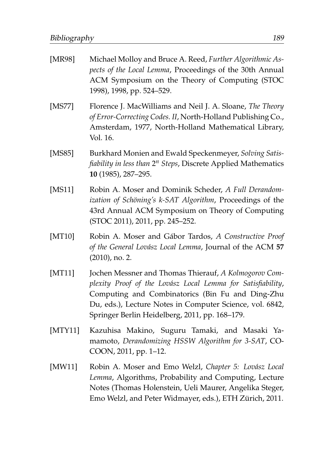<span id="page-210-0"></span>

| [MR98]     | Michael Molloy and Bruce A. Reed, Further Algorithmic As-<br>pects of the Local Lemma, Proceedings of the 30th Annual<br>ACM Symposium on the Theory of Computing (STOC<br>1998), 1998, pp. 524-529.                                                                                   |
|------------|----------------------------------------------------------------------------------------------------------------------------------------------------------------------------------------------------------------------------------------------------------------------------------------|
| [MS77]     | Florence J. MacWilliams and Neil J. A. Sloane, The Theory<br>of Error-Correcting Codes. II, North-Holland Publishing Co.,<br>Amsterdam, 1977, North-Holland Mathematical Library,<br>Vol. 16.                                                                                          |
| [ $MSS5$ ] | Burkhard Monien and Ewald Speckenmeyer, Solving Satis-<br>fiability in less than $2^n$ Steps, Discrete Applied Mathematics<br>10 (1985), 287-295.                                                                                                                                      |
| [ $MS11$ ] | Robin A. Moser and Dominik Scheder, A Full Derandom-<br>ization of Schöning's k-SAT Algorithm, Proceedings of the<br>43rd Annual ACM Symposium on Theory of Computing<br>(STOC 2011), 2011, pp. 245-252.                                                                               |
| [MT10]     | Robin A. Moser and Gábor Tardos, A Constructive Proof<br>of the General Lovász Local Lemma, Journal of the ACM 57<br>$(2010)$ , no. 2.                                                                                                                                                 |
| [MT11]     | Jochen Messner and Thomas Thierauf, A Kolmogorov Com-<br>plexity Proof of the Lovász Local Lemma for Satisfiability,<br>Computing and Combinatorics (Bin Fu and Ding-Zhu<br>Du, eds.), Lecture Notes in Computer Science, vol. 6842,<br>Springer Berlin Heidelberg, 2011, pp. 168-179. |
| [MTY11]    | Kazuhisa Makino, Suguru Tamaki, and Masaki Ya-<br>mamoto, Derandomizing HSSW Algorithm for 3-SAT, CO-<br>COON, 2011, pp. 1-12.                                                                                                                                                         |
| [ $MW11$ ] | Robin A. Moser and Emo Welzl, Chapter 5: Lovász Local<br>Lemma, Algorithms, Probability and Computing, Lecture<br>Notes (Thomas Holenstein, Ueli Maurer, Angelika Steger,<br>Emo Welzl, and Peter Widmayer, eds.), ETH Zürich, 2011.                                                   |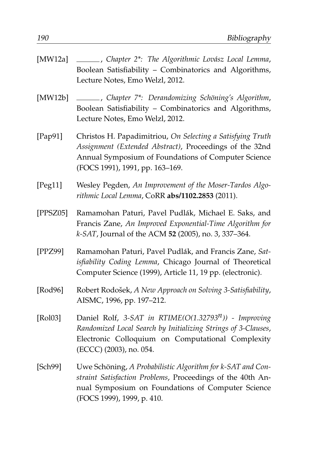<span id="page-211-0"></span>

| [ $MW12a$ ] | ______, Chapter 2 <sup>*</sup> : The Algorithmic Lovász Local Lemma,<br>Boolean Satisfiability - Combinatorics and Algorithms,<br>Lecture Notes, Emo Welzl, 2012.                                               |
|-------------|-----------------------------------------------------------------------------------------------------------------------------------------------------------------------------------------------------------------|
| [MW12b]     | ______, Chapter 7*: Derandomizing Schöning's Algorithm,<br>Boolean Satisfiability - Combinatorics and Algorithms,<br>Lecture Notes, Emo Welzl, 2012.                                                            |
| [ $Pap91$ ] | Christos H. Papadimitriou, On Selecting a Satisfying Truth<br>Assignment (Extended Abstract), Proceedings of the 32nd<br>Annual Symposium of Foundations of Computer Science<br>(FOCS 1991), 1991, pp. 163-169. |
| [ $Peg11$ ] | Wesley Pegden, An Improvement of the Moser-Tardos Algo-<br>rithmic Local Lemma, CoRR abs/1102.2853 (2011).                                                                                                      |
| [PPSZ05]    | Ramamohan Paturi, Pavel Pudlák, Michael E. Saks, and<br>Francis Zane, An Improved Exponential-Time Algorithm for<br>k-SAT, Journal of the ACM 52 (2005), no. 3, 337-364.                                        |
| [PPZ99]     | Ramamohan Paturi, Pavel Pudlák, and Francis Zane, Sat-<br>isfiability Coding Lemma, Chicago Journal of Theoretical<br>Computer Science (1999), Article 11, 19 pp. (electronic).                                 |
| [Rod96]     | Robert Rodošek, A New Approach on Solving 3-Satisfiability,<br>AISMC, 1996, pp. 197-212.                                                                                                                        |
| [Rol03]     | Daniel Rolf, 3-SAT in RTIME( $O(1.32793^{n})$ ) - Improving<br>Randomized Local Search by Initializing Strings of 3-Clauses,<br>Electronic Colloquium on Computational Complexity<br>(ECCC) (2003), no. 054.    |
| [Sch99]     | Uwe Schöning, A Probabilistic Algorithm for k-SAT and Con-<br>straint Satisfaction Problems, Proceedings of the 40th An-<br>nual Symposium on Foundations of Computer Science<br>(FOCS 1999), 1999, p. 410.     |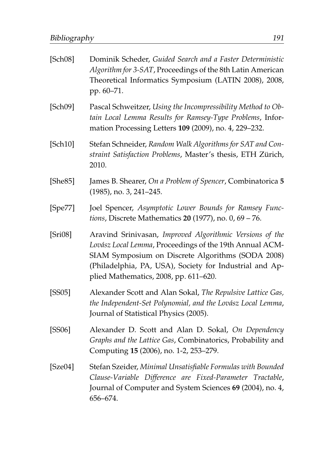| [Sch08] | Dominik Scheder, Guided Search and a Faster Deterministic<br>Algorithm for 3-SAT, Proceedings of the 8th Latin American<br>Theoretical Informatics Symposium (LATIN 2008), 2008,<br>pp. 60–71.                                                                               |
|---------|------------------------------------------------------------------------------------------------------------------------------------------------------------------------------------------------------------------------------------------------------------------------------|
| [Sch09] | Pascal Schweitzer, Using the Incompressibility Method to Ob-<br>tain Local Lemma Results for Ramsey-Type Problems, Infor-<br>mation Processing Letters 109 (2009), no. 4, 229-232.                                                                                           |
| [Sch10] | Stefan Schneider, Random Walk Algorithms for SAT and Con-<br>straint Satisfaction Problems, Master's thesis, ETH Zürich,<br>2010.                                                                                                                                            |
| [She85] | James B. Shearer, On a Problem of Spencer, Combinatorica 5<br>$(1985)$ , no. 3, 241-245.                                                                                                                                                                                     |
| [Spe77] | Joel Spencer, Asymptotic Lower Bounds for Ramsey Func-<br>tions, Discrete Mathematics 20 (1977), no. 0, 69 - 76.                                                                                                                                                             |
| [Si108] | Aravind Srinivasan, Improved Algorithmic Versions of the<br>Lovász Local Lemma, Proceedings of the 19th Annual ACM-<br>SIAM Symposium on Discrete Algorithms (SODA 2008)<br>(Philadelphia, PA, USA), Society for Industrial and Ap-<br>plied Mathematics, 2008, pp. 611-620. |
| [SS05]  | Alexander Scott and Alan Sokal, The Repulsive Lattice Gas,<br>the Independent-Set Polynomial, and the Lovász Local Lemma,<br>Journal of Statistical Physics (2005).                                                                                                          |
| [SS06]  | Alexander D. Scott and Alan D. Sokal, On Dependency<br>Graphs and the Lattice Gas, Combinatorics, Probability and<br>Computing 15 (2006), no. 1-2, 253-279.                                                                                                                  |
| [Sze04] | Stefan Szeider, Minimal Unsatisfiable Formulas with Bounded<br>Clause-Variable Difference are Fixed-Parameter Tractable,<br>Journal of Computer and System Sciences 69 (2004), no. 4,<br>656-674.                                                                            |